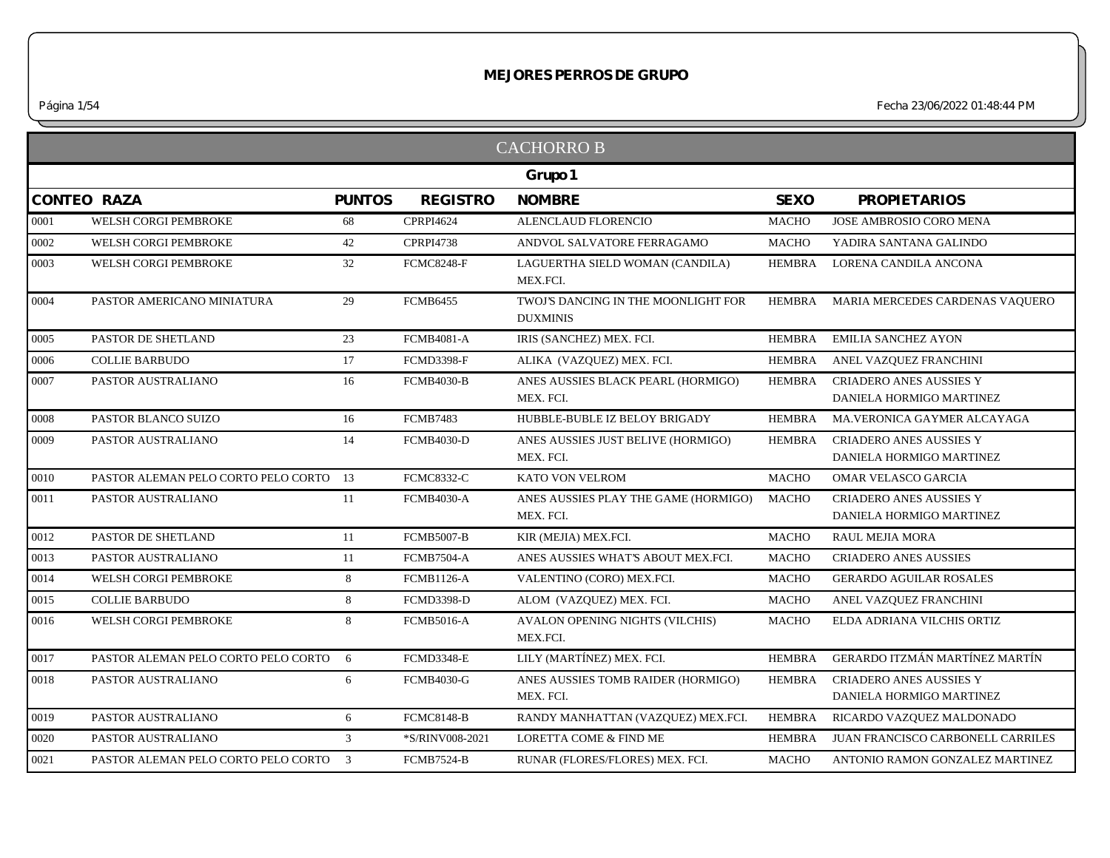|            |                                        |               |                   | <b>CACHORRO B</b>                                      |               |                                                            |
|------------|----------------------------------------|---------------|-------------------|--------------------------------------------------------|---------------|------------------------------------------------------------|
|            |                                        |               |                   | Grupo 1                                                |               |                                                            |
|            | <b>CONTEO RAZA</b>                     | <b>PUNTOS</b> | <b>REGISTRO</b>   | <b>NOMBRE</b>                                          | <b>SEXO</b>   | <b>PROPIETARIOS</b>                                        |
| 0001       | WELSH CORGI PEMBROKE                   | 68            | <b>CPRPI4624</b>  | ALENCLAUD FLORENCIO                                    | <b>MACHO</b>  | JOSE AMBROSIO CORO MENA                                    |
| 0002       | WELSH CORGI PEMBROKE                   | 42            | <b>CPRPI4738</b>  | ANDVOL SALVATORE FERRAGAMO                             | <b>MACHO</b>  | YADIRA SANTANA GALINDO                                     |
| 0003       | WELSH CORGI PEMBROKE                   | 32            | <b>FCMC8248-F</b> | LAGUERTHA SIELD WOMAN (CANDILA)<br>MEX.FCI.            | <b>HEMBRA</b> | LORENA CANDILA ANCONA                                      |
| 0004       | PASTOR AMERICANO MINIATURA             | 29            | <b>FCMB6455</b>   | TWOJ'S DANCING IN THE MOONLIGHT FOR<br><b>DUXMINIS</b> |               | HEMBRA MARIA MERCEDES CARDENAS VAQUERO                     |
| 0005       | PASTOR DE SHETLAND                     | 23            | <b>FCMB4081-A</b> | IRIS (SANCHEZ) MEX. FCI.                               | <b>HEMBRA</b> | <b>EMILIA SANCHEZ AYON</b>                                 |
| 0006       | <b>COLLIE BARBUDO</b>                  | 17            | <b>FCMD3398-F</b> | ALIKA (VAZQUEZ) MEX. FCI.                              | <b>HEMBRA</b> | ANEL VAZQUEZ FRANCHINI                                     |
| 0007       | PASTOR AUSTRALIANO                     | 16            | <b>FCMB4030-B</b> | ANES AUSSIES BLACK PEARL (HORMIGO)<br>MEX. FCI.        | HEMBRA        | <b>CRIADERO ANES AUSSIES Y</b><br>DANIELA HORMIGO MARTINEZ |
| $\,0008\,$ | PASTOR BLANCO SUIZO                    | 16            | <b>FCMB7483</b>   | HUBBLE-BUBLE IZ BELOY BRIGADY                          | <b>HEMBRA</b> | MA.VERONICA GAYMER ALCAYAGA                                |
| 0009       | PASTOR AUSTRALIANO                     | 14            | <b>FCMB4030-D</b> | ANES AUSSIES JUST BELIVE (HORMIGO)<br>MEX. FCI.        | <b>HEMBRA</b> | CRIADERO ANES AUSSIES Y<br>DANIELA HORMIGO MARTINEZ        |
| 0010       | PASTOR ALEMAN PELO CORTO PELO CORTO 13 |               | <b>FCMC8332-C</b> | KATO VON VELROM                                        | <b>MACHO</b>  | OMAR VELASCO GARCIA                                        |
| 0011       | PASTOR AUSTRALIANO                     | 11            | <b>FCMB4030-A</b> | ANES AUSSIES PLAY THE GAME (HORMIGO)<br>MEX. FCI.      | <b>MACHO</b>  | <b>CRIADERO ANES AUSSIES Y</b><br>DANIELA HORMIGO MARTINEZ |
| 0012       | PASTOR DE SHETLAND                     | 11            | <b>FCMB5007-B</b> | KIR (MEJIA) MEX.FCI.                                   | <b>MACHO</b>  | <b>RAUL MEJIA MORA</b>                                     |
| 0013       | PASTOR AUSTRALIANO                     | 11            | <b>FCMB7504-A</b> | ANES AUSSIES WHAT'S ABOUT MEX.FCI.                     | <b>MACHO</b>  | <b>CRIADERO ANES AUSSIES</b>                               |
| 0014       | WELSH CORGI PEMBROKE                   | 8             | <b>FCMB1126-A</b> | VALENTINO (CORO) MEX.FCI.                              | <b>MACHO</b>  | <b>GERARDO AGUILAR ROSALES</b>                             |
| 0015       | <b>COLLIE BARBUDO</b>                  | 8             | <b>FCMD3398-D</b> | ALOM (VAZQUEZ) MEX. FCI.                               | <b>MACHO</b>  | ANEL VAZQUEZ FRANCHINI                                     |
| 0016       | WELSH CORGI PEMBROKE                   | 8             | <b>FCMB5016-A</b> | AVALON OPENING NIGHTS (VILCHIS)<br>MEX.FCI.            | <b>MACHO</b>  | ELDA ADRIANA VILCHIS ORTIZ                                 |
| $0017\,$   | PASTOR ALEMAN PELO CORTO PELO CORTO    | 6             | <b>FCMD3348-E</b> | LILY (MARTÍNEZ) MEX. FCI.                              | <b>HEMBRA</b> | GERARDO ITZMÁN MARTÍNEZ MARTÍN                             |
| 0018       | PASTOR AUSTRALIANO                     | 6             | <b>FCMB4030-G</b> | ANES AUSSIES TOMB RAIDER (HORMIGO)<br>MEX. FCI.        | <b>HEMBRA</b> | <b>CRIADERO ANES AUSSIES Y</b><br>DANIELA HORMIGO MARTINEZ |
| 0019       | PASTOR AUSTRALIANO                     | 6             | <b>FCMC8148-B</b> | RANDY MANHATTAN (VAZQUEZ) MEX.FCI.                     | <b>HEMBRA</b> | RICARDO VAZQUEZ MALDONADO                                  |
| 0020       | PASTOR AUSTRALIANO                     | $\mathcal{E}$ | *S/RINV008-2021   | <b>LORETTA COME &amp; FIND ME</b>                      | <b>HEMBRA</b> | <b>JUAN FRANCISCO CARBONELL CARRILES</b>                   |
| 0021       | PASTOR ALEMAN PELO CORTO PELO CORTO 3  |               | <b>FCMB7524-B</b> | RUNAR (FLORES/FLORES) MEX. FCI.                        | <b>MACHO</b>  | ANTONIO RAMON GONZALEZ MARTINEZ                            |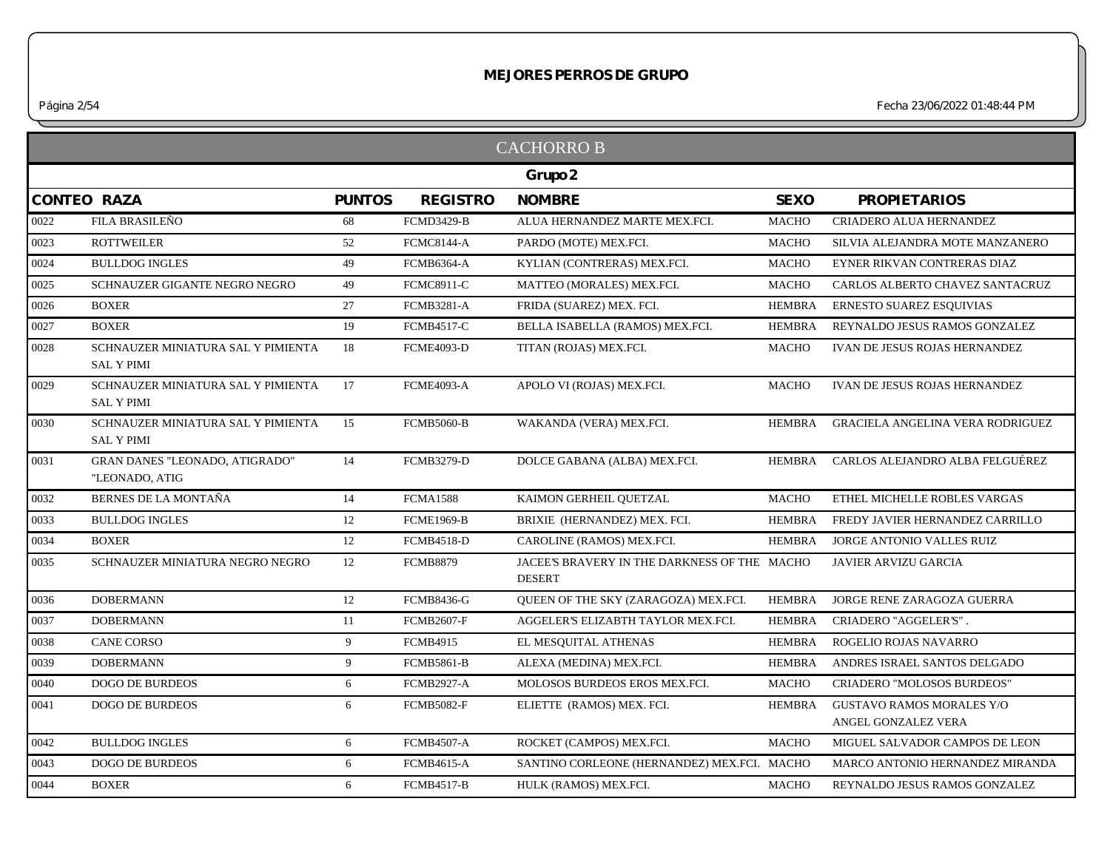*Página 2/54 Fecha 23/06/2022 01:48:44 PM*

|      |                                                         |               |                   | <b>CACHORROB</b>                                              |               |                                                         |
|------|---------------------------------------------------------|---------------|-------------------|---------------------------------------------------------------|---------------|---------------------------------------------------------|
|      |                                                         |               |                   | Grupo 2                                                       |               |                                                         |
|      | <b>CONTEO RAZA</b>                                      | <b>PUNTOS</b> | <b>REGISTRO</b>   | <b>NOMBRE</b>                                                 | <b>SEXO</b>   | <b>PROPIETARIOS</b>                                     |
| 0022 | FILA BRASILEÑO                                          | 68            | <b>FCMD3429-B</b> | ALUA HERNANDEZ MARTE MEX.FCI.                                 | <b>MACHO</b>  | CRIADERO ALUA HERNANDEZ                                 |
| 0023 | <b>ROTTWEILER</b>                                       | 52            | <b>FCMC8144-A</b> | PARDO (MOTE) MEX.FCI.                                         | <b>MACHO</b>  | SILVIA ALEJANDRA MOTE MANZANERO                         |
| 0024 | <b>BULLDOG INGLES</b>                                   | 49            | <b>FCMB6364-A</b> | KYLIAN (CONTRERAS) MEX.FCI.                                   | <b>MACHO</b>  | EYNER RIKVAN CONTRERAS DIAZ                             |
| 0025 | SCHNAUZER GIGANTE NEGRO NEGRO                           | 49            | <b>FCMC8911-C</b> | MATTEO (MORALES) MEX.FCI.                                     | <b>MACHO</b>  | CARLOS ALBERTO CHAVEZ SANTACRUZ                         |
| 0026 | <b>BOXER</b>                                            | 27            | <b>FCMB3281-A</b> | FRIDA (SUAREZ) MEX. FCI.                                      | <b>HEMBRA</b> | ERNESTO SUAREZ ESQUIVIAS                                |
| 0027 | <b>BOXER</b>                                            | 19            | <b>FCMB4517-C</b> | BELLA ISABELLA (RAMOS) MEX.FCI.                               | <b>HEMBRA</b> | REYNALDO JESUS RAMOS GONZALEZ                           |
| 0028 | SCHNAUZER MINIATURA SAL Y PIMIENTA<br><b>SAL Y PIMI</b> | 18            | <b>FCME4093-D</b> | TITAN (ROJAS) MEX.FCI.                                        | <b>MACHO</b>  | IVAN DE JESUS ROJAS HERNANDEZ                           |
| 0029 | SCHNAUZER MINIATURA SAL Y PIMIENTA<br><b>SAL Y PIMI</b> | 17            | <b>FCME4093-A</b> | APOLO VI (ROJAS) MEX.FCI.                                     | <b>MACHO</b>  | IVAN DE JESUS ROJAS HERNANDEZ                           |
| 0030 | SCHNAUZER MINIATURA SAL Y PIMIENTA<br><b>SAL Y PIMI</b> | 15            | <b>FCMB5060-B</b> | WAKANDA (VERA) MEX.FCI.                                       | <b>HEMBRA</b> | <b>GRACIELA ANGELINA VERA RODRIGUEZ</b>                 |
| 0031 | <b>GRAN DANES "LEONADO, ATIGRADO"</b><br>"LEONADO, ATIG | 14            | <b>FCMB3279-D</b> | DOLCE GABANA (ALBA) MEX.FCI.                                  | HEMBRA        | CARLOS ALEJANDRO ALBA FELGUÉREZ                         |
| 0032 | <b>BERNES DE LA MONTAÑA</b>                             | 14            | <b>FCMA1588</b>   | KAIMON GERHEIL QUETZAL                                        | <b>MACHO</b>  | ETHEL MICHELLE ROBLES VARGAS                            |
| 0033 | <b>BULLDOG INGLES</b>                                   | 12            | <b>FCME1969-B</b> | BRIXIE (HERNANDEZ) MEX. FCI.                                  | <b>HEMBRA</b> | FREDY JAVIER HERNANDEZ CARRILLO                         |
| 0034 | <b>BOXER</b>                                            | 12            | <b>FCMB4518-D</b> | CAROLINE (RAMOS) MEX.FCI.                                     | <b>HEMBRA</b> | JORGE ANTONIO VALLES RUIZ                               |
| 0035 | SCHNAUZER MINIATURA NEGRO NEGRO                         | 12            | <b>FCMB8879</b>   | JACEE'S BRAVERY IN THE DARKNESS OF THE MACHO<br><b>DESERT</b> |               | JAVIER ARVIZU GARCIA                                    |
| 0036 | <b>DOBERMANN</b>                                        | 12            | <b>FCMB8436-G</b> | QUEEN OF THE SKY (ZARAGOZA) MEX.FCI.                          | <b>HEMBRA</b> | JORGE RENE ZARAGOZA GUERRA                              |
| 0037 | <b>DOBERMANN</b>                                        | 11            | <b>FCMB2607-F</b> | AGGELER'S ELIZABTH TAYLOR MEX.FCI.                            | <b>HEMBRA</b> | CRIADERO "AGGELER'S".                                   |
| 0038 | <b>CANE CORSO</b>                                       | 9             | <b>FCMB4915</b>   | EL MESQUITAL ATHENAS                                          | <b>HEMBRA</b> | ROGELIO ROJAS NAVARRO                                   |
| 0039 | <b>DOBERMANN</b>                                        | 9             | <b>FCMB5861-B</b> | ALEXA (MEDINA) MEX.FCI.                                       | <b>HEMBRA</b> | ANDRES ISRAEL SANTOS DELGADO                            |
| 0040 | <b>DOGO DE BURDEOS</b>                                  | 6             | <b>FCMB2927-A</b> | MOLOSOS BURDEOS EROS MEX.FCI.                                 | <b>MACHO</b>  | CRIADERO "MOLOSOS BURDEOS"                              |
| 0041 | <b>DOGO DE BURDEOS</b>                                  | 6             | <b>FCMB5082-F</b> | ELIETTE (RAMOS) MEX. FCI.                                     | <b>HEMBRA</b> | <b>GUSTAVO RAMOS MORALES Y/O</b><br>ANGEL GONZALEZ VERA |
| 0042 | <b>BULLDOG INGLES</b>                                   | 6             | <b>FCMB4507-A</b> | ROCKET (CAMPOS) MEX.FCI.                                      | <b>MACHO</b>  | MIGUEL SALVADOR CAMPOS DE LEON                          |
| 0043 | <b>DOGO DE BURDEOS</b>                                  | 6             | <b>FCMB4615-A</b> | SANTINO CORLEONE (HERNANDEZ) MEX.FCI. MACHO                   |               | MARCO ANTONIO HERNANDEZ MIRANDA                         |
| 0044 | <b>BOXER</b>                                            | 6             | <b>FCMB4517-B</b> | HULK (RAMOS) MEX.FCI.                                         | <b>MACHO</b>  | REYNALDO JESUS RAMOS GONZALEZ                           |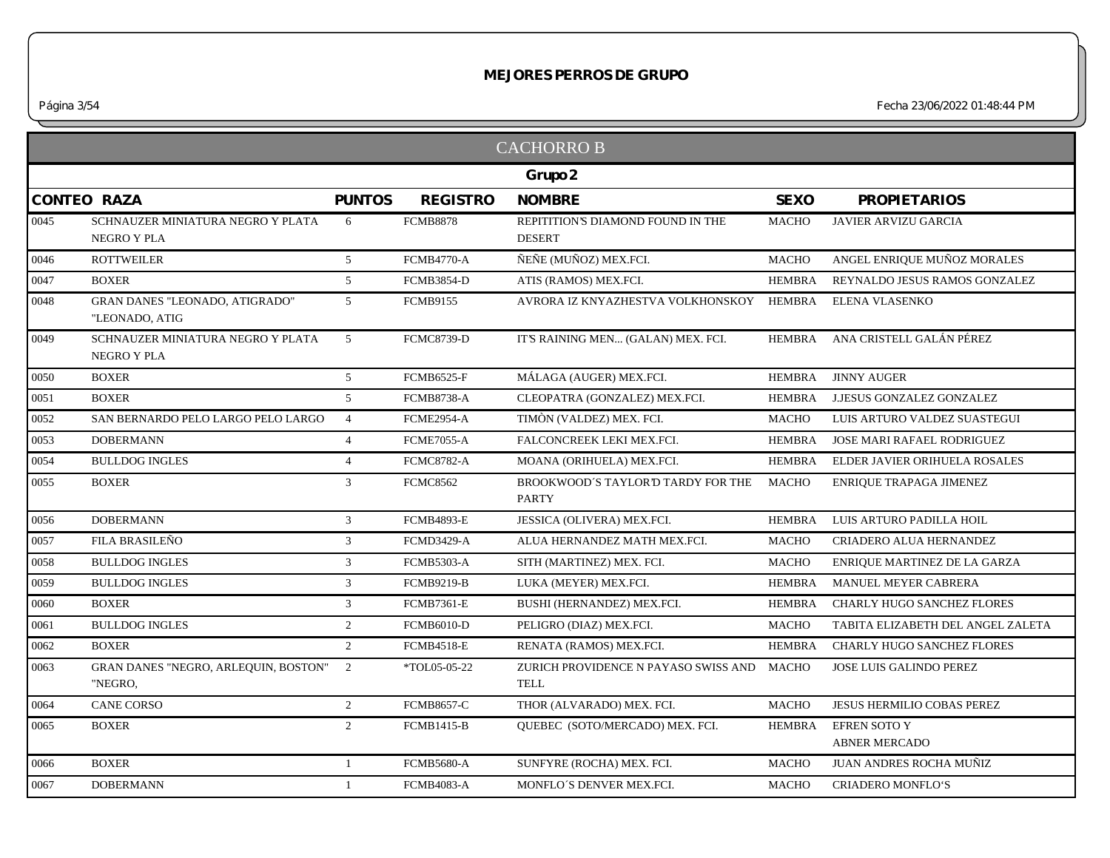|         |                                                         |                 |                   | <b>CACHORRO B</b>                                         |               |                                             |  |  |
|---------|---------------------------------------------------------|-----------------|-------------------|-----------------------------------------------------------|---------------|---------------------------------------------|--|--|
| Grupo 2 |                                                         |                 |                   |                                                           |               |                                             |  |  |
|         | <b>CONTEO RAZA</b>                                      | <b>PUNTOS</b>   | <b>REGISTRO</b>   | <b>NOMBRE</b>                                             | <b>SEXO</b>   | <b>PROPIETARIOS</b>                         |  |  |
| 0045    | SCHNAUZER MINIATURA NEGRO Y PLATA<br>NEGRO Y PLA        | 6               | <b>FCMB8878</b>   | REPITITION'S DIAMOND FOUND IN THE<br><b>DESERT</b>        | MACHO         | <b>JAVIER ARVIZU GARCIA</b>                 |  |  |
| 0046    | <b>ROTTWEILER</b>                                       | $5\overline{)}$ | <b>FCMB4770-A</b> | ÑEÑE (MUÑOZ) MEX.FCI.                                     | <b>MACHO</b>  | ANGEL ENRIQUE MUÑOZ MORALES                 |  |  |
| 0047    | <b>BOXER</b>                                            | 5 <sup>5</sup>  | <b>FCMB3854-D</b> | ATIS (RAMOS) MEX.FCI.                                     | <b>HEMBRA</b> | REYNALDO JESUS RAMOS GONZALEZ               |  |  |
| 0048    | <b>GRAN DANES "LEONADO, ATIGRADO"</b><br>"LEONADO, ATIG | 5 <sup>5</sup>  | <b>FCMB9155</b>   | AVRORA IZ KNYAZHESTVA VOLKHONSKOY HEMBRA                  |               | ELENA VLASENKO                              |  |  |
| 0049    | SCHNAUZER MINIATURA NEGRO Y PLATA<br><b>NEGRO Y PLA</b> | $\overline{5}$  | <b>FCMC8739-D</b> | IT'S RAINING MEN (GALAN) MEX. FCI.                        |               | HEMBRA ANA CRISTELL GALÁN PÉREZ             |  |  |
| 0050    | <b>BOXER</b>                                            | 5               | <b>FCMB6525-F</b> | MÁLAGA (AUGER) MEX.FCI.                                   | HEMBRA        | <b>JINNY AUGER</b>                          |  |  |
| 0051    | <b>BOXER</b>                                            | 5 <sup>5</sup>  | <b>FCMB8738-A</b> | CLEOPATRA (GONZALEZ) MEX.FCI.                             | HEMBRA        | J.JESUS GONZALEZ GONZALEZ                   |  |  |
| 0052    | SAN BERNARDO PELO LARGO PELO LARGO                      | $\overline{4}$  | <b>FCME2954-A</b> | TIMÒN (VALDEZ) MEX. FCI.                                  | <b>MACHO</b>  | LUIS ARTURO VALDEZ SUASTEGUI                |  |  |
| 0053    | <b>DOBERMANN</b>                                        | $\overline{4}$  | <b>FCME7055-A</b> | FALCONCREEK LEKI MEX.FCI.                                 | HEMBRA        | JOSE MARI RAFAEL RODRIGUEZ                  |  |  |
| 0054    | <b>BULLDOG INGLES</b>                                   | $\overline{4}$  | <b>FCMC8782-A</b> | MOANA (ORIHUELA) MEX.FCI.                                 | HEMBRA        | ELDER JAVIER ORIHUELA ROSALES               |  |  |
| 0055    | <b>BOXER</b>                                            | $\mathfrak{Z}$  | <b>FCMC8562</b>   | BROOKWOOD'S TAYLOR'D TARDY FOR THE<br><b>PARTY</b>        | <b>MACHO</b>  | ENRIQUE TRAPAGA JIMENEZ                     |  |  |
| 0056    | <b>DOBERMANN</b>                                        | $\mathfrak{Z}$  | <b>FCMB4893-E</b> | JESSICA (OLIVERA) MEX.FCI.                                | HEMBRA        | LUIS ARTURO PADILLA HOIL                    |  |  |
| 0057    | FILA BRASILEÑO                                          | 3 <sup>1</sup>  | <b>FCMD3429-A</b> | ALUA HERNANDEZ MATH MEX.FCI.                              | <b>MACHO</b>  | CRIADERO ALUA HERNANDEZ                     |  |  |
| 0058    | <b>BULLDOG INGLES</b>                                   | $\mathfrak{Z}$  | <b>FCMB5303-A</b> | SITH (MARTINEZ) MEX. FCI.                                 | <b>MACHO</b>  | ENRIQUE MARTINEZ DE LA GARZA                |  |  |
| 0059    | <b>BULLDOG INGLES</b>                                   | $\mathfrak{Z}$  | <b>FCMB9219-B</b> | LUKA (MEYER) MEX.FCI.                                     | <b>HEMBRA</b> | MANUEL MEYER CABRERA                        |  |  |
| 0060    | <b>BOXER</b>                                            | $\mathfrak{Z}$  | <b>FCMB7361-E</b> | BUSHI (HERNANDEZ) MEX.FCI.                                | <b>HEMBRA</b> | CHARLY HUGO SANCHEZ FLORES                  |  |  |
| 0061    | <b>BULLDOG INGLES</b>                                   | 2               | <b>FCMB6010-D</b> | PELIGRO (DIAZ) MEX.FCI.                                   | <b>MACHO</b>  | TABITA ELIZABETH DEL ANGEL ZALETA           |  |  |
| 0062    | <b>BOXER</b>                                            | $\mathfrak{2}$  | <b>FCMB4518-E</b> | RENATA (RAMOS) MEX.FCI.                                   | <b>HEMBRA</b> | <b>CHARLY HUGO SANCHEZ FLORES</b>           |  |  |
| 0063    | GRAN DANES "NEGRO, ARLEQUIN, BOSTON"<br>"NEGRO,         | 2               | *TOL05-05-22      | ZURICH PROVIDENCE N PAYASO SWISS AND MACHO<br><b>TELL</b> |               | JOSE LUIS GALINDO PEREZ                     |  |  |
| 0064    | <b>CANE CORSO</b>                                       | $\overline{2}$  | <b>FCMB8657-C</b> | THOR (ALVARADO) MEX. FCI.                                 | <b>MACHO</b>  | <b>JESUS HERMILIO COBAS PEREZ</b>           |  |  |
| 0065    | <b>BOXER</b>                                            | $\overline{2}$  | <b>FCMB1415-B</b> | QUEBEC (SOTO/MERCADO) MEX. FCI.                           | HEMBRA        | <b>EFREN SOTO Y</b><br><b>ABNER MERCADO</b> |  |  |
| 0066    | <b>BOXER</b>                                            | 1               | <b>FCMB5680-A</b> | SUNFYRE (ROCHA) MEX. FCI.                                 | <b>MACHO</b>  | JUAN ANDRES ROCHA MUÑIZ                     |  |  |
| 0067    | <b>DOBERMANN</b>                                        | $\mathbf{1}$    | <b>FCMB4083-A</b> | MONFLO'S DENVER MEX.FCI.                                  | <b>MACHO</b>  | <b>CRIADERO MONFLO'S</b>                    |  |  |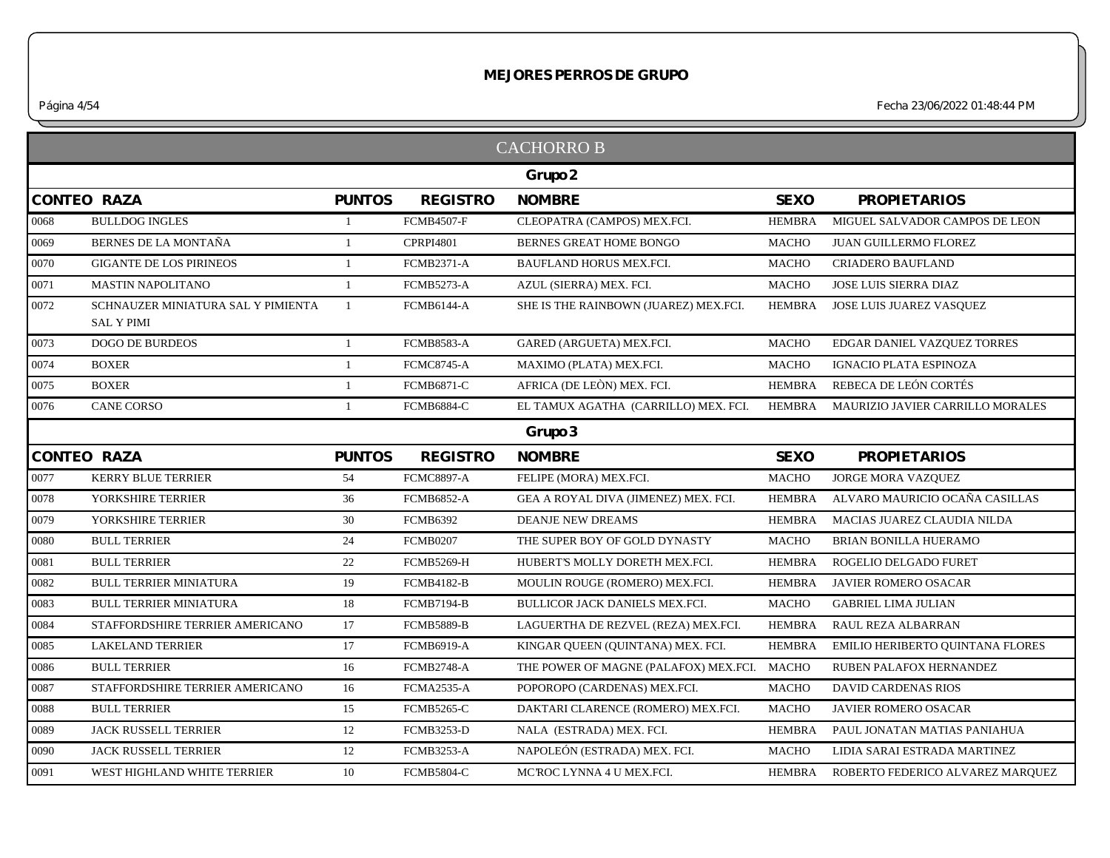*Página 4/54 Fecha 23/06/2022 01:48:44 PM*

|                    |                                                         |                |                   | Grupo 2                               |               |                                  |
|--------------------|---------------------------------------------------------|----------------|-------------------|---------------------------------------|---------------|----------------------------------|
| <b>CONTEO RAZA</b> |                                                         | <b>PUNTOS</b>  | <b>REGISTRO</b>   | <b>NOMBRE</b>                         | <b>SEXO</b>   | <b>PROPIETARIOS</b>              |
| 0068               | <b>BULLDOG INGLES</b>                                   | -1             | <b>FCMB4507-F</b> | CLEOPATRA (CAMPOS) MEX.FCI.           | <b>HEMBRA</b> | MIGUEL SALVADOR CAMPOS DE LEON   |
| 0069               | BERNES DE LA MONTAÑA                                    | $\overline{1}$ | <b>CPRPI4801</b>  | BERNES GREAT HOME BONGO               | <b>MACHO</b>  | <b>JUAN GUILLERMO FLOREZ</b>     |
| 0070               | <b>GIGANTE DE LOS PIRINEOS</b>                          | $\mathbf{1}$   | <b>FCMB2371-A</b> | BAUFLAND HORUS MEX.FCI.               | <b>MACHO</b>  | <b>CRIADERO BAUFLAND</b>         |
| 0071               | <b>MASTIN NAPOLITANO</b>                                | -1             | <b>FCMB5273-A</b> | AZUL (SIERRA) MEX. FCI.               | <b>MACHO</b>  | JOSE LUIS SIERRA DIAZ            |
| 0072               | SCHNAUZER MINIATURA SAL Y PIMIENTA<br><b>SAL Y PIMI</b> | -1             | <b>FCMB6144-A</b> | SHE IS THE RAINBOWN (JUAREZ) MEX.FCI. | <b>HEMBRA</b> | JOSE LUIS JUAREZ VASQUEZ         |
| 0073               | <b>DOGO DE BURDEOS</b>                                  | $\mathbf{1}$   | FCMB8583-A        | GARED (ARGUETA) MEX.FCI.              | <b>MACHO</b>  | EDGAR DANIEL VAZQUEZ TORRES      |
| 0074               | <b>BOXER</b>                                            | 1              | <b>FCMC8745-A</b> | MAXIMO (PLATA) MEX.FCI.               | <b>MACHO</b>  | IGNACIO PLATA ESPINOZA           |
| 0075               | <b>BOXER</b>                                            | -1             | <b>FCMB6871-C</b> | AFRICA (DE LEÓN) MEX. FCI.            | <b>HEMBRA</b> | REBECA DE LEÓN CORTÉS            |
| 0076               | <b>CANE CORSO</b>                                       | $\mathbf{1}$   | FCMB6884-C        | EL TAMUX AGATHA (CARRILLO) MEX. FCI.  | <b>HEMBRA</b> | MAURIZIO JAVIER CARRILLO MORALES |
|                    |                                                         |                |                   | Grupo 3                               |               |                                  |
| <b>CONTEO RAZA</b> |                                                         | <b>PUNTOS</b>  | <b>REGISTRO</b>   | <b>NOMBRE</b>                         | <b>SEXO</b>   | <b>PROPIETARIOS</b>              |
| 0077               | <b>KERRY BLUE TERRIER</b>                               | 54             | <b>FCMC8897-A</b> | FELIPE (MORA) MEX.FCI.                | <b>MACHO</b>  | JORGE MORA VAZQUEZ               |
| 0078               | YORKSHIRE TERRIER                                       | 36             | <b>FCMB6852-A</b> | GEA A ROYAL DIVA (JIMENEZ) MEX. FCI.  | <b>HEMBRA</b> | ALVARO MAURICIO OCAÑA CASILLAS   |
| 0079               | YORKSHIRE TERRIER                                       | 30             | <b>FCMB6392</b>   | <b>DEANJE NEW DREAMS</b>              | <b>HEMBRA</b> | MACIAS JUAREZ CLAUDIA NILDA      |
| 0080               | <b>BULL TERRIER</b>                                     | 24             | <b>FCMB0207</b>   | THE SUPER BOY OF GOLD DYNASTY         | <b>MACHO</b>  | <b>BRIAN BONILLA HUERAMO</b>     |
| 0081               | <b>BULL TERRIER</b>                                     | 22             | <b>FCMB5269-H</b> | HUBERT'S MOLLY DORETH MEX.FCI.        | <b>HEMBRA</b> | ROGELIO DELGADO FURET            |
| 0082               | <b>BULL TERRIER MINIATURA</b>                           | 19             | <b>FCMB4182-B</b> | MOULIN ROUGE (ROMERO) MEX.FCI.        | <b>HEMBRA</b> | JAVIER ROMERO OSACAR             |
| 0083               | <b>BULL TERRIER MINIATURA</b>                           | 18             | <b>FCMB7194-B</b> | BULLICOR JACK DANIELS MEX.FCI.        | <b>MACHO</b>  | <b>GABRIEL LIMA JULIAN</b>       |
| 0084               | STAFFORDSHIRE TERRIER AMERICANO                         | 17             | <b>FCMB5889-B</b> | LAGUERTHA DE REZVEL (REZA) MEX.FCI.   | <b>HEMBRA</b> | RAUL REZA ALBARRAN               |
| 0085               | <b>LAKELAND TERRIER</b>                                 | 17             | <b>FCMB6919-A</b> | KINGAR QUEEN (QUINTANA) MEX. FCI.     | <b>HEMBRA</b> | EMILIO HERIBERTO QUINTANA FLORES |
| 0086               | <b>BULL TERRIER</b>                                     | 16             | <b>FCMB2748-A</b> | THE POWER OF MAGNE (PALAFOX) MEX.FCI. | <b>MACHO</b>  | RUBEN PALAFOX HERNANDEZ          |
| 0087               | STAFFORDSHIRE TERRIER AMERICANO                         | 16             | <b>FCMA2535-A</b> | POPOROPO (CARDENAS) MEX.FCI.          | <b>MACHO</b>  | DAVID CARDENAS RIOS              |
| 0088               | <b>BULL TERRIER</b>                                     | 15             | <b>FCMB5265-C</b> | DAKTARI CLARENCE (ROMERO) MEX.FCI.    | MACHO         | <b>JAVIER ROMERO OSACAR</b>      |
| 0089               | JACK RUSSELL TERRIER                                    | 12             | <b>FCMB3253-D</b> | NALA (ESTRADA) MEX. FCI.              | <b>HEMBRA</b> | PAUL JONATAN MATIAS PANIAHUA     |
|                    | <b>JACK RUSSELL TERRIER</b>                             | 12             | <b>FCMB3253-A</b> | NAPOLEÓN (ESTRADA) MEX. FCI.          | <b>MACHO</b>  | LIDIA SARAI ESTRADA MARTINEZ     |
| 0090               |                                                         |                |                   |                                       |               |                                  |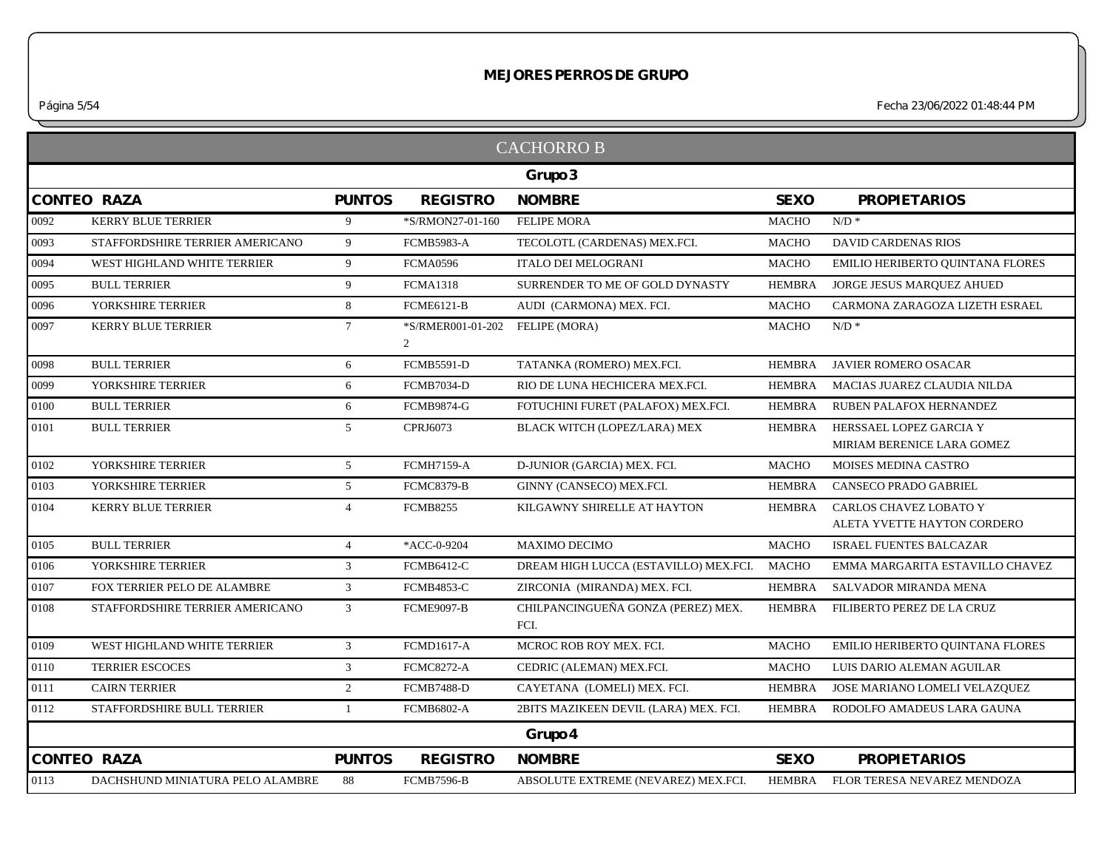*Página 5/54 Fecha 23/06/2022 01:48:44 PM*

|                                  |                                          |                        | Grupo 3                                    |                   |                                                       |
|----------------------------------|------------------------------------------|------------------------|--------------------------------------------|-------------------|-------------------------------------------------------|
|                                  | <b>PUNTOS</b>                            | <b>REGISTRO</b>        | <b>NOMBRE</b>                              | <b>SEXO</b>       | <b>PROPIETARIOS</b>                                   |
| <b>KERRY BLUE TERRIER</b>        | 9                                        | *S/RMON27-01-160       | <b>FELIPE MORA</b>                         | <b>MACHO</b>      | $N/D$ *                                               |
| STAFFORDSHIRE TERRIER AMERICANO  | 9                                        | <b>FCMB5983-A</b>      | TECOLOTL (CARDENAS) MEX.FCI.               | <b>MACHO</b>      | <b>DAVID CARDENAS RIOS</b>                            |
| WEST HIGHLAND WHITE TERRIER      | 9                                        | <b>FCMA0596</b>        | <b>ITALO DEI MELOGRANI</b>                 | <b>MACHO</b>      | EMILIO HERIBERTO QUINTANA FLORES                      |
| <b>BULL TERRIER</b>              | 9                                        | <b>FCMA1318</b>        | SURRENDER TO ME OF GOLD DYNASTY            | <b>HEMBRA</b>     | JORGE JESUS MARQUEZ AHUED                             |
| YORKSHIRE TERRIER                | 8                                        | <b>FCME6121-B</b>      | AUDI (CARMONA) MEX. FCI.                   | <b>MACHO</b>      | CARMONA ZARAGOZA LIZETH ESRAEL                        |
| <b>KERRY BLUE TERRIER</b>        | $7\overline{ }$                          | *S/RMER001-01-202<br>2 | <b>FELIPE (MORA)</b>                       | <b>MACHO</b>      | $N/D$ *                                               |
| <b>BULL TERRIER</b>              | 6                                        | <b>FCMB5591-D</b>      | TATANKA (ROMERO) MEX.FCI.                  | <b>HEMBRA</b>     | JAVIER ROMERO OSACAR                                  |
| YORKSHIRE TERRIER                | 6                                        | <b>FCMB7034-D</b>      | RIO DE LUNA HECHICERA MEX.FCI.             | <b>HEMBRA</b>     | MACIAS JUAREZ CLAUDIA NILDA                           |
| <b>BULL TERRIER</b>              | 6                                        | <b>FCMB9874-G</b>      | FOTUCHINI FURET (PALAFOX) MEX.FCI.         | <b>HEMBRA</b>     | RUBEN PALAFOX HERNANDEZ                               |
| <b>BULL TERRIER</b>              | $\overline{5}$                           | CPRJ6073               | BLACK WITCH (LOPEZ/LARA) MEX               | <b>HEMBRA</b>     | HERSSAEL LOPEZ GARCIA Y<br>MIRIAM BERENICE LARA GOMEZ |
| YORKSHIRE TERRIER                | $\overline{5}$                           | <b>FCMH7159-A</b>      | D-JUNIOR (GARCIA) MEX. FCI.                | <b>MACHO</b>      | MOISES MEDINA CASTRO                                  |
| YORKSHIRE TERRIER                | $\mathfrak{S}$                           | <b>FCMC8379-B</b>      | GINNY (CANSECO) MEX.FCI.                   | <b>HEMBRA</b>     | CANSECO PRADO GABRIEL                                 |
| <b>KERRY BLUE TERRIER</b>        | $\overline{4}$                           | <b>FCMB8255</b>        | KILGAWNY SHIRELLE AT HAYTON                | <b>HEMBRA</b>     | CARLOS CHAVEZ LOBATO Y<br>ALETA YVETTE HAYTON CORDERO |
| <b>BULL TERRIER</b>              | $\overline{4}$                           | *ACC-0-9204            | <b>MAXIMO DECIMO</b>                       | <b>MACHO</b>      | <b>ISRAEL FUENTES BALCAZAR</b>                        |
| YORKSHIRE TERRIER                | $\overline{3}$                           | <b>FCMB6412-C</b>      | DREAM HIGH LUCCA (ESTAVILLO) MEX.FCI.      | <b>MACHO</b>      | EMMA MARGARITA ESTAVILLO CHAVEZ                       |
| FOX TERRIER PELO DE ALAMBRE      | 3                                        | <b>FCMB4853-C</b>      | ZIRCONIA (MIRANDA) MEX. FCI.               | <b>HEMBRA</b>     | SALVADOR MIRANDA MENA                                 |
| STAFFORDSHIRE TERRIER AMERICANO  | 3                                        | <b>FCME9097-B</b>      | CHILPANCINGUEÑA GONZA (PEREZ) MEX.<br>FCI. | <b>HEMBRA</b>     | FILIBERTO PEREZ DE LA CRUZ                            |
| WEST HIGHLAND WHITE TERRIER      | 3                                        | <b>FCMD1617-A</b>      | MCROC ROB ROY MEX. FCI.                    | <b>MACHO</b>      | EMILIO HERIBERTO QUINTANA FLORES                      |
| <b>TERRIER ESCOCES</b>           | $\mathfrak{Z}$                           | <b>FCMC8272-A</b>      | CEDRIC (ALEMAN) MEX.FCI.                   | <b>MACHO</b>      | LUIS DARIO ALEMAN AGUILAR                             |
| <b>CAIRN TERRIER</b>             | 2                                        | <b>FCMB7488-D</b>      | CAYETANA (LOMELI) MEX. FCI.                | <b>HEMBRA</b>     | JOSE MARIANO LOMELI VELAZQUEZ                         |
| STAFFORDSHIRE BULL TERRIER       | -1                                       | <b>FCMB6802-A</b>      | 2BITS MAZIKEEN DEVIL (LARA) MEX. FCI.      | <b>HEMBRA</b>     | RODOLFO AMADEUS LARA GAUNA                            |
|                                  |                                          |                        | Grupo 4                                    |                   |                                                       |
|                                  | <b>PUNTOS</b>                            | <b>REGISTRO</b>        | <b>NOMBRE</b>                              | <b>SEXO</b>       | <b>PROPIETARIOS</b>                                   |
| DACHSHUND MINIATURA PELO ALAMBRE | 88                                       | <b>FCMB7596-B</b>      | ABSOLUTE EXTREME (NEVAREZ) MEX.FCI.        | <b>HEMBRA</b>     | FLOR TERESA NEVAREZ MENDOZA                           |
|                                  | <b>CONTEO RAZA</b><br><b>CONTEO RAZA</b> |                        |                                            | <b>CACHORRO B</b> |                                                       |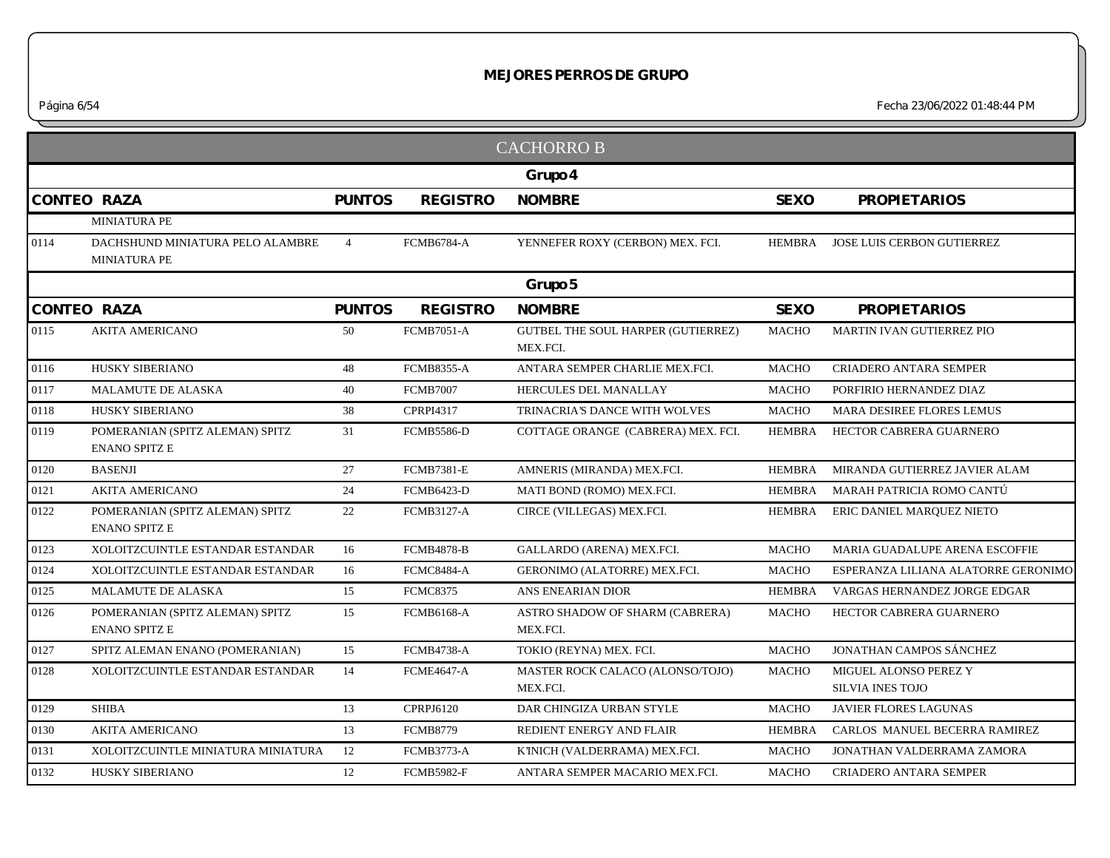|      |                                                         |                |                   | <b>CACHORRO B</b>                                     |               |                                           |
|------|---------------------------------------------------------|----------------|-------------------|-------------------------------------------------------|---------------|-------------------------------------------|
|      |                                                         |                |                   | Grupo 4                                               |               |                                           |
|      | <b>CONTEO RAZA</b>                                      | <b>PUNTOS</b>  | <b>REGISTRO</b>   | <b>NOMBRE</b>                                         | <b>SEXO</b>   | <b>PROPIETARIOS</b>                       |
|      | MINIATURA PE                                            |                |                   |                                                       |               |                                           |
| 0114 | DACHSHUND MINIATURA PELO ALAMBRE<br><b>MINIATURA PE</b> | $\overline{4}$ | <b>FCMB6784-A</b> | YENNEFER ROXY (CERBON) MEX. FCI.                      | <b>HEMBRA</b> | JOSE LUIS CERBON GUTIERREZ                |
|      |                                                         |                |                   | Grupo 5                                               |               |                                           |
|      | <b>CONTEO RAZA</b>                                      | <b>PUNTOS</b>  | <b>REGISTRO</b>   | <b>NOMBRE</b>                                         | <b>SEXO</b>   | <b>PROPIETARIOS</b>                       |
| 0115 | <b>AKITA AMERICANO</b>                                  | 50             | <b>FCMB7051-A</b> | <b>GUTBEL THE SOUL HARPER (GUTIERREZ)</b><br>MEX.FCI. | MACHO         | MARTIN IVAN GUTIERREZ PIO                 |
| 0116 | <b>HUSKY SIBERIANO</b>                                  | 48             | <b>FCMB8355-A</b> | ANTARA SEMPER CHARLIE MEX.FCI.                        | <b>MACHO</b>  | <b>CRIADERO ANTARA SEMPER</b>             |
| 0117 | <b>MALAMUTE DE ALASKA</b>                               | 40             | <b>FCMB7007</b>   | HERCULES DEL MANALLAY                                 | <b>MACHO</b>  | PORFIRIO HERNANDEZ DIAZ                   |
| 0118 | HUSKY SIBERIANO                                         | 38             | CPRPI4317         | TRINACRIA'S DANCE WITH WOLVES                         | <b>MACHO</b>  | MARA DESIREE FLORES LEMUS                 |
| 0119 | POMERANIAN (SPITZ ALEMAN) SPITZ<br><b>ENANO SPITZ E</b> | 31             | <b>FCMB5586-D</b> | COTTAGE ORANGE (CABRERA) MEX. FCI.                    | <b>HEMBRA</b> | HECTOR CABRERA GUARNERO                   |
| 0120 | <b>BASENJI</b>                                          | 27             | <b>FCMB7381-E</b> | AMNERIS (MIRANDA) MEX.FCI.                            | <b>HEMBRA</b> | MIRANDA GUTIERREZ JAVIER ALAM             |
| 0121 | <b>AKITA AMERICANO</b>                                  | 24             | <b>FCMB6423-D</b> | MATI BOND (ROMO) MEX.FCI.                             | HEMBRA        | MARAH PATRICIA ROMO CANTÚ                 |
| 0122 | POMERANIAN (SPITZ ALEMAN) SPITZ<br><b>ENANO SPITZ E</b> | 22             | <b>FCMB3127-A</b> | CIRCE (VILLEGAS) MEX.FCI.                             | <b>HEMBRA</b> | ERIC DANIEL MARQUEZ NIETO                 |
| 0123 | XOLOITZCUINTLE ESTANDAR ESTANDAR                        | 16             | <b>FCMB4878-B</b> | GALLARDO (ARENA) MEX.FCI.                             | <b>MACHO</b>  | MARIA GUADALUPE ARENA ESCOFFIE            |
| 0124 | <b>XOLOITZCUINTLE ESTANDAR ESTANDAR</b>                 | 16             | <b>FCMC8484-A</b> | GERONIMO (ALATORRE) MEX.FCI.                          | MACHO         | ESPERANZA LILIANA ALATORRE GERONIMO       |
| 0125 | <b>MALAMUTE DE ALASKA</b>                               | 15             | <b>FCMC8375</b>   | ANS ENEARIAN DIOR                                     | <b>HEMBRA</b> | VARGAS HERNANDEZ JORGE EDGAR              |
| 0126 | POMERANIAN (SPITZ ALEMAN) SPITZ<br><b>ENANO SPITZ E</b> | 15             | <b>FCMB6168-A</b> | ASTRO SHADOW OF SHARM (CABRERA)<br>MEX.FCI.           | <b>MACHO</b>  | HECTOR CABRERA GUARNERO                   |
| 0127 | SPITZ ALEMAN ENANO (POMERANIAN)                         | 15             | <b>FCMB4738-A</b> | TOKIO (REYNA) MEX. FCI.                               | <b>MACHO</b>  | <b>JONATHAN CAMPOS SÁNCHEZ</b>            |
| 0128 | XOLOITZCUINTLE ESTANDAR ESTANDAR                        | 14             | <b>FCME4647-A</b> | MASTER ROCK CALACO (ALONSO/TOJO)<br>MEX.FCI.          | <b>MACHO</b>  | MIGUEL ALONSO PEREZ Y<br>SILVIA INES TOJO |
| 0129 | <b>SHIBA</b>                                            | 13             | <b>CPRPJ6120</b>  | DAR CHINGIZA URBAN STYLE                              | <b>MACHO</b>  | <b>JAVIER FLORES LAGUNAS</b>              |
| 0130 | <b>AKITA AMERICANO</b>                                  | 13             | <b>FCMB8779</b>   | REDIENT ENERGY AND FLAIR                              | <b>HEMBRA</b> | CARLOS MANUEL BECERRA RAMIREZ             |
| 0131 | XOLOITZCUINTLE MINIATURA MINIATURA                      | 12             | <b>FCMB3773-A</b> | K'INICH (VALDERRAMA) MEX.FCI.                         | <b>MACHO</b>  | JONATHAN VALDERRAMA ZAMORA                |
| 0132 | HUSKY SIBERIANO                                         | 12             | <b>FCMB5982-F</b> | ANTARA SEMPER MACARIO MEX.FCI.                        | <b>MACHO</b>  | CRIADERO ANTARA SEMPER                    |
|      |                                                         |                |                   |                                                       |               |                                           |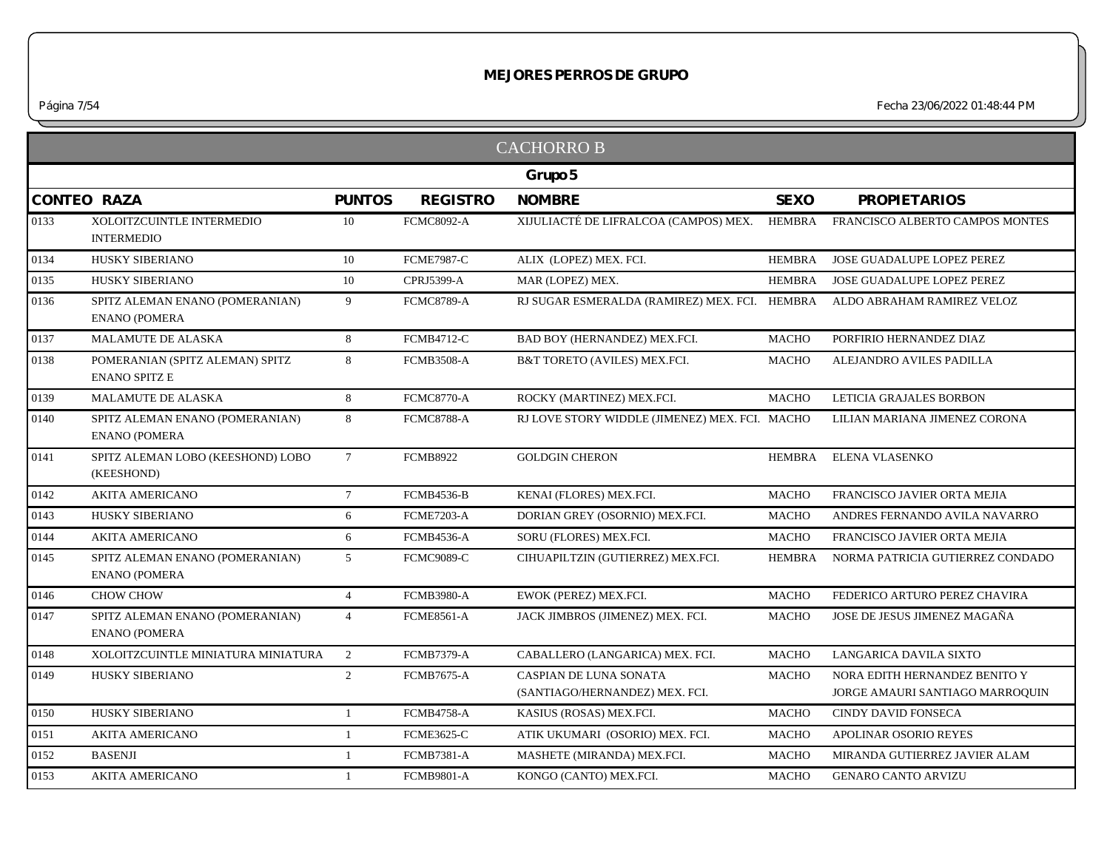|      |                                                         |                 |                   | <b>CACHORRO B</b>                                               |               |                                                                  |
|------|---------------------------------------------------------|-----------------|-------------------|-----------------------------------------------------------------|---------------|------------------------------------------------------------------|
|      |                                                         |                 |                   | Grupo 5                                                         |               |                                                                  |
|      | <b>CONTEO RAZA</b>                                      | <b>PUNTOS</b>   | <b>REGISTRO</b>   | <b>NOMBRE</b>                                                   | <b>SEXO</b>   | <b>PROPIETARIOS</b>                                              |
| 0133 | XOLOITZCUINTLE INTERMEDIO<br><b>INTERMEDIO</b>          | 10              | <b>FCMC8092-A</b> | XIJULIACTÉ DE LIFRALCOA (CAMPOS) MEX.                           | HEMBRA        | FRANCISCO ALBERTO CAMPOS MONTES                                  |
| 0134 | <b>HUSKY SIBERIANO</b>                                  | 10              | <b>FCME7987-C</b> | ALIX (LOPEZ) MEX. FCI.                                          | <b>HEMBRA</b> | JOSE GUADALUPE LOPEZ PEREZ                                       |
| 0135 | HUSKY SIBERIANO                                         | 10              | <b>CPRJ5399-A</b> | MAR (LOPEZ) MEX.                                                | <b>HEMBRA</b> | JOSE GUADALUPE LOPEZ PEREZ                                       |
| 0136 | SPITZ ALEMAN ENANO (POMERANIAN)<br><b>ENANO (POMERA</b> | 9               | <b>FCMC8789-A</b> | RJ SUGAR ESMERALDA (RAMIREZ) MEX. FCI. HEMBRA                   |               | ALDO ABRAHAM RAMIREZ VELOZ                                       |
| 0137 | <b>MALAMUTE DE ALASKA</b>                               | 8               | <b>FCMB4712-C</b> | BAD BOY (HERNANDEZ) MEX.FCI.                                    | <b>MACHO</b>  | PORFIRIO HERNANDEZ DIAZ                                          |
| 0138 | POMERANIAN (SPITZ ALEMAN) SPITZ<br><b>ENANO SPITZ E</b> | 8               | <b>FCMB3508-A</b> | B&T TORETO (AVILES) MEX.FCI.                                    | <b>MACHO</b>  | ALEJANDRO AVILES PADILLA                                         |
| 0139 | MALAMUTE DE ALASKA                                      | 8               | <b>FCMC8770-A</b> | ROCKY (MARTINEZ) MEX.FCI.                                       | <b>MACHO</b>  | LETICIA GRAJALES BORBON                                          |
| 0140 | SPITZ ALEMAN ENANO (POMERANIAN)<br><b>ENANO (POMERA</b> | 8               | <b>FCMC8788-A</b> | RJ LOVE STORY WIDDLE (JIMENEZ) MEX. FCI. MACHO                  |               | LILIAN MARIANA JIMENEZ CORONA                                    |
| 0141 | SPITZ ALEMAN LOBO (KEESHOND) LOBO<br>(KEESHOND)         | $7\phantom{.0}$ | <b>FCMB8922</b>   | <b>GOLDGIN CHERON</b>                                           | HEMBRA        | ELENA VLASENKO                                                   |
| 0142 | <b>AKITA AMERICANO</b>                                  | $7\overline{ }$ | <b>FCMB4536-B</b> | KENAI (FLORES) MEX.FCI.                                         | <b>MACHO</b>  | FRANCISCO JAVIER ORTA MEJIA                                      |
| 0143 | HUSKY SIBERIANO                                         | 6               | <b>FCME7203-A</b> | DORIAN GREY (OSORNIO) MEX.FCI.                                  | <b>MACHO</b>  | ANDRES FERNANDO AVILA NAVARRO                                    |
| 0144 | <b>AKITA AMERICANO</b>                                  | 6               | FCMB4536-A        | SORU (FLORES) MEX.FCI.                                          | <b>MACHO</b>  | FRANCISCO JAVIER ORTA MEJIA                                      |
| 0145 | SPITZ ALEMAN ENANO (POMERANIAN)<br><b>ENANO (POMERA</b> | 5               | <b>FCMC9089-C</b> | CIHUAPILTZIN (GUTIERREZ) MEX.FCI.                               | <b>HEMBRA</b> | NORMA PATRICIA GUTIERREZ CONDADO                                 |
| 0146 | CHOW CHOW                                               | $\overline{4}$  | <b>FCMB3980-A</b> | EWOK (PEREZ) MEX.FCI.                                           | <b>MACHO</b>  | FEDERICO ARTURO PEREZ CHAVIRA                                    |
| 0147 | SPITZ ALEMAN ENANO (POMERANIAN)<br><b>ENANO (POMERA</b> | $\overline{4}$  | <b>FCME8561-A</b> | JACK JIMBROS (JIMENEZ) MEX. FCI.                                | <b>MACHO</b>  | JOSE DE JESUS JIMENEZ MAGAÑA                                     |
| 0148 | XOLOITZCUINTLE MINIATURA MINIATURA                      | 2               | <b>FCMB7379-A</b> | CABALLERO (LANGARICA) MEX. FCI.                                 | <b>MACHO</b>  | LANGARICA DAVILA SIXTO                                           |
| 0149 | HUSKY SIBERIANO                                         | 2               | <b>FCMB7675-A</b> | <b>CASPIAN DE LUNA SONATA</b><br>(SANTIAGO/HERNANDEZ) MEX. FCI. | <b>MACHO</b>  | NORA EDITH HERNANDEZ BENITO Y<br>JORGE AMAURI SANTIAGO MARROQUIN |
| 0150 | HUSKY SIBERIANO                                         | $\mathbf{1}$    | FCMB4758-A        | KASIUS (ROSAS) MEX.FCI.                                         | <b>MACHO</b>  | CINDY DAVID FONSECA                                              |
| 0151 | <b>AKITA AMERICANO</b>                                  | $\mathbf{1}$    | <b>FCME3625-C</b> | ATIK UKUMARI (OSORIO) MEX. FCI.                                 | <b>MACHO</b>  | <b>APOLINAR OSORIO REYES</b>                                     |
| 0152 | <b>BASENJI</b>                                          | $\mathbf{1}$    | <b>FCMB7381-A</b> | MASHETE (MIRANDA) MEX.FCI.                                      | <b>MACHO</b>  | MIRANDA GUTIERREZ JAVIER ALAM                                    |
| 0153 | <b>AKITA AMERICANO</b>                                  | $\mathbf{1}$    | <b>FCMB9801-A</b> | KONGO (CANTO) MEX.FCI.                                          | <b>MACHO</b>  | <b>GENARO CANTO ARVIZU</b>                                       |
|      |                                                         |                 |                   |                                                                 |               |                                                                  |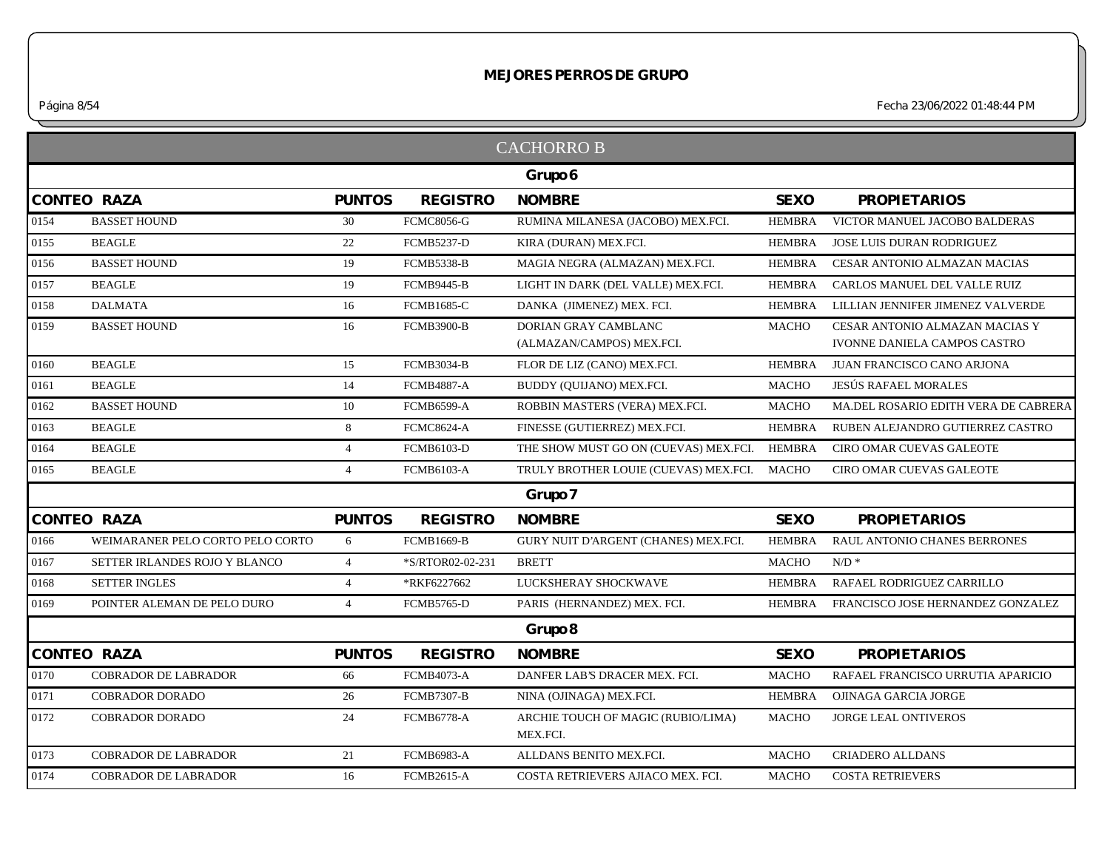*Página 8/54 Fecha 23/06/2022 01:48:44 PM*

|      |                                  |                |                   | <b>CACHORRO B</b>                                 |               |                                                                       |
|------|----------------------------------|----------------|-------------------|---------------------------------------------------|---------------|-----------------------------------------------------------------------|
|      |                                  |                |                   | Grupo 6                                           |               |                                                                       |
|      | <b>CONTEO RAZA</b>               | <b>PUNTOS</b>  | <b>REGISTRO</b>   | <b>NOMBRE</b>                                     | <b>SEXO</b>   | <b>PROPIETARIOS</b>                                                   |
| 0154 | <b>BASSET HOUND</b>              | 30             | <b>FCMC8056-G</b> | RUMINA MILANESA (JACOBO) MEX.FCI.                 | <b>HEMBRA</b> | VICTOR MANUEL JACOBO BALDERAS                                         |
| 0155 | <b>BEAGLE</b>                    | 22             | <b>FCMB5237-D</b> | KIRA (DURAN) MEX.FCI.                             | <b>HEMBRA</b> | JOSE LUIS DURAN RODRIGUEZ                                             |
| 0156 | <b>BASSET HOUND</b>              | 19             | <b>FCMB5338-B</b> | MAGIA NEGRA (ALMAZAN) MEX.FCI.                    | <b>HEMBRA</b> | CESAR ANTONIO ALMAZAN MACIAS                                          |
| 0157 | <b>BEAGLE</b>                    | 19             | <b>FCMB9445-B</b> | LIGHT IN DARK (DEL VALLE) MEX.FCI.                | <b>HEMBRA</b> | CARLOS MANUEL DEL VALLE RUIZ                                          |
| 0158 | <b>DALMATA</b>                   | 16             | <b>FCMB1685-C</b> | DANKA (JIMENEZ) MEX. FCI.                         | <b>HEMBRA</b> | LILLIAN JENNIFER JIMENEZ VALVERDE                                     |
| 0159 | <b>BASSET HOUND</b>              | 16             | <b>FCMB3900-B</b> | DORIAN GRAY CAMBLANC<br>(ALMAZAN/CAMPOS) MEX.FCI. | <b>MACHO</b>  | CESAR ANTONIO ALMAZAN MACIAS Y<br><b>IVONNE DANIELA CAMPOS CASTRO</b> |
| 0160 | <b>BEAGLE</b>                    | 15             | <b>FCMB3034-B</b> | FLOR DE LIZ (CANO) MEX.FCI.                       | <b>HEMBRA</b> | JUAN FRANCISCO CANO ARJONA                                            |
| 0161 | <b>BEAGLE</b>                    | 14             | <b>FCMB4887-A</b> | BUDDY (OUIJANO) MEX.FCI.                          | <b>MACHO</b>  | <b>JESÚS RAFAEL MORALES</b>                                           |
| 0162 | <b>BASSET HOUND</b>              | 10             | <b>FCMB6599-A</b> | ROBBIN MASTERS (VERA) MEX.FCI.                    | <b>MACHO</b>  | MA.DEL ROSARIO EDITH VERA DE CABRERA                                  |
| 0163 | <b>BEAGLE</b>                    | 8              | <b>FCMC8624-A</b> | FINESSE (GUTIERREZ) MEX.FCI.                      | <b>HEMBRA</b> | RUBEN ALEJANDRO GUTIERREZ CASTRO                                      |
| 0164 | <b>BEAGLE</b>                    | $\overline{4}$ | FCMB6103-D        | THE SHOW MUST GO ON (CUEVAS) MEX.FCI.             | <b>HEMBRA</b> | <b>CIRO OMAR CUEVAS GALEOTE</b>                                       |
| 0165 | <b>BEAGLE</b>                    | $\overline{4}$ | <b>FCMB6103-A</b> | TRULY BROTHER LOUIE (CUEVAS) MEX.FCI.             | <b>MACHO</b>  | <b>CIRO OMAR CUEVAS GALEOTE</b>                                       |
|      |                                  |                |                   | Grupo 7                                           |               |                                                                       |
|      | <b>CONTEO RAZA</b>               | <b>PUNTOS</b>  | <b>REGISTRO</b>   | <b>NOMBRE</b>                                     | <b>SEXO</b>   | <b>PROPIETARIOS</b>                                                   |
| 0166 | WEIMARANER PELO CORTO PELO CORTO | 6              | <b>FCMB1669-B</b> | GURY NUIT D'ARGENT (CHANES) MEX.FCI.              | <b>HEMBRA</b> | RAUL ANTONIO CHANES BERRONES                                          |
| 0167 | SETTER IRLANDES ROJO Y BLANCO    | $\overline{4}$ | *S/RTOR02-02-231  | <b>BRETT</b>                                      | MACHO         | $N/D$ *                                                               |
| 0168 | <b>SETTER INGLES</b>             | $\overline{4}$ | *RKF6227662       | LUCKSHERAY SHOCKWAVE                              | <b>HEMBRA</b> | RAFAEL RODRIGUEZ CARRILLO                                             |
| 0169 | POINTER ALEMAN DE PELO DURO      | $\overline{4}$ | <b>FCMB5765-D</b> | PARIS (HERNANDEZ) MEX. FCI.                       | HEMBRA        | FRANCISCO JOSE HERNANDEZ GONZALEZ                                     |
|      |                                  |                |                   | Grupo 8                                           |               |                                                                       |
|      | <b>CONTEO RAZA</b>               | <b>PUNTOS</b>  | <b>REGISTRO</b>   | <b>NOMBRE</b>                                     | <b>SEXO</b>   | <b>PROPIETARIOS</b>                                                   |
| 0170 | <b>COBRADOR DE LABRADOR</b>      | 66             | <b>FCMB4073-A</b> | DANFER LAB'S DRACER MEX. FCI.                     | <b>MACHO</b>  | RAFAEL FRANCISCO URRUTIA APARICIO                                     |
| 0171 | COBRADOR DORADO                  | 26             | <b>FCMB7307-B</b> | NINA (OJINAGA) MEX.FCI.                           | <b>HEMBRA</b> | OJINAGA GARCIA JORGE                                                  |
| 0172 | <b>COBRADOR DORADO</b>           | 24             | <b>FCMB6778-A</b> | ARCHIE TOUCH OF MAGIC (RUBIO/LIMA)<br>MEX.FCI.    | <b>MACHO</b>  | <b>JORGE LEAL ONTIVEROS</b>                                           |
| 0173 | <b>COBRADOR DE LABRADOR</b>      | 21             | <b>FCMB6983-A</b> | ALLDANS BENITO MEX.FCI.                           | <b>MACHO</b>  | <b>CRIADERO ALLDANS</b>                                               |
| 0174 | <b>COBRADOR DE LABRADOR</b>      | 16             | <b>FCMB2615-A</b> | COSTA RETRIEVERS AJIACO MEX. FCI.                 | <b>MACHO</b>  | <b>COSTA RETRIEVERS</b>                                               |
|      |                                  |                |                   |                                                   |               |                                                                       |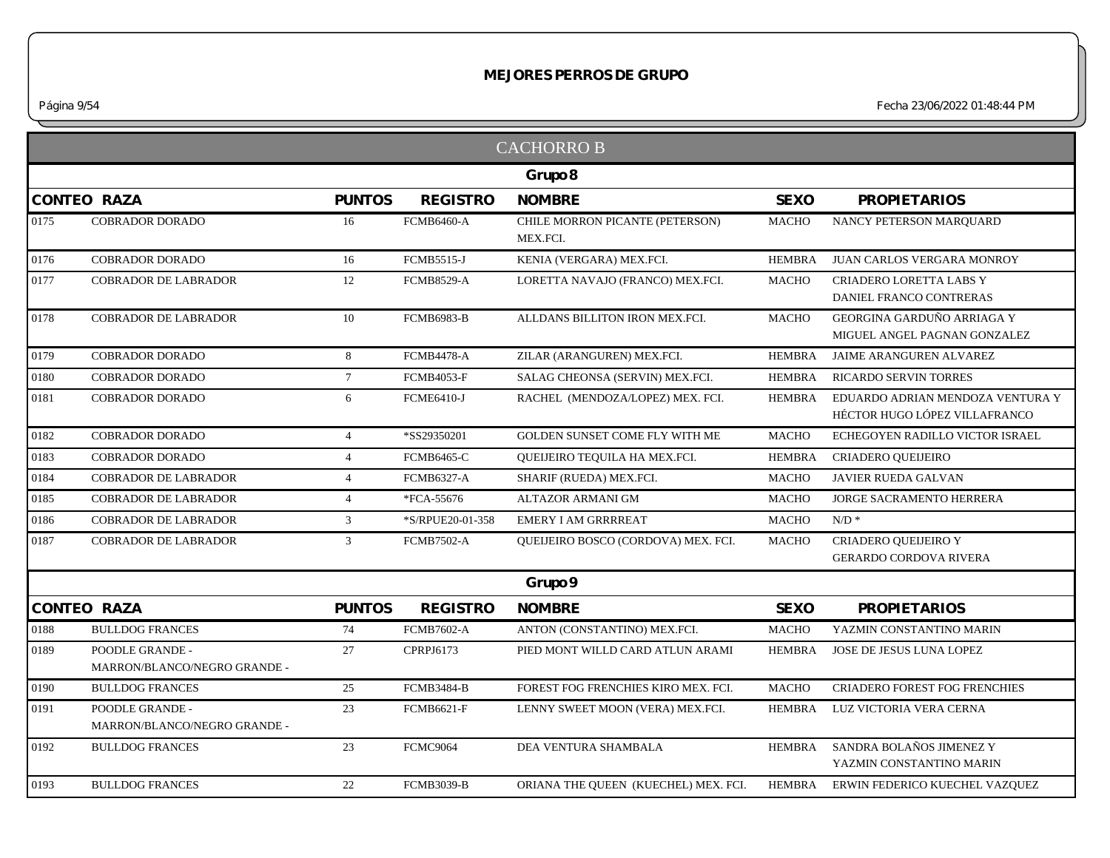*Página 9/54 Fecha 23/06/2022 01:48:44 PM*

|      |                                                 |                |                   | <b>CACHORRO B</b>                           |               |                                                                   |
|------|-------------------------------------------------|----------------|-------------------|---------------------------------------------|---------------|-------------------------------------------------------------------|
|      |                                                 |                |                   | Grupo 8                                     |               |                                                                   |
|      | <b>CONTEO RAZA</b>                              | <b>PUNTOS</b>  | <b>REGISTRO</b>   | <b>NOMBRE</b>                               | <b>SEXO</b>   | <b>PROPIETARIOS</b>                                               |
| 0175 | <b>COBRADOR DORADO</b>                          | 16             | <b>FCMB6460-A</b> | CHILE MORRON PICANTE (PETERSON)<br>MEX.FCI. | <b>MACHO</b>  | NANCY PETERSON MARQUARD                                           |
| 0176 | <b>COBRADOR DORADO</b>                          | 16             | <b>FCMB5515-J</b> | KENIA (VERGARA) MEX.FCI.                    | <b>HEMBRA</b> | JUAN CARLOS VERGARA MONROY                                        |
| 0177 | <b>COBRADOR DE LABRADOR</b>                     | 12             | <b>FCMB8529-A</b> | LORETTA NAVAJO (FRANCO) MEX.FCI.            | <b>MACHO</b>  | CRIADERO LORETTA LABS Y<br>DANIEL FRANCO CONTRERAS                |
| 0178 | COBRADOR DE LABRADOR                            | 10             | FCMB6983-B        | ALLDANS BILLITON IRON MEX.FCI.              | <b>MACHO</b>  | GEORGINA GARDUÑO ARRIAGA Y<br>MIGUEL ANGEL PAGNAN GONZALEZ        |
| 0179 | <b>COBRADOR DORADO</b>                          | 8              | <b>FCMB4478-A</b> | ZILAR (ARANGUREN) MEX.FCI.                  | <b>HEMBRA</b> | JAIME ARANGUREN ALVAREZ                                           |
| 0180 | <b>COBRADOR DORADO</b>                          | 7 <sup>7</sup> | <b>FCMB4053-F</b> | SALAG CHEONSA (SERVIN) MEX.FCI.             | <b>HEMBRA</b> | RICARDO SERVIN TORRES                                             |
| 0181 | <b>COBRADOR DORADO</b>                          | 6              | <b>FCME6410-J</b> | RACHEL (MENDOZA/LOPEZ) MEX. FCI.            | <b>HEMBRA</b> | EDUARDO ADRIAN MENDOZA VENTURA Y<br>HÉCTOR HUGO LÓPEZ VILLAFRANCO |
| 0182 | <b>COBRADOR DORADO</b>                          | $\overline{4}$ | *SS29350201       | GOLDEN SUNSET COME FLY WITH ME              | <b>MACHO</b>  | ECHEGOYEN RADILLO VICTOR ISRAEL                                   |
| 0183 | <b>COBRADOR DORADO</b>                          | $\overline{4}$ | <b>FCMB6465-C</b> | QUEIJEIRO TEQUILA HA MEX.FCI.               | <b>HEMBRA</b> | CRIADERO QUEIJEIRO                                                |
| 0184 | <b>COBRADOR DE LABRADOR</b>                     | $\overline{4}$ | <b>FCMB6327-A</b> | SHARIF (RUEDA) MEX.FCI.                     | <b>MACHO</b>  | JAVIER RUEDA GALVAN                                               |
| 0185 | <b>COBRADOR DE LABRADOR</b>                     | $\overline{4}$ | *FCA-55676        | ALTAZOR ARMANI GM                           | <b>MACHO</b>  | JORGE SACRAMENTO HERRERA                                          |
| 0186 | COBRADOR DE LABRADOR                            | $\mathfrak{Z}$ | *S/RPUE20-01-358  | EMERY I AM GRRRREAT                         | <b>MACHO</b>  | $\mathrm{N}/\mathrm{D}$ *                                         |
| 0187 | <b>COBRADOR DE LABRADOR</b>                     | 3              | <b>FCMB7502-A</b> | <b>OUEIJEIRO BOSCO (CORDOVA) MEX. FCI.</b>  | <b>MACHO</b>  | CRIADERO QUEIJEIRO Y<br><b>GERARDO CORDOVA RIVERA</b>             |
|      |                                                 |                |                   | Grupo 9                                     |               |                                                                   |
|      | <b>CONTEO RAZA</b>                              | <b>PUNTOS</b>  | <b>REGISTRO</b>   | <b>NOMBRE</b>                               | <b>SEXO</b>   | <b>PROPIETARIOS</b>                                               |
| 0188 | <b>BULLDOG FRANCES</b>                          | 74             | <b>FCMB7602-A</b> | ANTON (CONSTANTINO) MEX.FCI.                | <b>MACHO</b>  | YAZMIN CONSTANTINO MARIN                                          |
| 0189 | POODLE GRANDE -<br>MARRON/BLANCO/NEGRO GRANDE - | 27             | CPRPJ6173         | PIED MONT WILLD CARD ATLUN ARAMI            | <b>HEMBRA</b> | JOSE DE JESUS LUNA LOPEZ                                          |
| 0190 | <b>BULLDOG FRANCES</b>                          | 25             | <b>FCMB3484-B</b> | FOREST FOG FRENCHIES KIRO MEX. FCI.         | <b>MACHO</b>  | CRIADERO FOREST FOG FRENCHIES                                     |
| 0191 | POODLE GRANDE -<br>MARRON/BLANCO/NEGRO GRANDE - | 23             | <b>FCMB6621-F</b> | LENNY SWEET MOON (VERA) MEX.FCI.            | <b>HEMBRA</b> | LUZ VICTORIA VERA CERNA                                           |
| 0192 | <b>BULLDOG FRANCES</b>                          | 23             | <b>FCMC9064</b>   | DEA VENTURA SHAMBALA                        | <b>HEMBRA</b> | SANDRA BOLAÑOS JIMENEZ Y<br>YAZMIN CONSTANTINO MARIN              |
| 0193 | <b>BULLDOG FRANCES</b>                          | 22             | <b>FCMB3039-B</b> | ORIANA THE QUEEN (KUECHEL) MEX. FCI.        |               | HEMBRA ERWIN FEDERICO KUECHEL VAZQUEZ                             |
|      |                                                 |                |                   |                                             |               |                                                                   |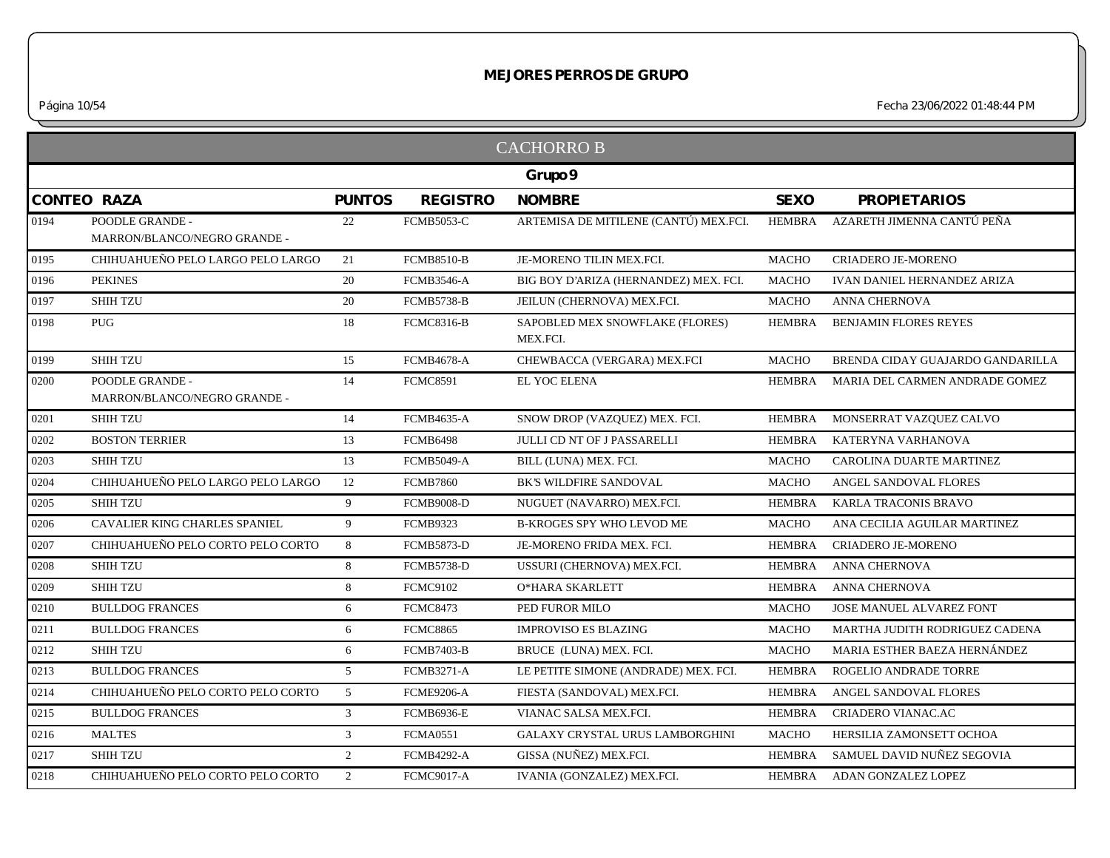|                    |                                                 |                |                   | <b>CACHORRO B</b>                           |               |                                    |
|--------------------|-------------------------------------------------|----------------|-------------------|---------------------------------------------|---------------|------------------------------------|
|                    |                                                 |                |                   | Grupo 9                                     |               |                                    |
| <b>CONTEO RAZA</b> |                                                 | <b>PUNTOS</b>  | <b>REGISTRO</b>   | <b>NOMBRE</b>                               | <b>SEXO</b>   | <b>PROPIETARIOS</b>                |
| 0194               | POODLE GRANDE -<br>MARRON/BLANCO/NEGRO GRANDE - | 22             | <b>FCMB5053-C</b> | ARTEMISA DE MITILENE (CANTÚ) MEX.FCI.       | HEMBRA        | AZARETH JIMENNA CANTÚ PEÑA         |
| 0195               | CHIHUAHUEÑO PELO LARGO PELO LARGO               | 21             | <b>FCMB8510-B</b> | JE-MORENO TILIN MEX.FCI.                    | <b>MACHO</b>  | CRIADERO JE-MORENO                 |
| 0196               | <b>PEKINES</b>                                  | 20             | <b>FCMB3546-A</b> | BIG BOY D'ARIZA (HERNANDEZ) MEX. FCI.       | <b>MACHO</b>  | <b>IVAN DANIEL HERNANDEZ ARIZA</b> |
| 0197               | <b>SHIH TZU</b>                                 | 20             | <b>FCMB5738-B</b> | JEILUN (CHERNOVA) MEX.FCI.                  | <b>MACHO</b>  | <b>ANNA CHERNOVA</b>               |
| 0198               | <b>PUG</b>                                      | 18             | <b>FCMC8316-B</b> | SAPOBLED MEX SNOWFLAKE (FLORES)<br>MEX.FCI. | <b>HEMBRA</b> | BENJAMIN FLORES REYES              |
| 0199               | <b>SHIH TZU</b>                                 | 15             | <b>FCMB4678-A</b> | CHEWBACCA (VERGARA) MEX.FCI                 | <b>MACHO</b>  | BRENDA CIDAY GUAJARDO GANDARILLA   |
| 0200               | POODLE GRANDE -<br>MARRON/BLANCO/NEGRO GRANDE - | 14             | <b>FCMC8591</b>   | EL YOC ELENA                                | <b>HEMBRA</b> | MARIA DEL CARMEN ANDRADE GOMEZ     |
| 0201               | <b>SHIH TZU</b>                                 | 14             | <b>FCMB4635-A</b> | SNOW DROP (VAZQUEZ) MEX. FCI.               | <b>HEMBRA</b> | MONSERRAT VAZQUEZ CALVO            |
| 0202               | <b>BOSTON TERRIER</b>                           | 13             | <b>FCMB6498</b>   | <b>JULLI CD NT OF J PASSARELLI</b>          | <b>HEMBRA</b> | KATERYNA VARHANOVA                 |
| 0203               | <b>SHIH TZU</b>                                 | 13             | <b>FCMB5049-A</b> | BILL (LUNA) MEX. FCI.                       | <b>MACHO</b>  | CAROLINA DUARTE MARTINEZ           |
| 0204               | CHIHUAHUEÑO PELO LARGO PELO LARGO               | 12             | <b>FCMB7860</b>   | BK'S WILDFIRE SANDOVAL                      | <b>MACHO</b>  | ANGEL SANDOVAL FLORES              |
| 0205               | <b>SHIH TZU</b>                                 | 9              | <b>FCMB9008-D</b> | NUGUET (NAVARRO) MEX.FCI.                   | <b>HEMBRA</b> | KARLA TRACONIS BRAVO               |
| 0206               | <b>CAVALIER KING CHARLES SPANIEL</b>            | 9              | <b>FCMB9323</b>   | <b>B-KROGES SPY WHO LEVOD ME</b>            | <b>MACHO</b>  | ANA CECILIA AGUILAR MARTINEZ       |
| 0207               | CHIHUAHUEÑO PELO CORTO PELO CORTO               | 8              | <b>FCMB5873-D</b> | JE-MORENO FRIDA MEX. FCI.                   | <b>HEMBRA</b> | <b>CRIADERO JE-MORENO</b>          |
| 0208               | <b>SHIH TZU</b>                                 | 8              | <b>FCMB5738-D</b> | USSURI (CHERNOVA) MEX.FCI.                  | <b>HEMBRA</b> | ANNA CHERNOVA                      |
| 0209               | <b>SHIH TZU</b>                                 | 8              | <b>FCMC9102</b>   | O*HARA SKARLETT                             | <b>HEMBRA</b> | ANNA CHERNOVA                      |
| 0210               | <b>BULLDOG FRANCES</b>                          | 6              | <b>FCMC8473</b>   | PED FUROR MILO                              | <b>MACHO</b>  | JOSE MANUEL ALVAREZ FONT           |
| 0211               | <b>BULLDOG FRANCES</b>                          | 6              | <b>FCMC8865</b>   | <b>IMPROVISO ES BLAZING</b>                 | <b>MACHO</b>  | MARTHA JUDITH RODRIGUEZ CADENA     |
| 0212               | <b>SHIH TZU</b>                                 | 6              | <b>FCMB7403-B</b> | BRUCE (LUNA) MEX. FCI.                      | <b>MACHO</b>  | MARIA ESTHER BAEZA HERNÁNDEZ       |
| 0213               | <b>BULLDOG FRANCES</b>                          | 5 <sup>5</sup> | <b>FCMB3271-A</b> | LE PETITE SIMONE (ANDRADE) MEX. FCI.        | <b>HEMBRA</b> | ROGELIO ANDRADE TORRE              |
| 0214               | CHIHUAHUEÑO PELO CORTO PELO CORTO               | 5 <sup>5</sup> | <b>FCME9206-A</b> | FIESTA (SANDOVAL) MEX.FCI.                  | <b>HEMBRA</b> | ANGEL SANDOVAL FLORES              |
| 0215               | <b>BULLDOG FRANCES</b>                          | $\mathfrak{Z}$ | <b>FCMB6936-E</b> | VIANAC SALSA MEX.FCI.                       | <b>HEMBRA</b> | CRIADERO VIANAC.AC                 |
| 0216               | <b>MALTES</b>                                   | $\mathfrak{Z}$ | <b>FCMA0551</b>   | <b>GALAXY CRYSTAL URUS LAMBORGHINI</b>      | <b>MACHO</b>  | HERSILIA ZAMONSETT OCHOA           |
| 0217               | <b>SHIH TZU</b>                                 | $\overline{2}$ | <b>FCMB4292-A</b> | GISSA (NUÑEZ) MEX.FCI.                      | <b>HEMBRA</b> | SAMUEL DAVID NUÑEZ SEGOVIA         |
| 0218               | CHIHUAHUEÑO PELO CORTO PELO CORTO               | 2              | <b>FCMC9017-A</b> | IVANIA (GONZALEZ) MEX.FCI.                  |               | HEMBRA ADAN GONZALEZ LOPEZ         |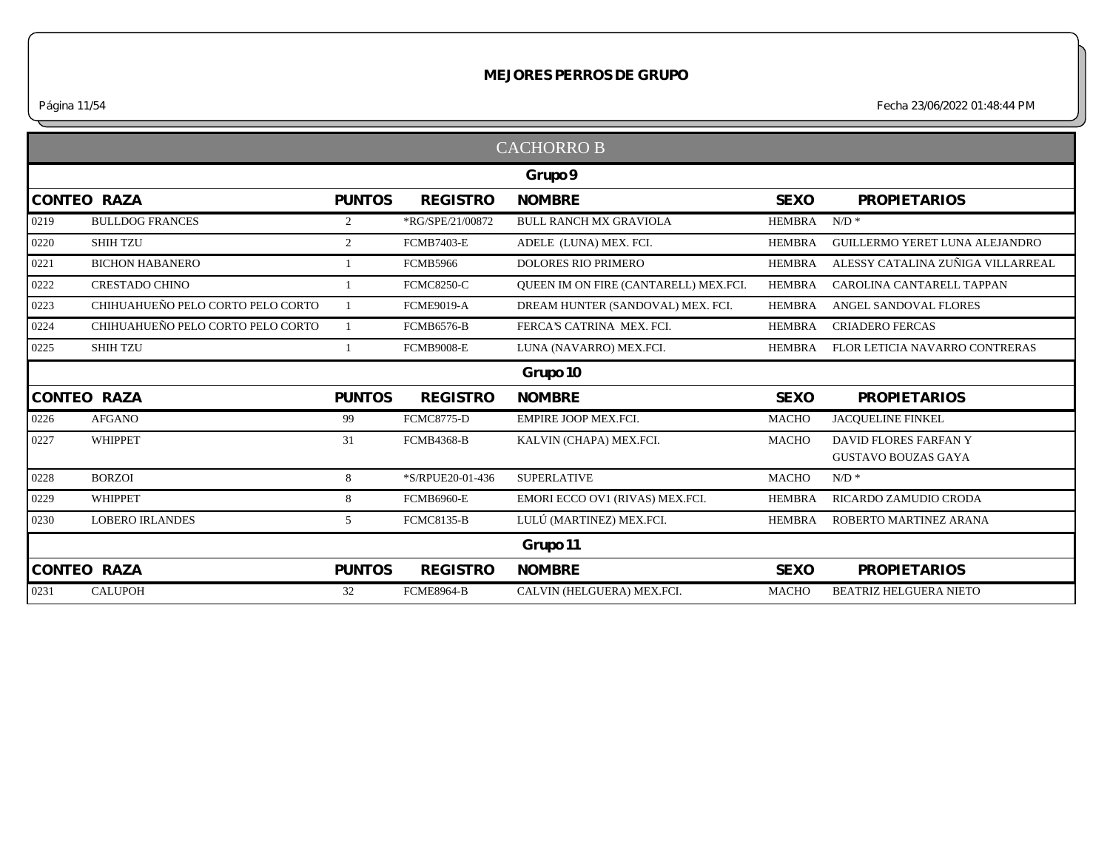*Página 11/54 Fecha 23/06/2022 01:48:44 PM*

|                    |                                   |                |                   | <b>CACHORROB</b>                             |               |                                   |
|--------------------|-----------------------------------|----------------|-------------------|----------------------------------------------|---------------|-----------------------------------|
|                    |                                   |                |                   | Grupo 9                                      |               |                                   |
| <b>CONTEO RAZA</b> |                                   | <b>PUNTOS</b>  | <b>REGISTRO</b>   | <b>NOMBRE</b>                                | <b>SEXO</b>   | <b>PROPIETARIOS</b>               |
| 0219               | <b>BULLDOG FRANCES</b>            | $\overline{2}$ | *RG/SPE/21/00872  | <b>BULL RANCH MX GRAVIOLA</b>                | <b>HEMBRA</b> | $N/D$ *                           |
| 0220               | <b>SHIH TZU</b>                   | $\overline{2}$ | <b>FCMB7403-E</b> | ADELE (LUNA) MEX. FCI.                       | <b>HEMBRA</b> | GUILLERMO YERET LUNA ALEJANDRO    |
| 0221               | <b>BICHON HABANERO</b>            |                | <b>FCMB5966</b>   | <b>DOLORES RIO PRIMERO</b>                   | <b>HEMBRA</b> | ALESSY CATALINA ZUÑIGA VILLARREAL |
| 0222               | <b>CRESTADO CHINO</b>             |                | <b>FCMC8250-C</b> | <b>OUEEN IM ON FIRE (CANTARELL) MEX.FCI.</b> | <b>HEMBRA</b> | CAROLINA CANTARELL TAPPAN         |
| 0223               | CHIHUAHUEÑO PELO CORTO PELO CORTO |                | <b>FCME9019-A</b> | DREAM HUNTER (SANDOVAL) MEX. FCI.            | <b>HEMBRA</b> | ANGEL SANDOVAL FLORES             |
| 0224               | CHIHUAHUEÑO PELO CORTO PELO CORTO |                | <b>FCMB6576-B</b> | FERCA'S CATRINA MEX. FCI.                    | <b>HEMBRA</b> | <b>CRIADERO FERCAS</b>            |
| 0225               | <b>SHIH TZU</b>                   |                | <b>FCMB9008-E</b> | LUNA (NAVARRO) MEX.FCI.                      | <b>HEMBRA</b> | FLOR LETICIA NAVARRO CONTRERAS    |
|                    |                                   |                |                   | Grupo 10                                     |               |                                   |
| <b>CONTEO RAZA</b> |                                   | <b>PUNTOS</b>  | <b>REGISTRO</b>   | <b>NOMBRE</b>                                | <b>SEXO</b>   | <b>PROPIETARIOS</b>               |
| 0226               | <b>AFGANO</b>                     | 99             | <b>FCMC8775-D</b> | <b>EMPIRE JOOP MEX.FCI.</b>                  | <b>MACHO</b>  | JACQUELINE FINKEL                 |
| 0227               | WHIPPET                           | 31             | <b>FCMB4368-B</b> | KALVIN (CHAPA) MEX.FCI.                      | <b>MACHO</b>  | DAVID FLORES FARFAN Y             |
|                    |                                   |                |                   |                                              |               | <b>GUSTAVO BOUZAS GAYA</b>        |
| 0228               | <b>BORZOI</b>                     | 8              | *S/RPUE20-01-436  | <b>SUPERLATIVE</b>                           | <b>MACHO</b>  | $N/D$ *                           |
| 0229               | <b>WHIPPET</b>                    | 8              | <b>FCMB6960-E</b> | EMORI ECCO OV1 (RIVAS) MEX.FCI.              | <b>HEMBRA</b> | RICARDO ZAMUDIO CRODA             |
| 0230               | <b>LOBERO IRLANDES</b>            | 5              | <b>FCMC8135-B</b> | LULÚ (MARTINEZ) MEX.FCI.                     | <b>HEMBRA</b> | ROBERTO MARTINEZ ARANA            |
|                    |                                   |                |                   | Grupo 11                                     |               |                                   |
| <b>CONTEO RAZA</b> |                                   | <b>PUNTOS</b>  | <b>REGISTRO</b>   | <b>NOMBRE</b>                                | <b>SEXO</b>   | <b>PROPIETARIOS</b>               |
| 0231               | <b>CALUPOH</b>                    | 32             | <b>FCME8964-B</b> | CALVIN (HELGUERA) MEX.FCI.                   | <b>MACHO</b>  | <b>BEATRIZ HELGUERA NIETO</b>     |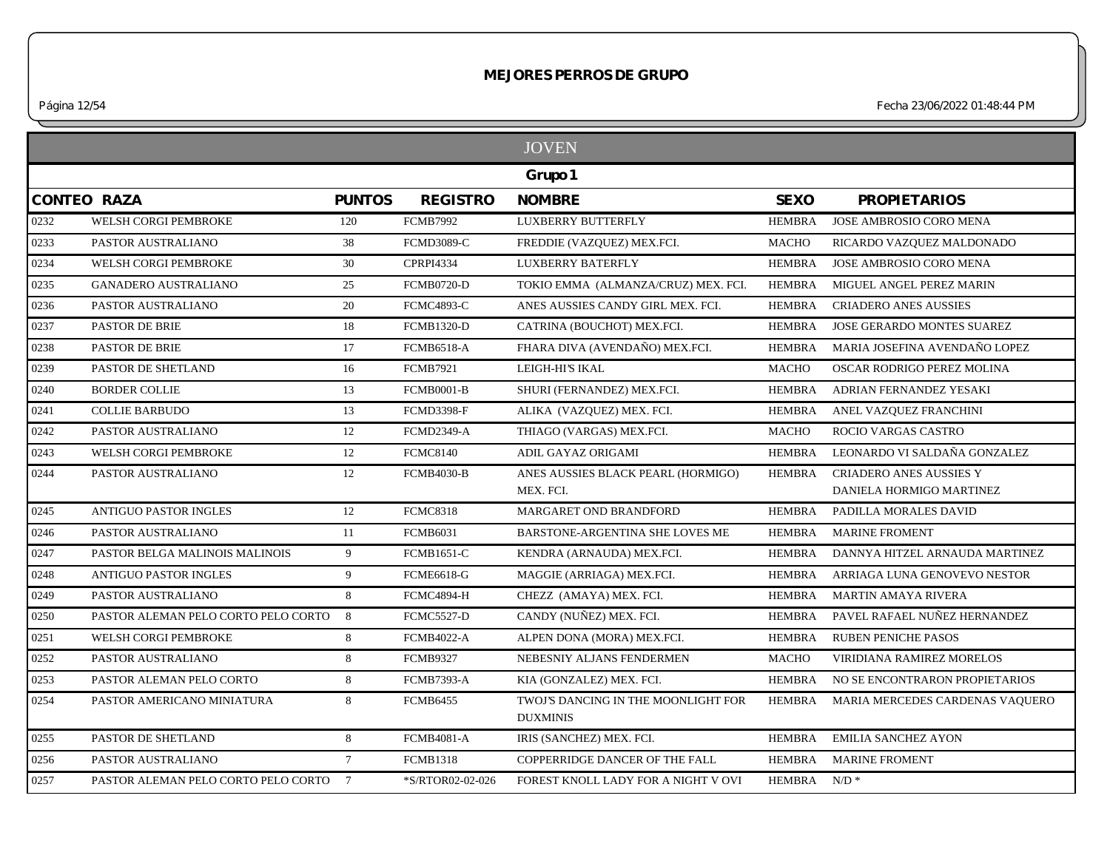*Página 12/54 Fecha 23/06/2022 01:48:44 PM*

|      |                                       |                 |                   | <b>JOVEN</b>                                           |                         |                                 |
|------|---------------------------------------|-----------------|-------------------|--------------------------------------------------------|-------------------------|---------------------------------|
|      |                                       |                 |                   | Grupo 1                                                |                         |                                 |
|      | <b>CONTEO RAZA</b>                    | <b>PUNTOS</b>   | <b>REGISTRO</b>   | <b>NOMBRE</b>                                          | <b>SEXO</b>             | <b>PROPIETARIOS</b>             |
| 0232 | WELSH CORGI PEMBROKE                  | 120             | <b>FCMB7992</b>   | LUXBERRY BUTTERFLY                                     | <b>HEMBRA</b>           | <b>JOSE AMBROSIO CORO MENA</b>  |
| 0233 | PASTOR AUSTRALIANO                    | 38              | <b>FCMD3089-C</b> | FREDDIE (VAZQUEZ) MEX.FCI.                             | <b>MACHO</b>            | RICARDO VAZQUEZ MALDONADO       |
| 0234 | WELSH CORGI PEMBROKE                  | 30              | <b>CPRPI4334</b>  | <b>LUXBERRY BATERFLY</b>                               | <b>HEMBRA</b>           | <b>JOSE AMBROSIO CORO MENA</b>  |
| 0235 | <b>GANADERO AUSTRALIANO</b>           | 25              | <b>FCMB0720-D</b> | TOKIO EMMA (ALMANZA/CRUZ) MEX. FCI.                    | <b>HEMBRA</b>           | MIGUEL ANGEL PEREZ MARIN        |
| 0236 | PASTOR AUSTRALIANO                    | 20              | <b>FCMC4893-C</b> | ANES AUSSIES CANDY GIRL MEX. FCI.                      | <b>HEMBRA</b>           | <b>CRIADERO ANES AUSSIES</b>    |
| 0237 | PASTOR DE BRIE                        | 18              | <b>FCMB1320-D</b> | CATRINA (BOUCHOT) MEX.FCI.                             | HEMBRA                  | JOSE GERARDO MONTES SUAREZ      |
| 0238 | PASTOR DE BRIE                        | 17              | <b>FCMB6518-A</b> | FHARA DIVA (AVENDAÑO) MEX.FCI.                         | <b>HEMBRA</b>           | MARIA JOSEFINA AVENDAÑO LOPEZ   |
| 0239 | PASTOR DE SHETLAND                    | 16              | <b>FCMB7921</b>   | LEIGH-HI'S IKAL                                        | <b>MACHO</b>            | OSCAR RODRIGO PEREZ MOLINA      |
| 0240 | <b>BORDER COLLIE</b>                  | 13              | <b>FCMB0001-B</b> | SHURI (FERNANDEZ) MEX.FCI.                             | <b>HEMBRA</b>           | ADRIAN FERNANDEZ YESAKI         |
| 0241 | <b>COLLIE BARBUDO</b>                 | 13              | <b>FCMD3398-F</b> | ALIKA (VAZQUEZ) MEX. FCI.                              | <b>HEMBRA</b>           | ANEL VAZQUEZ FRANCHINI          |
| 0242 | PASTOR AUSTRALIANO                    | 12              | <b>FCMD2349-A</b> | THIAGO (VARGAS) MEX.FCI.                               | <b>MACHO</b>            | ROCIO VARGAS CASTRO             |
| 0243 | WELSH CORGI PEMBROKE                  | 12              | <b>FCMC8140</b>   | ADIL GAYAZ ORIGAMI                                     | <b>HEMBRA</b>           | LEONARDO VI SALDAÑA GONZALEZ    |
| 0244 | PASTOR AUSTRALIANO                    | 12              | <b>FCMB4030-B</b> | ANES AUSSIES BLACK PEARL (HORMIGO)                     | <b>HEMBRA</b>           | <b>CRIADERO ANES AUSSIES Y</b>  |
|      |                                       |                 |                   | MEX. FCI.                                              |                         | DANIELA HORMIGO MARTINEZ        |
| 0245 | <b>ANTIGUO PASTOR INGLES</b>          | 12              | <b>FCMC8318</b>   | MARGARET OND BRANDFORD                                 | HEMBRA                  | PADILLA MORALES DAVID           |
| 0246 | PASTOR AUSTRALIANO                    | 11              | <b>FCMB6031</b>   | BARSTONE-ARGENTINA SHE LOVES ME                        | HEMBRA                  | <b>MARINE FROMENT</b>           |
| 0247 | PASTOR BELGA MALINOIS MALINOIS        | 9               | <b>FCMB1651-C</b> | KENDRA (ARNAUDA) MEX.FCI.                              | <b>HEMBRA</b>           | DANNYA HITZEL ARNAUDA MARTINEZ  |
| 0248 | <b>ANTIGUO PASTOR INGLES</b>          | 9               | <b>FCME6618-G</b> | MAGGIE (ARRIAGA) MEX.FCI.                              | HEMBRA                  | ARRIAGA LUNA GENOVEVO NESTOR    |
| 0249 | PASTOR AUSTRALIANO                    | 8               | FCMC4894-H        | CHEZZ (AMAYA) MEX. FCI.                                | <b>HEMBRA</b>           | <b>MARTIN AMAYA RIVERA</b>      |
| 0250 | PASTOR ALEMAN PELO CORTO PELO CORTO   | 8               | <b>FCMC5527-D</b> | CANDY (NUÑEZ) MEX. FCI.                                | HEMBRA                  | PAVEL RAFAEL NUÑEZ HERNANDEZ    |
| 0251 | WELSH CORGI PEMBROKE                  | 8               | <b>FCMB4022-A</b> | ALPEN DONA (MORA) MEX.FCI.                             | <b>HEMBRA</b>           | <b>RUBEN PENICHE PASOS</b>      |
| 0252 | PASTOR AUSTRALIANO                    | 8               | <b>FCMB9327</b>   | NEBESNIY ALJANS FENDERMEN                              | <b>MACHO</b>            | VIRIDIANA RAMIREZ MORELOS       |
| 0253 | PASTOR ALEMAN PELO CORTO              | 8               | <b>FCMB7393-A</b> | KIA (GONZALEZ) MEX. FCI.                               | HEMBRA                  | NO SE ENCONTRARON PROPIETARIOS  |
| 0254 | PASTOR AMERICANO MINIATURA            | 8               | <b>FCMB6455</b>   | TWOJ'S DANCING IN THE MOONLIGHT FOR<br><b>DUXMINIS</b> | HEMBRA                  | MARIA MERCEDES CARDENAS VAQUERO |
| 0255 | PASTOR DE SHETLAND                    | 8               | <b>FCMB4081-A</b> | IRIS (SANCHEZ) MEX. FCI.                               | HEMBRA                  | <b>EMILIA SANCHEZ AYON</b>      |
| 0256 | PASTOR AUSTRALIANO                    | $7\overline{ }$ | <b>FCMB1318</b>   | COPPERRIDGE DANCER OF THE FALL                         | <b>HEMBRA</b>           | <b>MARINE FROMENT</b>           |
| 0257 | PASTOR ALEMAN PELO CORTO PELO CORTO 7 |                 | *S/RTOR02-02-026  | FOREST KNOLL LADY FOR A NIGHT V OVI                    | HEMBRA N/D <sup>*</sup> |                                 |
|      |                                       |                 |                   |                                                        |                         |                                 |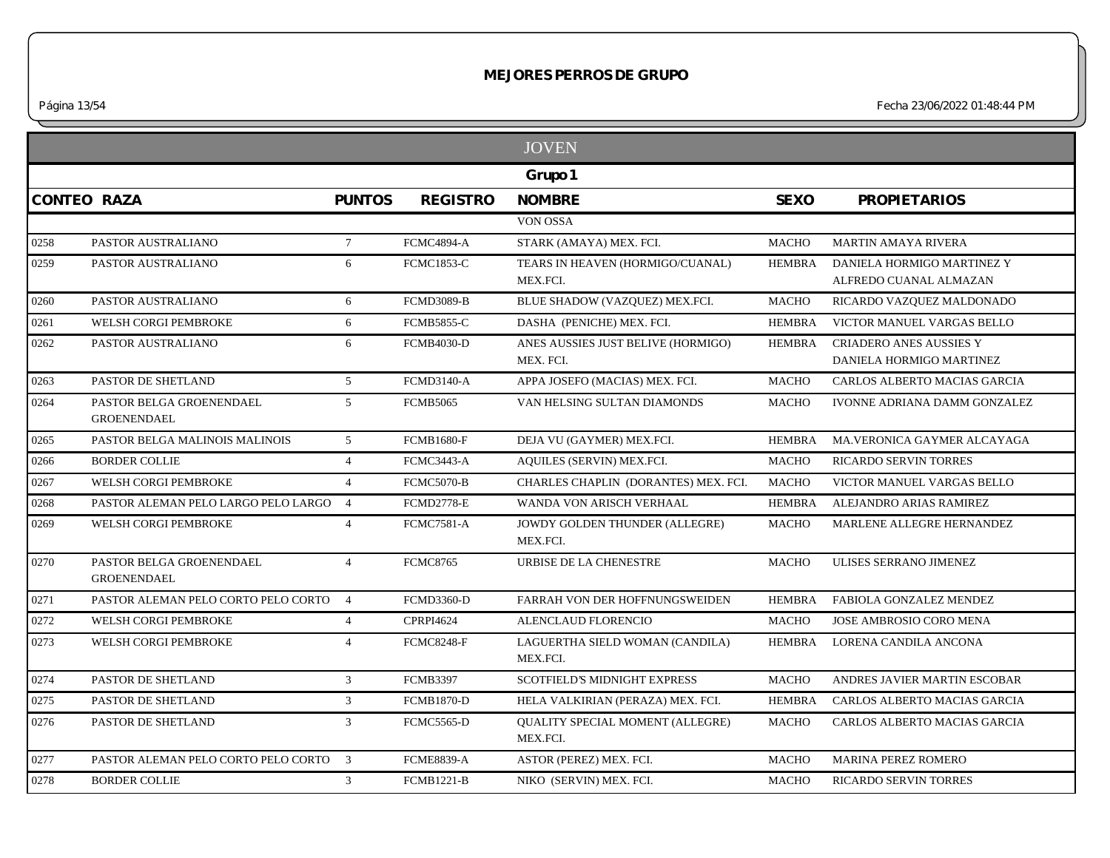*Página 13/54 Fecha 23/06/2022 01:48:44 PM*

|      |                                                |                 |                   | <b>JOVEN</b>                                 |               |                                |
|------|------------------------------------------------|-----------------|-------------------|----------------------------------------------|---------------|--------------------------------|
|      |                                                |                 |                   | Grupo 1                                      |               |                                |
|      | <b>CONTEO RAZA</b>                             | <b>PUNTOS</b>   | <b>REGISTRO</b>   | <b>NOMBRE</b>                                | <b>SEXO</b>   | <b>PROPIETARIOS</b>            |
|      |                                                |                 |                   | VON OSSA                                     |               |                                |
| 0258 | PASTOR AUSTRALIANO                             | $7\overline{ }$ | <b>FCMC4894-A</b> | STARK (AMAYA) MEX. FCI.                      | <b>MACHO</b>  | <b>MARTIN AMAYA RIVERA</b>     |
| 0259 | PASTOR AUSTRALIANO                             | 6               | <b>FCMC1853-C</b> | TEARS IN HEAVEN (HORMIGO/CUANAL)             | HEMBRA        | DANIELA HORMIGO MARTINEZ Y     |
|      |                                                |                 |                   | MEX.FCI.                                     |               | ALFREDO CUANAL ALMAZAN         |
| 0260 | PASTOR AUSTRALIANO                             | 6               | FCMD3089-B        | BLUE SHADOW (VAZQUEZ) MEX.FCI.               | <b>MACHO</b>  | RICARDO VAZQUEZ MALDONADO      |
| 0261 | WELSH CORGI PEMBROKE                           | 6               | <b>FCMB5855-C</b> | DASHA (PENICHE) MEX. FCI.                    | <b>HEMBRA</b> | VICTOR MANUEL VARGAS BELLO     |
| 0262 | PASTOR AUSTRALIANO                             | 6               | <b>FCMB4030-D</b> | ANES AUSSIES JUST BELIVE (HORMIGO)           | <b>HEMBRA</b> | <b>CRIADERO ANES AUSSIES Y</b> |
|      |                                                |                 |                   | MEX. FCI.                                    |               | DANIELA HORMIGO MARTINEZ       |
| 0263 | PASTOR DE SHETLAND                             | $5\overline{)}$ | <b>FCMD3140-A</b> | APPA JOSEFO (MACIAS) MEX. FCI.               | <b>MACHO</b>  | CARLOS ALBERTO MACIAS GARCIA   |
| 0264 | PASTOR BELGA GROENENDAEL<br><b>GROENENDAEL</b> | 5               | <b>FCMB5065</b>   | VAN HELSING SULTAN DIAMONDS                  | <b>MACHO</b>  | IVONNE ADRIANA DAMM GONZALEZ   |
| 0265 | PASTOR BELGA MALINOIS MALINOIS                 | 5 <sup>5</sup>  | <b>FCMB1680-F</b> | DEJA VU (GAYMER) MEX.FCI.                    | <b>HEMBRA</b> | MA.VERONICA GAYMER ALCAYAGA    |
| 0266 | <b>BORDER COLLIE</b>                           | $\overline{4}$  | <b>FCMC3443-A</b> | AQUILES (SERVIN) MEX.FCI.                    | <b>MACHO</b>  | <b>RICARDO SERVIN TORRES</b>   |
| 0267 | WELSH CORGI PEMBROKE                           | $\overline{4}$  | <b>FCMC5070-B</b> | CHARLES CHAPLIN (DORANTES) MEX. FCI.         | <b>MACHO</b>  | VICTOR MANUEL VARGAS BELLO     |
| 0268 | PASTOR ALEMAN PELO LARGO PELO LARGO 4          |                 | <b>FCMD2778-E</b> | WANDA VON ARISCH VERHAAL                     | HEMBRA        | ALEJANDRO ARIAS RAMIREZ        |
| 0269 | WELSH CORGI PEMBROKE                           | $\overline{4}$  | <b>FCMC7581-A</b> | JOWDY GOLDEN THUNDER (ALLEGRE)<br>MEX.FCI.   | <b>MACHO</b>  | MARLENE ALLEGRE HERNANDEZ      |
| 0270 | PASTOR BELGA GROENENDAEL<br><b>GROENENDAEL</b> | $\overline{4}$  | <b>FCMC8765</b>   | URBISE DE LA CHENESTRE                       | <b>MACHO</b>  | ULISES SERRANO JIMENEZ         |
| 0271 | PASTOR ALEMAN PELO CORTO PELO CORTO 4          |                 | <b>FCMD3360-D</b> | FARRAH VON DER HOFFNUNGSWEIDEN               | HEMBRA        | FABIOLA GONZALEZ MENDEZ        |
| 0272 | WELSH CORGI PEMBROKE                           | $\overline{4}$  | <b>CPRPI4624</b>  | ALENCLAUD FLORENCIO                          | <b>MACHO</b>  | <b>JOSE AMBROSIO CORO MENA</b> |
| 0273 | WELSH CORGI PEMBROKE                           | $\overline{4}$  | <b>FCMC8248-F</b> | LAGUERTHA SIELD WOMAN (CANDILA)<br>MEX.FCI.  | <b>HEMBRA</b> | LORENA CANDILA ANCONA          |
| 0274 | PASTOR DE SHETLAND                             | $\overline{3}$  | <b>FCMB3397</b>   | <b>SCOTFIELD'S MIDNIGHT EXPRESS</b>          | <b>MACHO</b>  | ANDRES JAVIER MARTIN ESCOBAR   |
| 0275 | PASTOR DE SHETLAND                             | $\overline{3}$  | <b>FCMB1870-D</b> | HELA VALKIRIAN (PERAZA) MEX. FCI.            | <b>HEMBRA</b> | CARLOS ALBERTO MACIAS GARCIA   |
| 0276 | PASTOR DE SHETLAND                             | 3               | <b>FCMC5565-D</b> | QUALITY SPECIAL MOMENT (ALLEGRE)<br>MEX.FCI. | <b>MACHO</b>  | CARLOS ALBERTO MACIAS GARCIA   |
| 0277 | PASTOR ALEMAN PELO CORTO PELO CORTO 3          |                 | <b>FCME8839-A</b> | ASTOR (PEREZ) MEX. FCI.                      | <b>MACHO</b>  | MARINA PEREZ ROMERO            |
| 0278 | <b>BORDER COLLIE</b>                           | 3               | <b>FCMB1221-B</b> | NIKO (SERVIN) MEX. FCI.                      | MACHO         | <b>RICARDO SERVIN TORRES</b>   |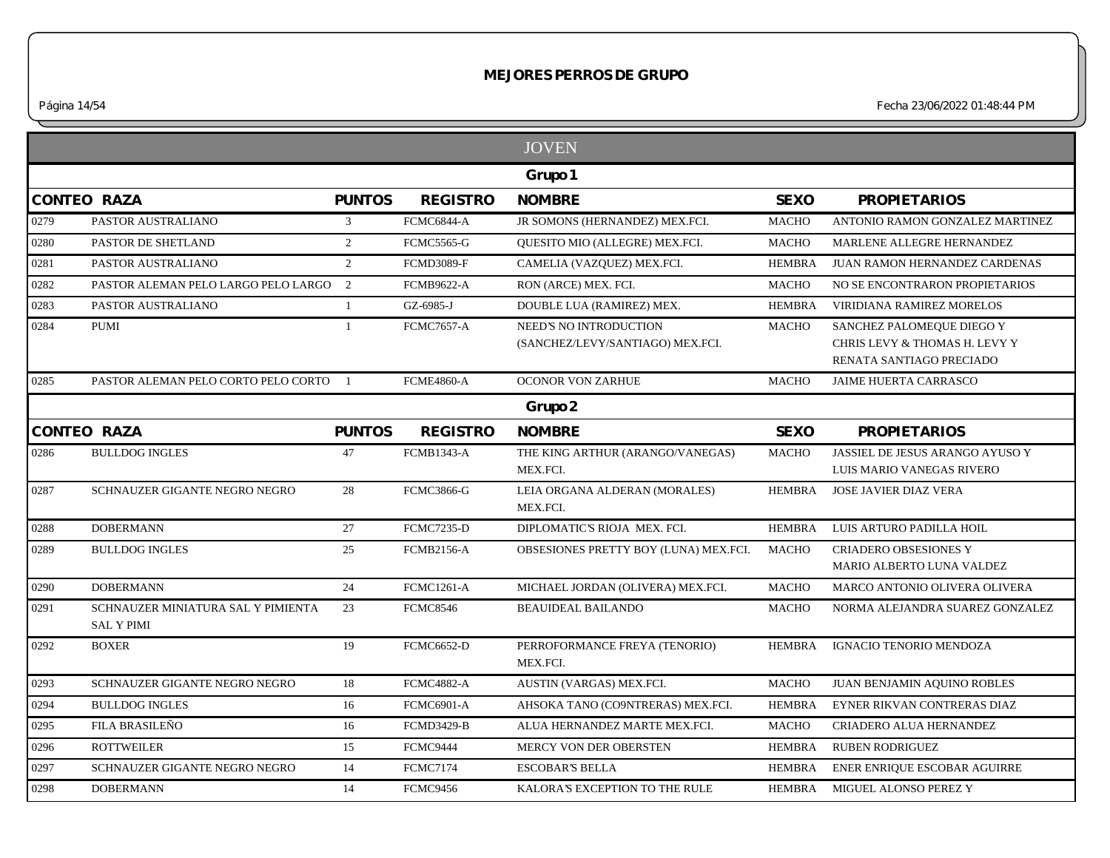*Página 14/54 Fecha 23/06/2022 01:48:44 PM*

|      |                                                         |                |                   | <b>JOVEN</b>                                               |               |                                                                                        |
|------|---------------------------------------------------------|----------------|-------------------|------------------------------------------------------------|---------------|----------------------------------------------------------------------------------------|
|      |                                                         |                |                   | Grupo 1                                                    |               |                                                                                        |
|      | <b>CONTEO RAZA</b>                                      | <b>PUNTOS</b>  | <b>REGISTRO</b>   | <b>NOMBRE</b>                                              | <b>SEXO</b>   | <b>PROPIETARIOS</b>                                                                    |
| 0279 | PASTOR AUSTRALIANO                                      | 3              | FCMC6844-A        | JR SOMONS (HERNANDEZ) MEX.FCI.                             | <b>MACHO</b>  | ANTONIO RAMON GONZALEZ MARTINEZ                                                        |
| 0280 | PASTOR DE SHETLAND                                      | 2              | <b>FCMC5565-G</b> | <b>OUESITO MIO (ALLEGRE) MEX.FCI.</b>                      | <b>MACHO</b>  | MARLENE ALLEGRE HERNANDEZ                                                              |
| 0281 | PASTOR AUSTRALIANO                                      | 2              | <b>FCMD3089-F</b> | CAMELIA (VAZQUEZ) MEX.FCI.                                 | <b>HEMBRA</b> | JUAN RAMON HERNANDEZ CARDENAS                                                          |
| 0282 | PASTOR ALEMAN PELO LARGO PELO LARGO 2                   |                | <b>FCMB9622-A</b> | RON (ARCE) MEX. FCI.                                       | <b>MACHO</b>  | NO SE ENCONTRARON PROPIETARIOS                                                         |
| 0283 | PASTOR AUSTRALIANO                                      | $\overline{1}$ | GZ-6985-J         | DOUBLE LUA (RAMIREZ) MEX.                                  | <b>HEMBRA</b> | VIRIDIANA RAMIREZ MORELOS                                                              |
| 0284 | <b>PUMI</b>                                             | $\mathbf{1}$   | <b>FCMC7657-A</b> | NEED'S NO INTRODUCTION<br>(SANCHEZ/LEVY/SANTIAGO) MEX.FCI. | <b>MACHO</b>  | SANCHEZ PALOMEQUE DIEGO Y<br>CHRIS LEVY & THOMAS H. LEVY Y<br>RENATA SANTIAGO PRECIADO |
| 0285 | PASTOR ALEMAN PELO CORTO PELO CORTO                     | $\overline{1}$ | <b>FCME4860-A</b> | <b>OCONOR VON ZARHUE</b>                                   | <b>MACHO</b>  | JAIME HUERTA CARRASCO                                                                  |
|      |                                                         |                |                   | Grupo 2                                                    |               |                                                                                        |
|      | <b>CONTEO RAZA</b>                                      | <b>PUNTOS</b>  | <b>REGISTRO</b>   | <b>NOMBRE</b>                                              | <b>SEXO</b>   | <b>PROPIETARIOS</b>                                                                    |
| 0286 | <b>BULLDOG INGLES</b>                                   | 47             | <b>FCMB1343-A</b> | THE KING ARTHUR (ARANGO/VANEGAS)<br>MEX.FCI.               | <b>MACHO</b>  | JASSIEL DE JESUS ARANGO AYUSO Y<br>LUIS MARIO VANEGAS RIVERO                           |
| 0287 | SCHNAUZER GIGANTE NEGRO NEGRO                           | 28             | <b>FCMC3866-G</b> | LEIA ORGANA ALDERAN (MORALES)<br>MEX.FCI.                  | <b>HEMBRA</b> | <b>JOSE JAVIER DIAZ VERA</b>                                                           |
| 0288 | <b>DOBERMANN</b>                                        | 27             | <b>FCMC7235-D</b> | DIPLOMATIC'S RIOJA MEX. FCI.                               | <b>HEMBRA</b> | LUIS ARTURO PADILLA HOIL                                                               |
| 0289 | <b>BULLDOG INGLES</b>                                   | 25             | <b>FCMB2156-A</b> | OBSESIONES PRETTY BOY (LUNA) MEX.FCI.                      | <b>MACHO</b>  | <b>CRIADERO OBSESIONES Y</b><br>MARIO ALBERTO LUNA VALDEZ                              |
| 0290 | <b>DOBERMANN</b>                                        | 24             | <b>FCMC1261-A</b> | MICHAEL JORDAN (OLIVERA) MEX.FCI.                          | <b>MACHO</b>  | MARCO ANTONIO OLIVERA OLIVERA                                                          |
| 0291 | SCHNAUZER MINIATURA SAL Y PIMIENTA<br><b>SAL Y PIMI</b> | 23             | <b>FCMC8546</b>   | <b>BEAUIDEAL BAILANDO</b>                                  | <b>MACHO</b>  | NORMA ALEJANDRA SUAREZ GONZALEZ                                                        |
| 0292 | <b>BOXER</b>                                            | 19             | <b>FCMC6652-D</b> | PERROFORMANCE FREYA (TENORIO)<br>MEX.FCI.                  | <b>HEMBRA</b> | IGNACIO TENORIO MENDOZA                                                                |
| 0293 | SCHNAUZER GIGANTE NEGRO NEGRO                           | 18             | <b>FCMC4882-A</b> | AUSTIN (VARGAS) MEX.FCI.                                   | <b>MACHO</b>  | JUAN BENJAMIN AQUINO ROBLES                                                            |
| 0294 | <b>BULLDOG INGLES</b>                                   | 16             | <b>FCMC6901-A</b> | AHSOKA TANO (CO9NTRERAS) MEX.FCI.                          | <b>HEMBRA</b> | EYNER RIKVAN CONTRERAS DIAZ                                                            |
| 0295 | FILA BRASILEÑO                                          | 16             | <b>FCMD3429-B</b> | ALUA HERNANDEZ MARTE MEX.FCI.                              | MACHO         | CRIADERO ALUA HERNANDEZ                                                                |
| 0296 | <b>ROTTWEILER</b>                                       | 15             | FCMC9444          | MERCY VON DER OBERSTEN                                     | <b>HEMBRA</b> | <b>RUBEN RODRIGUEZ</b>                                                                 |
| 0297 | SCHNAUZER GIGANTE NEGRO NEGRO                           | 14             | <b>FCMC7174</b>   | <b>ESCOBAR'S BELLA</b>                                     | <b>HEMBRA</b> | ENER ENRIQUE ESCOBAR AGUIRRE                                                           |
| 0298 | <b>DOBERMANN</b>                                        | 14             | <b>FCMC9456</b>   | KALORA'S EXCEPTION TO THE RULE                             | HEMBRA        | MIGUEL ALONSO PEREZ Y                                                                  |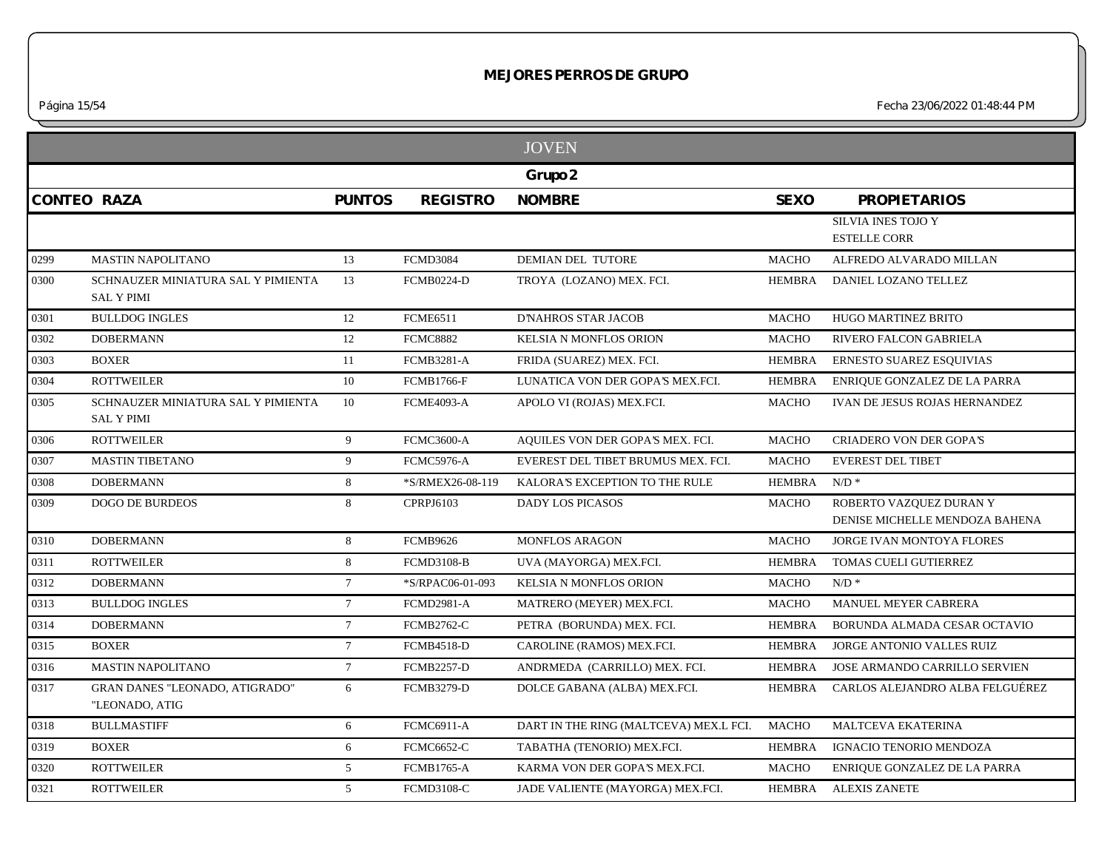|                    |                                                         |                 |                   | <b>JOVEN</b>                           |               |                                                           |
|--------------------|---------------------------------------------------------|-----------------|-------------------|----------------------------------------|---------------|-----------------------------------------------------------|
|                    |                                                         |                 |                   | Grupo 2                                |               |                                                           |
| <b>CONTEO RAZA</b> |                                                         | <b>PUNTOS</b>   | <b>REGISTRO</b>   | <b>NOMBRE</b>                          | <b>SEXO</b>   | <b>PROPIETARIOS</b>                                       |
|                    |                                                         |                 |                   |                                        |               | SILVIA INES TOJO Y<br><b>ESTELLE CORR</b>                 |
| 0299               | <b>MASTIN NAPOLITANO</b>                                | 13              | <b>FCMD3084</b>   | DEMIAN DEL TUTORE                      | <b>MACHO</b>  | ALFREDO ALVARADO MILLAN                                   |
| 0300               | SCHNAUZER MINIATURA SAL Y PIMIENTA<br><b>SAL Y PIMI</b> | 13              | <b>FCMB0224-D</b> | TROYA (LOZANO) MEX. FCI.               | <b>HEMBRA</b> | DANIEL LOZANO TELLEZ                                      |
| 0301               | <b>BULLDOG INGLES</b>                                   | 12              | <b>FCME6511</b>   | <b>D'NAHROS STAR JACOB</b>             | <b>MACHO</b>  | HUGO MARTINEZ BRITO                                       |
| 0302               | <b>DOBERMANN</b>                                        | 12              | <b>FCMC8882</b>   | KELSIA N MONFLOS ORION                 | <b>MACHO</b>  | RIVERO FALCON GABRIELA                                    |
| 0303               | <b>BOXER</b>                                            | 11              | <b>FCMB3281-A</b> | FRIDA (SUAREZ) MEX. FCI.               | <b>HEMBRA</b> | ERNESTO SUAREZ ESQUIVIAS                                  |
| 0304               | <b>ROTTWEILER</b>                                       | 10              | <b>FCMB1766-F</b> | LUNATICA VON DER GOPA'S MEX.FCI.       | <b>HEMBRA</b> | ENRIQUE GONZALEZ DE LA PARRA                              |
| 0305               | SCHNAUZER MINIATURA SAL Y PIMIENTA<br><b>SAL Y PIMI</b> | 10              | <b>FCME4093-A</b> | APOLO VI (ROJAS) MEX.FCI.              | <b>MACHO</b>  | IVAN DE JESUS ROJAS HERNANDEZ                             |
| 0306               | <b>ROTTWEILER</b>                                       | 9               | <b>FCMC3600-A</b> | AQUILES VON DER GOPA'S MEX. FCI.       | <b>MACHO</b>  | <b>CRIADERO VON DER GOPA'S</b>                            |
| 0307               | <b>MASTIN TIBETANO</b>                                  | 9               | <b>FCMC5976-A</b> | EVEREST DEL TIBET BRUMUS MEX. FCI.     | <b>MACHO</b>  | <b>EVEREST DEL TIBET</b>                                  |
| 0308               | <b>DOBERMANN</b>                                        | 8               | *S/RMEX26-08-119  | KALORA'S EXCEPTION TO THE RULE         | <b>HEMBRA</b> | $N/D$ *                                                   |
| 0309               | <b>DOGO DE BURDEOS</b>                                  | 8               | CPRPJ6103         | DADY LOS PICASOS                       | <b>MACHO</b>  | ROBERTO VAZQUEZ DURAN Y<br>DENISE MICHELLE MENDOZA BAHENA |
| 0310               | <b>DOBERMANN</b>                                        | 8               | <b>FCMB9626</b>   | <b>MONFLOS ARAGON</b>                  | <b>MACHO</b>  | JORGE IVAN MONTOYA FLORES                                 |
| 0311               | <b>ROTTWEILER</b>                                       | 8               | <b>FCMD3108-B</b> | UVA (MAYORGA) MEX.FCI.                 | <b>HEMBRA</b> | TOMAS CUELI GUTIERREZ                                     |
| 0312               | <b>DOBERMANN</b>                                        | $7\phantom{.0}$ | *S/RPAC06-01-093  | KELSIA N MONFLOS ORION                 | <b>MACHO</b>  | $N/D$ *                                                   |
| 0313               | <b>BULLDOG INGLES</b>                                   | $7\overline{ }$ | <b>FCMD2981-A</b> | MATRERO (MEYER) MEX.FCI.               | <b>MACHO</b>  | MANUEL MEYER CABRERA                                      |
| 0314               | <b>DOBERMANN</b>                                        | $7\overline{ }$ | <b>FCMB2762-C</b> | PETRA (BORUNDA) MEX. FCI.              | <b>HEMBRA</b> | BORUNDA ALMADA CESAR OCTAVIO                              |
| 0315               | <b>BOXER</b>                                            | $7\overline{ }$ | <b>FCMB4518-D</b> | CAROLINE (RAMOS) MEX.FCI.              | <b>HEMBRA</b> | JORGE ANTONIO VALLES RUIZ                                 |
| 0316               | <b>MASTIN NAPOLITANO</b>                                | $7\phantom{.0}$ | <b>FCMB2257-D</b> | ANDRMEDA (CARRILLO) MEX. FCI.          | <b>HEMBRA</b> | JOSE ARMANDO CARRILLO SERVIEN                             |
| 0317               | <b>GRAN DANES "LEONADO, ATIGRADO"</b><br>"LEONADO, ATIG | 6               | <b>FCMB3279-D</b> | DOLCE GABANA (ALBA) MEX.FCI.           | <b>HEMBRA</b> | CARLOS ALEJANDRO ALBA FELGUÉREZ                           |
| 0318               | <b>BULLMASTIFF</b>                                      | 6               | <b>FCMC6911-A</b> | DART IN THE RING (MALTCEVA) MEX.L FCI. | MACHO         | <b>MALTCEVA EKATERINA</b>                                 |
| 0319               | <b>BOXER</b>                                            | 6               | <b>FCMC6652-C</b> | TABATHA (TENORIO) MEX.FCI.             | <b>HEMBRA</b> | IGNACIO TENORIO MENDOZA                                   |
| 0320               | <b>ROTTWEILER</b>                                       | 5 <sup>5</sup>  | <b>FCMB1765-A</b> | KARMA VON DER GOPA'S MEX.FCI.          | <b>MACHO</b>  | ENRIQUE GONZALEZ DE LA PARRA                              |
| 0321               | <b>ROTTWEILER</b>                                       | 5 <sup>5</sup>  | <b>FCMD3108-C</b> | JADE VALIENTE (MAYORGA) MEX.FCI.       | <b>HEMBRA</b> | <b>ALEXIS ZANETE</b>                                      |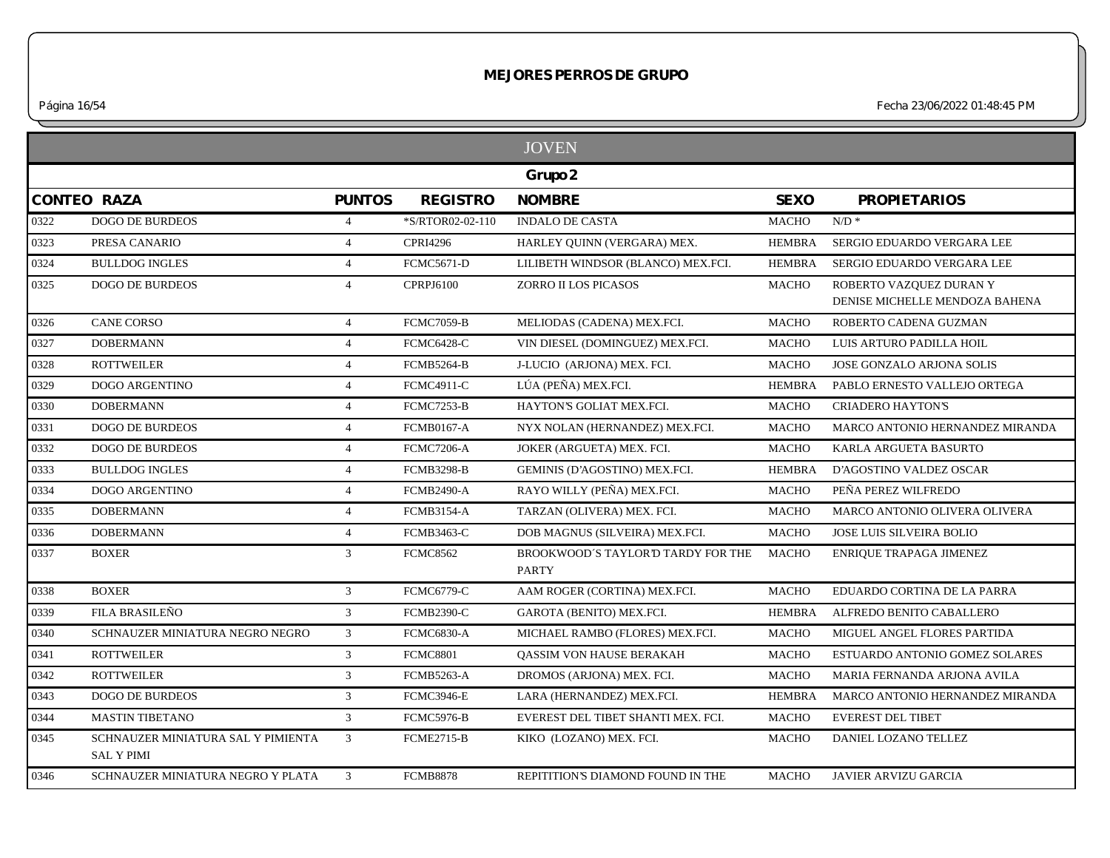*Página 16/54 Fecha 23/06/2022 01:48:45 PM*

|      |                                                         |                |                   | <b>JOVEN</b>                                       |               |                                                           |
|------|---------------------------------------------------------|----------------|-------------------|----------------------------------------------------|---------------|-----------------------------------------------------------|
|      |                                                         |                |                   | Grupo 2                                            |               |                                                           |
|      | <b>CONTEO RAZA</b>                                      | <b>PUNTOS</b>  | <b>REGISTRO</b>   | <b>NOMBRE</b>                                      | <b>SEXO</b>   | <b>PROPIETARIOS</b>                                       |
| 0322 | <b>DOGO DE BURDEOS</b>                                  | $\overline{4}$ | *S/RTOR02-02-110  | <b>INDALO DE CASTA</b>                             | <b>MACHO</b>  | $N/D$ *                                                   |
| 0323 | PRESA CANARIO                                           | $\overline{4}$ | <b>CPRI4296</b>   | HARLEY QUINN (VERGARA) MEX.                        | <b>HEMBRA</b> | SERGIO EDUARDO VERGARA LEE                                |
| 0324 | <b>BULLDOG INGLES</b>                                   | $\overline{4}$ | <b>FCMC5671-D</b> | LILIBETH WINDSOR (BLANCO) MEX.FCI.                 | <b>HEMBRA</b> | SERGIO EDUARDO VERGARA LEE                                |
| 0325 | <b>DOGO DE BURDEOS</b>                                  | $\overline{4}$ | <b>CPRPJ6100</b>  | ZORRO II LOS PICASOS                               | <b>MACHO</b>  | ROBERTO VAZQUEZ DURAN Y<br>DENISE MICHELLE MENDOZA BAHENA |
| 0326 | <b>CANE CORSO</b>                                       | $\overline{4}$ | <b>FCMC7059-B</b> | MELIODAS (CADENA) MEX.FCI.                         | <b>MACHO</b>  | ROBERTO CADENA GUZMAN                                     |
| 0327 | <b>DOBERMANN</b>                                        | $\overline{4}$ | <b>FCMC6428-C</b> | VIN DIESEL (DOMINGUEZ) MEX.FCI.                    | <b>MACHO</b>  | LUIS ARTURO PADILLA HOIL                                  |
| 0328 | <b>ROTTWEILER</b>                                       | $\overline{4}$ | <b>FCMB5264-B</b> | J-LUCIO (ARJONA) MEX. FCI.                         | <b>MACHO</b>  | JOSE GONZALO ARJONA SOLIS                                 |
| 0329 | <b>DOGO ARGENTINO</b>                                   | $\overline{4}$ | <b>FCMC4911-C</b> | LÚA (PEÑA) MEX.FCI.                                | <b>HEMBRA</b> | PABLO ERNESTO VALLEJO ORTEGA                              |
| 0330 | <b>DOBERMANN</b>                                        | $\overline{4}$ | FCMC7253-B        | HAYTON'S GOLIAT MEX.FCI.                           | <b>MACHO</b>  | <b>CRIADERO HAYTON'S</b>                                  |
| 0331 | <b>DOGO DE BURDEOS</b>                                  | $\overline{4}$ | <b>FCMB0167-A</b> | NYX NOLAN (HERNANDEZ) MEX.FCI.                     | <b>MACHO</b>  | MARCO ANTONIO HERNANDEZ MIRANDA                           |
| 0332 | <b>DOGO DE BURDEOS</b>                                  | $\overline{4}$ | <b>FCMC7206-A</b> | JOKER (ARGUETA) MEX. FCI.                          | <b>MACHO</b>  | KARLA ARGUETA BASURTO                                     |
| 0333 | <b>BULLDOG INGLES</b>                                   | $\overline{4}$ | <b>FCMB3298-B</b> | GEMINIS (D'AGOSTINO) MEX.FCI.                      | <b>HEMBRA</b> | D'AGOSTINO VALDEZ OSCAR                                   |
| 0334 | <b>DOGO ARGENTINO</b>                                   | $\overline{4}$ | <b>FCMB2490-A</b> | RAYO WILLY (PEÑA) MEX.FCI.                         | <b>MACHO</b>  | PEÑA PEREZ WILFREDO                                       |
| 0335 | <b>DOBERMANN</b>                                        | $\overline{4}$ | <b>FCMB3154-A</b> | TARZAN (OLIVERA) MEX. FCI.                         | <b>MACHO</b>  | <b>MARCO ANTONIO OLIVERA OLIVERA</b>                      |
| 0336 | <b>DOBERMANN</b>                                        | $\overline{4}$ | <b>FCMB3463-C</b> | DOB MAGNUS (SILVEIRA) MEX.FCI.                     | <b>MACHO</b>  | <b>JOSE LUIS SILVEIRA BOLIO</b>                           |
| 0337 | <b>BOXER</b>                                            | 3              | <b>FCMC8562</b>   | BROOKWOOD'S TAYLOR'D TARDY FOR THE<br><b>PARTY</b> | <b>MACHO</b>  | <b>ENRIQUE TRAPAGA JIMENEZ</b>                            |
| 0338 | <b>BOXER</b>                                            | $\mathfrak{Z}$ | <b>FCMC6779-C</b> | AAM ROGER (CORTINA) MEX.FCI.                       | <b>MACHO</b>  | EDUARDO CORTINA DE LA PARRA                               |
| 0339 | FILA BRASILEÑO                                          | 3 <sup>1</sup> | <b>FCMB2390-C</b> | GAROTA (BENITO) MEX.FCI.                           | <b>HEMBRA</b> | ALFREDO BENITO CABALLERO                                  |
| 0340 | SCHNAUZER MINIATURA NEGRO NEGRO                         | 3 <sup>1</sup> | <b>FCMC6830-A</b> | MICHAEL RAMBO (FLORES) MEX.FCI.                    | <b>MACHO</b>  | MIGUEL ANGEL FLORES PARTIDA                               |
| 0341 | <b>ROTTWEILER</b>                                       | $\mathfrak{Z}$ | <b>FCMC8801</b>   | QASSIM VON HAUSE BERAKAH                           | <b>MACHO</b>  | ESTUARDO ANTONIO GOMEZ SOLARES                            |
| 0342 | <b>ROTTWEILER</b>                                       | 3 <sup>1</sup> | <b>FCMB5263-A</b> | DROMOS (ARJONA) MEX. FCI.                          | <b>MACHO</b>  | MARIA FERNANDA ARJONA AVILA                               |
| 0343 | <b>DOGO DE BURDEOS</b>                                  | $\mathfrak{Z}$ | <b>FCMC3946-E</b> | LARA (HERNANDEZ) MEX.FCI.                          | <b>HEMBRA</b> | MARCO ANTONIO HERNANDEZ MIRANDA                           |
| 0344 | <b>MASTIN TIBETANO</b>                                  | 3 <sup>1</sup> | <b>FCMC5976-B</b> | EVEREST DEL TIBET SHANTI MEX. FCI.                 | <b>MACHO</b>  | <b>EVEREST DEL TIBET</b>                                  |
| 0345 | SCHNAUZER MINIATURA SAL Y PIMIENTA<br><b>SAL Y PIMI</b> | 3              | <b>FCME2715-B</b> | KIKO (LOZANO) MEX. FCI.                            | <b>MACHO</b>  | DANIEL LOZANO TELLEZ                                      |
| 0346 | SCHNAUZER MINIATURA NEGRO Y PLATA                       | 3 <sup>1</sup> | <b>FCMB8878</b>   | REPITITION'S DIAMOND FOUND IN THE                  | MACHO         | JAVIER ARVIZU GARCIA                                      |
|      |                                                         |                |                   |                                                    |               |                                                           |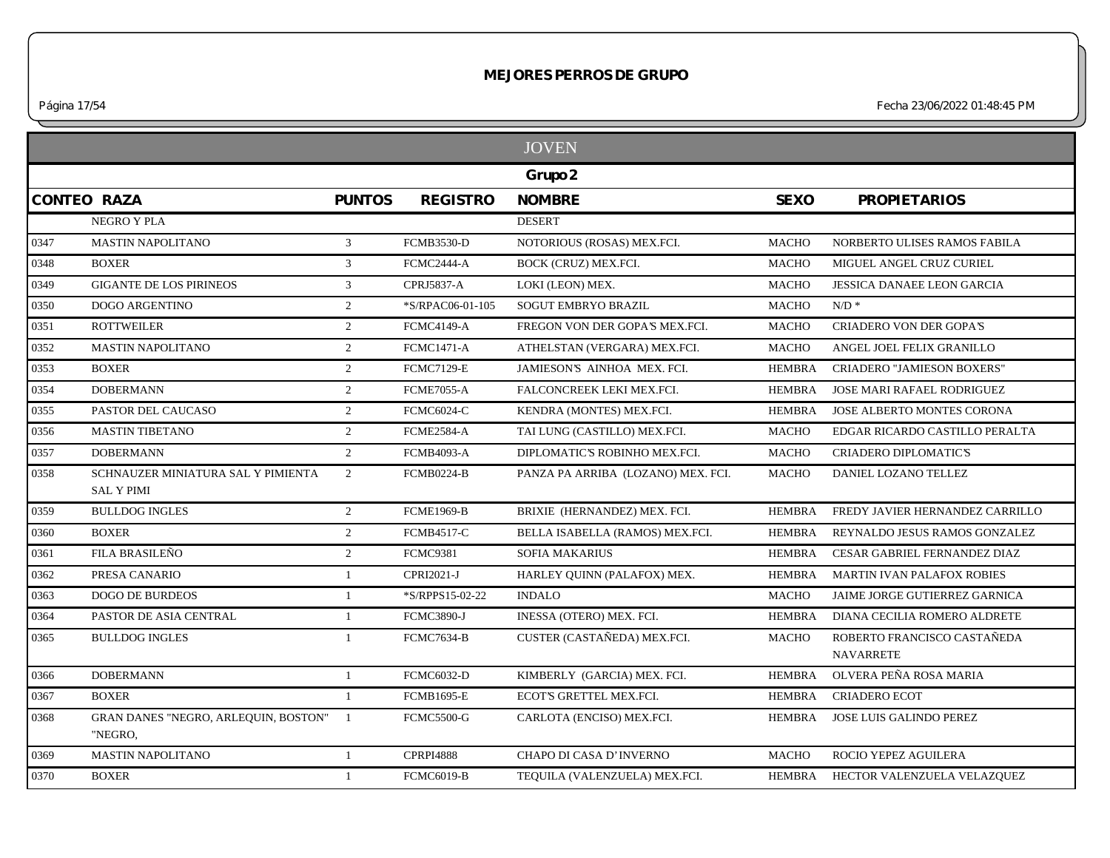*Página 17/54 Fecha 23/06/2022 01:48:45 PM*

|      |                                                         |                |                   | <b>JOVEN</b>                       |               |                                                 |
|------|---------------------------------------------------------|----------------|-------------------|------------------------------------|---------------|-------------------------------------------------|
|      |                                                         |                |                   | Grupo 2                            |               |                                                 |
|      | <b>CONTEO RAZA</b>                                      | <b>PUNTOS</b>  | <b>REGISTRO</b>   | <b>NOMBRE</b>                      | <b>SEXO</b>   | <b>PROPIETARIOS</b>                             |
|      | NEGRO Y PLA                                             |                |                   | <b>DESERT</b>                      |               |                                                 |
| 0347 | <b>MASTIN NAPOLITANO</b>                                | 3              | <b>FCMB3530-D</b> | NOTORIOUS (ROSAS) MEX.FCI.         | <b>MACHO</b>  | NORBERTO ULISES RAMOS FABILA                    |
| 0348 | <b>BOXER</b>                                            | 3              | FCMC2444-A        | BOCK (CRUZ) MEX.FCI.               | <b>MACHO</b>  | MIGUEL ANGEL CRUZ CURIEL                        |
| 0349 | <b>GIGANTE DE LOS PIRINEOS</b>                          | 3              | <b>CPRJ5837-A</b> | LOKI (LEON) MEX.                   | <b>MACHO</b>  | <b>JESSICA DANAEE LEON GARCIA</b>               |
| 0350 | <b>DOGO ARGENTINO</b>                                   | $\overline{2}$ | *S/RPAC06-01-105  | <b>SOGUT EMBRYO BRAZIL</b>         | <b>MACHO</b>  | $N/D$ *                                         |
| 0351 | <b>ROTTWEILER</b>                                       | 2              | <b>FCMC4149-A</b> | FREGON VON DER GOPA'S MEX.FCI.     | <b>MACHO</b>  | CRIADERO VON DER GOPA'S                         |
| 0352 | <b>MASTIN NAPOLITANO</b>                                | 2              | <b>FCMC1471-A</b> | ATHELSTAN (VERGARA) MEX.FCI.       | <b>MACHO</b>  | ANGEL JOEL FELIX GRANILLO                       |
| 0353 | <b>BOXER</b>                                            | 2              | <b>FCMC7129-E</b> | JAMIESON'S AINHOA MEX. FCI.        | <b>HEMBRA</b> | <b>CRIADERO "JAMIESON BOXERS"</b>               |
| 0354 | <b>DOBERMANN</b>                                        | 2              | <b>FCME7055-A</b> | FALCONCREEK LEKI MEX.FCI.          | <b>HEMBRA</b> | JOSE MARI RAFAEL RODRIGUEZ                      |
| 0355 | PASTOR DEL CAUCASO                                      | $\overline{2}$ | <b>FCMC6024-C</b> | KENDRA (MONTES) MEX.FCI.           | <b>HEMBRA</b> | JOSE ALBERTO MONTES CORONA                      |
| 0356 | <b>MASTIN TIBETANO</b>                                  | 2              | <b>FCME2584-A</b> | TAI LUNG (CASTILLO) MEX.FCI.       | <b>MACHO</b>  | EDGAR RICARDO CASTILLO PERALTA                  |
| 0357 | <b>DOBERMANN</b>                                        | 2              | <b>FCMB4093-A</b> | DIPLOMATIC'S ROBINHO MEX.FCI.      | <b>MACHO</b>  | CRIADERO DIPLOMATIC'S                           |
| 0358 | SCHNAUZER MINIATURA SAL Y PIMIENTA<br><b>SAL Y PIMI</b> | 2              | <b>FCMB0224-B</b> | PANZA PA ARRIBA (LOZANO) MEX. FCI. | <b>MACHO</b>  | DANIEL LOZANO TELLEZ                            |
| 0359 | <b>BULLDOG INGLES</b>                                   | 2              | <b>FCME1969-B</b> | BRIXIE (HERNANDEZ) MEX. FCI.       | <b>HEMBRA</b> | FREDY JAVIER HERNANDEZ CARRILLO                 |
| 0360 | <b>BOXER</b>                                            | 2              | <b>FCMB4517-C</b> | BELLA ISABELLA (RAMOS) MEX.FCI.    | <b>HEMBRA</b> | REYNALDO JESUS RAMOS GONZALEZ                   |
| 0361 | FILA BRASILEÑO                                          | 2              | <b>FCMC9381</b>   | <b>SOFIA MAKARIUS</b>              | <b>HEMBRA</b> | CESAR GABRIEL FERNANDEZ DIAZ                    |
| 0362 | PRESA CANARIO                                           | -1             | CPRI2021-J        | HARLEY OUINN (PALAFOX) MEX.        | <b>HEMBRA</b> | <b>MARTIN IVAN PALAFOX ROBIES</b>               |
| 0363 | <b>DOGO DE BURDEOS</b>                                  | $\overline{1}$ | *S/RPPS15-02-22   | <b>INDALO</b>                      | <b>MACHO</b>  | JAIME JORGE GUTIERREZ GARNICA                   |
| 0364 | PASTOR DE ASIA CENTRAL                                  | -1             | <b>FCMC3890-J</b> | INESSA (OTERO) MEX. FCI.           | <b>HEMBRA</b> | DIANA CECILIA ROMERO ALDRETE                    |
| 0365 | <b>BULLDOG INGLES</b>                                   | -1             | <b>FCMC7634-B</b> | CUSTER (CASTAÑEDA) MEX.FCI.        | <b>MACHO</b>  | ROBERTO FRANCISCO CASTAÑEDA<br><b>NAVARRETE</b> |
| 0366 | <b>DOBERMANN</b>                                        | $\overline{1}$ | <b>FCMC6032-D</b> | KIMBERLY (GARCIA) MEX. FCI.        | <b>HEMBRA</b> | OLVERA PEÑA ROSA MARIA                          |
| 0367 | <b>BOXER</b>                                            | $\overline{1}$ | <b>FCMB1695-E</b> | ECOT'S GRETTEL MEX.FCI.            | <b>HEMBRA</b> | <b>CRIADERO ECOT</b>                            |
| 0368 | GRAN DANES "NEGRO, ARLEQUIN, BOSTON"<br>"NEGRO,         | -1             | <b>FCMC5500-G</b> | CARLOTA (ENCISO) MEX.FCI.          | <b>HEMBRA</b> | JOSE LUIS GALINDO PEREZ                         |
| 0369 | <b>MASTIN NAPOLITANO</b>                                | $\overline{1}$ | <b>CPRPI4888</b>  | CHAPO DI CASA D'INVERNO            | <b>MACHO</b>  | ROCIO YEPEZ AGUILERA                            |
| 0370 | <b>BOXER</b>                                            | -1             | <b>FCMC6019-B</b> | TEQUILA (VALENZUELA) MEX.FCI.      | HEMBRA        | HECTOR VALENZUELA VELAZQUEZ                     |
|      |                                                         |                |                   |                                    |               |                                                 |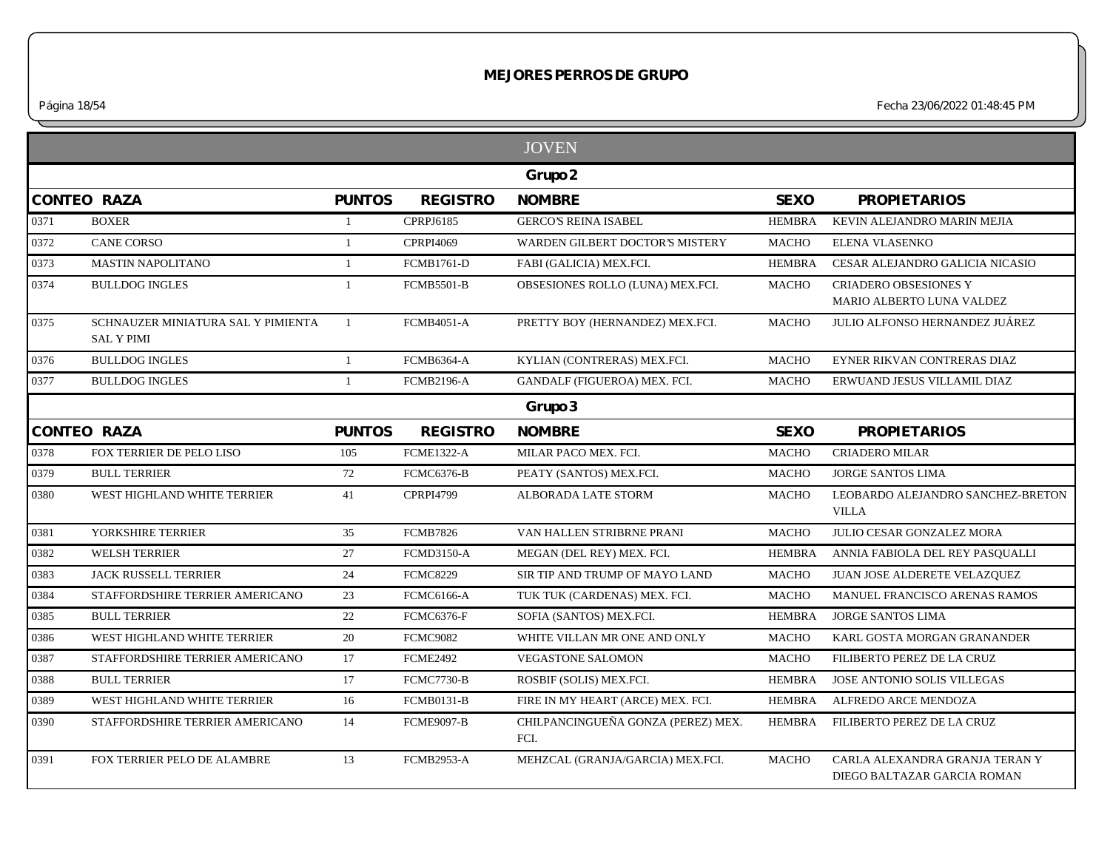*Página 18/54 Fecha 23/06/2022 01:48:45 PM*

|                    |                                                         |               |                   | <b>JOVEN</b>                               |               |                                                               |
|--------------------|---------------------------------------------------------|---------------|-------------------|--------------------------------------------|---------------|---------------------------------------------------------------|
|                    |                                                         |               |                   | Grupo 2                                    |               |                                                               |
| <b>CONTEO RAZA</b> |                                                         | <b>PUNTOS</b> | <b>REGISTRO</b>   | <b>NOMBRE</b>                              | <b>SEXO</b>   | <b>PROPIETARIOS</b>                                           |
| 0371               | <b>BOXER</b>                                            | $\mathbf{1}$  | CPRPJ6185         | <b>GERCO'S REINA ISABEL</b>                | <b>HEMBRA</b> | KEVIN ALEJANDRO MARIN MEJIA                                   |
| 0372               | <b>CANE CORSO</b>                                       | $\mathbf{1}$  | <b>CPRPI4069</b>  | WARDEN GILBERT DOCTOR'S MISTERY            | <b>MACHO</b>  | ELENA VLASENKO                                                |
| 0373               | <b>MASTIN NAPOLITANO</b>                                | 1             | <b>FCMB1761-D</b> | FABI (GALICIA) MEX.FCI.                    | <b>HEMBRA</b> | CESAR ALEJANDRO GALICIA NICASIO                               |
| 0374               | <b>BULLDOG INGLES</b>                                   | $\mathbf{1}$  | <b>FCMB5501-B</b> | OBSESIONES ROLLO (LUNA) MEX.FCI.           | <b>MACHO</b>  | <b>CRIADERO OBSESIONES Y</b><br>MARIO ALBERTO LUNA VALDEZ     |
| 0375               | SCHNAUZER MINIATURA SAL Y PIMIENTA<br><b>SAL Y PIMI</b> | 1             | <b>FCMB4051-A</b> | PRETTY BOY (HERNANDEZ) MEX.FCI.            | <b>MACHO</b>  | JULIO ALFONSO HERNANDEZ JUÁREZ                                |
| 0376               | <b>BULLDOG INGLES</b>                                   | $\mathbf{1}$  | <b>FCMB6364-A</b> | KYLIAN (CONTRERAS) MEX.FCI.                | <b>MACHO</b>  | EYNER RIKVAN CONTRERAS DIAZ                                   |
| 0377               | <b>BULLDOG INGLES</b>                                   | $\mathbf{1}$  | <b>FCMB2196-A</b> | GANDALF (FIGUEROA) MEX. FCI.               | <b>MACHO</b>  | ERWUAND JESUS VILLAMIL DIAZ                                   |
|                    |                                                         |               |                   | Grupo 3                                    |               |                                                               |
|                    | <b>CONTEO RAZA</b>                                      | <b>PUNTOS</b> | <b>REGISTRO</b>   | <b>NOMBRE</b>                              | <b>SEXO</b>   | <b>PROPIETARIOS</b>                                           |
| 0378               | FOX TERRIER DE PELO LISO                                | 105           | <b>FCME1322-A</b> | MILAR PACO MEX. FCI.                       | <b>MACHO</b>  | <b>CRIADERO MILAR</b>                                         |
| 0379               | <b>BULL TERRIER</b>                                     | 72            | <b>FCMC6376-B</b> | PEATY (SANTOS) MEX.FCI.                    | <b>MACHO</b>  | <b>JORGE SANTOS LIMA</b>                                      |
| 0380               | WEST HIGHLAND WHITE TERRIER                             | 41            | <b>CPRPI4799</b>  | ALBORADA LATE STORM                        | <b>MACHO</b>  | LEOBARDO ALEJANDRO SANCHEZ-BRETON<br><b>VILLA</b>             |
| 0381               | YORKSHIRE TERRIER                                       | 35            | <b>FCMB7826</b>   | VAN HALLEN STRIBRNE PRANI                  | <b>MACHO</b>  | JULIO CESAR GONZALEZ MORA                                     |
| 0382               | <b>WELSH TERRIER</b>                                    | 27            | <b>FCMD3150-A</b> | MEGAN (DEL REY) MEX. FCI.                  | <b>HEMBRA</b> | ANNIA FABIOLA DEL REY PASQUALLI                               |
| 0383               | JACK RUSSELL TERRIER                                    | 24            | <b>FCMC8229</b>   | SIR TIP AND TRUMP OF MAYO LAND             | <b>MACHO</b>  | JUAN JOSE ALDERETE VELAZQUEZ                                  |
| 0384               | STAFFORDSHIRE TERRIER AMERICANO                         | 23            | <b>FCMC6166-A</b> | TUK TUK (CARDENAS) MEX. FCI.               | <b>MACHO</b>  | MANUEL FRANCISCO ARENAS RAMOS                                 |
| 0385               | <b>BULL TERRIER</b>                                     | 22            | <b>FCMC6376-F</b> | SOFIA (SANTOS) MEX.FCI.                    | <b>HEMBRA</b> | <b>JORGE SANTOS LIMA</b>                                      |
| 0386               | WEST HIGHLAND WHITE TERRIER                             | 20            | <b>FCMC9082</b>   | WHITE VILLAN MR ONE AND ONLY               | <b>MACHO</b>  | KARL GOSTA MORGAN GRANANDER                                   |
| 0387               | STAFFORDSHIRE TERRIER AMERICANO                         | 17            | <b>FCME2492</b>   | <b>VEGASTONE SALOMON</b>                   | <b>MACHO</b>  | FILIBERTO PEREZ DE LA CRUZ                                    |
| 0388               | <b>BULL TERRIER</b>                                     | 17            | FCMC7730-B        | ROSBIF (SOLIS) MEX.FCI.                    | <b>HEMBRA</b> | JOSE ANTONIO SOLIS VILLEGAS                                   |
| 0389               | WEST HIGHLAND WHITE TERRIER                             | 16            | <b>FCMB0131-B</b> | FIRE IN MY HEART (ARCE) MEX. FCI.          | <b>HEMBRA</b> | ALFREDO ARCE MENDOZA                                          |
| 0390               | STAFFORDSHIRE TERRIER AMERICANO                         | 14            | <b>FCME9097-B</b> | CHILPANCINGUEÑA GONZA (PEREZ) MEX.<br>FCI. | <b>HEMBRA</b> | FILIBERTO PEREZ DE LA CRUZ                                    |
| 0391               | FOX TERRIER PELO DE ALAMBRE                             | 13            | <b>FCMB2953-A</b> | MEHZCAL (GRANJA/GARCIA) MEX.FCI.           | <b>MACHO</b>  | CARLA ALEXANDRA GRANJA TERAN Y<br>DIEGO BALTAZAR GARCIA ROMAN |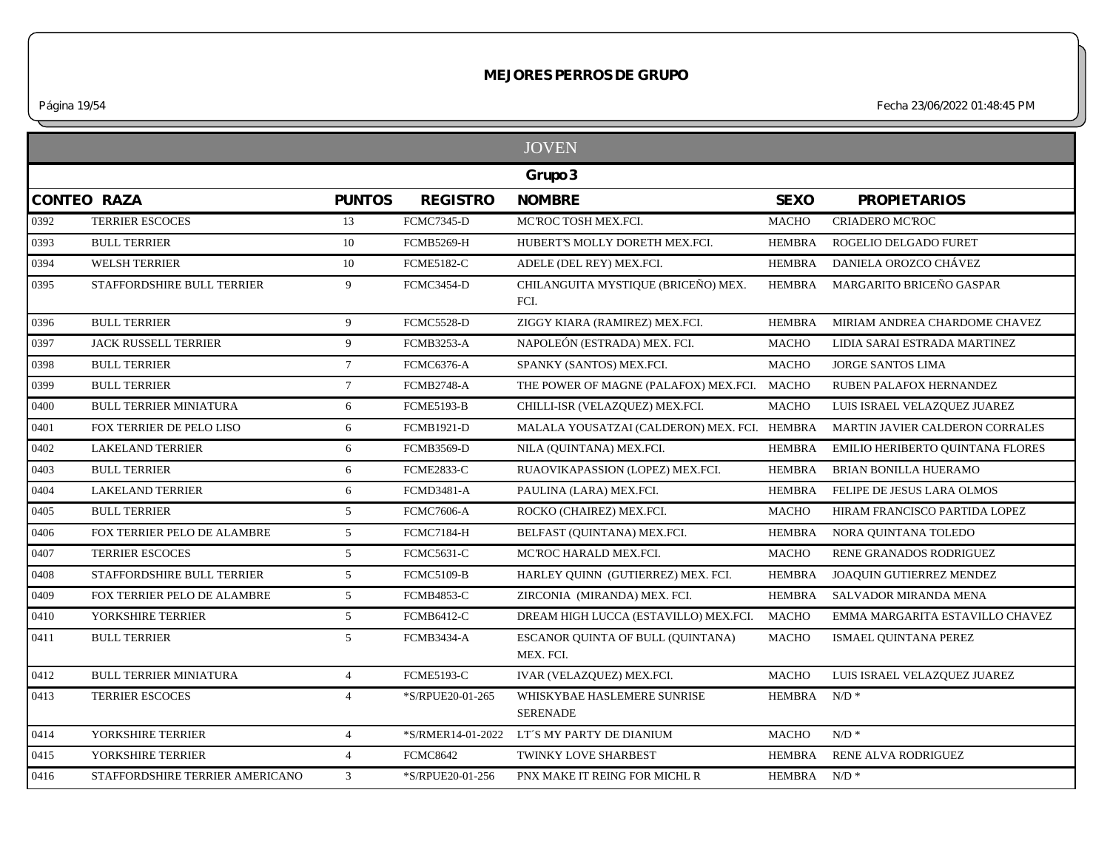*Página 19/54 Fecha 23/06/2022 01:48:45 PM*

|                    |                                 |                 |                   | <b>JOVEN</b>                                   |               |                                  |
|--------------------|---------------------------------|-----------------|-------------------|------------------------------------------------|---------------|----------------------------------|
|                    |                                 |                 |                   | Grupo 3                                        |               |                                  |
| <b>CONTEO RAZA</b> |                                 | <b>PUNTOS</b>   | <b>REGISTRO</b>   | <b>NOMBRE</b>                                  | <b>SEXO</b>   | <b>PROPIETARIOS</b>              |
| 0392               | <b>TERRIER ESCOCES</b>          | 13              | <b>FCMC7345-D</b> | MCROC TOSH MEX.FCI.                            | <b>MACHO</b>  | <b>CRIADERO MC'ROC</b>           |
| 0393               | <b>BULL TERRIER</b>             | 10              | <b>FCMB5269-H</b> | HUBERT'S MOLLY DORETH MEX.FCI.                 | <b>HEMBRA</b> | ROGELIO DELGADO FURET            |
| 0394               | <b>WELSH TERRIER</b>            | 10              | <b>FCME5182-C</b> | ADELE (DEL REY) MEX.FCI.                       | <b>HEMBRA</b> | DANIELA OROZCO CHÁVEZ            |
| 0395               | STAFFORDSHIRE BULL TERRIER      | 9               | <b>FCMC3454-D</b> | CHILANGUITA MYSTIQUE (BRICEÑO) MEX.<br>FCI.    | <b>HEMBRA</b> | MARGARITO BRICEÑO GASPAR         |
| 0396               | <b>BULL TERRIER</b>             | 9               | <b>FCMC5528-D</b> | ZIGGY KIARA (RAMIREZ) MEX.FCI.                 | <b>HEMBRA</b> | MIRIAM ANDREA CHARDOME CHAVEZ    |
| 0397               | JACK RUSSELL TERRIER            | 9               | <b>FCMB3253-A</b> | NAPOLEÓN (ESTRADA) MEX. FCI.                   | MACHO         | LIDIA SARAI ESTRADA MARTINEZ     |
| 0398               | <b>BULL TERRIER</b>             | $7\overline{ }$ | <b>FCMC6376-A</b> | SPANKY (SANTOS) MEX.FCI.                       | <b>MACHO</b>  | <b>JORGE SANTOS LIMA</b>         |
| 0399               | <b>BULL TERRIER</b>             | $7\phantom{.0}$ | <b>FCMB2748-A</b> | THE POWER OF MAGNE (PALAFOX) MEX.FCI. MACHO    |               | RUBEN PALAFOX HERNANDEZ          |
| 0400               | <b>BULL TERRIER MINIATURA</b>   | 6               | <b>FCME5193-B</b> | CHILLI-ISR (VELAZQUEZ) MEX.FCI.                | <b>MACHO</b>  | LUIS ISRAEL VELAZQUEZ JUAREZ     |
| 0401               | FOX TERRIER DE PELO LISO        | 6               | <b>FCMB1921-D</b> | MALALA YOUSATZAI (CALDERON) MEX. FCI. HEMBRA   |               | MARTIN JAVIER CALDERON CORRALES  |
| 0402               | <b>LAKELAND TERRIER</b>         | 6               | <b>FCMB3569-D</b> | NILA (QUINTANA) MEX.FCI.                       | <b>HEMBRA</b> | EMILIO HERIBERTO QUINTANA FLORES |
| 0403               | <b>BULL TERRIER</b>             | 6               | FCME2833-C        | RUAOVIKAPASSION (LOPEZ) MEX.FCI.               | <b>HEMBRA</b> | BRIAN BONILLA HUERAMO            |
| 0404               | <b>LAKELAND TERRIER</b>         | 6               | <b>FCMD3481-A</b> | PAULINA (LARA) MEX.FCI.                        | <b>HEMBRA</b> | FELIPE DE JESUS LARA OLMOS       |
| 0405               | <b>BULL TERRIER</b>             | 5 <sup>5</sup>  | <b>FCMC7606-A</b> | ROCKO (CHAIREZ) MEX.FCI.                       | <b>MACHO</b>  | HIRAM FRANCISCO PARTIDA LOPEZ    |
| 0406               | FOX TERRIER PELO DE ALAMBRE     | 5               | <b>FCMC7184-H</b> | BELFAST (QUINTANA) MEX.FCI.                    | <b>HEMBRA</b> | NORA QUINTANA TOLEDO             |
| 0407               | <b>TERRIER ESCOCES</b>          | 5 <sup>5</sup>  | <b>FCMC5631-C</b> | MCROC HARALD MEX.FCI.                          | <b>MACHO</b>  | RENE GRANADOS RODRIGUEZ          |
| 0408               | STAFFORDSHIRE BULL TERRIER      | 5 <sup>5</sup>  | <b>FCMC5109-B</b> | HARLEY QUINN (GUTIERREZ) MEX. FCI.             | <b>HEMBRA</b> | JOAQUIN GUTIERREZ MENDEZ         |
| 0409               | FOX TERRIER PELO DE ALAMBRE     | 5 <sup>5</sup>  | <b>FCMB4853-C</b> | ZIRCONIA (MIRANDA) MEX. FCI.                   | <b>HEMBRA</b> | SALVADOR MIRANDA MENA            |
| 0410               | YORKSHIRE TERRIER               | 5 <sup>5</sup>  | <b>FCMB6412-C</b> | DREAM HIGH LUCCA (ESTAVILLO) MEX.FCI.          | <b>MACHO</b>  | EMMA MARGARITA ESTAVILLO CHAVEZ  |
| 0411               | <b>BULL TERRIER</b>             | $5^{\circ}$     | <b>FCMB3434-A</b> | ESCANOR QUINTA OF BULL (QUINTANA)<br>MEX. FCI. | <b>MACHO</b>  | ISMAEL QUINTANA PEREZ            |
| 0412               | <b>BULL TERRIER MINIATURA</b>   | $\overline{4}$  | <b>FCME5193-C</b> | IVAR (VELAZQUEZ) MEX.FCI.                      | <b>MACHO</b>  | LUIS ISRAEL VELAZQUEZ JUAREZ     |
| 0413               | <b>TERRIER ESCOCES</b>          | $\overline{4}$  | *S/RPUE20-01-265  | WHISKYBAE HASLEMERE SUNRISE<br><b>SERENADE</b> | <b>HEMBRA</b> | $N/D$ *                          |
| 0414               | YORKSHIRE TERRIER               | $\overline{4}$  |                   | *S/RMER14-01-2022 LT'S MY PARTY DE DIANIUM     | <b>MACHO</b>  | $N/D$ *                          |
| 0415               | YORKSHIRE TERRIER               | $\overline{4}$  | <b>FCMC8642</b>   | TWINKY LOVE SHARBEST                           | <b>HEMBRA</b> | RENE ALVA RODRIGUEZ              |
| 0416               | STAFFORDSHIRE TERRIER AMERICANO | $\mathfrak{Z}$  | *S/RPUE20-01-256  | PNX MAKE IT REING FOR MICHL R                  | HEMBRA N/D *  |                                  |
|                    |                                 |                 |                   |                                                |               |                                  |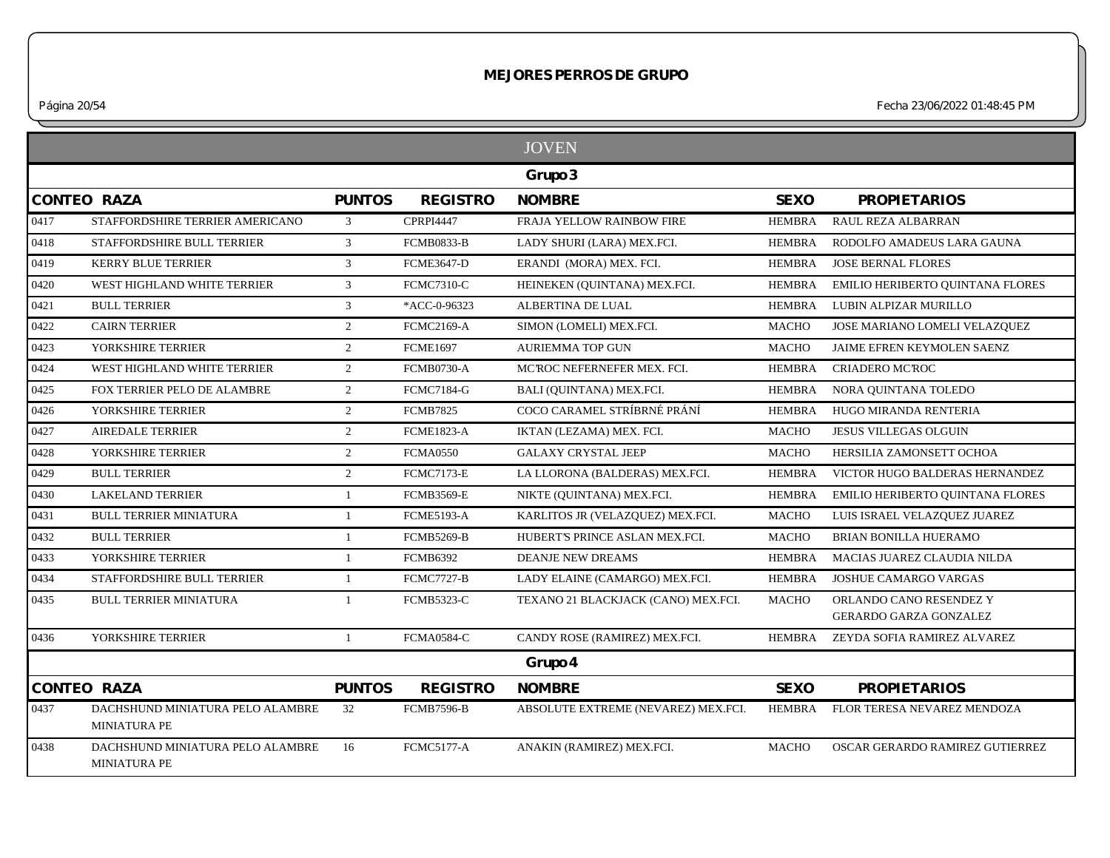*Página 20/54 Fecha 23/06/2022 01:48:45 PM*

|      |                                                         |               |                   | <b>JOVEN</b>                        |               |                                                          |
|------|---------------------------------------------------------|---------------|-------------------|-------------------------------------|---------------|----------------------------------------------------------|
|      |                                                         |               |                   | Grupo 3                             |               |                                                          |
|      | <b>CONTEO RAZA</b>                                      | <b>PUNTOS</b> | <b>REGISTRO</b>   | <b>NOMBRE</b>                       | <b>SEXO</b>   | <b>PROPIETARIOS</b>                                      |
| 0417 | STAFFORDSHIRE TERRIER AMERICANO                         | 3             | <b>CPRPI4447</b>  | FRAJA YELLOW RAINBOW FIRE           | <b>HEMBRA</b> | RAUL REZA ALBARRAN                                       |
| 0418 | STAFFORDSHIRE BULL TERRIER                              | 3             | <b>FCMB0833-B</b> | LADY SHURI (LARA) MEX.FCI.          | <b>HEMBRA</b> | RODOLFO AMADEUS LARA GAUNA                               |
| 0419 | <b>KERRY BLUE TERRIER</b>                               | 3             | <b>FCME3647-D</b> | ERANDI (MORA) MEX. FCI.             | <b>HEMBRA</b> | <b>JOSE BERNAL FLORES</b>                                |
| 0420 | WEST HIGHLAND WHITE TERRIER                             | 3             | <b>FCMC7310-C</b> | HEINEKEN (QUINTANA) MEX.FCI.        | <b>HEMBRA</b> | EMILIO HERIBERTO QUINTANA FLORES                         |
| 0421 | <b>BULL TERRIER</b>                                     | 3             | *ACC-0-96323      | ALBERTINA DE LUAL                   | <b>HEMBRA</b> | LUBIN ALPIZAR MURILLO                                    |
| 0422 | <b>CAIRN TERRIER</b>                                    | 2             | <b>FCMC2169-A</b> | SIMON (LOMELI) MEX.FCI.             | <b>MACHO</b>  | JOSE MARIANO LOMELI VELAZQUEZ                            |
| 0423 | YORKSHIRE TERRIER                                       | 2             | <b>FCME1697</b>   | <b>AURIEMMA TOP GUN</b>             | <b>MACHO</b>  | JAIME EFREN KEYMOLEN SAENZ                               |
| 0424 | WEST HIGHLAND WHITE TERRIER                             | 2             | <b>FCMB0730-A</b> | MCROC NEFERNEFER MEX. FCI.          | <b>HEMBRA</b> | <b>CRIADERO MC'ROC</b>                                   |
| 0425 | FOX TERRIER PELO DE ALAMBRE                             | 2             | <b>FCMC7184-G</b> | BALI (OUINTANA) MEX.FCI.            | <b>HEMBRA</b> | NORA QUINTANA TOLEDO                                     |
| 0426 | YORKSHIRE TERRIER                                       | 2             | <b>FCMB7825</b>   | COCO CARAMEL STRÍBRNÉ PRÁNÍ         | <b>HEMBRA</b> | HUGO MIRANDA RENTERIA                                    |
| 0427 | <b>AIREDALE TERRIER</b>                                 | 2             | <b>FCME1823-A</b> | IKTAN (LEZAMA) MEX. FCI.            | <b>MACHO</b>  | <b>JESUS VILLEGAS OLGUIN</b>                             |
| 0428 | YORKSHIRE TERRIER                                       | 2             | <b>FCMA0550</b>   | <b>GALAXY CRYSTAL JEEP</b>          | <b>MACHO</b>  | HERSILIA ZAMONSETT OCHOA                                 |
| 0429 | <b>BULL TERRIER</b>                                     | 2             | <b>FCMC7173-E</b> | LA LLORONA (BALDERAS) MEX.FCI.      | <b>HEMBRA</b> | VICTOR HUGO BALDERAS HERNANDEZ                           |
| 0430 | <b>LAKELAND TERRIER</b>                                 | $\mathbf{1}$  | <b>FCMB3569-E</b> | NIKTE (QUINTANA) MEX.FCI.           | <b>HEMBRA</b> | EMILIO HERIBERTO QUINTANA FLORES                         |
| 0431 | <b>BULL TERRIER MINIATURA</b>                           | $\mathbf{1}$  | <b>FCME5193-A</b> | KARLITOS JR (VELAZQUEZ) MEX.FCI.    | <b>MACHO</b>  | LUIS ISRAEL VELAZQUEZ JUAREZ                             |
| 0432 | <b>BULL TERRIER</b>                                     | 1             | <b>FCMB5269-B</b> | HUBERT'S PRINCE ASLAN MEX.FCI.      | <b>MACHO</b>  | BRIAN BONILLA HUERAMO                                    |
| 0433 | YORKSHIRE TERRIER                                       | -1            | <b>FCMB6392</b>   | <b>DEANJE NEW DREAMS</b>            | <b>HEMBRA</b> | MACIAS JUAREZ CLAUDIA NILDA                              |
| 0434 | <b>STAFFORDSHIRE BULL TERRIER</b>                       | 1             | <b>FCMC7727-B</b> | LADY ELAINE (CAMARGO) MEX.FCI.      | <b>HEMBRA</b> | <b>JOSHUE CAMARGO VARGAS</b>                             |
| 0435 | <b>BULL TERRIER MINIATURA</b>                           | $\mathbf{1}$  | <b>FCMB5323-C</b> | TEXANO 21 BLACKJACK (CANO) MEX.FCI. | <b>MACHO</b>  | ORLANDO CANO RESENDEZ Y<br><b>GERARDO GARZA GONZALEZ</b> |
| 0436 | YORKSHIRE TERRIER                                       | $\mathbf{1}$  | <b>FCMA0584-C</b> | CANDY ROSE (RAMIREZ) MEX.FCI.       | <b>HEMBRA</b> | ZEYDA SOFIA RAMIREZ ALVAREZ                              |
|      |                                                         |               |                   | Grupo 4                             |               |                                                          |
|      | <b>CONTEO RAZA</b>                                      | <b>PUNTOS</b> | <b>REGISTRO</b>   | <b>NOMBRE</b>                       | <b>SEXO</b>   | <b>PROPIETARIOS</b>                                      |
| 0437 | DACHSHUND MINIATURA PELO ALAMBRE<br><b>MINIATURA PE</b> | 32            | <b>FCMB7596-B</b> | ABSOLUTE EXTREME (NEVAREZ) MEX.FCI. | HEMBRA        | FLOR TERESA NEVAREZ MENDOZA                              |
| 0438 | DACHSHUND MINIATURA PELO ALAMBRE<br><b>MINIATURA PE</b> | 16            | <b>FCMC5177-A</b> | ANAKIN (RAMIREZ) MEX.FCI.           | <b>MACHO</b>  | OSCAR GERARDO RAMIREZ GUTIERREZ                          |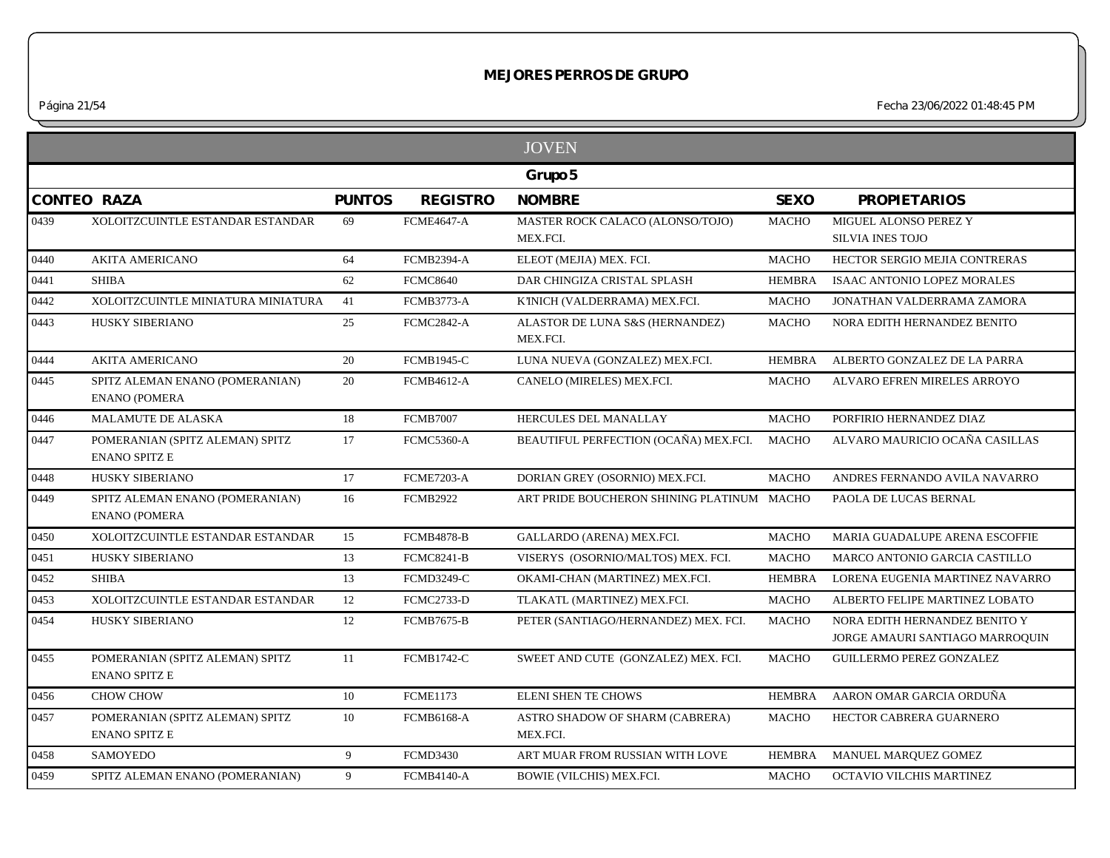*Página 21/54 Fecha 23/06/2022 01:48:45 PM*

|      |                                                         |               |                   | <b>JOVEN</b>                                 |               |                                                                  |
|------|---------------------------------------------------------|---------------|-------------------|----------------------------------------------|---------------|------------------------------------------------------------------|
|      |                                                         |               |                   | Grupo 5                                      |               |                                                                  |
|      | <b>CONTEO RAZA</b>                                      | <b>PUNTOS</b> | <b>REGISTRO</b>   | <b>NOMBRE</b>                                | <b>SEXO</b>   | <b>PROPIETARIOS</b>                                              |
| 0439 | XOLOITZCUINTLE ESTANDAR ESTANDAR                        | 69            | <b>FCME4647-A</b> | MASTER ROCK CALACO (ALONSO/TOJO)<br>MEX.FCI. | <b>MACHO</b>  | MIGUEL ALONSO PEREZ Y<br><b>SILVIA INES TOJO</b>                 |
| 0440 | <b>AKITA AMERICANO</b>                                  | 64            | <b>FCMB2394-A</b> | ELEOT (MEJIA) MEX. FCI.                      | <b>MACHO</b>  | HECTOR SERGIO MEJIA CONTRERAS                                    |
| 0441 | <b>SHIBA</b>                                            | 62            | <b>FCMC8640</b>   | DAR CHINGIZA CRISTAL SPLASH                  | <b>HEMBRA</b> | <b>ISAAC ANTONIO LOPEZ MORALES</b>                               |
| 0442 | XOLOITZCUINTLE MINIATURA MINIATURA                      | 41            | <b>FCMB3773-A</b> | K'INICH (VALDERRAMA) MEX.FCI.                | <b>MACHO</b>  | JONATHAN VALDERRAMA ZAMORA                                       |
| 0443 | HUSKY SIBERIANO                                         | 25            | <b>FCMC2842-A</b> | ALASTOR DE LUNA S&S (HERNANDEZ)<br>MEX.FCI.  | <b>MACHO</b>  | NORA EDITH HERNANDEZ BENITO                                      |
| 0444 | <b>AKITA AMERICANO</b>                                  | 20            | <b>FCMB1945-C</b> | LUNA NUEVA (GONZALEZ) MEX.FCI.               | <b>HEMBRA</b> | ALBERTO GONZALEZ DE LA PARRA                                     |
| 0445 | SPITZ ALEMAN ENANO (POMERANIAN)<br><b>ENANO (POMERA</b> | 20            | <b>FCMB4612-A</b> | CANELO (MIRELES) MEX.FCI.                    | <b>MACHO</b>  | ALVARO EFREN MIRELES ARROYO                                      |
| 0446 | MALAMUTE DE ALASKA                                      | 18            | <b>FCMB7007</b>   | HERCULES DEL MANALLAY                        | <b>MACHO</b>  | PORFIRIO HERNANDEZ DIAZ                                          |
| 0447 | POMERANIAN (SPITZ ALEMAN) SPITZ<br><b>ENANO SPITZ E</b> | 17            | <b>FCMC5360-A</b> | BEAUTIFUL PERFECTION (OCAÑA) MEX.FCI.        | <b>MACHO</b>  | ALVARO MAURICIO OCAÑA CASILLAS                                   |
| 0448 | HUSKY SIBERIANO                                         | 17            | <b>FCME7203-A</b> | DORIAN GREY (OSORNIO) MEX.FCI.               | <b>MACHO</b>  | ANDRES FERNANDO AVILA NAVARRO                                    |
| 0449 | SPITZ ALEMAN ENANO (POMERANIAN)<br><b>ENANO (POMERA</b> | 16            | <b>FCMB2922</b>   | ART PRIDE BOUCHERON SHINING PLATINUM MACHO   |               | PAOLA DE LUCAS BERNAL                                            |
| 0450 | XOLOITZCUINTLE ESTANDAR ESTANDAR                        | 15            | <b>FCMB4878-B</b> | GALLARDO (ARENA) MEX.FCI.                    | <b>MACHO</b>  | MARIA GUADALUPE ARENA ESCOFFIE                                   |
| 0451 | <b>HUSKY SIBERIANO</b>                                  | 13            | <b>FCMC8241-B</b> | VISERYS (OSORNIO/MALTOS) MEX. FCI.           | <b>MACHO</b>  | MARCO ANTONIO GARCIA CASTILLO                                    |
| 0452 | <b>SHIBA</b>                                            | 13            | <b>FCMD3249-C</b> | OKAMI-CHAN (MARTINEZ) MEX.FCI.               | <b>HEMBRA</b> | LORENA EUGENIA MARTINEZ NAVARRO                                  |
| 0453 | XOLOITZCUINTLE ESTANDAR ESTANDAR                        | 12            | <b>FCMC2733-D</b> | TLAKATL (MARTINEZ) MEX.FCI.                  | <b>MACHO</b>  | ALBERTO FELIPE MARTINEZ LOBATO                                   |
| 0454 | HUSKY SIBERIANO                                         | 12            | <b>FCMB7675-B</b> | PETER (SANTIAGO/HERNANDEZ) MEX. FCI.         | <b>MACHO</b>  | NORA EDITH HERNANDEZ BENITO Y<br>JORGE AMAURI SANTIAGO MARROQUIN |
| 0455 | POMERANIAN (SPITZ ALEMAN) SPITZ<br><b>ENANO SPITZ E</b> | 11            | <b>FCMB1742-C</b> | SWEET AND CUTE (GONZALEZ) MEX. FCI.          | <b>MACHO</b>  | <b>GUILLERMO PEREZ GONZALEZ</b>                                  |
| 0456 | <b>CHOW CHOW</b>                                        | 10            | <b>FCME1173</b>   | <b>ELENI SHEN TE CHOWS</b>                   | HEMBRA        | AARON OMAR GARCIA ORDUÑA                                         |
| 0457 | POMERANIAN (SPITZ ALEMAN) SPITZ<br><b>ENANO SPITZ E</b> | 10            | <b>FCMB6168-A</b> | ASTRO SHADOW OF SHARM (CABRERA)<br>MEX.FCI.  | <b>MACHO</b>  | HECTOR CABRERA GUARNERO                                          |
| 0458 | <b>SAMOYEDO</b>                                         | 9             | <b>FCMD3430</b>   | ART MUAR FROM RUSSIAN WITH LOVE              | HEMBRA        | MANUEL MARQUEZ GOMEZ                                             |
| 0459 | SPITZ ALEMAN ENANO (POMERANIAN)                         | 9             | <b>FCMB4140-A</b> | BOWIE (VILCHIS) MEX.FCI.                     | <b>MACHO</b>  | OCTAVIO VILCHIS MARTINEZ                                         |
|      |                                                         |               |                   |                                              |               |                                                                  |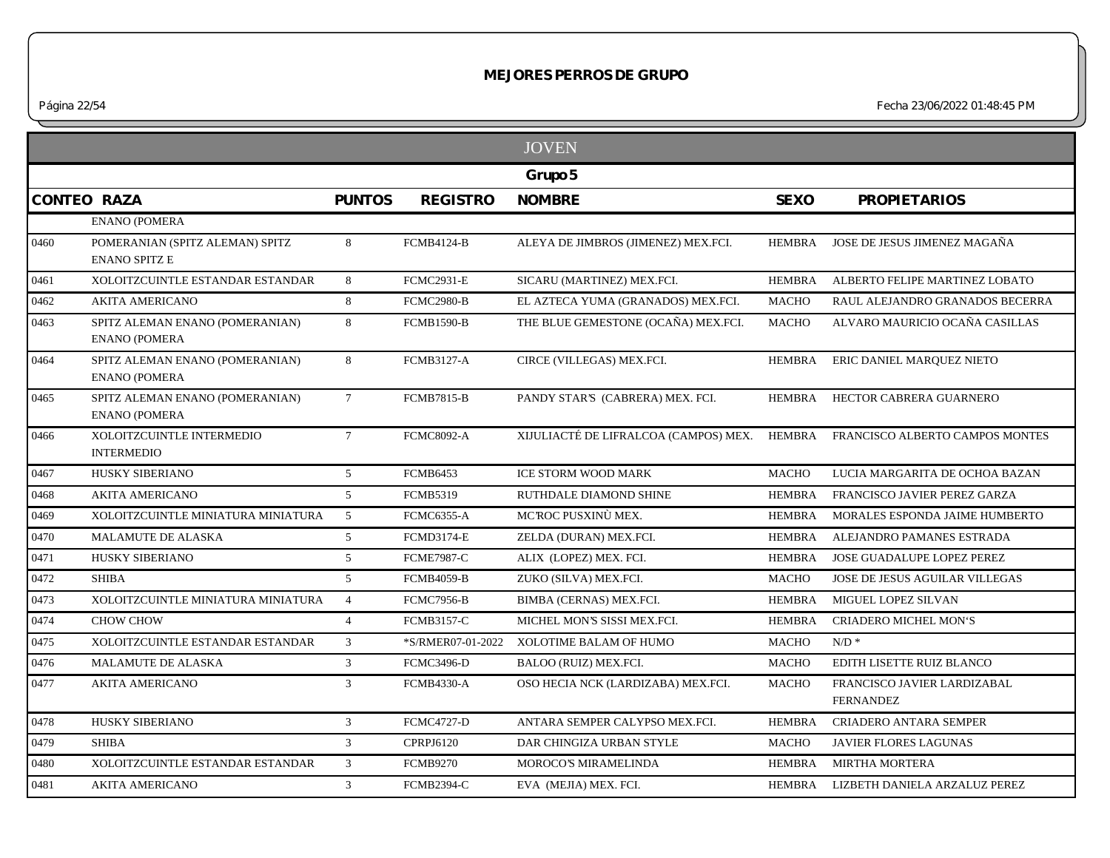|                    |                                                         |                 |                   | <b>JOVEN</b>                                                                 |               |                                                 |
|--------------------|---------------------------------------------------------|-----------------|-------------------|------------------------------------------------------------------------------|---------------|-------------------------------------------------|
|                    |                                                         |                 |                   | Grupo 5                                                                      |               |                                                 |
| <b>CONTEO RAZA</b> |                                                         | <b>PUNTOS</b>   | <b>REGISTRO</b>   | <b>NOMBRE</b>                                                                | <b>SEXO</b>   | <b>PROPIETARIOS</b>                             |
|                    | <b>ENANO (POMERA</b>                                    |                 |                   |                                                                              |               |                                                 |
| 0460               | POMERANIAN (SPITZ ALEMAN) SPITZ<br><b>ENANO SPITZ E</b> | 8               | <b>FCMB4124-B</b> | ALEYA DE JIMBROS (JIMENEZ) MEX.FCI.                                          | HEMBRA        | JOSE DE JESUS JIMENEZ MAGAÑA                    |
| 0461               | XOLOITZCUINTLE ESTANDAR ESTANDAR                        | 8               | <b>FCMC2931-E</b> | SICARU (MARTINEZ) MEX.FCI.                                                   | <b>HEMBRA</b> | ALBERTO FELIPE MARTINEZ LOBATO                  |
| 0462               | <b>AKITA AMERICANO</b>                                  | 8               | <b>FCMC2980-B</b> | EL AZTECA YUMA (GRANADOS) MEX.FCI.                                           | <b>MACHO</b>  | RAUL ALEJANDRO GRANADOS BECERRA                 |
| 0463               | SPITZ ALEMAN ENANO (POMERANIAN)<br><b>ENANO (POMERA</b> | 8               | <b>FCMB1590-B</b> | THE BLUE GEMESTONE (OCAÑA) MEX.FCI.                                          | <b>MACHO</b>  | ALVARO MAURICIO OCAÑA CASILLAS                  |
| 0464               | SPITZ ALEMAN ENANO (POMERANIAN)<br><b>ENANO (POMERA</b> | 8               | <b>FCMB3127-A</b> | CIRCE (VILLEGAS) MEX.FCI.                                                    | HEMBRA        | ERIC DANIEL MARQUEZ NIETO                       |
| 0465               | SPITZ ALEMAN ENANO (POMERANIAN)<br><b>ENANO (POMERA</b> | $7\overline{ }$ | <b>FCMB7815-B</b> | PANDY STAR'S (CABRERA) MEX. FCI.                                             | HEMBRA        | HECTOR CABRERA GUARNERO                         |
| 0466               | XOLOITZCUINTLE INTERMEDIO<br><b>INTERMEDIO</b>          | $7\overline{ }$ | <b>FCMC8092-A</b> | XIJULIACTÉ DE LIFRALCOA (CAMPOS) MEX. HEMBRA FRANCISCO ALBERTO CAMPOS MONTES |               |                                                 |
| 0467               | HUSKY SIBERIANO                                         | $5\overline{)}$ | <b>FCMB6453</b>   | <b>ICE STORM WOOD MARK</b>                                                   | <b>MACHO</b>  | LUCIA MARGARITA DE OCHOA BAZAN                  |
| 0468               | <b>AKITA AMERICANO</b>                                  | $5^{\circ}$     | <b>FCMB5319</b>   | RUTHDALE DIAMOND SHINE                                                       | <b>HEMBRA</b> | FRANCISCO JAVIER PEREZ GARZA                    |
| 0469               | XOLOITZCUINTLE MINIATURA MINIATURA                      | 5               | <b>FCMC6355-A</b> | MCROC PUSXINÙ MEX.                                                           | <b>HEMBRA</b> | MORALES ESPONDA JAIME HUMBERTO                  |
| 0470               | MALAMUTE DE ALASKA                                      | 5               | <b>FCMD3174-E</b> | ZELDA (DURAN) MEX.FCI.                                                       | <b>HEMBRA</b> | ALEJANDRO PAMANES ESTRADA                       |
| 0471               | HUSKY SIBERIANO                                         | 5 <sup>5</sup>  | <b>FCME7987-C</b> | ALIX (LOPEZ) MEX. FCI.                                                       | <b>HEMBRA</b> | JOSE GUADALUPE LOPEZ PEREZ                      |
| 0472               | <b>SHIBA</b>                                            | 5               | <b>FCMB4059-B</b> | ZUKO (SILVA) MEX.FCI.                                                        | <b>MACHO</b>  | JOSE DE JESUS AGUILAR VILLEGAS                  |
| 0473               | XOLOITZCUINTLE MINIATURA MINIATURA                      | $\overline{4}$  | <b>FCMC7956-B</b> | BIMBA (CERNAS) MEX.FCI.                                                      | <b>HEMBRA</b> | MIGUEL LOPEZ SILVAN                             |
| 0474               | <b>CHOW CHOW</b>                                        | $\overline{4}$  | <b>FCMB3157-C</b> | MICHEL MON'S SISSI MEX.FCI.                                                  | <b>HEMBRA</b> | <b>CRIADERO MICHEL MON'S</b>                    |
| 0475               | XOLOITZCUINTLE ESTANDAR ESTANDAR                        | $\mathbf{3}$    | *S/RMER07-01-2022 | XOLOTIME BALAM OF HUMO                                                       | <b>MACHO</b>  | $N/D$ *                                         |
| 0476               | <b>MALAMUTE DE ALASKA</b>                               | $\overline{3}$  | <b>FCMC3496-D</b> | BALOO (RUIZ) MEX.FCI.                                                        | <b>MACHO</b>  | EDITH LISETTE RUIZ BLANCO                       |
| 0477               | <b>AKITA AMERICANO</b>                                  | 3               | <b>FCMB4330-A</b> | OSO HECIA NCK (LARDIZABA) MEX.FCI.                                           | MACHO         | FRANCISCO JAVIER LARDIZABAL<br><b>FERNANDEZ</b> |
| 0478               | <b>HUSKY SIBERIANO</b>                                  | $\overline{3}$  | <b>FCMC4727-D</b> | ANTARA SEMPER CALYPSO MEX.FCI.                                               | <b>HEMBRA</b> | <b>CRIADERO ANTARA SEMPER</b>                   |
| 0479               | <b>SHIBA</b>                                            | $\mathfrak{Z}$  | <b>CPRPJ6120</b>  | DAR CHINGIZA URBAN STYLE                                                     | MACHO         | JAVIER FLORES LAGUNAS                           |
| 0480               | XOLOITZCUINTLE ESTANDAR ESTANDAR                        | $\mathbf{3}$    | <b>FCMB9270</b>   | <b>MOROCO'S MIRAMELINDA</b>                                                  | <b>HEMBRA</b> | <b>MIRTHA MORTERA</b>                           |
| 0481               | <b>AKITA AMERICANO</b>                                  | $\mathbf{3}$    | <b>FCMB2394-C</b> | EVA (MEJIA) MEX. FCI.                                                        |               | HEMBRA LIZBETH DANIELA ARZALUZ PEREZ            |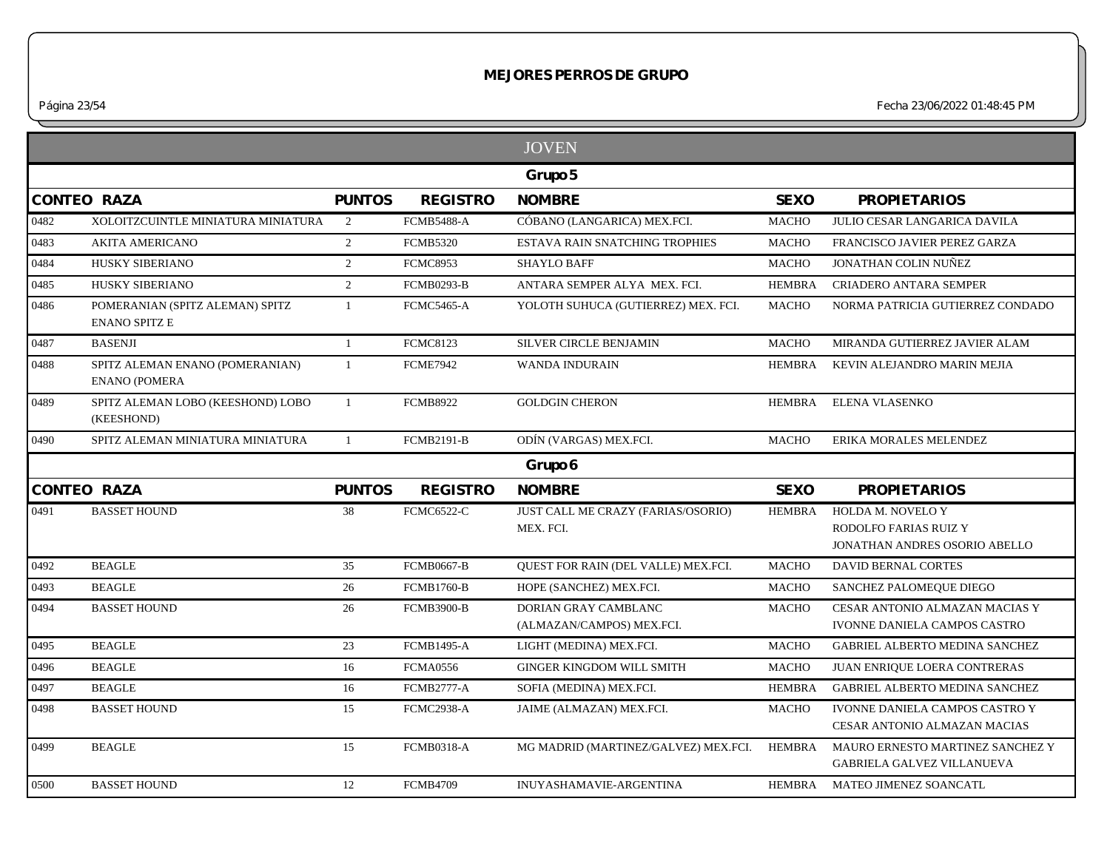*Página 23/54 Fecha 23/06/2022 01:48:45 PM*

|                    |                                                         |               |                   | <b>JOVEN</b>                                      |               |                                                                             |
|--------------------|---------------------------------------------------------|---------------|-------------------|---------------------------------------------------|---------------|-----------------------------------------------------------------------------|
|                    |                                                         |               |                   | Grupo 5                                           |               |                                                                             |
| CONTEO RAZA        |                                                         | <b>PUNTOS</b> | <b>REGISTRO</b>   | <b>NOMBRE</b>                                     | <b>SEXO</b>   | <b>PROPIETARIOS</b>                                                         |
| 0482               | XOLOITZCUINTLE MINIATURA MINIATURA                      | 2             | <b>FCMB5488-A</b> | CÓBANO (LANGARICA) MEX.FCI.                       | <b>MACHO</b>  | JULIO CESAR LANGARICA DAVILA                                                |
| 0483               | <b>AKITA AMERICANO</b>                                  | 2             | <b>FCMB5320</b>   | ESTAVA RAIN SNATCHING TROPHIES                    | <b>MACHO</b>  | FRANCISCO JAVIER PEREZ GARZA                                                |
| 0484               | HUSKY SIBERIANO                                         | 2             | <b>FCMC8953</b>   | <b>SHAYLO BAFF</b>                                | <b>MACHO</b>  | <b>JONATHAN COLIN NUÑEZ</b>                                                 |
| 0485               | HUSKY SIBERIANO                                         | 2             | <b>FCMB0293-B</b> | ANTARA SEMPER ALYA MEX. FCI.                      | <b>HEMBRA</b> | <b>CRIADERO ANTARA SEMPER</b>                                               |
| 0486               | POMERANIAN (SPITZ ALEMAN) SPITZ<br><b>ENANO SPITZ E</b> | $\mathbf{1}$  | <b>FCMC5465-A</b> | YOLOTH SUHUCA (GUTIERREZ) MEX. FCI.               | <b>MACHO</b>  | NORMA PATRICIA GUTIERREZ CONDADO                                            |
| 0487               | <b>BASENJI</b>                                          | $\mathbf{1}$  | <b>FCMC8123</b>   | <b>SILVER CIRCLE BENJAMIN</b>                     | <b>MACHO</b>  | MIRANDA GUTIERREZ JAVIER ALAM                                               |
| 0488               | SPITZ ALEMAN ENANO (POMERANIAN)<br><b>ENANO (POMERA</b> | $\mathbf{1}$  | <b>FCME7942</b>   | <b>WANDA INDURAIN</b>                             | <b>HEMBRA</b> | KEVIN ALEJANDRO MARIN MEJIA                                                 |
| 0489               | SPITZ ALEMAN LOBO (KEESHOND) LOBO<br>(KEESHOND)         | $\mathbf{1}$  | <b>FCMB8922</b>   | <b>GOLDGIN CHERON</b>                             | <b>HEMBRA</b> | <b>ELENA VLASENKO</b>                                                       |
| 0490               | SPITZ ALEMAN MINIATURA MINIATURA                        | $\mathbf{1}$  | <b>FCMB2191-B</b> | ODÍN (VARGAS) MEX.FCI.                            | <b>MACHO</b>  | ERIKA MORALES MELENDEZ                                                      |
|                    |                                                         |               |                   | Grupo 6                                           |               |                                                                             |
| <b>CONTEO RAZA</b> |                                                         | <b>PUNTOS</b> | <b>REGISTRO</b>   | <b>NOMBRE</b>                                     | <b>SEXO</b>   | <b>PROPIETARIOS</b>                                                         |
| 0491               | <b>BASSET HOUND</b>                                     | 38            | <b>FCMC6522-C</b> | JUST CALL ME CRAZY (FARIAS/OSORIO)<br>MEX. FCI.   | <b>HEMBRA</b> | HOLDA M. NOVELO Y<br>RODOLFO FARIAS RUIZ Y<br>JONATHAN ANDRES OSORIO ABELLO |
| 0492               | <b>BEAGLE</b>                                           | 35            | <b>FCMB0667-B</b> | QUEST FOR RAIN (DEL VALLE) MEX.FCI.               | <b>MACHO</b>  | <b>DAVID BERNAL CORTES</b>                                                  |
| 0493               | <b>BEAGLE</b>                                           | 26            | <b>FCMB1760-B</b> | HOPE (SANCHEZ) MEX.FCI.                           | <b>MACHO</b>  | SANCHEZ PALOMEQUE DIEGO                                                     |
| 0494               | <b>BASSET HOUND</b>                                     | 26            | <b>FCMB3900-B</b> | DORIAN GRAY CAMBLANC<br>(ALMAZAN/CAMPOS) MEX.FCI. | <b>MACHO</b>  | CESAR ANTONIO ALMAZAN MACIAS Y<br>IVONNE DANIELA CAMPOS CASTRO              |
| 0495               | <b>BEAGLE</b>                                           | 23            | <b>FCMB1495-A</b> | LIGHT (MEDINA) MEX.FCI.                           | <b>MACHO</b>  | <b>GABRIEL ALBERTO MEDINA SANCHEZ</b>                                       |
| 0496               | <b>BEAGLE</b>                                           | $16\,$        | <b>FCMA0556</b>   | <b>GINGER KINGDOM WILL SMITH</b>                  | <b>MACHO</b>  | JUAN ENRIQUE LOERA CONTRERAS                                                |
| 0497               | <b>BEAGLE</b>                                           | 16            | <b>FCMB2777-A</b> | SOFIA (MEDINA) MEX.FCI.                           | <b>HEMBRA</b> | GABRIEL ALBERTO MEDINA SANCHEZ                                              |
| 0498               | <b>BASSET HOUND</b>                                     | 15            | FCMC2938-A        | JAIME (ALMAZAN) MEX.FCI.                          | <b>MACHO</b>  | IVONNE DANIELA CAMPOS CASTRO Y<br>CESAR ANTONIO ALMAZAN MACIAS              |
| 0499               | <b>BEAGLE</b>                                           | 15            | <b>FCMB0318-A</b> | MG MADRID (MARTINEZ/GALVEZ) MEX.FCI.              | <b>HEMBRA</b> | MAURO ERNESTO MARTINEZ SANCHEZ Y<br><b>GABRIELA GALVEZ VILLANUEVA</b>       |
|                    | <b>BASSET HOUND</b>                                     | 12            | <b>FCMB4709</b>   | <b>INUYASHAMAVIE-ARGENTINA</b>                    |               | HEMBRA MATEO JIMENEZ SOANCATL                                               |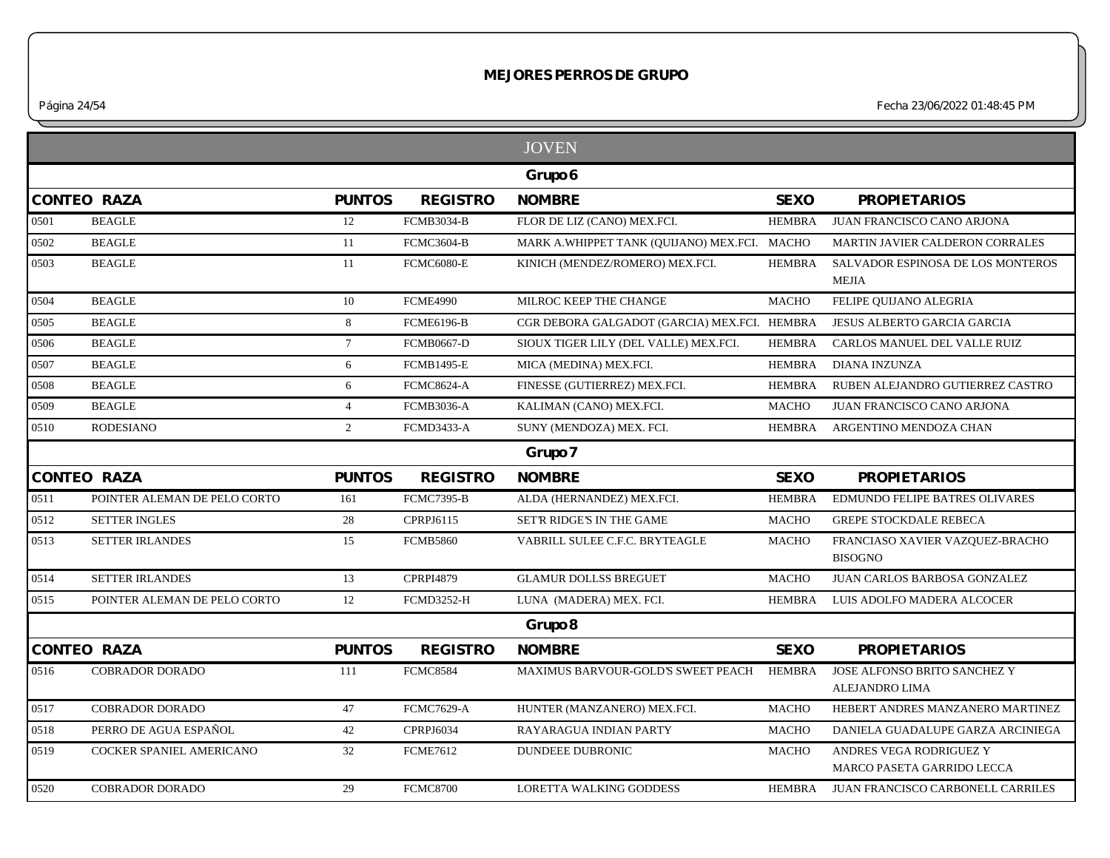*Página 24/54 Fecha 23/06/2022 01:48:45 PM*

|                              |                    |                   | <b>JOVEN</b>                          |               |                                                                                                                                |
|------------------------------|--------------------|-------------------|---------------------------------------|---------------|--------------------------------------------------------------------------------------------------------------------------------|
|                              |                    |                   | Grupo 6                               |               |                                                                                                                                |
|                              | <b>PUNTOS</b>      | <b>REGISTRO</b>   | <b>NOMBRE</b>                         | <b>SEXO</b>   | <b>PROPIETARIOS</b>                                                                                                            |
| <b>BEAGLE</b>                | $12\,$             | <b>FCMB3034-B</b> | FLOR DE LIZ (CANO) MEX.FCI.           | <b>HEMBRA</b> | JUAN FRANCISCO CANO ARJONA                                                                                                     |
| <b>BEAGLE</b>                | 11                 | <b>FCMC3604-B</b> |                                       |               | MARTIN JAVIER CALDERON CORRALES                                                                                                |
| <b>BEAGLE</b>                | 11                 | <b>FCMC6080-E</b> | KINICH (MENDEZ/ROMERO) MEX.FCI.       | <b>HEMBRA</b> | SALVADOR ESPINOSA DE LOS MONTEROS<br><b>MEJIA</b>                                                                              |
| <b>BEAGLE</b>                | 10                 | <b>FCME4990</b>   | MILROC KEEP THE CHANGE                | <b>MACHO</b>  | FELIPE QUIJANO ALEGRIA                                                                                                         |
| <b>BEAGLE</b>                | 8                  | <b>FCME6196-B</b> |                                       |               | JESUS ALBERTO GARCIA GARCIA                                                                                                    |
| <b>BEAGLE</b>                | $7\overline{ }$    | <b>FCMB0667-D</b> | SIOUX TIGER LILY (DEL VALLE) MEX.FCI. | <b>HEMBRA</b> | CARLOS MANUEL DEL VALLE RUIZ                                                                                                   |
| <b>BEAGLE</b>                | 6                  | <b>FCMB1495-E</b> | MICA (MEDINA) MEX.FCI.                | <b>HEMBRA</b> | <b>DIANA INZUNZA</b>                                                                                                           |
| <b>BEAGLE</b>                | 6                  | <b>FCMC8624-A</b> | FINESSE (GUTIERREZ) MEX.FCI.          | <b>HEMBRA</b> | RUBEN ALEJANDRO GUTIERREZ CASTRO                                                                                               |
| <b>BEAGLE</b>                | $\overline{4}$     | <b>FCMB3036-A</b> | KALIMAN (CANO) MEX.FCI.               | <b>MACHO</b>  | JUAN FRANCISCO CANO ARJONA                                                                                                     |
| <b>RODESIANO</b>             | $\overline{2}$     | <b>FCMD3433-A</b> | SUNY (MENDOZA) MEX. FCI.              | <b>HEMBRA</b> | ARGENTINO MENDOZA CHAN                                                                                                         |
|                              |                    |                   | Grupo 7                               |               |                                                                                                                                |
|                              |                    |                   | <b>NOMBRE</b>                         | <b>SEXO</b>   | <b>PROPIETARIOS</b>                                                                                                            |
| <b>CONTEO RAZA</b>           | <b>PUNTOS</b>      | <b>REGISTRO</b>   |                                       |               |                                                                                                                                |
| POINTER ALEMAN DE PELO CORTO | 161                | <b>FCMC7395-B</b> | ALDA (HERNANDEZ) MEX.FCI.             | <b>HEMBRA</b> | EDMUNDO FELIPE BATRES OLIVARES                                                                                                 |
| <b>SETTER INGLES</b>         | 28                 | CPRPJ6115         | SET'R RIDGE'S IN THE GAME             | <b>MACHO</b>  | <b>GREPE STOCKDALE REBECA</b>                                                                                                  |
| <b>SETTER IRLANDES</b>       | 15                 | <b>FCMB5860</b>   | VABRILL SULEE C.F.C. BRYTEAGLE        | <b>MACHO</b>  | FRANCIASO XAVIER VAZQUEZ-BRACHO<br><b>BISOGNO</b>                                                                              |
| <b>SETTER IRLANDES</b>       | 13                 | <b>CPRPI4879</b>  | <b>GLAMUR DOLLSS BREGUET</b>          | <b>MACHO</b>  | JUAN CARLOS BARBOSA GONZALEZ                                                                                                   |
| POINTER ALEMAN DE PELO CORTO | 12                 | <b>FCMD3252-H</b> | LUNA (MADERA) MEX. FCI.               | <b>HEMBRA</b> | LUIS ADOLFO MADERA ALCOCER                                                                                                     |
|                              |                    |                   | Grupo 8                               |               |                                                                                                                                |
| <b>CONTEO RAZA</b>           | <b>PUNTOS</b>      | <b>REGISTRO</b>   | <b>NOMBRE</b>                         | <b>SEXO</b>   | <b>PROPIETARIOS</b>                                                                                                            |
| <b>COBRADOR DORADO</b>       | 111                | <b>FCMC8584</b>   | MAXIMUS BARVOUR-GOLD'S SWEET PEACH    | <b>HEMBRA</b> | JOSE ALFONSO BRITO SANCHEZ Y<br>ALEJANDRO LIMA                                                                                 |
| <b>COBRADOR DORADO</b>       | 47                 | <b>FCMC7629-A</b> | HUNTER (MANZANERO) MEX.FCI.           | <b>MACHO</b>  |                                                                                                                                |
| PERRO DE AGUA ESPAÑOL        | 42                 | CPRPJ6034         | RAYARAGUA INDIAN PARTY                | <b>MACHO</b>  |                                                                                                                                |
| COCKER SPANIEL AMERICANO     | 32                 | <b>FCME7612</b>   | DUNDEEE DUBRONIC                      | <b>MACHO</b>  | HEBERT ANDRES MANZANERO MARTINEZ<br>DANIELA GUADALUPE GARZA ARCINIEGA<br>ANDRES VEGA RODRIGUEZ Y<br>MARCO PASETA GARRIDO LECCA |
|                              | <b>CONTEO RAZA</b> |                   |                                       |               | MARK A.WHIPPET TANK (QUIJANO) MEX.FCI. MACHO<br>CGR DEBORA GALGADOT (GARCIA) MEX.FCI. HEMBRA                                   |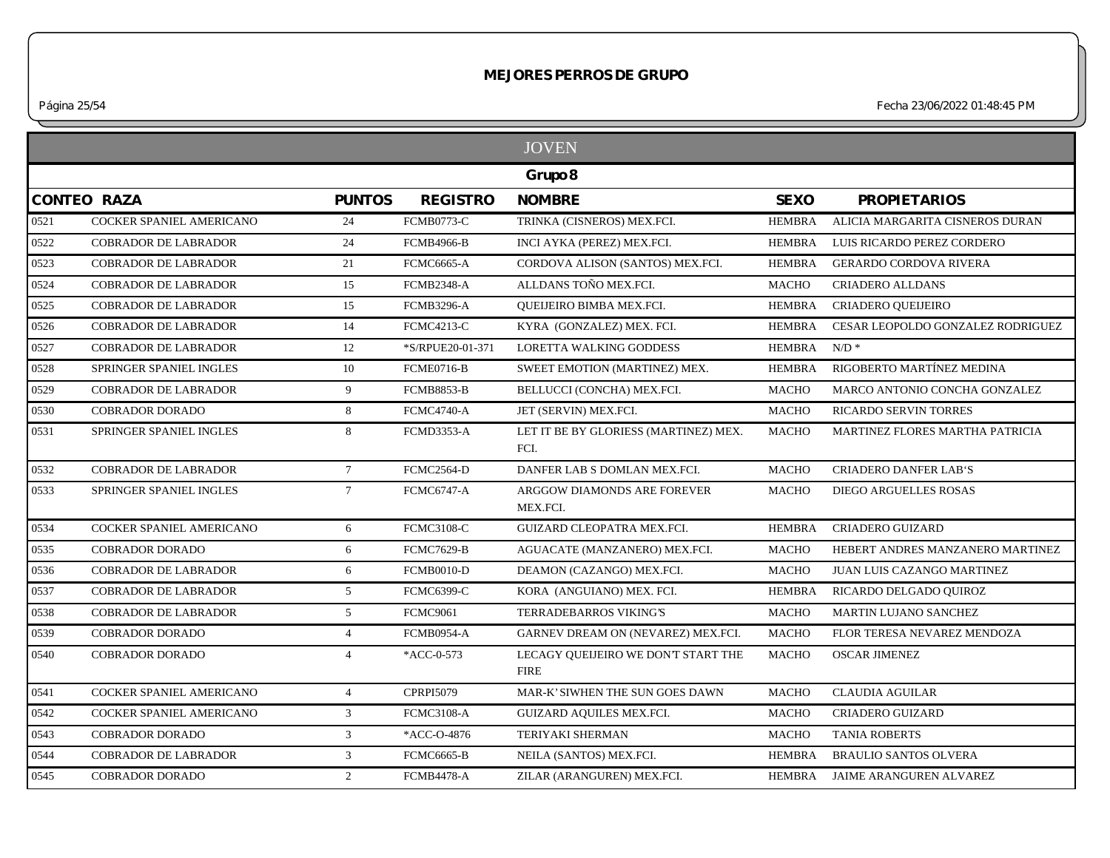*Página 25/54 Fecha 23/06/2022 01:48:45 PM*

|      |                             |                 |                   | <b>JOVEN</b>                                       |               |                                   |
|------|-----------------------------|-----------------|-------------------|----------------------------------------------------|---------------|-----------------------------------|
|      |                             |                 |                   | Grupo 8                                            |               |                                   |
|      | <b>CONTEO RAZA</b>          | <b>PUNTOS</b>   | <b>REGISTRO</b>   | <b>NOMBRE</b>                                      | <b>SEXO</b>   | <b>PROPIETARIOS</b>               |
| 0521 | COCKER SPANIEL AMERICANO    | 24              | <b>FCMB0773-C</b> | TRINKA (CISNEROS) MEX.FCI.                         | <b>HEMBRA</b> | ALICIA MARGARITA CISNEROS DURAN   |
| 0522 | <b>COBRADOR DE LABRADOR</b> | 24              | <b>FCMB4966-B</b> | INCI AYKA (PEREZ) MEX.FCI.                         | HEMBRA        | LUIS RICARDO PEREZ CORDERO        |
| 0523 | <b>COBRADOR DE LABRADOR</b> | 21              | <b>FCMC6665-A</b> | CORDOVA ALISON (SANTOS) MEX.FCI.                   | <b>HEMBRA</b> | <b>GERARDO CORDOVA RIVERA</b>     |
| 0524 | <b>COBRADOR DE LABRADOR</b> | 15              | FCMB2348-A        | ALLDANS TOÑO MEX.FCI.                              | <b>MACHO</b>  | <b>CRIADERO ALLDANS</b>           |
| 0525 | <b>COBRADOR DE LABRADOR</b> | 15              | <b>FCMB3296-A</b> | QUEIJEIRO BIMBA MEX.FCI.                           | <b>HEMBRA</b> | CRIADERO QUEIJEIRO                |
| 0526 | <b>COBRADOR DE LABRADOR</b> | 14              | <b>FCMC4213-C</b> | KYRA (GONZALEZ) MEX. FCI.                          | <b>HEMBRA</b> | CESAR LEOPOLDO GONZALEZ RODRIGUEZ |
| 0527 | <b>COBRADOR DE LABRADOR</b> | 12              | *S/RPUE20-01-371  | <b>LORETTA WALKING GODDESS</b>                     | <b>HEMBRA</b> | $N/D$ *                           |
| 0528 | SPRINGER SPANIEL INGLES     | 10              | <b>FCME0716-B</b> | SWEET EMOTION (MARTINEZ) MEX.                      | <b>HEMBRA</b> | RIGOBERTO MARTÍNEZ MEDINA         |
| 0529 | <b>COBRADOR DE LABRADOR</b> | 9               | <b>FCMB8853-B</b> | BELLUCCI (CONCHA) MEX.FCI.                         | <b>MACHO</b>  | MARCO ANTONIO CONCHA GONZALEZ     |
| 0530 | <b>COBRADOR DORADO</b>      | 8               | <b>FCMC4740-A</b> | JET (SERVIN) MEX.FCI.                              | <b>MACHO</b>  | <b>RICARDO SERVIN TORRES</b>      |
| 0531 | SPRINGER SPANIEL INGLES     | 8               | <b>FCMD3353-A</b> | LET IT BE BY GLORIESS (MARTINEZ) MEX.<br>FCI.      | <b>MACHO</b>  | MARTINEZ FLORES MARTHA PATRICIA   |
| 0532 | <b>COBRADOR DE LABRADOR</b> | $7\overline{ }$ | <b>FCMC2564-D</b> | DANFER LAB S DOMLAN MEX.FCI.                       | <b>MACHO</b>  | <b>CRIADERO DANFER LAB'S</b>      |
| 0533 | SPRINGER SPANIEL INGLES     | $7\phantom{.0}$ | <b>FCMC6747-A</b> | ARGGOW DIAMONDS ARE FOREVER<br>MEX.FCI.            | <b>MACHO</b>  | <b>DIEGO ARGUELLES ROSAS</b>      |
| 0534 | COCKER SPANIEL AMERICANO    | 6               | <b>FCMC3108-C</b> | GUIZARD CLEOPATRA MEX.FCI.                         | HEMBRA        | <b>CRIADERO GUIZARD</b>           |
| 0535 | <b>COBRADOR DORADO</b>      | 6               | <b>FCMC7629-B</b> | AGUACATE (MANZANERO) MEX.FCI.                      | <b>MACHO</b>  | HEBERT ANDRES MANZANERO MARTINEZ  |
| 0536 | <b>COBRADOR DE LABRADOR</b> | 6               | <b>FCMB0010-D</b> | DEAMON (CAZANGO) MEX.FCI.                          | <b>MACHO</b>  | JUAN LUIS CAZANGO MARTINEZ        |
| 0537 | <b>COBRADOR DE LABRADOR</b> | 5 <sup>5</sup>  | <b>FCMC6399-C</b> | KORA (ANGUIANO) MEX. FCI.                          | <b>HEMBRA</b> | RICARDO DELGADO QUIROZ            |
| 0538 | <b>COBRADOR DE LABRADOR</b> | 5               | <b>FCMC9061</b>   | <b>TERRADEBARROS VIKING'S</b>                      | <b>MACHO</b>  | MARTIN LUJANO SANCHEZ             |
| 0539 | <b>COBRADOR DORADO</b>      | $\overline{4}$  | <b>FCMB0954-A</b> | GARNEV DREAM ON (NEVAREZ) MEX.FCI.                 | <b>MACHO</b>  | FLOR TERESA NEVAREZ MENDOZA       |
| 0540 | <b>COBRADOR DORADO</b>      | $\overline{4}$  | *ACC-0-573        | LECAGY QUEIJEIRO WE DON'T START THE<br><b>FIRE</b> | <b>MACHO</b>  | <b>OSCAR JIMENEZ</b>              |
| 0541 | COCKER SPANIEL AMERICANO    | $\overline{4}$  | <b>CPRPI5079</b>  | MAR-K' SIWHEN THE SUN GOES DAWN                    | <b>MACHO</b>  | <b>CLAUDIA AGUILAR</b>            |
| 0542 | COCKER SPANIEL AMERICANO    | $\mathfrak{Z}$  | <b>FCMC3108-A</b> | GUIZARD AQUILES MEX.FCI.                           | MACHO         | <b>CRIADERO GUIZARD</b>           |
| 0543 | <b>COBRADOR DORADO</b>      | 3               | *ACC-O-4876       | <b>TERIYAKI SHERMAN</b>                            | <b>MACHO</b>  | <b>TANIA ROBERTS</b>              |
| 0544 | <b>COBRADOR DE LABRADOR</b> | $\mathbf{3}$    | FCMC6665-B        | NEILA (SANTOS) MEX.FCI.                            | HEMBRA        | <b>BRAULIO SANTOS OLVERA</b>      |
| 0545 | <b>COBRADOR DORADO</b>      | 2               | <b>FCMB4478-A</b> | ZILAR (ARANGUREN) MEX.FCI.                         | HEMBRA        | JAIME ARANGUREN ALVAREZ           |
|      |                             |                 |                   |                                                    |               |                                   |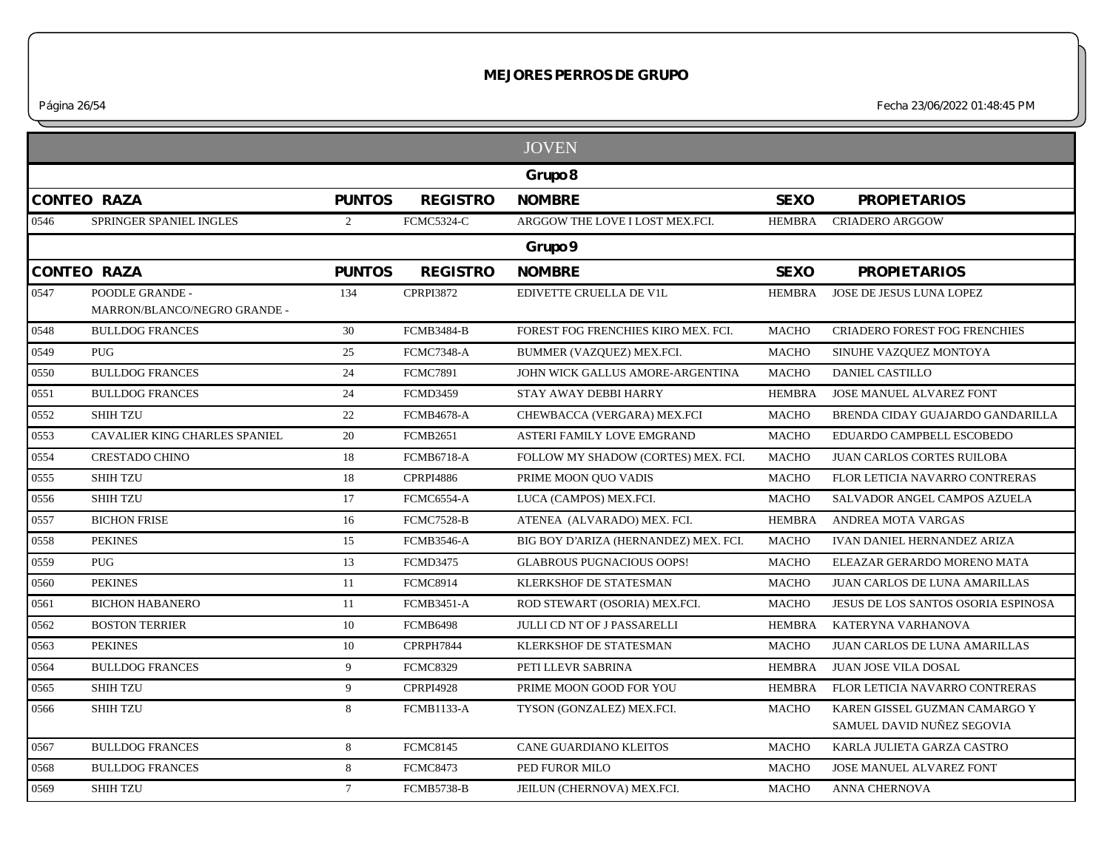*Página 26/54 Fecha 23/06/2022 01:48:45 PM*

|      |                                                 |                |                   | <b>JOVEN</b>                          |               |                                                             |
|------|-------------------------------------------------|----------------|-------------------|---------------------------------------|---------------|-------------------------------------------------------------|
|      |                                                 |                |                   | Grupo 8                               |               |                                                             |
|      | <b>CONTEO RAZA</b>                              | <b>PUNTOS</b>  | <b>REGISTRO</b>   | <b>NOMBRE</b>                         | <b>SEXO</b>   | <b>PROPIETARIOS</b>                                         |
| 0546 | SPRINGER SPANIEL INGLES                         | $\overline{2}$ | FCMC5324-C        | ARGGOW THE LOVE I LOST MEX.FCI.       | <b>HEMBRA</b> | <b>CRIADERO ARGGOW</b>                                      |
|      |                                                 |                |                   | Grupo 9                               |               |                                                             |
|      | <b>CONTEO RAZA</b>                              | <b>PUNTOS</b>  | <b>REGISTRO</b>   | <b>NOMBRE</b>                         | <b>SEXO</b>   | <b>PROPIETARIOS</b>                                         |
| 0547 | POODLE GRANDE -<br>MARRON/BLANCO/NEGRO GRANDE - | 134            | <b>CPRPI3872</b>  | EDIVETTE CRUELLA DE V1L               | <b>HEMBRA</b> | JOSE DE JESUS LUNA LOPEZ                                    |
| 0548 | <b>BULLDOG FRANCES</b>                          | 30             | <b>FCMB3484-B</b> | FOREST FOG FRENCHIES KIRO MEX. FCI.   | <b>MACHO</b>  | <b>CRIADERO FOREST FOG FRENCHIES</b>                        |
| 0549 | PUG                                             | 25             | <b>FCMC7348-A</b> | BUMMER (VAZQUEZ) MEX.FCI.             | <b>MACHO</b>  | SINUHE VAZQUEZ MONTOYA                                      |
| 0550 | <b>BULLDOG FRANCES</b>                          | 24             | <b>FCMC7891</b>   | JOHN WICK GALLUS AMORE-ARGENTINA      | <b>MACHO</b>  | <b>DANIEL CASTILLO</b>                                      |
| 0551 | <b>BULLDOG FRANCES</b>                          | 24             | <b>FCMD3459</b>   | STAY AWAY DEBBI HARRY                 | <b>HEMBRA</b> | <b>JOSE MANUEL ALVAREZ FONT</b>                             |
| 0552 | <b>SHIH TZU</b>                                 | 22             | <b>FCMB4678-A</b> | CHEWBACCA (VERGARA) MEX.FCI           | <b>MACHO</b>  | BRENDA CIDAY GUAJARDO GANDARILLA                            |
| 0553 | CAVALIER KING CHARLES SPANIEL                   | 20             | <b>FCMB2651</b>   | ASTERI FAMILY LOVE EMGRAND            | <b>MACHO</b>  | EDUARDO CAMPBELL ESCOBEDO                                   |
| 0554 | <b>CRESTADO CHINO</b>                           | 18             | <b>FCMB6718-A</b> | FOLLOW MY SHADOW (CORTES) MEX. FCI.   | <b>MACHO</b>  | <b>JUAN CARLOS CORTES RUILOBA</b>                           |
| 0555 | <b>SHIH TZU</b>                                 | 18             | <b>CPRPI4886</b>  | PRIME MOON QUO VADIS                  | <b>MACHO</b>  | FLOR LETICIA NAVARRO CONTRERAS                              |
| 0556 | <b>SHIH TZU</b>                                 | 17             | FCMC6554-A        | LUCA (CAMPOS) MEX.FCI.                | <b>MACHO</b>  | SALVADOR ANGEL CAMPOS AZUELA                                |
| 0557 | <b>BICHON FRISE</b>                             | 16             | <b>FCMC7528-B</b> | ATENEA (ALVARADO) MEX. FCI.           | <b>HEMBRA</b> | ANDREA MOTA VARGAS                                          |
| 0558 | <b>PEKINES</b>                                  | 15             | <b>FCMB3546-A</b> | BIG BOY D'ARIZA (HERNANDEZ) MEX. FCI. | <b>MACHO</b>  | IVAN DANIEL HERNANDEZ ARIZA                                 |
| 0559 | <b>PUG</b>                                      | 13             | <b>FCMD3475</b>   | <b>GLABROUS PUGNACIOUS OOPS!</b>      | <b>MACHO</b>  | ELEAZAR GERARDO MORENO MATA                                 |
| 0560 | <b>PEKINES</b>                                  | 11             | <b>FCMC8914</b>   | KLERKSHOF DE STATESMAN                | <b>MACHO</b>  | JUAN CARLOS DE LUNA AMARILLAS                               |
| 0561 | <b>BICHON HABANERO</b>                          | 11             | <b>FCMB3451-A</b> | ROD STEWART (OSORIA) MEX.FCI.         | MACHO         | JESUS DE LOS SANTOS OSORIA ESPINOSA                         |
| 0562 | <b>BOSTON TERRIER</b>                           | 10             | <b>FCMB6498</b>   | JULLI CD NT OF J PASSARELLI           | <b>HEMBRA</b> | KATERYNA VARHANOVA                                          |
| 0563 | <b>PEKINES</b>                                  | 10             | CPRPH7844         | <b>KLERKSHOF DE STATESMAN</b>         | <b>MACHO</b>  | <b>JUAN CARLOS DE LUNA AMARILLAS</b>                        |
| 0564 | <b>BULLDOG FRANCES</b>                          | 9              | <b>FCMC8329</b>   | PETI LLEVR SABRINA                    | <b>HEMBRA</b> | <b>JUAN JOSE VILA DOSAL</b>                                 |
| 0565 | <b>SHIH TZU</b>                                 | 9              | <b>CPRPI4928</b>  | PRIME MOON GOOD FOR YOU               | <b>HEMBRA</b> | FLOR LETICIA NAVARRO CONTRERAS                              |
| 0566 | <b>SHIH TZU</b>                                 | 8              | <b>FCMB1133-A</b> | TYSON (GONZALEZ) MEX.FCI.             | <b>MACHO</b>  | KAREN GISSEL GUZMAN CAMARGO Y<br>SAMUEL DAVID NUÑEZ SEGOVIA |
| 0567 | <b>BULLDOG FRANCES</b>                          | 8              | <b>FCMC8145</b>   | CANE GUARDIANO KLEITOS                | <b>MACHO</b>  | KARLA JULIETA GARZA CASTRO                                  |
| 0568 | <b>BULLDOG FRANCES</b>                          | 8              | <b>FCMC8473</b>   | PED FUROR MILO                        | <b>MACHO</b>  | <b>JOSE MANUEL ALVAREZ FONT</b>                             |
| 0569 | <b>SHIH TZU</b>                                 | $\tau$         | <b>FCMB5738-B</b> | JEILUN (CHERNOVA) MEX.FCI.            | <b>MACHO</b>  | <b>ANNA CHERNOVA</b>                                        |
|      |                                                 |                |                   |                                       |               |                                                             |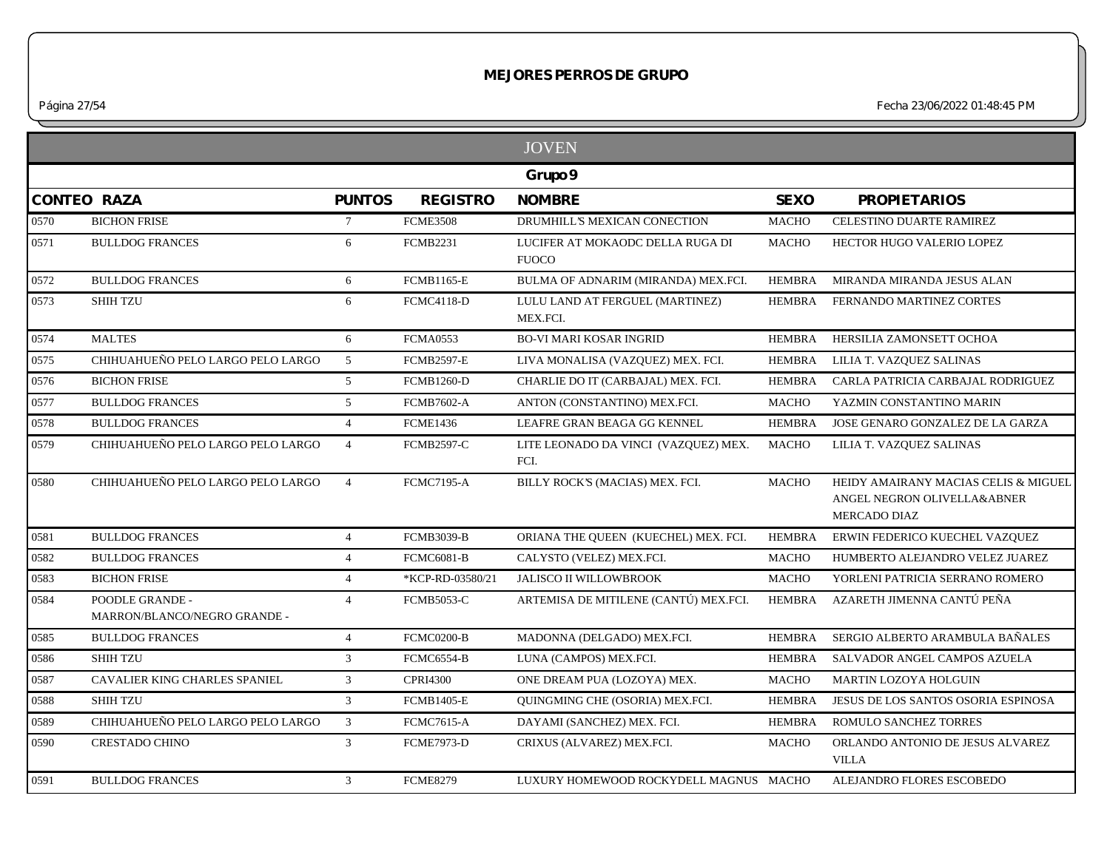*Página 27/54 Fecha 23/06/2022 01:48:45 PM*

|      |                                                 |                 |                   | <b>JOVEN</b>                                     |               |                                                                                            |
|------|-------------------------------------------------|-----------------|-------------------|--------------------------------------------------|---------------|--------------------------------------------------------------------------------------------|
|      |                                                 |                 |                   | Grupo 9                                          |               |                                                                                            |
|      | <b>CONTEO RAZA</b>                              | <b>PUNTOS</b>   | <b>REGISTRO</b>   | <b>NOMBRE</b>                                    | <b>SEXO</b>   | <b>PROPIETARIOS</b>                                                                        |
| 0570 | <b>BICHON FRISE</b>                             | $7\overline{ }$ | <b>FCME3508</b>   | DRUMHILL'S MEXICAN CONECTION                     | <b>MACHO</b>  | CELESTINO DUARTE RAMIREZ                                                                   |
| 0571 | <b>BULLDOG FRANCES</b>                          | 6               | <b>FCMB2231</b>   | LUCIFER AT MOKAODC DELLA RUGA DI<br><b>FUOCO</b> | <b>MACHO</b>  | HECTOR HUGO VALERIO LOPEZ                                                                  |
| 0572 | <b>BULLDOG FRANCES</b>                          | 6               | <b>FCMB1165-E</b> | BULMA OF ADNARIM (MIRANDA) MEX.FCI.              | <b>HEMBRA</b> | MIRANDA MIRANDA JESUS ALAN                                                                 |
| 0573 | <b>SHIH TZU</b>                                 | 6               | <b>FCMC4118-D</b> | LULU LAND AT FERGUEL (MARTINEZ)<br>MEX.FCI.      | <b>HEMBRA</b> | FERNANDO MARTINEZ CORTES                                                                   |
| 0574 | <b>MALTES</b>                                   | 6               | <b>FCMA0553</b>   | <b>BO-VI MARI KOSAR INGRID</b>                   | <b>HEMBRA</b> | HERSILIA ZAMONSETT OCHOA                                                                   |
| 0575 | CHIHUAHUEÑO PELO LARGO PELO LARGO               | 5               | <b>FCMB2597-E</b> | LIVA MONALISA (VAZQUEZ) MEX. FCI.                | <b>HEMBRA</b> | LILIA T. VAZQUEZ SALINAS                                                                   |
| 0576 | <b>BICHON FRISE</b>                             | 5 <sup>5</sup>  | <b>FCMB1260-D</b> | CHARLIE DO IT (CARBAJAL) MEX. FCI.               | <b>HEMBRA</b> | CARLA PATRICIA CARBAJAL RODRIGUEZ                                                          |
| 0577 | <b>BULLDOG FRANCES</b>                          | 5 <sup>5</sup>  | <b>FCMB7602-A</b> | ANTON (CONSTANTINO) MEX.FCI.                     | <b>MACHO</b>  | YAZMIN CONSTANTINO MARIN                                                                   |
| 0578 | <b>BULLDOG FRANCES</b>                          | $\overline{4}$  | <b>FCME1436</b>   | LEAFRE GRAN BEAGA GG KENNEL                      | <b>HEMBRA</b> | JOSE GENARO GONZALEZ DE LA GARZA                                                           |
| 0579 | CHIHUAHUEÑO PELO LARGO PELO LARGO               | $\overline{4}$  | <b>FCMB2597-C</b> | LITE LEONADO DA VINCI (VAZQUEZ) MEX.<br>FCI.     | <b>MACHO</b>  | LILIA T. VAZQUEZ SALINAS                                                                   |
| 0580 | CHIHUAHUEÑO PELO LARGO PELO LARGO               | $\overline{4}$  | <b>FCMC7195-A</b> | BILLY ROCK'S (MACIAS) MEX. FCI.                  | <b>MACHO</b>  | HEIDY AMAIRANY MACIAS CELIS & MIGUEL<br>ANGEL NEGRON OLIVELLA&ABNER<br><b>MERCADO DIAZ</b> |
| 0581 | <b>BULLDOG FRANCES</b>                          | $\overline{4}$  | <b>FCMB3039-B</b> | ORIANA THE QUEEN (KUECHEL) MEX. FCI.             | <b>HEMBRA</b> | ERWIN FEDERICO KUECHEL VAZQUEZ                                                             |
| 0582 | <b>BULLDOG FRANCES</b>                          | $\overline{4}$  | <b>FCMC6081-B</b> | CALYSTO (VELEZ) MEX.FCI.                         | <b>MACHO</b>  | HUMBERTO ALEJANDRO VELEZ JUAREZ                                                            |
| 0583 | <b>BICHON FRISE</b>                             | $\overline{4}$  | *KCP-RD-03580/21  | JALISCO II WILLOWBROOK                           | <b>MACHO</b>  | YORLENI PATRICIA SERRANO ROMERO                                                            |
| 0584 | POODLE GRANDE -<br>MARRON/BLANCO/NEGRO GRANDE - | $\overline{4}$  | <b>FCMB5053-C</b> | ARTEMISA DE MITILENE (CANTÚ) MEX.FCI.            | <b>HEMBRA</b> | AZARETH JIMENNA CANTÚ PEÑA                                                                 |
| 0585 | <b>BULLDOG FRANCES</b>                          | $\overline{4}$  | FCMC0200-B        | MADONNA (DELGADO) MEX.FCI.                       | <b>HEMBRA</b> | SERGIO ALBERTO ARAMBULA BAÑALES                                                            |
| 0586 | <b>SHIH TZU</b>                                 | $\mathfrak{Z}$  | <b>FCMC6554-B</b> | LUNA (CAMPOS) MEX.FCI.                           | <b>HEMBRA</b> | SALVADOR ANGEL CAMPOS AZUELA                                                               |
| 0587 | CAVALIER KING CHARLES SPANIEL                   | $\mathfrak{Z}$  | <b>CPRI4300</b>   | ONE DREAM PUA (LOZOYA) MEX.                      | <b>MACHO</b>  | MARTIN LOZOYA HOLGUIN                                                                      |
| 0588 | <b>SHIH TZU</b>                                 | $\mathfrak{Z}$  | <b>FCMB1405-E</b> | QUINGMING CHE (OSORIA) MEX.FCI.                  | HEMBRA        | JESUS DE LOS SANTOS OSORIA ESPINOSA                                                        |
| 0589 | CHIHUAHUEÑO PELO LARGO PELO LARGO               | $\mathfrak{Z}$  | <b>FCMC7615-A</b> | DAYAMI (SANCHEZ) MEX. FCI.                       | <b>HEMBRA</b> | ROMULO SANCHEZ TORRES                                                                      |
| 0590 | <b>CRESTADO CHINO</b>                           | $\overline{3}$  | <b>FCME7973-D</b> | CRIXUS (ALVAREZ) MEX.FCI.                        | <b>MACHO</b>  | ORLANDO ANTONIO DE JESUS ALVAREZ<br><b>VILLA</b>                                           |
| 0591 | <b>BULLDOG FRANCES</b>                          | $\mathcal{E}$   | <b>FCME8279</b>   | LUXURY HOMEWOOD ROCKYDELL MAGNUS MACHO           |               | ALEJANDRO FLORES ESCOBEDO                                                                  |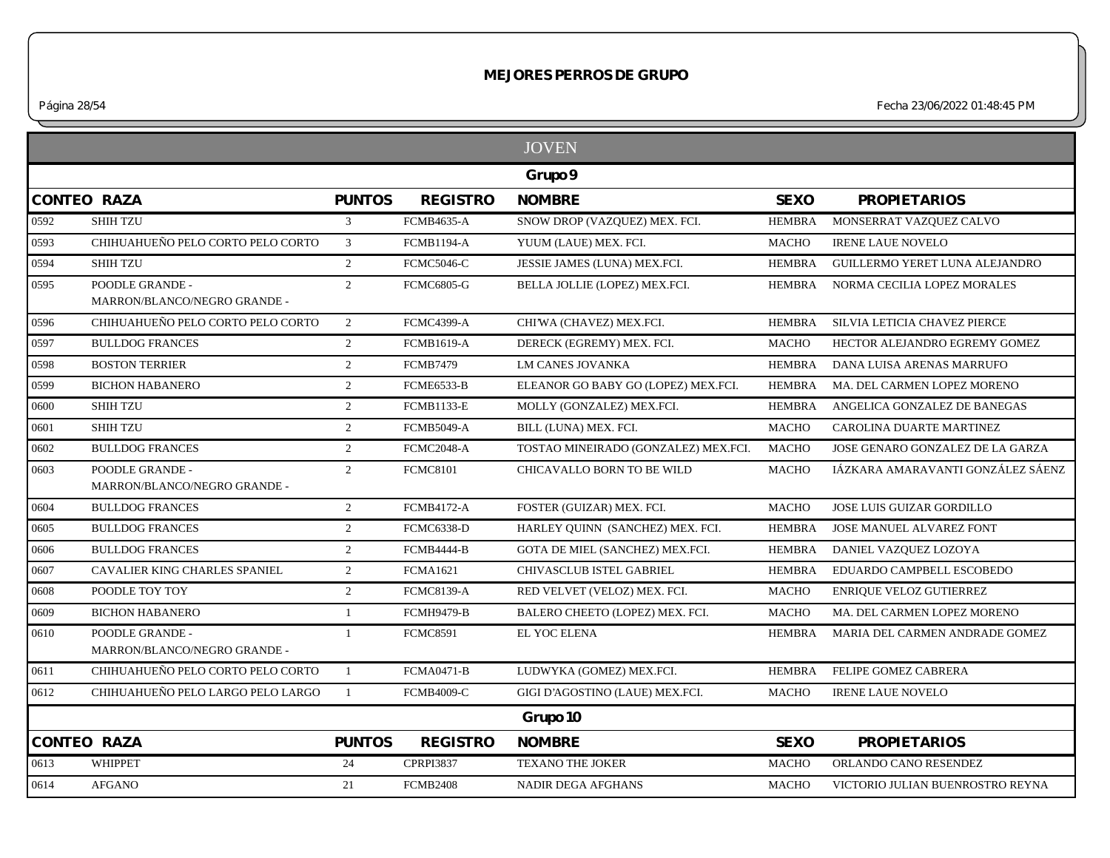*Página 28/54 Fecha 23/06/2022 01:48:45 PM*

|                    |                                                 |                |                   | <b>JOVEN</b>                         |               |                                   |
|--------------------|-------------------------------------------------|----------------|-------------------|--------------------------------------|---------------|-----------------------------------|
|                    |                                                 |                |                   | Grupo 9                              |               |                                   |
| <b>CONTEO RAZA</b> |                                                 | <b>PUNTOS</b>  | <b>REGISTRO</b>   | <b>NOMBRE</b>                        | <b>SEXO</b>   | <b>PROPIETARIOS</b>               |
| 0592               | <b>SHIH TZU</b>                                 | $\mathfrak{Z}$ | <b>FCMB4635-A</b> | SNOW DROP (VAZQUEZ) MEX. FCI.        | <b>HEMBRA</b> | MONSERRAT VAZQUEZ CALVO           |
| 0593               | CHIHUAHUEÑO PELO CORTO PELO CORTO               | $\mathfrak{Z}$ | <b>FCMB1194-A</b> | YUUM (LAUE) MEX. FCI.                | <b>MACHO</b>  | <b>IRENE LAUE NOVELO</b>          |
| 0594               | <b>SHIH TZU</b>                                 | $\overline{2}$ | <b>FCMC5046-C</b> | JESSIE JAMES (LUNA) MEX.FCI.         | <b>HEMBRA</b> | GUILLERMO YERET LUNA ALEJANDRO    |
| 0595               | POODLE GRANDE -<br>MARRON/BLANCO/NEGRO GRANDE - | $\overline{2}$ | <b>FCMC6805-G</b> | BELLA JOLLIE (LOPEZ) MEX.FCI.        | <b>HEMBRA</b> | NORMA CECILIA LOPEZ MORALES       |
| 0596               | CHIHUAHUEÑO PELO CORTO PELO CORTO               | 2              | <b>FCMC4399-A</b> | CHI'WA (CHAVEZ) MEX.FCI.             | <b>HEMBRA</b> | SILVIA LETICIA CHAVEZ PIERCE      |
| 0597               | <b>BULLDOG FRANCES</b>                          | $\overline{2}$ | <b>FCMB1619-A</b> | DERECK (EGREMY) MEX. FCI.            | <b>MACHO</b>  | HECTOR ALEJANDRO EGREMY GOMEZ     |
| 0598               | <b>BOSTON TERRIER</b>                           | $\overline{2}$ | <b>FCMB7479</b>   | <b>LM CANES JOVANKA</b>              | <b>HEMBRA</b> | DANA LUISA ARENAS MARRUFO         |
| 0599               | <b>BICHON HABANERO</b>                          | $\overline{2}$ | <b>FCME6533-B</b> | ELEANOR GO BABY GO (LOPEZ) MEX.FCI.  | <b>HEMBRA</b> | MA. DEL CARMEN LOPEZ MORENO       |
| 0600               | <b>SHIH TZU</b>                                 | $\overline{2}$ | <b>FCMB1133-E</b> | MOLLY (GONZALEZ) MEX.FCI.            | <b>HEMBRA</b> | ANGELICA GONZALEZ DE BANEGAS      |
| 0601               | <b>SHIH TZU</b>                                 | $\overline{2}$ | <b>FCMB5049-A</b> | BILL (LUNA) MEX. FCI.                | <b>MACHO</b>  | CAROLINA DUARTE MARTINEZ          |
| 0602               | <b>BULLDOG FRANCES</b>                          | $\overline{2}$ | FCMC2048-A        | TOSTAO MINEIRADO (GONZALEZ) MEX.FCI. | <b>MACHO</b>  | JOSE GENARO GONZALEZ DE LA GARZA  |
| 0603               | POODLE GRANDE -<br>MARRON/BLANCO/NEGRO GRANDE - | $\overline{2}$ | <b>FCMC8101</b>   | CHICAVALLO BORN TO BE WILD           | <b>MACHO</b>  | IÁZKARA AMARAVANTI GONZÁLEZ SÁENZ |
| 0604               | <b>BULLDOG FRANCES</b>                          | $\overline{2}$ | <b>FCMB4172-A</b> | FOSTER (GUIZAR) MEX. FCI.            | <b>MACHO</b>  | JOSE LUIS GUIZAR GORDILLO         |
| 0605               | <b>BULLDOG FRANCES</b>                          | $\overline{2}$ | <b>FCMC6338-D</b> | HARLEY QUINN (SANCHEZ) MEX. FCI.     | <b>HEMBRA</b> | JOSE MANUEL ALVAREZ FONT          |
| 0606               | <b>BULLDOG FRANCES</b>                          | $\overline{2}$ | <b>FCMB4444-B</b> | GOTA DE MIEL (SANCHEZ) MEX.FCI.      | <b>HEMBRA</b> | DANIEL VAZQUEZ LOZOYA             |
| 0607               | <b>CAVALIER KING CHARLES SPANIEL</b>            | $\overline{2}$ | <b>FCMA1621</b>   | CHIVASCLUB ISTEL GABRIEL             | <b>HEMBRA</b> | EDUARDO CAMPBELL ESCOBEDO         |
| 0608               | POODLE TOY TOY                                  | 2              | <b>FCMC8139-A</b> | RED VELVET (VELOZ) MEX. FCI.         | <b>MACHO</b>  | ENRIQUE VELOZ GUTIERREZ           |
| 0609               | <b>BICHON HABANERO</b>                          | 1              | <b>FCMH9479-B</b> | BALERO CHEETO (LOPEZ) MEX. FCI.      | <b>MACHO</b>  | MA. DEL CARMEN LOPEZ MORENO       |
| 0610               | POODLE GRANDE -<br>MARRON/BLANCO/NEGRO GRANDE - | $\mathbf{1}$   | <b>FCMC8591</b>   | EL YOC ELENA                         | <b>HEMBRA</b> | MARIA DEL CARMEN ANDRADE GOMEZ    |
| 0611               | CHIHUAHUEÑO PELO CORTO PELO CORTO               | $\mathbf{1}$   | <b>FCMA0471-B</b> | LUDWYKA (GOMEZ) MEX.FCI.             | <b>HEMBRA</b> | FELIPE GOMEZ CABRERA              |
| 0612               | CHIHUAHUEÑO PELO LARGO PELO LARGO               | $\overline{1}$ | <b>FCMB4009-C</b> | GIGI D'AGOSTINO (LAUE) MEX.FCI.      | <b>MACHO</b>  | <b>IRENE LAUE NOVELO</b>          |
|                    |                                                 |                |                   | Grupo 10                             |               |                                   |
| <b>CONTEO RAZA</b> |                                                 | <b>PUNTOS</b>  | <b>REGISTRO</b>   | <b>NOMBRE</b>                        | <b>SEXO</b>   | <b>PROPIETARIOS</b>               |
| 0613               | <b>WHIPPET</b>                                  | 24             | <b>CPRPI3837</b>  | <b>TEXANO THE JOKER</b>              | <b>MACHO</b>  | ORLANDO CANO RESENDEZ             |
| 0614               | <b>AFGANO</b>                                   | 21             | <b>FCMB2408</b>   | <b>NADIR DEGA AFGHANS</b>            | <b>MACHO</b>  | VICTORIO JULIAN BUENROSTRO REYNA  |
|                    |                                                 |                |                   |                                      |               |                                   |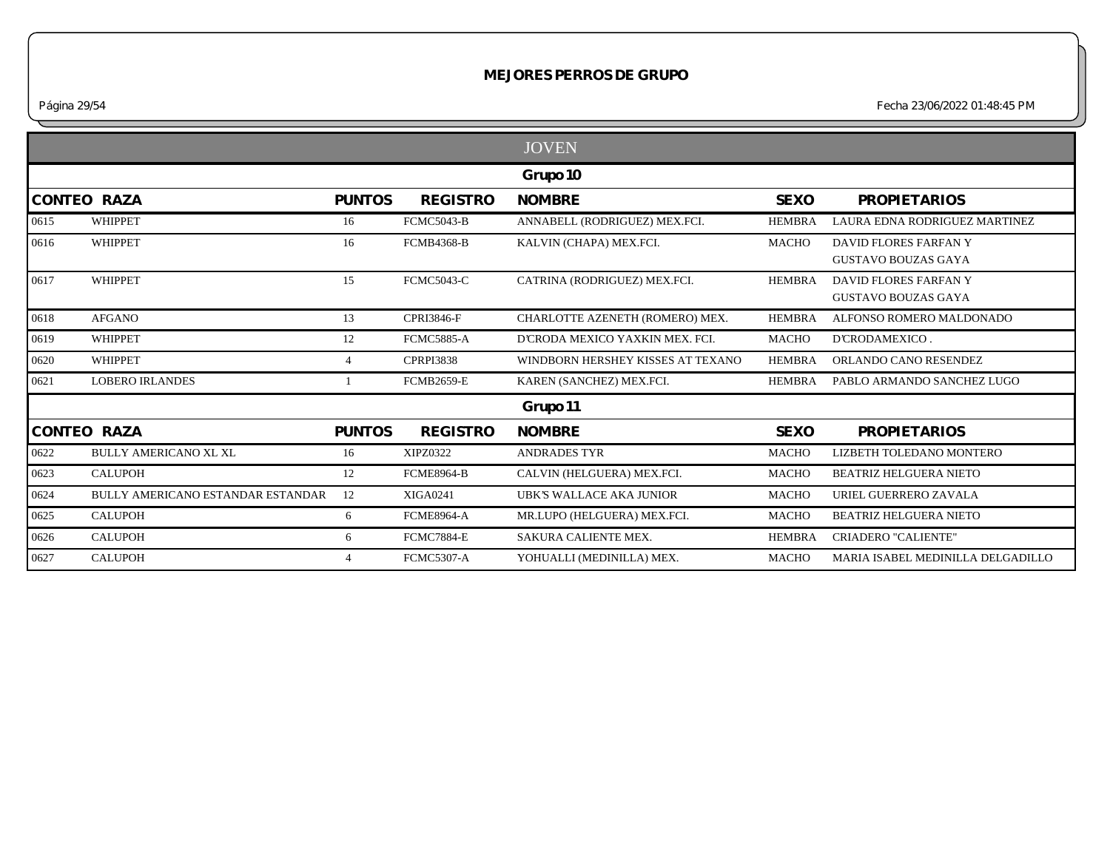*Página 29/54 Fecha 23/06/2022 01:48:45 PM*

|      |                                   |                |                   | <b>JOVEN</b>                      |               |                                                     |
|------|-----------------------------------|----------------|-------------------|-----------------------------------|---------------|-----------------------------------------------------|
|      |                                   |                |                   | Grupo 10                          |               |                                                     |
|      | <b>CONTEO RAZA</b>                | <b>PUNTOS</b>  | <b>REGISTRO</b>   | <b>NOMBRE</b>                     | <b>SEXO</b>   | <b>PROPIETARIOS</b>                                 |
| 0615 | WHIPPET                           | 16             | <b>FCMC5043-B</b> | ANNABELL (RODRIGUEZ) MEX.FCI.     | <b>HEMBRA</b> | LAURA EDNA RODRIGUEZ MARTINEZ                       |
| 0616 | WHIPPET                           | 16             | <b>FCMB4368-B</b> | KALVIN (CHAPA) MEX.FCI.           | <b>MACHO</b>  | DAVID FLORES FARFAN Y<br><b>GUSTAVO BOUZAS GAYA</b> |
| 0617 | WHIPPET                           | 15             | <b>FCMC5043-C</b> | CATRINA (RODRIGUEZ) MEX.FCI.      | <b>HEMBRA</b> | DAVID FLORES FARFAN Y<br><b>GUSTAVO BOUZAS GAYA</b> |
| 0618 | <b>AFGANO</b>                     | 13             | <b>CPRI3846-F</b> | CHARLOTTE AZENETH (ROMERO) MEX.   | <b>HEMBRA</b> | ALFONSO ROMERO MALDONADO                            |
| 0619 | <b>WHIPPET</b>                    | 12             | <b>FCMC5885-A</b> | D'CRODA MEXICO YAXKIN MEX. FCI.   | <b>MACHO</b>  | D'CRODAMEXICO.                                      |
| 0620 | <b>WHIPPET</b>                    | $\overline{4}$ | <b>CPRPI3838</b>  | WINDBORN HERSHEY KISSES AT TEXANO | <b>HEMBRA</b> | ORLANDO CANO RESENDEZ                               |
| 0621 | <b>LOBERO IRLANDES</b>            |                | <b>FCMB2659-E</b> | KAREN (SANCHEZ) MEX.FCI.          | <b>HEMBRA</b> | PABLO ARMANDO SANCHEZ LUGO                          |
|      |                                   |                |                   | Grupo 11                          |               |                                                     |
|      | <b>CONTEO RAZA</b>                | <b>PUNTOS</b>  | <b>REGISTRO</b>   | <b>NOMBRE</b>                     | <b>SEXO</b>   | <b>PROPIETARIOS</b>                                 |
| 0622 | <b>BULLY AMERICANO XL XL</b>      | 16             | <b>XIPZ0322</b>   | <b>ANDRADES TYR</b>               | <b>MACHO</b>  | LIZBETH TOLEDANO MONTERO                            |
| 0623 | <b>CALUPOH</b>                    | 12             | <b>FCME8964-B</b> | CALVIN (HELGUERA) MEX.FCI.        | <b>MACHO</b>  | <b>BEATRIZ HELGUERA NIETO</b>                       |
| 0624 | BULLY AMERICANO ESTANDAR ESTANDAR | 12             | <b>XIGA0241</b>   | UBK'S WALLACE AKA JUNIOR          | <b>MACHO</b>  | URIEL GUERRERO ZAVALA                               |
| 0625 | <b>CALUPOH</b>                    | 6              | <b>FCME8964-A</b> | MR.LUPO (HELGUERA) MEX.FCI.       | <b>MACHO</b>  | <b>BEATRIZ HELGUERA NIETO</b>                       |
| 0626 | <b>CALUPOH</b>                    | 6              | <b>FCMC7884-E</b> | SAKURA CALIENTE MEX.              | <b>HEMBRA</b> | <b>CRIADERO "CALIENTE"</b>                          |
| 0627 | <b>CALUPOH</b>                    | $\overline{4}$ | <b>FCMC5307-A</b> | YOHUALLI (MEDINILLA) MEX.         | <b>MACHO</b>  | MARIA ISABEL MEDINILLA DELGADILLO                   |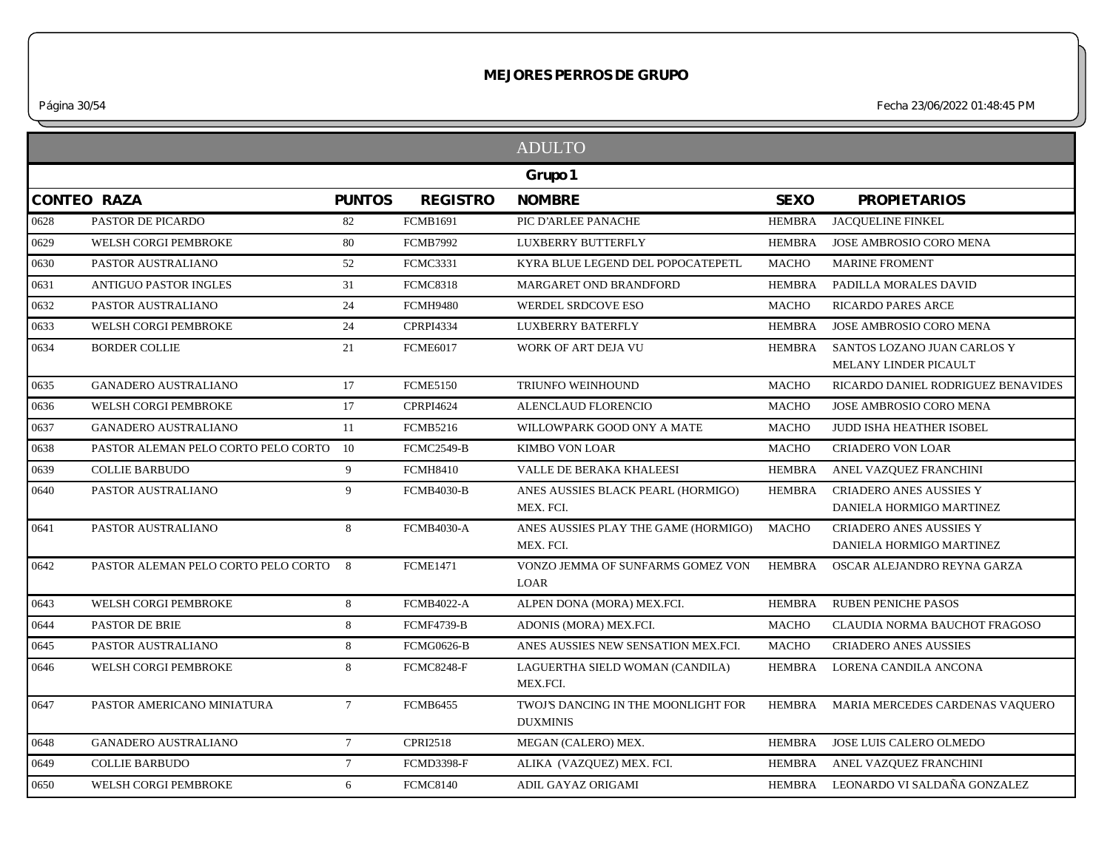*Página 30/54 Fecha 23/06/2022 01:48:45 PM*

|      |                                     |                 |                   | <b>ADULTO</b>                                          |               |                                     |
|------|-------------------------------------|-----------------|-------------------|--------------------------------------------------------|---------------|-------------------------------------|
|      |                                     |                 |                   | Grupo 1                                                |               |                                     |
|      | CONTEO RAZA                         | <b>PUNTOS</b>   | <b>REGISTRO</b>   | <b>NOMBRE</b>                                          | <b>SEXO</b>   | <b>PROPIETARIOS</b>                 |
| 0628 | PASTOR DE PICARDO                   | 82              | <b>FCMB1691</b>   | PIC D'ARLEE PANACHE                                    | HEMBRA        | <b>JACOUELINE FINKEL</b>            |
| 0629 | WELSH CORGI PEMBROKE                | 80              | <b>FCMB7992</b>   | LUXBERRY BUTTERFLY                                     | <b>HEMBRA</b> | JOSE AMBROSIO CORO MENA             |
| 0630 | PASTOR AUSTRALIANO                  | 52              | <b>FCMC3331</b>   | KYRA BLUE LEGEND DEL POPOCATEPETL                      | <b>MACHO</b>  | <b>MARINE FROMENT</b>               |
| 0631 | <b>ANTIGUO PASTOR INGLES</b>        | 31              | <b>FCMC8318</b>   | MARGARET OND BRANDFORD                                 | <b>HEMBRA</b> | PADILLA MORALES DAVID               |
| 0632 | PASTOR AUSTRALIANO                  | 24              | <b>FCMH9480</b>   | WERDEL SRDCOVE ESO                                     | <b>MACHO</b>  | <b>RICARDO PARES ARCE</b>           |
| 0633 | WELSH CORGI PEMBROKE                | 24              | <b>CPRPI4334</b>  | <b>LUXBERRY BATERFLY</b>                               | <b>HEMBRA</b> | JOSE AMBROSIO CORO MENA             |
| 0634 | <b>BORDER COLLIE</b>                | 21              | <b>FCME6017</b>   | WORK OF ART DEJA VU                                    | <b>HEMBRA</b> | SANTOS LOZANO JUAN CARLOS Y         |
|      |                                     |                 |                   |                                                        |               | MELANY LINDER PICAULT               |
| 0635 | <b>GANADERO AUSTRALIANO</b>         | 17              | <b>FCME5150</b>   | TRIUNFO WEINHOUND                                      | <b>MACHO</b>  | RICARDO DANIEL RODRIGUEZ BENAVIDES  |
| 0636 | WELSH CORGI PEMBROKE                | 17              | <b>CPRPI4624</b>  | ALENCLAUD FLORENCIO                                    | <b>MACHO</b>  | JOSE AMBROSIO CORO MENA             |
| 0637 | <b>GANADERO AUSTRALIANO</b>         | 11              | <b>FCMB5216</b>   | WILLOWPARK GOOD ONY A MATE                             | <b>MACHO</b>  | JUDD ISHA HEATHER ISOBEL            |
| 0638 | PASTOR ALEMAN PELO CORTO PELO CORTO | 10              | <b>FCMC2549-B</b> | <b>KIMBO VON LOAR</b>                                  | <b>MACHO</b>  | <b>CRIADERO VON LOAR</b>            |
| 0639 | <b>COLLIE BARBUDO</b>               | 9               | <b>FCMH8410</b>   | VALLE DE BERAKA KHALEESI                               | <b>HEMBRA</b> | ANEL VAZQUEZ FRANCHINI              |
| 0640 | PASTOR AUSTRALIANO                  | 9               | <b>FCMB4030-B</b> | ANES AUSSIES BLACK PEARL (HORMIGO)                     | <b>HEMBRA</b> | <b>CRIADERO ANES AUSSIES Y</b>      |
|      |                                     |                 |                   | MEX. FCI.                                              |               | DANIELA HORMIGO MARTINEZ            |
| 0641 | PASTOR AUSTRALIANO                  | 8               | <b>FCMB4030-A</b> | ANES AUSSIES PLAY THE GAME (HORMIGO)                   | <b>MACHO</b>  | <b>CRIADERO ANES AUSSIES Y</b>      |
|      |                                     |                 |                   | MEX. FCI.                                              |               | DANIELA HORMIGO MARTINEZ            |
| 0642 | PASTOR ALEMAN PELO CORTO PELO CORTO | 8               | <b>FCME1471</b>   | VONZO JEMMA OF SUNFARMS GOMEZ VON<br><b>LOAR</b>       | HEMBRA        | OSCAR ALEJANDRO REYNA GARZA         |
| 0643 | WELSH CORGI PEMBROKE                | 8               | <b>FCMB4022-A</b> | ALPEN DONA (MORA) MEX.FCI.                             | <b>HEMBRA</b> | <b>RUBEN PENICHE PASOS</b>          |
| 0644 | PASTOR DE BRIE                      | 8               | <b>FCMF4739-B</b> | ADONIS (MORA) MEX.FCI.                                 | <b>MACHO</b>  | CLAUDIA NORMA BAUCHOT FRAGOSO       |
| 0645 | PASTOR AUSTRALIANO                  | 8               | <b>FCMG0626-B</b> | ANES AUSSIES NEW SENSATION MEX.FCI.                    | <b>MACHO</b>  | <b>CRIADERO ANES AUSSIES</b>        |
| 0646 | WELSH CORGI PEMBROKE                | 8               | <b>FCMC8248-F</b> | LAGUERTHA SIELD WOMAN (CANDILA)<br>MEX.FCI.            | <b>HEMBRA</b> | LORENA CANDILA ANCONA               |
| 0647 | PASTOR AMERICANO MINIATURA          | $7\overline{ }$ | <b>FCMB6455</b>   | TWOJ'S DANCING IN THE MOONLIGHT FOR<br><b>DUXMINIS</b> | HEMBRA        | MARIA MERCEDES CARDENAS VAQUERO     |
| 0648 | <b>GANADERO AUSTRALIANO</b>         | $7\overline{ }$ | <b>CPRI2518</b>   | MEGAN (CALERO) MEX.                                    | HEMBRA        | JOSE LUIS CALERO OLMEDO             |
| 0649 | <b>COLLIE BARBUDO</b>               | $7\overline{ }$ | <b>FCMD3398-F</b> | ALIKA (VAZQUEZ) MEX. FCI.                              | HEMBRA        | ANEL VAZQUEZ FRANCHINI              |
| 0650 | WELSH CORGI PEMBROKE                | 6               | <b>FCMC8140</b>   | ADIL GAYAZ ORIGAMI                                     |               | HEMBRA LEONARDO VI SALDAÑA GONZALEZ |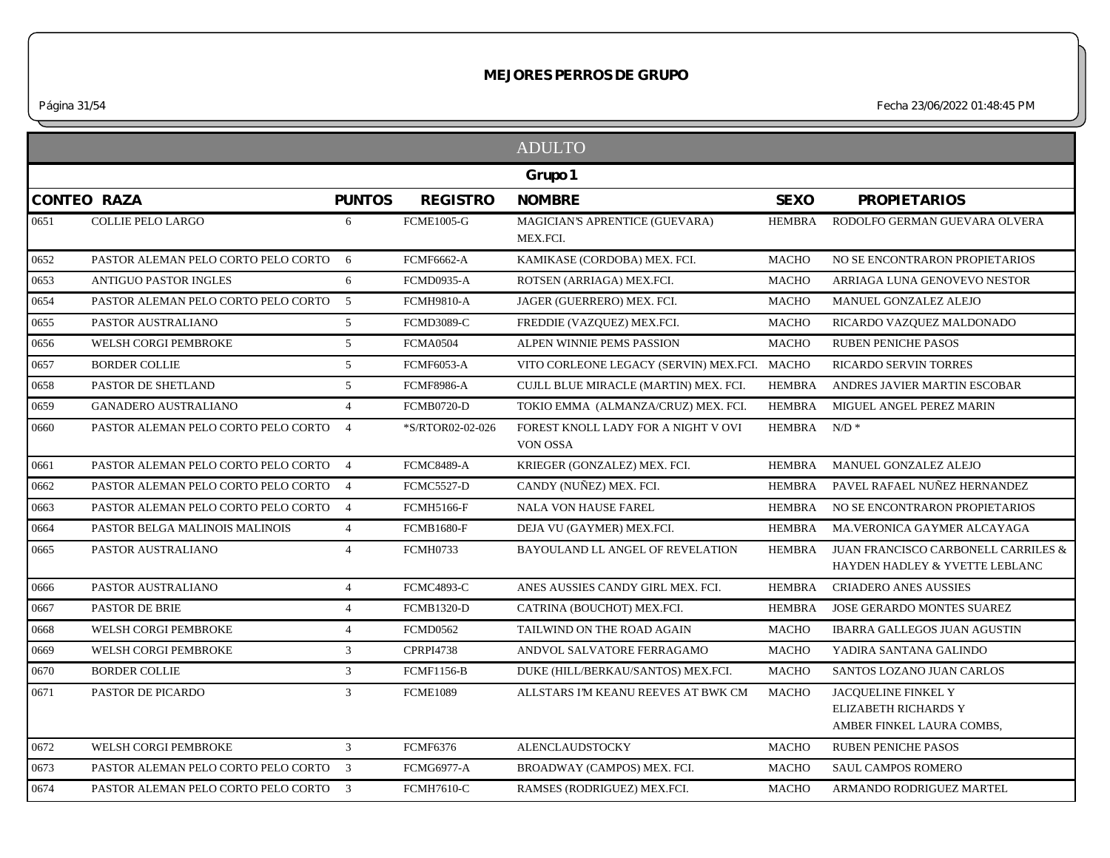*Página 31/54 Fecha 23/06/2022 01:48:45 PM*

|                    |                                       |                 |                   | <b>ADULTO</b>                                   |               |                                                                                  |
|--------------------|---------------------------------------|-----------------|-------------------|-------------------------------------------------|---------------|----------------------------------------------------------------------------------|
|                    |                                       |                 |                   | Grupo 1                                         |               |                                                                                  |
| <b>CONTEO RAZA</b> |                                       | <b>PUNTOS</b>   | <b>REGISTRO</b>   | <b>NOMBRE</b>                                   | <b>SEXO</b>   | <b>PROPIETARIOS</b>                                                              |
| 0651               | <b>COLLIE PELO LARGO</b>              | 6               | <b>FCME1005-G</b> | MAGICIAN'S APRENTICE (GUEVARA)<br>MEX.FCI.      | <b>HEMBRA</b> | RODOLFO GERMAN GUEVARA OLVERA                                                    |
| 0652               | PASTOR ALEMAN PELO CORTO PELO CORTO 6 |                 | <b>FCMF6662-A</b> | KAMIKASE (CORDOBA) MEX. FCI.                    | <b>MACHO</b>  | NO SE ENCONTRARON PROPIETARIOS                                                   |
| 0653               | <b>ANTIGUO PASTOR INGLES</b>          | 6               | <b>FCMD0935-A</b> | ROTSEN (ARRIAGA) MEX.FCI.                       | <b>MACHO</b>  | ARRIAGA LUNA GENOVEVO NESTOR                                                     |
| 0654               | PASTOR ALEMAN PELO CORTO PELO CORTO 5 |                 | <b>FCMH9810-A</b> | JAGER (GUERRERO) MEX. FCI.                      | <b>MACHO</b>  | MANUEL GONZALEZ ALEJO                                                            |
| 0655               | PASTOR AUSTRALIANO                    | $5\overline{)}$ | <b>FCMD3089-C</b> | FREDDIE (VAZQUEZ) MEX.FCI.                      | <b>MACHO</b>  | RICARDO VAZQUEZ MALDONADO                                                        |
| 0656               | WELSH CORGI PEMBROKE                  | 5               | <b>FCMA0504</b>   | ALPEN WINNIE PEMS PASSION                       | <b>MACHO</b>  | <b>RUBEN PENICHE PASOS</b>                                                       |
| 0657               | <b>BORDER COLLIE</b>                  | 5               | <b>FCMF6053-A</b> | VITO CORLEONE LEGACY (SERVIN) MEX.FCI. MACHO    |               | <b>RICARDO SERVIN TORRES</b>                                                     |
| 0658               | PASTOR DE SHETLAND                    | $5\overline{)}$ | <b>FCMF8986-A</b> | CUJLL BLUE MIRACLE (MARTIN) MEX. FCI.           | <b>HEMBRA</b> | ANDRES JAVIER MARTIN ESCOBAR                                                     |
| 0659               | <b>GANADERO AUSTRALIANO</b>           | $\overline{4}$  | <b>FCMB0720-D</b> | TOKIO EMMA (ALMANZA/CRUZ) MEX. FCI.             | <b>HEMBRA</b> | MIGUEL ANGEL PEREZ MARIN                                                         |
| 0660               | PASTOR ALEMAN PELO CORTO PELO CORTO   | $\overline{4}$  | *S/RTOR02-02-026  | FOREST KNOLL LADY FOR A NIGHT V OVI<br>VON OSSA | HEMBRA        | $N/D$ *                                                                          |
| 0661               | PASTOR ALEMAN PELO CORTO PELO CORTO 4 |                 | <b>FCMC8489-A</b> | KRIEGER (GONZALEZ) MEX. FCI.                    | <b>HEMBRA</b> | MANUEL GONZALEZ ALEJO                                                            |
| 0662               | PASTOR ALEMAN PELO CORTO PELO CORTO 4 |                 | <b>FCMC5527-D</b> | CANDY (NUÑEZ) MEX. FCI.                         | <b>HEMBRA</b> | PAVEL RAFAEL NUÑEZ HERNANDEZ                                                     |
| 0663               | PASTOR ALEMAN PELO CORTO PELO CORTO 4 |                 | <b>FCMH5166-F</b> | <b>NALA VON HAUSE FAREL</b>                     | HEMBRA        | NO SE ENCONTRARON PROPIETARIOS                                                   |
| 0664               | PASTOR BELGA MALINOIS MALINOIS        | $\overline{4}$  | <b>FCMB1680-F</b> | DEJA VU (GAYMER) MEX.FCI.                       | <b>HEMBRA</b> | MA.VERONICA GAYMER ALCAYAGA                                                      |
| 0665               | PASTOR AUSTRALIANO                    | $\overline{4}$  | <b>FCMH0733</b>   | BAYOULAND LL ANGEL OF REVELATION                | <b>HEMBRA</b> | <b>JUAN FRANCISCO CARBONELL CARRILES &amp;</b><br>HAYDEN HADLEY & YVETTE LEBLANC |
| 0666               | PASTOR AUSTRALIANO                    | $\overline{4}$  | <b>FCMC4893-C</b> | ANES AUSSIES CANDY GIRL MEX. FCI.               | <b>HEMBRA</b> | <b>CRIADERO ANES AUSSIES</b>                                                     |
| 0667               | <b>PASTOR DE BRIE</b>                 | $\overline{4}$  | <b>FCMB1320-D</b> | CATRINA (BOUCHOT) MEX.FCI.                      | <b>HEMBRA</b> | <b>JOSE GERARDO MONTES SUAREZ</b>                                                |
| 0668               | WELSH CORGI PEMBROKE                  | $\overline{4}$  | <b>FCMD0562</b>   | TAILWIND ON THE ROAD AGAIN                      | <b>MACHO</b>  | IBARRA GALLEGOS JUAN AGUSTIN                                                     |
| 0669               | WELSH CORGI PEMBROKE                  | 3               | <b>CPRPI4738</b>  | ANDVOL SALVATORE FERRAGAMO                      | <b>MACHO</b>  | YADIRA SANTANA GALINDO                                                           |
| 0670               | <b>BORDER COLLIE</b>                  | $\mathfrak{Z}$  | <b>FCMF1156-B</b> | DUKE (HILL/BERKAU/SANTOS) MEX.FCI.              | <b>MACHO</b>  | SANTOS LOZANO JUAN CARLOS                                                        |
| 0671               | PASTOR DE PICARDO                     | $\mathfrak{Z}$  | <b>FCME1089</b>   | ALLSTARS I'M KEANU REEVES AT BWK CM             | <b>MACHO</b>  | JACOUELINE FINKEL Y<br>ELIZABETH RICHARDS Y<br>AMBER FINKEL LAURA COMBS,         |
| 0672               | WELSH CORGI PEMBROKE                  | $\mathfrak{Z}$  | <b>FCMF6376</b>   | ALENCLAUDSTOCKY                                 | <b>MACHO</b>  | RUBEN PENICHE PASOS                                                              |
| 0673               | PASTOR ALEMAN PELO CORTO PELO CORTO 3 |                 | <b>FCMG6977-A</b> | BROADWAY (CAMPOS) MEX. FCI.                     | <b>MACHO</b>  | SAUL CAMPOS ROMERO                                                               |
| 0674               | PASTOR ALEMAN PELO CORTO PELO CORTO 3 |                 | <b>FCMH7610-C</b> | RAMSES (RODRIGUEZ) MEX.FCI.                     | <b>MACHO</b>  | ARMANDO RODRIGUEZ MARTEL                                                         |
|                    |                                       |                 |                   |                                                 |               |                                                                                  |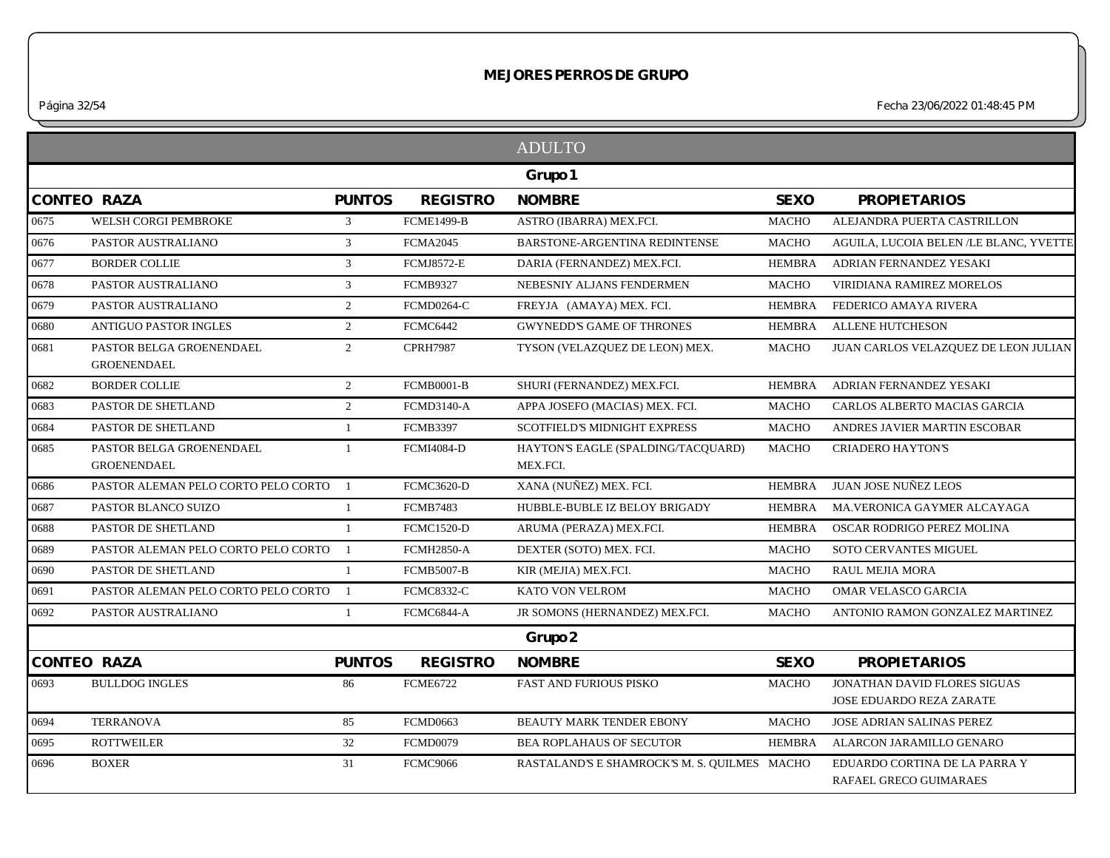*Página 32/54 Fecha 23/06/2022 01:48:45 PM*

|                    |                                                |                |                   | <b>ADULTO</b>                                  |               |                                                                 |
|--------------------|------------------------------------------------|----------------|-------------------|------------------------------------------------|---------------|-----------------------------------------------------------------|
|                    |                                                |                |                   | Grupo 1                                        |               |                                                                 |
| <b>CONTEO RAZA</b> |                                                | <b>PUNTOS</b>  | <b>REGISTRO</b>   | <b>NOMBRE</b>                                  | <b>SEXO</b>   | <b>PROPIETARIOS</b>                                             |
| 0675               | WELSH CORGI PEMBROKE                           | 3              | <b>FCME1499-B</b> | ASTRO (IBARRA) MEX.FCI.                        | <b>MACHO</b>  | ALEJANDRA PUERTA CASTRILLON                                     |
| 0676               | PASTOR AUSTRALIANO                             | $\mathfrak{Z}$ | <b>FCMA2045</b>   | BARSTONE-ARGENTINA REDINTENSE                  | <b>MACHO</b>  | AGUILA, LUCOIA BELEN /LE BLANC, YVETTE                          |
| 0677               | <b>BORDER COLLIE</b>                           | $\mathfrak{Z}$ | <b>FCMJ8572-E</b> | DARIA (FERNANDEZ) MEX.FCI.                     | <b>HEMBRA</b> | ADRIAN FERNANDEZ YESAKI                                         |
| 0678               | PASTOR AUSTRALIANO                             | 3              | <b>FCMB9327</b>   | NEBESNIY ALJANS FENDERMEN                      | <b>MACHO</b>  | VIRIDIANA RAMIREZ MORELOS                                       |
| 0679               | PASTOR AUSTRALIANO                             | 2              | <b>FCMD0264-C</b> | FREYJA (AMAYA) MEX. FCI.                       | <b>HEMBRA</b> | FEDERICO AMAYA RIVERA                                           |
| 0680               | <b>ANTIGUO PASTOR INGLES</b>                   | $\overline{2}$ | FCMC6442          | <b>GWYNEDD'S GAME OF THRONES</b>               | <b>HEMBRA</b> | <b>ALLENE HUTCHESON</b>                                         |
| 0681               | PASTOR BELGA GROENENDAEL<br><b>GROENENDAEL</b> | $\overline{2}$ | <b>CPRH7987</b>   | TYSON (VELAZQUEZ DE LEON) MEX.                 | <b>MACHO</b>  | JUAN CARLOS VELAZQUEZ DE LEON JULIAN                            |
| 0682               | <b>BORDER COLLIE</b>                           | 2              | <b>FCMB0001-B</b> | SHURI (FERNANDEZ) MEX.FCI.                     | <b>HEMBRA</b> | ADRIAN FERNANDEZ YESAKI                                         |
| 0683               | PASTOR DE SHETLAND                             | 2              | <b>FCMD3140-A</b> | APPA JOSEFO (MACIAS) MEX. FCI.                 | <b>MACHO</b>  | CARLOS ALBERTO MACIAS GARCIA                                    |
| 0684               | PASTOR DE SHETLAND                             | $\mathbf{1}$   | <b>FCMB3397</b>   | <b>SCOTFIELD'S MIDNIGHT EXPRESS</b>            | <b>MACHO</b>  | ANDRES JAVIER MARTIN ESCOBAR                                    |
| 0685               | PASTOR BELGA GROENENDAEL<br><b>GROENENDAEL</b> | -1             | <b>FCMI4084-D</b> | HAYTON'S EAGLE (SPALDING/TACOUARD)<br>MEX.FCI. | <b>MACHO</b>  | <b>CRIADERO HAYTON'S</b>                                        |
| 0686               | PASTOR ALEMAN PELO CORTO PELO CORTO            | $\overline{1}$ | <b>FCMC3620-D</b> | XANA (NUÑEZ) MEX. FCI.                         | <b>HEMBRA</b> | <b>JUAN JOSE NUÑEZ LEOS</b>                                     |
| 0687               | PASTOR BLANCO SUIZO                            | 1              | <b>FCMB7483</b>   | HUBBLE-BUBLE IZ BELOY BRIGADY                  | <b>HEMBRA</b> | MA.VERONICA GAYMER ALCAYAGA                                     |
| 0688               | PASTOR DE SHETLAND                             | $\mathbf{1}$   | <b>FCMC1520-D</b> | ARUMA (PERAZA) MEX.FCI.                        | <b>HEMBRA</b> | OSCAR RODRIGO PEREZ MOLINA                                      |
| 0689               | PASTOR ALEMAN PELO CORTO PELO CORTO 1          |                | <b>FCMH2850-A</b> | DEXTER (SOTO) MEX. FCI.                        | <b>MACHO</b>  | SOTO CERVANTES MIGUEL                                           |
| 0690               | PASTOR DE SHETLAND                             | 1              | <b>FCMB5007-B</b> | KIR (MEJIA) MEX.FCI.                           | <b>MACHO</b>  | <b>RAUL MEJIA MORA</b>                                          |
| 0691               | PASTOR ALEMAN PELO CORTO PELO CORTO 1          |                | <b>FCMC8332-C</b> | KATO VON VELROM                                | <b>MACHO</b>  | OMAR VELASCO GARCIA                                             |
| 0692               | PASTOR AUSTRALIANO                             | $\mathbf{1}$   | FCMC6844-A        | JR SOMONS (HERNANDEZ) MEX.FCI.                 | <b>MACHO</b>  | ANTONIO RAMON GONZALEZ MARTINEZ                                 |
|                    |                                                |                |                   | Grupo 2                                        |               |                                                                 |
| <b>CONTEO RAZA</b> |                                                | <b>PUNTOS</b>  | <b>REGISTRO</b>   | <b>NOMBRE</b>                                  | <b>SEXO</b>   | <b>PROPIETARIOS</b>                                             |
| 0693               | <b>BULLDOG INGLES</b>                          | 86             | <b>FCME6722</b>   | <b>FAST AND FURIOUS PISKO</b>                  | <b>MACHO</b>  | JONATHAN DAVID FLORES SIGUAS<br><b>JOSE EDUARDO REZA ZARATE</b> |
| 0694               | <b>TERRANOVA</b>                               | 85             | <b>FCMD0663</b>   | BEAUTY MARK TENDER EBONY                       | <b>MACHO</b>  | <b>JOSE ADRIAN SALINAS PEREZ</b>                                |
| 0695               | <b>ROTTWEILER</b>                              | 32             | FCMD0079          | <b>BEA ROPLAHAUS OF SECUTOR</b>                | HEMBRA        | ALARCON JARAMILLO GENARO                                        |
| 0696               | <b>BOXER</b>                                   | 31             | <b>FCMC9066</b>   | RASTALAND'S E SHAMROCK'S M. S. QUILMES MACHO   |               | EDUARDO CORTINA DE LA PARRA Y<br><b>RAFAEL GRECO GUIMARAES</b>  |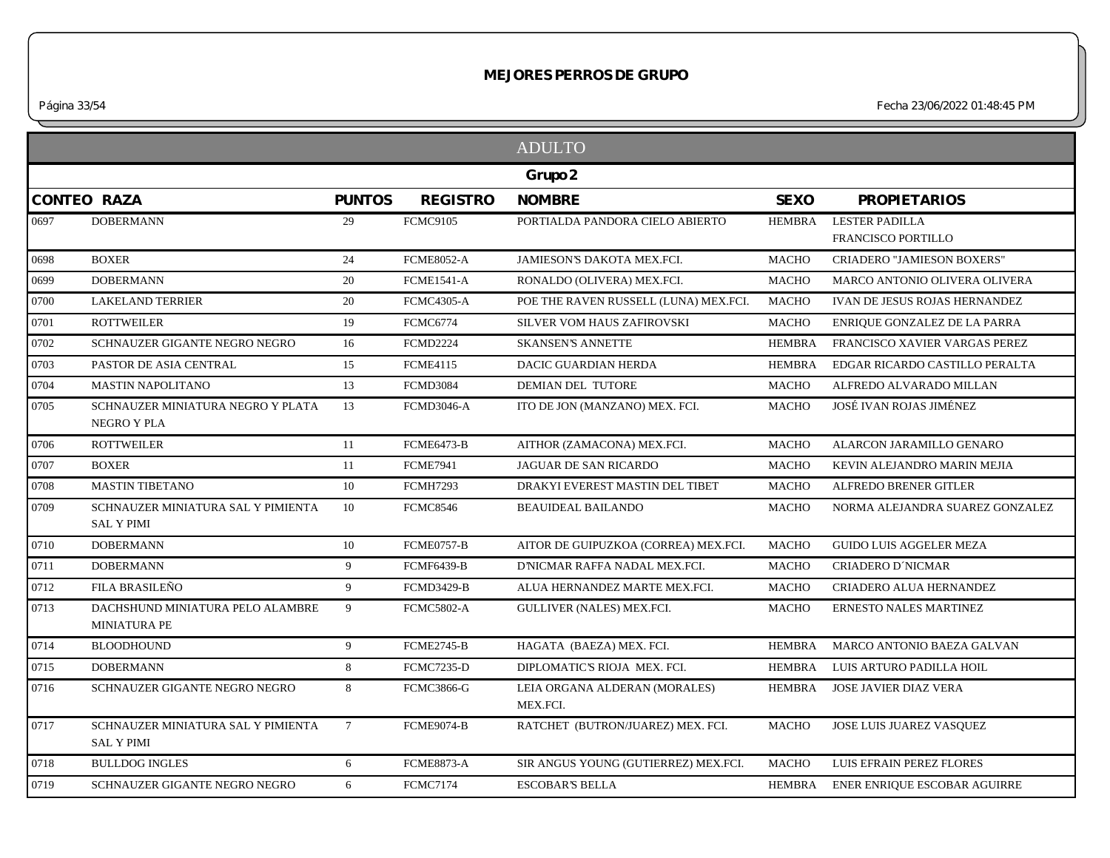*Página 33/54 Fecha 23/06/2022 01:48:45 PM*

|      |                                                         |                 |                   | <b>ADULTO</b>                             |               |                                                    |
|------|---------------------------------------------------------|-----------------|-------------------|-------------------------------------------|---------------|----------------------------------------------------|
|      |                                                         |                 |                   | Grupo 2                                   |               |                                                    |
|      | <b>CONTEO RAZA</b>                                      | <b>PUNTOS</b>   | <b>REGISTRO</b>   | <b>NOMBRE</b>                             | <b>SEXO</b>   | <b>PROPIETARIOS</b>                                |
| 0697 | <b>DOBERMANN</b>                                        | 29              | <b>FCMC9105</b>   | PORTIALDA PANDORA CIELO ABIERTO           | <b>HEMBRA</b> | <b>LESTER PADILLA</b><br><b>FRANCISCO PORTILLO</b> |
| 0698 | <b>BOXER</b>                                            | 24              | <b>FCME8052-A</b> | <b>JAMIESON'S DAKOTA MEX.FCI.</b>         | <b>MACHO</b>  | <b>CRIADERO "JAMIESON BOXERS"</b>                  |
| 0699 | <b>DOBERMANN</b>                                        | 20              | <b>FCME1541-A</b> | RONALDO (OLIVERA) MEX.FCI.                | <b>MACHO</b>  | MARCO ANTONIO OLIVERA OLIVERA                      |
| 0700 | <b>LAKELAND TERRIER</b>                                 | 20              | <b>FCMC4305-A</b> | POE THE RAVEN RUSSELL (LUNA) MEX.FCI.     | MACHO         | IVAN DE JESUS ROJAS HERNANDEZ                      |
| 0701 | <b>ROTTWEILER</b>                                       | 19              | <b>FCMC6774</b>   | SILVER VOM HAUS ZAFIROVSKI                | <b>MACHO</b>  | ENRIQUE GONZALEZ DE LA PARRA                       |
| 0702 | SCHNAUZER GIGANTE NEGRO NEGRO                           | 16              | <b>FCMD2224</b>   | <b>SKANSEN'S ANNETTE</b>                  | <b>HEMBRA</b> | FRANCISCO XAVIER VARGAS PEREZ                      |
| 0703 | PASTOR DE ASIA CENTRAL                                  | 15              | <b>FCME4115</b>   | DACIC GUARDIAN HERDA                      | <b>HEMBRA</b> | EDGAR RICARDO CASTILLO PERALTA                     |
| 0704 | <b>MASTIN NAPOLITANO</b>                                | 13              | <b>FCMD3084</b>   | <b>DEMIAN DEL TUTORE</b>                  | <b>MACHO</b>  | ALFREDO ALVARADO MILLAN                            |
| 0705 | SCHNAUZER MINIATURA NEGRO Y PLATA<br>NEGRO Y PLA        | 13              | <b>FCMD3046-A</b> | ITO DE JON (MANZANO) MEX. FCI.            | MACHO         | JOSÉ IVAN ROJAS JIMÉNEZ                            |
| 0706 | <b>ROTTWEILER</b>                                       | 11              | FCME6473-B        | AITHOR (ZAMACONA) MEX.FCI.                | MACHO         | ALARCON JARAMILLO GENARO                           |
| 0707 | <b>BOXER</b>                                            | 11              | <b>FCME7941</b>   | JAGUAR DE SAN RICARDO                     | <b>MACHO</b>  | KEVIN ALEJANDRO MARIN MEJIA                        |
| 0708 | <b>MASTIN TIBETANO</b>                                  | 10              | <b>FCMH7293</b>   | DRAKYI EVEREST MASTIN DEL TIBET           | <b>MACHO</b>  | ALFREDO BRENER GITLER                              |
| 0709 | SCHNAUZER MINIATURA SAL Y PIMIENTA<br><b>SAL Y PIMI</b> | 10              | <b>FCMC8546</b>   | <b>BEAUIDEAL BAILANDO</b>                 | MACHO         | NORMA ALEJANDRA SUAREZ GONZALEZ                    |
| 0710 | <b>DOBERMANN</b>                                        | 10              | FCME0757-B        | AITOR DE GUIPUZKOA (CORREA) MEX.FCI.      | <b>MACHO</b>  | <b>GUIDO LUIS AGGELER MEZA</b>                     |
| 0711 | <b>DOBERMANN</b>                                        | 9               | <b>FCMF6439-B</b> | D'NICMAR RAFFA NADAL MEX.FCI.             | <b>MACHO</b>  | <b>CRIADERO D'NICMAR</b>                           |
| 0712 | FILA BRASILEÑO                                          | 9               | <b>FCMD3429-B</b> | ALUA HERNANDEZ MARTE MEX.FCI.             | <b>MACHO</b>  | CRIADERO ALUA HERNANDEZ                            |
| 0713 | DACHSHUND MINIATURA PELO ALAMBRE<br><b>MINIATURA PE</b> | 9               | <b>FCMC5802-A</b> | GULLIVER (NALES) MEX.FCI.                 | <b>MACHO</b>  | ERNESTO NALES MARTINEZ                             |
| 0714 | <b>BLOODHOUND</b>                                       | 9               | <b>FCME2745-B</b> | HAGATA (BAEZA) MEX. FCI.                  | <b>HEMBRA</b> | MARCO ANTONIO BAEZA GALVAN                         |
| 0715 | <b>DOBERMANN</b>                                        | 8               | <b>FCMC7235-D</b> | DIPLOMATIC'S RIOJA MEX. FCI.              | <b>HEMBRA</b> | LUIS ARTURO PADILLA HOIL                           |
| 0716 | SCHNAUZER GIGANTE NEGRO NEGRO                           | 8               | <b>FCMC3866-G</b> | LEIA ORGANA ALDERAN (MORALES)<br>MEX.FCI. | <b>HEMBRA</b> | <b>JOSE JAVIER DIAZ VERA</b>                       |
| 0717 | SCHNAUZER MINIATURA SAL Y PIMIENTA<br><b>SAL Y PIMI</b> | $7\overline{ }$ | FCME9074-B        | RATCHET (BUTRON/JUAREZ) MEX. FCI.         | <b>MACHO</b>  | JOSE LUIS JUAREZ VASOUEZ                           |
| 0718 | <b>BULLDOG INGLES</b>                                   | 6               | <b>FCME8873-A</b> | SIR ANGUS YOUNG (GUTIERREZ) MEX.FCI.      | <b>MACHO</b>  | LUIS EFRAIN PEREZ FLORES                           |
| 0719 | SCHNAUZER GIGANTE NEGRO NEGRO                           | 6               | <b>FCMC7174</b>   | <b>ESCOBAR'S BELLA</b>                    | HEMBRA        | ENER ENRIQUE ESCOBAR AGUIRRE                       |
|      |                                                         |                 |                   |                                           |               |                                                    |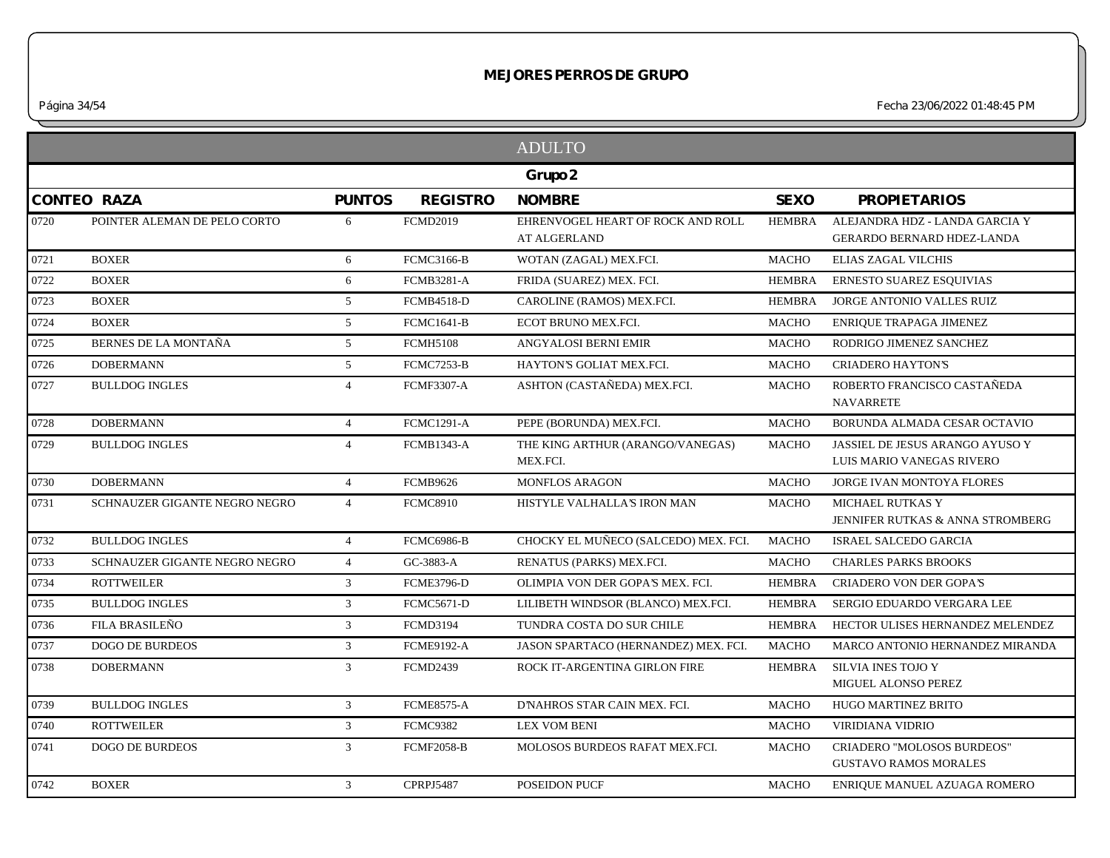*Página 34/54 Fecha 23/06/2022 01:48:45 PM*

|      |                               |                 |                   | <b>ADULTO</b>                                            |               |                                                                        |
|------|-------------------------------|-----------------|-------------------|----------------------------------------------------------|---------------|------------------------------------------------------------------------|
|      |                               |                 |                   | Grupo 2                                                  |               |                                                                        |
|      | <b>CONTEO RAZA</b>            | <b>PUNTOS</b>   | <b>REGISTRO</b>   | <b>NOMBRE</b>                                            | <b>SEXO</b>   | <b>PROPIETARIOS</b>                                                    |
| 0720 | POINTER ALEMAN DE PELO CORTO  | 6               | <b>FCMD2019</b>   | EHRENVOGEL HEART OF ROCK AND ROLL<br><b>AT ALGERLAND</b> | <b>HEMBRA</b> | ALEJANDRA HDZ - LANDA GARCIA Y<br>GERARDO BERNARD HDEZ-LANDA           |
| 0721 | <b>BOXER</b>                  | 6               | <b>FCMC3166-B</b> | WOTAN (ZAGAL) MEX.FCI.                                   | <b>MACHO</b>  | <b>ELIAS ZAGAL VILCHIS</b>                                             |
| 0722 | <b>BOXER</b>                  | 6               | <b>FCMB3281-A</b> | FRIDA (SUAREZ) MEX. FCI.                                 | <b>HEMBRA</b> | <b>ERNESTO SUAREZ ESQUIVIAS</b>                                        |
| 0723 | <b>BOXER</b>                  | $5\overline{)}$ | <b>FCMB4518-D</b> | CAROLINE (RAMOS) MEX.FCI.                                | <b>HEMBRA</b> | JORGE ANTONIO VALLES RUIZ                                              |
| 0724 | <b>BOXER</b>                  | 5               | <b>FCMC1641-B</b> | ECOT BRUNO MEX.FCI.                                      | <b>MACHO</b>  | ENRIQUE TRAPAGA JIMENEZ                                                |
| 0725 | BERNES DE LA MONTAÑA          | $5\overline{)}$ | <b>FCMH5108</b>   | ANGYALOSI BERNI EMIR                                     | <b>MACHO</b>  | RODRIGO JIMENEZ SANCHEZ                                                |
| 0726 | <b>DOBERMANN</b>              | $5\overline{)}$ | <b>FCMC7253-B</b> | HAYTON'S GOLIAT MEX.FCI.                                 | <b>MACHO</b>  | <b>CRIADERO HAYTON'S</b>                                               |
| 0727 | <b>BULLDOG INGLES</b>         | $\overline{4}$  | <b>FCMF3307-A</b> | ASHTON (CASTAÑEDA) MEX.FCI.                              | <b>MACHO</b>  | ROBERTO FRANCISCO CASTAÑEDA<br><b>NAVARRETE</b>                        |
| 0728 | <b>DOBERMANN</b>              | $\overline{4}$  | <b>FCMC1291-A</b> | PEPE (BORUNDA) MEX.FCI.                                  | <b>MACHO</b>  | BORUNDA ALMADA CESAR OCTAVIO                                           |
| 0729 | <b>BULLDOG INGLES</b>         | $\overline{4}$  | <b>FCMB1343-A</b> | THE KING ARTHUR (ARANGO/VANEGAS)<br>MEX.FCI.             | <b>MACHO</b>  | JASSIEL DE JESUS ARANGO AYUSO Y<br>LUIS MARIO VANEGAS RIVERO           |
| 0730 | <b>DOBERMANN</b>              | $\overline{4}$  | <b>FCMB9626</b>   | <b>MONFLOS ARAGON</b>                                    | <b>MACHO</b>  | JORGE IVAN MONTOYA FLORES                                              |
| 0731 | SCHNAUZER GIGANTE NEGRO NEGRO | $\overline{4}$  | <b>FCMC8910</b>   | HISTYLE VALHALLA'S IRON MAN                              | <b>MACHO</b>  | <b>MICHAEL RUTKAS Y</b><br><b>JENNIFER RUTKAS &amp; ANNA STROMBERG</b> |
| 0732 | <b>BULLDOG INGLES</b>         | $\overline{4}$  | <b>FCMC6986-B</b> | CHOCKY EL MUÑECO (SALCEDO) MEX. FCI.                     | <b>MACHO</b>  | <b>ISRAEL SALCEDO GARCIA</b>                                           |
| 0733 | SCHNAUZER GIGANTE NEGRO NEGRO | $\overline{4}$  | GC-3883-A         | RENATUS (PARKS) MEX.FCI.                                 | <b>MACHO</b>  | <b>CHARLES PARKS BROOKS</b>                                            |
| 0734 | <b>ROTTWEILER</b>             | $\mathbf{3}$    | <b>FCME3796-D</b> | OLIMPIA VON DER GOPA'S MEX. FCI.                         | <b>HEMBRA</b> | <b>CRIADERO VON DER GOPA'S</b>                                         |
| 0735 | <b>BULLDOG INGLES</b>         | $\overline{3}$  | <b>FCMC5671-D</b> | LILIBETH WINDSOR (BLANCO) MEX.FCI.                       | <b>HEMBRA</b> | SERGIO EDUARDO VERGARA LEE                                             |
| 0736 | <b>FILA BRASILEÑO</b>         | $\overline{3}$  | <b>FCMD3194</b>   | TUNDRA COSTA DO SUR CHILE                                | <b>HEMBRA</b> | HECTOR ULISES HERNANDEZ MELENDEZ                                       |
| 0737 | DOGO DE BURDEOS               | $\mathfrak{Z}$  | <b>FCME9192-A</b> | JASON SPARTACO (HERNANDEZ) MEX. FCI.                     | <b>MACHO</b>  | MARCO ANTONIO HERNANDEZ MIRANDA                                        |
| 0738 | <b>DOBERMANN</b>              | $\mathfrak{Z}$  | <b>FCMD2439</b>   | ROCK IT-ARGENTINA GIRLON FIRE                            | <b>HEMBRA</b> | <b>SILVIA INES TOJO Y</b><br>MIGUEL ALONSO PEREZ                       |
| 0739 | <b>BULLDOG INGLES</b>         | $\mathbf{3}$    | <b>FCME8575-A</b> | D'NAHROS STAR CAIN MEX. FCI.                             | <b>MACHO</b>  | HUGO MARTINEZ BRITO                                                    |
| 0740 | <b>ROTTWEILER</b>             | $\overline{3}$  | <b>FCMC9382</b>   | <b>LEX VOM BENI</b>                                      | <b>MACHO</b>  | <b>VIRIDIANA VIDRIO</b>                                                |
| 0741 | <b>DOGO DE BURDEOS</b>        | $\overline{3}$  | <b>FCMF2058-B</b> | MOLOSOS BURDEOS RAFAT MEX.FCI.                           | <b>MACHO</b>  | CRIADERO "MOLOSOS BURDEOS"<br><b>GUSTAVO RAMOS MORALES</b>             |
| 0742 | <b>BOXER</b>                  | $\overline{3}$  | <b>CPRPJ5487</b>  | POSEIDON PUCF                                            | <b>MACHO</b>  | ENRIQUE MANUEL AZUAGA ROMERO                                           |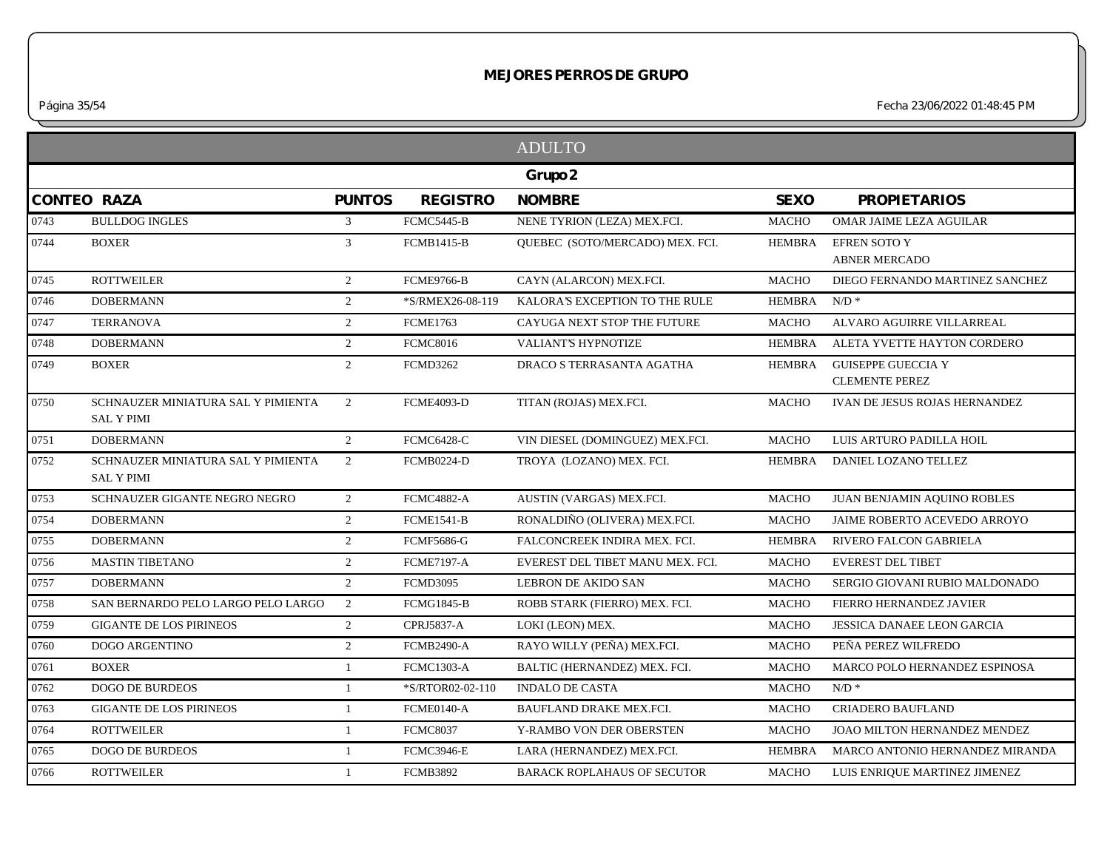*Página 35/54 Fecha 23/06/2022 01:48:45 PM*

|                    |                                                         |                |                   | <b>ADULTO</b>                      |               |                                                    |
|--------------------|---------------------------------------------------------|----------------|-------------------|------------------------------------|---------------|----------------------------------------------------|
|                    |                                                         |                |                   | Grupo 2                            |               |                                                    |
| <b>CONTEO RAZA</b> |                                                         | <b>PUNTOS</b>  | <b>REGISTRO</b>   | <b>NOMBRE</b>                      | <b>SEXO</b>   | <b>PROPIETARIOS</b>                                |
| 0743               | <b>BULLDOG INGLES</b>                                   | 3              | <b>FCMC5445-B</b> | NENE TYRION (LEZA) MEX.FCI.        | <b>MACHO</b>  | OMAR JAIME LEZA AGUILAR                            |
| 0744               | <b>BOXER</b>                                            | 3              | <b>FCMB1415-B</b> | QUEBEC (SOTO/MERCADO) MEX. FCI.    | <b>HEMBRA</b> | <b>EFREN SOTO Y</b><br><b>ABNER MERCADO</b>        |
| 0745               | <b>ROTTWEILER</b>                                       | $\overline{2}$ | <b>FCME9766-B</b> | CAYN (ALARCON) MEX.FCI.            | <b>MACHO</b>  | DIEGO FERNANDO MARTINEZ SANCHEZ                    |
| 0746               | <b>DOBERMANN</b>                                        | $\overline{2}$ | *S/RMEX26-08-119  | KALORA'S EXCEPTION TO THE RULE     | <b>HEMBRA</b> | $N/D$ *                                            |
| 0747               | <b>TERRANOVA</b>                                        | $\overline{2}$ | <b>FCME1763</b>   | CAYUGA NEXT STOP THE FUTURE        | <b>MACHO</b>  | ALVARO AGUIRRE VILLARREAL                          |
| 0748               | <b>DOBERMANN</b>                                        | $\overline{2}$ | <b>FCMC8016</b>   | VALIANT'S HYPNOTIZE                | <b>HEMBRA</b> | ALETA YVETTE HAYTON CORDERO                        |
| 0749               | <b>BOXER</b>                                            | $\overline{2}$ | <b>FCMD3262</b>   | DRACO S TERRASANTA AGATHA          | <b>HEMBRA</b> | <b>GUISEPPE GUECCIA Y</b><br><b>CLEMENTE PEREZ</b> |
| 0750               | SCHNAUZER MINIATURA SAL Y PIMIENTA<br><b>SAL Y PIMI</b> | $\overline{2}$ | <b>FCME4093-D</b> | TITAN (ROJAS) MEX.FCI.             | <b>MACHO</b>  | IVAN DE JESUS ROJAS HERNANDEZ                      |
| 0751               | <b>DOBERMANN</b>                                        | $\overline{2}$ | FCMC6428-C        | VIN DIESEL (DOMINGUEZ) MEX.FCI.    | <b>MACHO</b>  | LUIS ARTURO PADILLA HOIL                           |
| 0752               | SCHNAUZER MINIATURA SAL Y PIMIENTA<br><b>SAL Y PIMI</b> | $\overline{2}$ | <b>FCMB0224-D</b> | TROYA (LOZANO) MEX. FCI.           | <b>HEMBRA</b> | DANIEL LOZANO TELLEZ                               |
| 0753               | SCHNAUZER GIGANTE NEGRO NEGRO                           | $\overline{2}$ | FCMC4882-A        | AUSTIN (VARGAS) MEX.FCI.           | <b>MACHO</b>  | JUAN BENJAMIN AQUINO ROBLES                        |
| 0754               | <b>DOBERMANN</b>                                        | $\overline{2}$ | <b>FCME1541-B</b> | RONALDIÑO (OLIVERA) MEX.FCI.       | <b>MACHO</b>  | JAIME ROBERTO ACEVEDO ARROYO                       |
| 0755               | <b>DOBERMANN</b>                                        | $\overline{2}$ | <b>FCMF5686-G</b> | FALCONCREEK INDIRA MEX. FCI.       | <b>HEMBRA</b> | <b>RIVERO FALCON GABRIELA</b>                      |
| 0756               | <b>MASTIN TIBETANO</b>                                  | $\overline{2}$ | <b>FCME7197-A</b> | EVEREST DEL TIBET MANU MEX. FCI.   | <b>MACHO</b>  | <b>EVEREST DEL TIBET</b>                           |
| 0757               | <b>DOBERMANN</b>                                        | $\overline{2}$ | <b>FCMD3095</b>   | <b>LEBRON DE AKIDO SAN</b>         | <b>MACHO</b>  | SERGIO GIOVANI RUBIO MALDONADO                     |
| 0758               | SAN BERNARDO PELO LARGO PELO LARGO                      | $\overline{2}$ | <b>FCMG1845-B</b> | ROBB STARK (FIERRO) MEX. FCI.      | <b>MACHO</b>  | FIERRO HERNANDEZ JAVIER                            |
| 0759               | <b>GIGANTE DE LOS PIRINEOS</b>                          | $\overline{2}$ | <b>CPRJ5837-A</b> | LOKI (LEON) MEX.                   | <b>MACHO</b>  | <b>JESSICA DANAEE LEON GARCIA</b>                  |
| 0760               | <b>DOGO ARGENTINO</b>                                   | $\overline{2}$ | <b>FCMB2490-A</b> | RAYO WILLY (PEÑA) MEX.FCI.         | <b>MACHO</b>  | PEÑA PEREZ WILFREDO                                |
| 0761               | <b>BOXER</b>                                            | $\mathbf{1}$   | <b>FCMC1303-A</b> | BALTIC (HERNANDEZ) MEX. FCI.       | <b>MACHO</b>  | MARCO POLO HERNANDEZ ESPINOSA                      |
| 0762               | <b>DOGO DE BURDEOS</b>                                  | -1             | *S/RTOR02-02-110  | <b>INDALO DE CASTA</b>             | <b>MACHO</b>  | $N/D$ *                                            |
| 0763               | <b>GIGANTE DE LOS PIRINEOS</b>                          | $\mathbf{1}$   | FCME0140-A        | <b>BAUFLAND DRAKE MEX.FCI.</b>     | <b>MACHO</b>  | <b>CRIADERO BAUFLAND</b>                           |
| 0764               | <b>ROTTWEILER</b>                                       | 1              | <b>FCMC8037</b>   | Y-RAMBO VON DER OBERSTEN           | <b>MACHO</b>  | JOAO MILTON HERNANDEZ MENDEZ                       |
| 0765               | <b>DOGO DE BURDEOS</b>                                  | -1             | <b>FCMC3946-E</b> | LARA (HERNANDEZ) MEX.FCI.          | <b>HEMBRA</b> | MARCO ANTONIO HERNANDEZ MIRANDA                    |
| 0766               | <b>ROTTWEILER</b>                                       | 1              | <b>FCMB3892</b>   | <b>BARACK ROPLAHAUS OF SECUTOR</b> | <b>MACHO</b>  | LUIS ENRIQUE MARTINEZ JIMENEZ                      |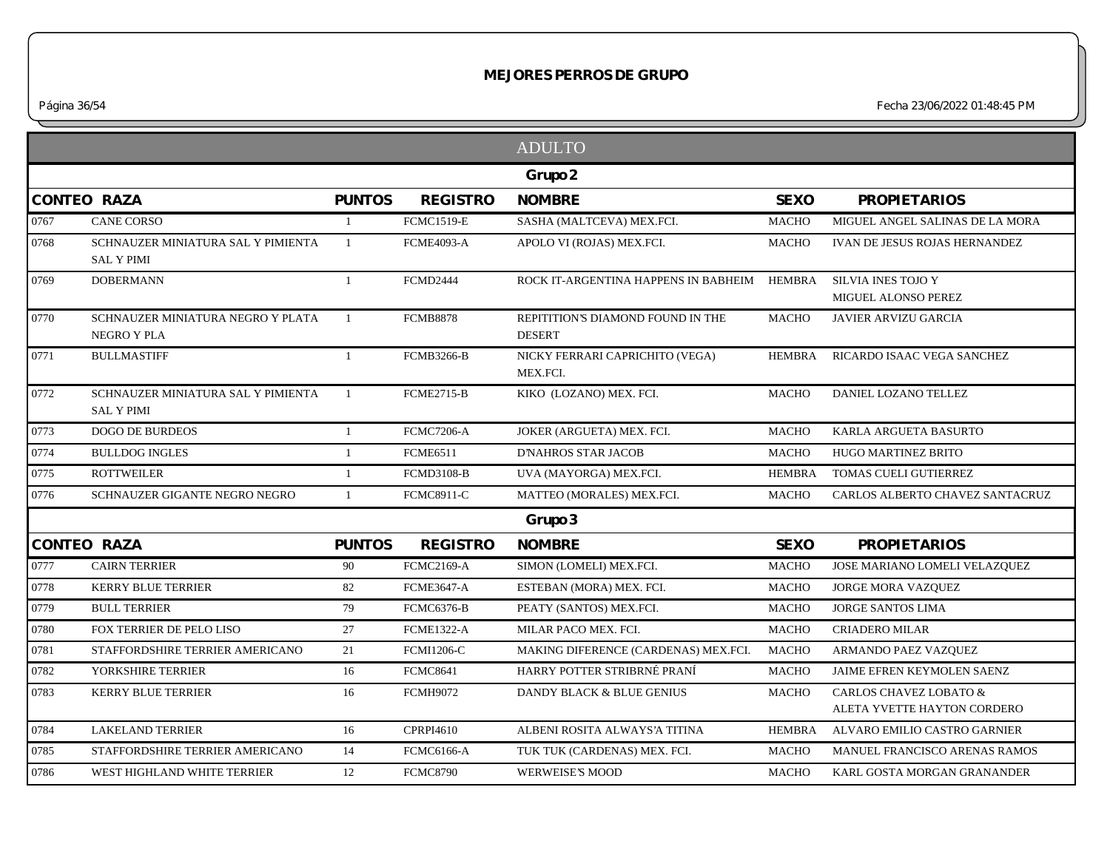|                                                                 |                |                   | <b>ADULTO</b>                                      |               |                                                         |
|-----------------------------------------------------------------|----------------|-------------------|----------------------------------------------------|---------------|---------------------------------------------------------|
|                                                                 |                |                   | Grupo 2                                            |               |                                                         |
| <b>CONTEO RAZA</b>                                              | <b>PUNTOS</b>  | <b>REGISTRO</b>   | <b>NOMBRE</b>                                      | <b>SEXO</b>   | <b>PROPIETARIOS</b>                                     |
| 0767<br><b>CANE CORSO</b>                                       | -1             | <b>FCMC1519-E</b> | SASHA (MALTCEVA) MEX.FCI.                          | <b>MACHO</b>  | MIGUEL ANGEL SALINAS DE LA MORA                         |
| 0768<br>SCHNAUZER MINIATURA SAL Y PIMIENTA<br><b>SAL Y PIMI</b> | 1              | <b>FCME4093-A</b> | APOLO VI (ROJAS) MEX.FCI.                          | <b>MACHO</b>  | IVAN DE JESUS ROJAS HERNANDEZ                           |
| 0769<br><b>DOBERMANN</b>                                        | $\mathbf{1}$   | <b>FCMD2444</b>   | ROCK IT-ARGENTINA HAPPENS IN BABHEIM               | <b>HEMBRA</b> | <b>SILVIA INES TOJO Y</b><br><b>MIGUEL ALONSO PEREZ</b> |
| 0770<br>SCHNAUZER MINIATURA NEGRO Y PLATA<br>NEGRO Y PLA        | 1              | <b>FCMB8878</b>   | REPITITION'S DIAMOND FOUND IN THE<br><b>DESERT</b> | <b>MACHO</b>  | <b>JAVIER ARVIZU GARCIA</b>                             |
| 0771<br><b>BULLMASTIFF</b>                                      | $\mathbf{1}$   | <b>FCMB3266-B</b> | NICKY FERRARI CAPRICHITO (VEGA)<br>MEX.FCI.        | <b>HEMBRA</b> | RICARDO ISAAC VEGA SANCHEZ                              |
| 0772<br>SCHNAUZER MINIATURA SAL Y PIMIENTA<br><b>SAL Y PIMI</b> | $\overline{1}$ | <b>FCME2715-B</b> | KIKO (LOZANO) MEX. FCI.                            | <b>MACHO</b>  | DANIEL LOZANO TELLEZ                                    |
| 0773<br><b>DOGO DE BURDEOS</b>                                  | $\mathbf{1}$   | <b>FCMC7206-A</b> | JOKER (ARGUETA) MEX. FCI.                          | <b>MACHO</b>  | KARLA ARGUETA BASURTO                                   |
| 0774<br><b>BULLDOG INGLES</b>                                   | 1              | <b>FCME6511</b>   | <b>D'NAHROS STAR JACOB</b>                         | <b>MACHO</b>  | HUGO MARTINEZ BRITO                                     |
| 0775<br><b>ROTTWEILER</b>                                       | 1              | <b>FCMD3108-B</b> | UVA (MAYORGA) MEX.FCI.                             | <b>HEMBRA</b> | TOMAS CUELI GUTIERREZ                                   |
| 0776<br>SCHNAUZER GIGANTE NEGRO NEGRO                           | -1             | <b>FCMC8911-C</b> | MATTEO (MORALES) MEX.FCI.                          | <b>MACHO</b>  | CARLOS ALBERTO CHAVEZ SANTACRUZ                         |
|                                                                 |                |                   | Grupo 3                                            |               |                                                         |
| <b>CONTEO RAZA</b>                                              | <b>PUNTOS</b>  | <b>REGISTRO</b>   | <b>NOMBRE</b>                                      | <b>SEXO</b>   | <b>PROPIETARIOS</b>                                     |
| <b>CAIRN TERRIER</b><br>0777                                    | 90             | <b>FCMC2169-A</b> | SIMON (LOMELI) MEX.FCI.                            | <b>MACHO</b>  | JOSE MARIANO LOMELI VELAZQUEZ                           |
| 0778<br><b>KERRY BLUE TERRIER</b>                               | 82             | <b>FCME3647-A</b> | ESTEBAN (MORA) MEX. FCI.                           | <b>MACHO</b>  | JORGE MORA VAZQUEZ                                      |
| 0779<br><b>BULL TERRIER</b>                                     | 79             | <b>FCMC6376-B</b> | PEATY (SANTOS) MEX.FCI.                            | <b>MACHO</b>  | <b>JORGE SANTOS LIMA</b>                                |
| 0780<br>FOX TERRIER DE PELO LISO                                | 27             | <b>FCME1322-A</b> | MILAR PACO MEX. FCI.                               | <b>MACHO</b>  | <b>CRIADERO MILAR</b>                                   |
| 0781<br>STAFFORDSHIRE TERRIER AMERICANO                         | 21             | <b>FCMI1206-C</b> | MAKING DIFERENCE (CARDENAS) MEX.FCI.               | <b>MACHO</b>  | ARMANDO PAEZ VAZQUEZ                                    |
| 0782<br>YORKSHIRE TERRIER                                       | 16             | <b>FCMC8641</b>   | HARRY POTTER STRIBRNÉ PRANÍ                        | <b>MACHO</b>  | JAIME EFREN KEYMOLEN SAENZ                              |
| 0783<br><b>KERRY BLUE TERRIER</b>                               | 16             | <b>FCMH9072</b>   | DANDY BLACK & BLUE GENIUS                          | MACHO         | CARLOS CHAVEZ LOBATO &<br>ALETA YVETTE HAYTON CORDERO   |
| <b>LAKELAND TERRIER</b><br>0784                                 | 16             | CPRPI4610         | ALBENI ROSITA ALWAYS'A TITINA                      | <b>HEMBRA</b> | ALVARO EMILIO CASTRO GARNIER                            |
| 0785<br>STAFFORDSHIRE TERRIER AMERICANO                         | 14             | <b>FCMC6166-A</b> | TUK TUK (CARDENAS) MEX. FCI.                       | <b>MACHO</b>  | <b>MANUEL FRANCISCO ARENAS RAMOS</b>                    |
| 0786<br>WEST HIGHLAND WHITE TERRIER                             | 12             | <b>FCMC8790</b>   | <b>WERWEISE'S MOOD</b>                             | <b>MACHO</b>  | KARL GOSTA MORGAN GRANANDER                             |
|                                                                 |                |                   |                                                    |               |                                                         |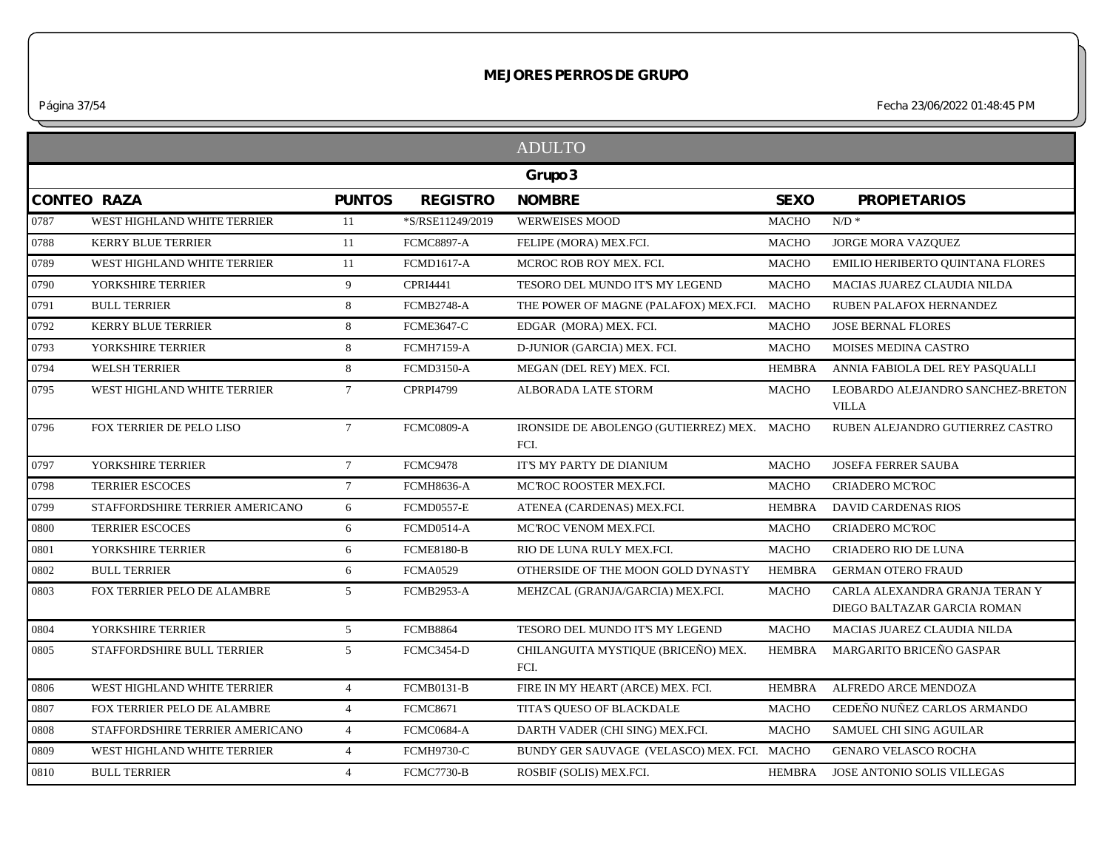*Página 37/54 Fecha 23/06/2022 01:48:45 PM*

|      |                                 |                 |                   | <b>ADULTO</b>                                       |               |                                                               |
|------|---------------------------------|-----------------|-------------------|-----------------------------------------------------|---------------|---------------------------------------------------------------|
|      |                                 |                 |                   | Grupo 3                                             |               |                                                               |
|      | <b>CONTEO RAZA</b>              | <b>PUNTOS</b>   | <b>REGISTRO</b>   | <b>NOMBRE</b>                                       | <b>SEXO</b>   | <b>PROPIETARIOS</b>                                           |
| 0787 | WEST HIGHLAND WHITE TERRIER     | 11              | *S/RSE11249/2019  | <b>WERWEISES MOOD</b>                               | <b>MACHO</b>  | $N/D$ *                                                       |
| 0788 | <b>KERRY BLUE TERRIER</b>       | 11              | <b>FCMC8897-A</b> | FELIPE (MORA) MEX.FCI.                              | <b>MACHO</b>  | JORGE MORA VAZQUEZ                                            |
| 0789 | WEST HIGHLAND WHITE TERRIER     | 11              | <b>FCMD1617-A</b> | MCROC ROB ROY MEX. FCI.                             | <b>MACHO</b>  | EMILIO HERIBERTO QUINTANA FLORES                              |
| 0790 | YORKSHIRE TERRIER               | 9               | CPRI4441          | TESORO DEL MUNDO IT'S MY LEGEND                     | <b>MACHO</b>  | MACIAS JUAREZ CLAUDIA NILDA                                   |
| 0791 | <b>BULL TERRIER</b>             | 8               | <b>FCMB2748-A</b> | THE POWER OF MAGNE (PALAFOX) MEX.FCI.               | <b>MACHO</b>  | RUBEN PALAFOX HERNANDEZ                                       |
| 0792 | <b>KERRY BLUE TERRIER</b>       | 8               | <b>FCME3647-C</b> | EDGAR (MORA) MEX. FCI.                              | <b>MACHO</b>  | <b>JOSE BERNAL FLORES</b>                                     |
| 0793 | YORKSHIRE TERRIER               | 8               | <b>FCMH7159-A</b> | D-JUNIOR (GARCIA) MEX. FCI.                         | <b>MACHO</b>  | MOISES MEDINA CASTRO                                          |
| 0794 | <b>WELSH TERRIER</b>            | 8               | <b>FCMD3150-A</b> | MEGAN (DEL REY) MEX. FCI.                           | <b>HEMBRA</b> | ANNIA FABIOLA DEL REY PASQUALLI                               |
| 0795 | WEST HIGHLAND WHITE TERRIER     | $7\overline{ }$ | <b>CPRPI4799</b>  | ALBORADA LATE STORM                                 | <b>MACHO</b>  | LEOBARDO ALEJANDRO SANCHEZ-BRETON<br><b>VILLA</b>             |
| 0796 | FOX TERRIER DE PELO LISO        | $7\overline{ }$ | FCMC0809-A        | IRONSIDE DE ABOLENGO (GUTIERREZ) MEX. MACHO<br>FCI. |               | RUBEN ALEJANDRO GUTIERREZ CASTRO                              |
| 0797 | YORKSHIRE TERRIER               | $7\overline{ }$ | FCMC9478          | IT'S MY PARTY DE DIANIUM                            | <b>MACHO</b>  | <b>JOSEFA FERRER SAUBA</b>                                    |
| 0798 | <b>TERRIER ESCOCES</b>          | $7\overline{ }$ | <b>FCMH8636-A</b> | MCROC ROOSTER MEX.FCI.                              | <b>MACHO</b>  | CRIADERO MC'ROC                                               |
| 0799 | STAFFORDSHIRE TERRIER AMERICANO | 6               | <b>FCMD0557-E</b> | ATENEA (CARDENAS) MEX.FCI.                          | <b>HEMBRA</b> | DAVID CARDENAS RIOS                                           |
| 0800 | <b>TERRIER ESCOCES</b>          | 6               | <b>FCMD0514-A</b> | MCROC VENOM MEX.FCI.                                | <b>MACHO</b>  | <b>CRIADERO MC'ROC</b>                                        |
| 0801 | YORKSHIRE TERRIER               | 6               | <b>FCME8180-B</b> | RIO DE LUNA RULY MEX.FCI.                           | <b>MACHO</b>  | <b>CRIADERO RIO DE LUNA</b>                                   |
| 0802 | <b>BULL TERRIER</b>             | 6               | <b>FCMA0529</b>   | OTHERSIDE OF THE MOON GOLD DYNASTY                  | <b>HEMBRA</b> | <b>GERMAN OTERO FRAUD</b>                                     |
| 0803 | FOX TERRIER PELO DE ALAMBRE     | 5 <sup>5</sup>  | <b>FCMB2953-A</b> | MEHZCAL (GRANJA/GARCIA) MEX.FCI.                    | <b>MACHO</b>  | CARLA ALEXANDRA GRANJA TERAN Y<br>DIEGO BALTAZAR GARCIA ROMAN |
| 0804 | YORKSHIRE TERRIER               | 5 <sup>5</sup>  | <b>FCMB8864</b>   | TESORO DEL MUNDO IT'S MY LEGEND                     | <b>MACHO</b>  | MACIAS JUAREZ CLAUDIA NILDA                                   |
| 0805 | STAFFORDSHIRE BULL TERRIER      | 5 <sup>5</sup>  | FCMC3454-D        | CHILANGUITA MYSTIQUE (BRICEÑO) MEX.<br>FCI.         | <b>HEMBRA</b> | MARGARITO BRICEÑO GASPAR                                      |
| 0806 | WEST HIGHLAND WHITE TERRIER     | $\overline{4}$  | <b>FCMB0131-B</b> | FIRE IN MY HEART (ARCE) MEX. FCI.                   | <b>HEMBRA</b> | ALFREDO ARCE MENDOZA                                          |
| 0807 | FOX TERRIER PELO DE ALAMBRE     | $\overline{4}$  | <b>FCMC8671</b>   | TITA'S OUESO OF BLACKDALE                           | <b>MACHO</b>  | CEDEÑO NUÑEZ CARLOS ARMANDO                                   |
| 0808 | STAFFORDSHIRE TERRIER AMERICANO | $\overline{4}$  | FCMC0684-A        | DARTH VADER (CHI SING) MEX.FCI.                     | <b>MACHO</b>  | SAMUEL CHI SING AGUILAR                                       |
| 0809 | WEST HIGHLAND WHITE TERRIER     | $\overline{4}$  | <b>FCMH9730-C</b> | BUNDY GER SAUVAGE (VELASCO) MEX. FCI. MACHO         |               | <b>GENARO VELASCO ROCHA</b>                                   |
| 0810 | <b>BULL TERRIER</b>             | $\overline{4}$  | <b>FCMC7730-B</b> | ROSBIF (SOLIS) MEX.FCI.                             | HEMBRA        | JOSE ANTONIO SOLIS VILLEGAS                                   |
|      |                                 |                 |                   |                                                     |               |                                                               |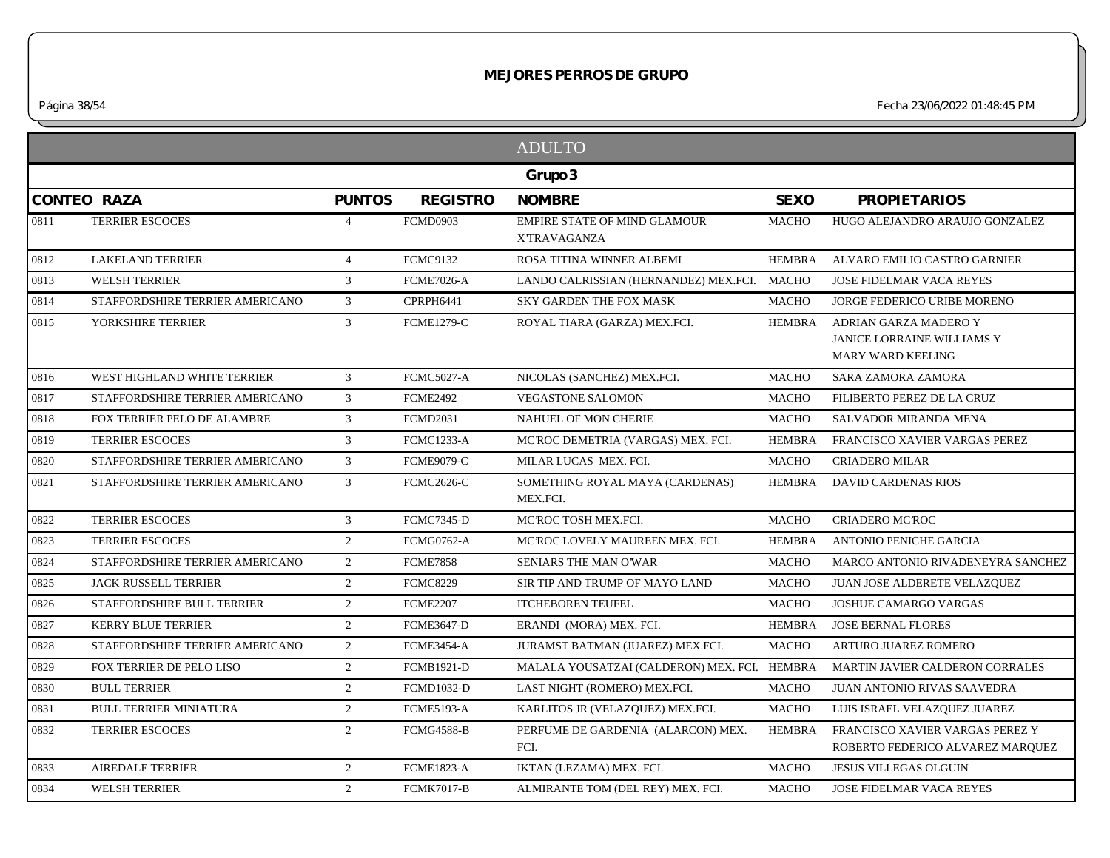*Página 38/54 Fecha 23/06/2022 01:48:45 PM*

|      |                                 |                |                   | <b>ADULTO</b>                                             |               |                                                                          |
|------|---------------------------------|----------------|-------------------|-----------------------------------------------------------|---------------|--------------------------------------------------------------------------|
|      |                                 |                |                   | Grupo 3                                                   |               |                                                                          |
|      | <b>CONTEO RAZA</b>              | <b>PUNTOS</b>  | <b>REGISTRO</b>   | <b>NOMBRE</b>                                             | <b>SEXO</b>   | <b>PROPIETARIOS</b>                                                      |
| 0811 | <b>TERRIER ESCOCES</b>          | $\overline{4}$ | <b>FCMD0903</b>   | <b>EMPIRE STATE OF MIND GLAMOUR</b><br><b>XTRAVAGANZA</b> | <b>MACHO</b>  | HUGO ALEJANDRO ARAUJO GONZALEZ                                           |
| 0812 | <b>LAKELAND TERRIER</b>         | $\overline{4}$ | <b>FCMC9132</b>   | ROSA TITINA WINNER ALBEMI                                 | <b>HEMBRA</b> | ALVARO EMILIO CASTRO GARNIER                                             |
| 0813 | <b>WELSH TERRIER</b>            | $\mathfrak{Z}$ | <b>FCME7026-A</b> | LANDO CALRISSIAN (HERNANDEZ) MEX.FCI.                     | MACHO         | <b>JOSE FIDELMAR VACA REYES</b>                                          |
| 0814 | STAFFORDSHIRE TERRIER AMERICANO | $\mathfrak{Z}$ | CPRPH6441         | <b>SKY GARDEN THE FOX MASK</b>                            | <b>MACHO</b>  | JORGE FEDERICO URIBE MORENO                                              |
| 0815 | YORKSHIRE TERRIER               | $\mathbf{3}$   | <b>FCME1279-C</b> | ROYAL TIARA (GARZA) MEX.FCI.                              | <b>HEMBRA</b> | ADRIAN GARZA MADERO Y<br>JANICE LORRAINE WILLIAMS Y<br>MARY WARD KEELING |
| 0816 | WEST HIGHLAND WHITE TERRIER     | $\mathbf{3}$   | <b>FCMC5027-A</b> | NICOLAS (SANCHEZ) MEX.FCI.                                | <b>MACHO</b>  | <b>SARA ZAMORA ZAMORA</b>                                                |
| 0817 | STAFFORDSHIRE TERRIER AMERICANO | $\mathbf{3}$   | <b>FCME2492</b>   | <b>VEGASTONE SALOMON</b>                                  | <b>MACHO</b>  | FILIBERTO PEREZ DE LA CRUZ                                               |
| 0818 | FOX TERRIER PELO DE ALAMBRE     | $\mathfrak{Z}$ | <b>FCMD2031</b>   | NAHUEL OF MON CHERIE                                      | <b>MACHO</b>  | SALVADOR MIRANDA MENA                                                    |
| 0819 | <b>TERRIER ESCOCES</b>          | $\mathfrak{Z}$ | <b>FCMC1233-A</b> | MC'ROC DEMETRIA (VARGAS) MEX. FCI.                        | <b>HEMBRA</b> | FRANCISCO XAVIER VARGAS PEREZ                                            |
| 0820 | STAFFORDSHIRE TERRIER AMERICANO | $\mathbf{3}$   | <b>FCME9079-C</b> | MILAR LUCAS MEX. FCI.                                     | <b>MACHO</b>  | <b>CRIADERO MILAR</b>                                                    |
| 0821 | STAFFORDSHIRE TERRIER AMERICANO | $\mathbf{3}$   | <b>FCMC2626-C</b> | SOMETHING ROYAL MAYA (CARDENAS)<br>MEX.FCI.               | <b>HEMBRA</b> | <b>DAVID CARDENAS RIOS</b>                                               |
| 0822 | <b>TERRIER ESCOCES</b>          | 3              | <b>FCMC7345-D</b> | MCROC TOSH MEX.FCI.                                       | <b>MACHO</b>  | <b>CRIADERO MC'ROC</b>                                                   |
| 0823 | <b>TERRIER ESCOCES</b>          | $\overline{2}$ | <b>FCMG0762-A</b> | MCROC LOVELY MAUREEN MEX. FCI.                            | <b>HEMBRA</b> | ANTONIO PENICHE GARCIA                                                   |
| 0824 | STAFFORDSHIRE TERRIER AMERICANO | $\overline{2}$ | <b>FCME7858</b>   | SENIARS THE MAN O'WAR                                     | <b>MACHO</b>  | MARCO ANTONIO RIVADENEYRA SANCHEZ                                        |
| 0825 | JACK RUSSELL TERRIER            | $\overline{2}$ | <b>FCMC8229</b>   | SIR TIP AND TRUMP OF MAYO LAND                            | <b>MACHO</b>  | JUAN JOSE ALDERETE VELAZQUEZ                                             |
| 0826 | STAFFORDSHIRE BULL TERRIER      | $\overline{2}$ | <b>FCME2207</b>   | <b>ITCHEBOREN TEUFEL</b>                                  | <b>MACHO</b>  | JOSHUE CAMARGO VARGAS                                                    |
| 0827 | <b>KERRY BLUE TERRIER</b>       | $\overline{2}$ | <b>FCME3647-D</b> | ERANDI (MORA) MEX. FCI.                                   | <b>HEMBRA</b> | <b>JOSE BERNAL FLORES</b>                                                |
| 0828 | STAFFORDSHIRE TERRIER AMERICANO | 2              | <b>FCME3454-A</b> | JURAMST BATMAN (JUAREZ) MEX.FCI.                          | <b>MACHO</b>  | ARTURO JUAREZ ROMERO                                                     |
| 0829 | FOX TERRIER DE PELO LISO        | $\overline{2}$ | <b>FCMB1921-D</b> | MALALA YOUSATZAI (CALDERON) MEX. FCI. HEMBRA              |               | MARTIN JAVIER CALDERON CORRALES                                          |
| 0830 | <b>BULL TERRIER</b>             | $\overline{2}$ | <b>FCMD1032-D</b> | LAST NIGHT (ROMERO) MEX.FCI.                              | <b>MACHO</b>  | <b>JUAN ANTONIO RIVAS SAAVEDRA</b>                                       |
| 0831 | <b>BULL TERRIER MINIATURA</b>   | $\overline{2}$ | <b>FCME5193-A</b> | KARLITOS JR (VELAZQUEZ) MEX.FCI.                          | <b>MACHO</b>  | LUIS ISRAEL VELAZQUEZ JUAREZ                                             |
| 0832 | <b>TERRIER ESCOCES</b>          | $\overline{2}$ | <b>FCMG4588-B</b> | PERFUME DE GARDENIA (ALARCON) MEX.<br>FCI.                | <b>HEMBRA</b> | FRANCISCO XAVIER VARGAS PEREZ Y<br>ROBERTO FEDERICO ALVAREZ MARQUEZ      |
| 0833 | <b>AIREDALE TERRIER</b>         | $\overline{2}$ | <b>FCME1823-A</b> | IKTAN (LEZAMA) MEX. FCI.                                  | <b>MACHO</b>  | <b>JESUS VILLEGAS OLGUIN</b>                                             |
| 0834 | <b>WELSH TERRIER</b>            | $\overline{2}$ | <b>FCMK7017-B</b> | ALMIRANTE TOM (DEL REY) MEX. FCI.                         | <b>MACHO</b>  | <b>JOSE FIDELMAR VACA REYES</b>                                          |
|      |                                 |                |                   |                                                           |               |                                                                          |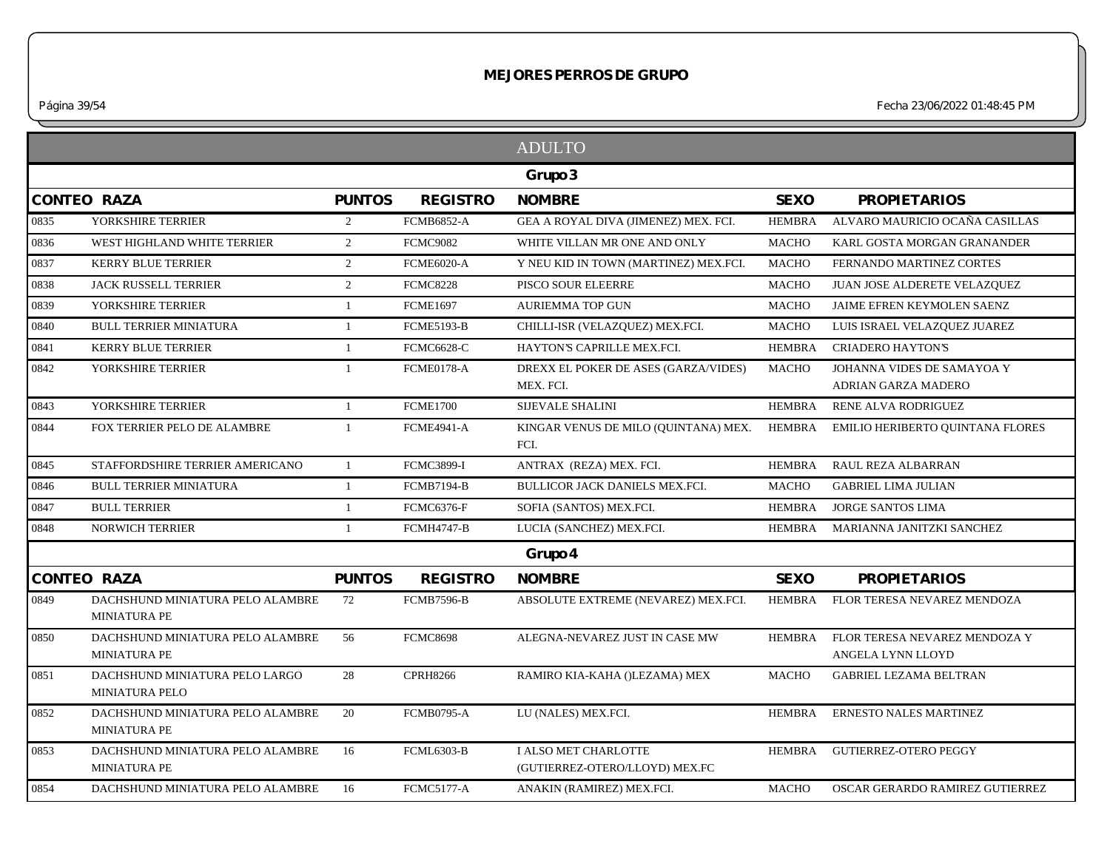*Página 39/54 Fecha 23/06/2022 01:48:45 PM*

|      |                                                         |                |                   | <b>ADULTO</b>                                          |               |                                                    |
|------|---------------------------------------------------------|----------------|-------------------|--------------------------------------------------------|---------------|----------------------------------------------------|
|      |                                                         |                |                   | Grupo 3                                                |               |                                                    |
|      | <b>CONTEO RAZA</b>                                      | <b>PUNTOS</b>  | <b>REGISTRO</b>   | <b>NOMBRE</b>                                          | <b>SEXO</b>   | <b>PROPIETARIOS</b>                                |
| 0835 | YORKSHIRE TERRIER                                       | 2              | <b>FCMB6852-A</b> | GEA A ROYAL DIVA (JIMENEZ) MEX. FCI.                   | <b>HEMBRA</b> | ALVARO MAURICIO OCAÑA CASILLAS                     |
| 0836 | WEST HIGHLAND WHITE TERRIER                             | $\overline{2}$ | <b>FCMC9082</b>   | WHITE VILLAN MR ONE AND ONLY                           | <b>MACHO</b>  | KARL GOSTA MORGAN GRANANDER                        |
| 0837 | KERRY BLUE TERRIER                                      | 2              | <b>FCME6020-A</b> | Y NEU KID IN TOWN (MARTINEZ) MEX.FCI.                  | <b>MACHO</b>  | FERNANDO MARTINEZ CORTES                           |
| 0838 | <b>JACK RUSSELL TERRIER</b>                             | $\overline{2}$ | <b>FCMC8228</b>   | PISCO SOUR ELEERRE                                     | <b>MACHO</b>  | JUAN JOSE ALDERETE VELAZQUEZ                       |
| 0839 | YORKSHIRE TERRIER                                       | -1             | <b>FCME1697</b>   | <b>AURIEMMA TOP GUN</b>                                | <b>MACHO</b>  | JAIME EFREN KEYMOLEN SAENZ                         |
| 0840 | <b>BULL TERRIER MINIATURA</b>                           | 1              | <b>FCME5193-B</b> | CHILLI-ISR (VELAZQUEZ) MEX.FCI.                        | <b>MACHO</b>  | LUIS ISRAEL VELAZQUEZ JUAREZ                       |
| 0841 | <b>KERRY BLUE TERRIER</b>                               | -1             | <b>FCMC6628-C</b> | HAYTON'S CAPRILLE MEX.FCI.                             | <b>HEMBRA</b> | <b>CRIADERO HAYTON'S</b>                           |
| 0842 | YORKSHIRE TERRIER                                       | -1             | FCME0178-A        | DREXX EL POKER DE ASES (GARZA/VIDES)<br>MEX. FCI.      | <b>MACHO</b>  | JOHANNA VIDES DE SAMAYOA Y<br>ADRIAN GARZA MADERO  |
| 0843 | YORKSHIRE TERRIER                                       | $\mathbf{1}$   | <b>FCME1700</b>   | <b>SIJEVALE SHALINI</b>                                | HEMBRA        | RENE ALVA RODRIGUEZ                                |
| 0844 | FOX TERRIER PELO DE ALAMBRE                             | -1             | <b>FCME4941-A</b> | KINGAR VENUS DE MILO (QUINTANA) MEX.<br>FCI.           | <b>HEMBRA</b> | EMILIO HERIBERTO QUINTANA FLORES                   |
| 0845 | STAFFORDSHIRE TERRIER AMERICANO                         | $\overline{1}$ | <b>FCMC3899-I</b> | ANTRAX (REZA) MEX. FCI.                                | <b>HEMBRA</b> | RAUL REZA ALBARRAN                                 |
| 0846 | <b>BULL TERRIER MINIATURA</b>                           | $\mathbf{1}$   | <b>FCMB7194-B</b> | BULLICOR JACK DANIELS MEX.FCI.                         | <b>MACHO</b>  | <b>GABRIEL LIMA JULIAN</b>                         |
| 0847 | <b>BULL TERRIER</b>                                     | -1             | FCMC6376-F        | SOFIA (SANTOS) MEX.FCI.                                | HEMBRA        | <b>JORGE SANTOS LIMA</b>                           |
| 0848 | <b>NORWICH TERRIER</b>                                  | $\mathbf{1}$   | <b>FCMH4747-B</b> | LUCIA (SANCHEZ) MEX.FCI.                               | HEMBRA        | MARIANNA JANITZKI SANCHEZ                          |
|      |                                                         |                |                   | Grupo 4                                                |               |                                                    |
|      | <b>CONTEO RAZA</b>                                      | <b>PUNTOS</b>  | <b>REGISTRO</b>   | <b>NOMBRE</b>                                          | <b>SEXO</b>   | <b>PROPIETARIOS</b>                                |
| 0849 | DACHSHUND MINIATURA PELO ALAMBRE<br><b>MINIATURA PE</b> | 72             | <b>FCMB7596-B</b> | ABSOLUTE EXTREME (NEVAREZ) MEX.FCI.                    | HEMBRA        | FLOR TERESA NEVAREZ MENDOZA                        |
| 0850 | DACHSHUND MINIATURA PELO ALAMBRE<br><b>MINIATURA PE</b> | 56             | <b>FCMC8698</b>   | ALEGNA-NEVAREZ JUST IN CASE MW                         | <b>HEMBRA</b> | FLOR TERESA NEVAREZ MENDOZA Y<br>ANGELA LYNN LLOYD |
| 0851 | DACHSHUND MINIATURA PELO LARGO<br><b>MINIATURA PELO</b> | 28             | <b>CPRH8266</b>   | RAMIRO KIA-KAHA ()LEZAMA) MEX                          | <b>MACHO</b>  | <b>GABRIEL LEZAMA BELTRAN</b>                      |
| 0852 | DACHSHUND MINIATURA PELO ALAMBRE<br><b>MINIATURA PE</b> | 20             | <b>FCMB0795-A</b> | LU (NALES) MEX.FCI.                                    | HEMBRA        | ERNESTO NALES MARTINEZ                             |
| 0853 | DACHSHUND MINIATURA PELO ALAMBRE<br><b>MINIATURA PE</b> | 16             | FCML6303-B        | I ALSO MET CHARLOTTE<br>(GUTIERREZ-OTERO/LLOYD) MEX.FC | HEMBRA        | <b>GUTIERREZ-OTERO PEGGY</b>                       |
| 0854 | DACHSHUND MINIATURA PELO ALAMBRE                        | 16             | <b>FCMC5177-A</b> | ANAKIN (RAMIREZ) MEX.FCI.                              | <b>MACHO</b>  | OSCAR GERARDO RAMIREZ GUTIERREZ                    |
|      |                                                         |                |                   |                                                        |               |                                                    |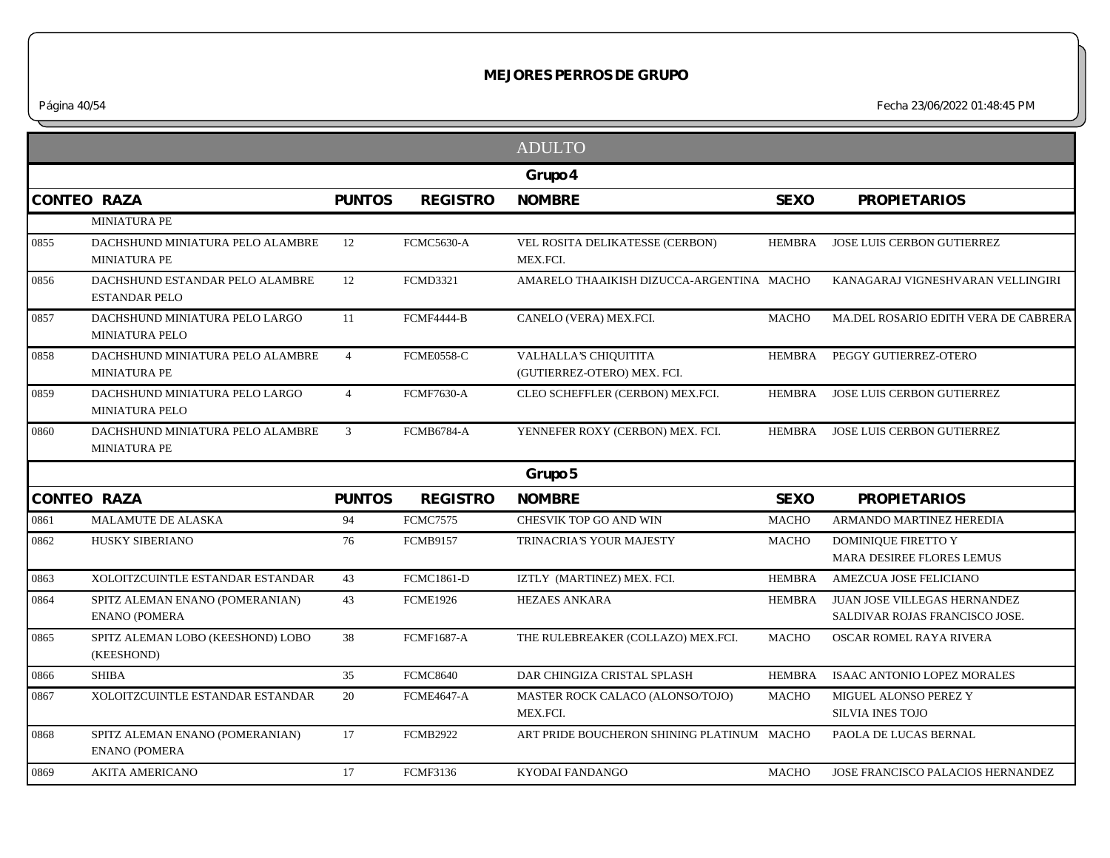*Página 40/54 Fecha 23/06/2022 01:48:45 PM*

|                    |                                                         |                |                   | <b>ADULTO</b>                                        |               |                                                                       |
|--------------------|---------------------------------------------------------|----------------|-------------------|------------------------------------------------------|---------------|-----------------------------------------------------------------------|
|                    |                                                         |                |                   | Grupo 4                                              |               |                                                                       |
| CONTEO RAZA        |                                                         | <b>PUNTOS</b>  | <b>REGISTRO</b>   | <b>NOMBRE</b>                                        | <b>SEXO</b>   | <b>PROPIETARIOS</b>                                                   |
|                    | <b>MINIATURA PE</b>                                     |                |                   |                                                      |               |                                                                       |
| 0855               | DACHSHUND MINIATURA PELO ALAMBRE<br><b>MINIATURA PE</b> | 12             | FCMC5630-A        | VEL ROSITA DELIKATESSE (CERBON)<br>MEX.FCI.          | HEMBRA        | JOSE LUIS CERBON GUTIERREZ                                            |
| 0856               | DACHSHUND ESTANDAR PELO ALAMBRE<br><b>ESTANDAR PELO</b> | 12             | <b>FCMD3321</b>   | AMARELO THAAIKISH DIZUCCA-ARGENTINA MACHO            |               | KANAGARAJ VIGNESHVARAN VELLINGIRI                                     |
| 0857               | DACHSHUND MINIATURA PELO LARGO<br><b>MINIATURA PELO</b> | 11             | <b>FCMF4444-B</b> | CANELO (VERA) MEX.FCI.                               | <b>MACHO</b>  | MA.DEL ROSARIO EDITH VERA DE CABRERA                                  |
| 0858               | DACHSHUND MINIATURA PELO ALAMBRE<br><b>MINIATURA PE</b> | $\overline{4}$ | FCME0558-C        | VALHALLA'S CHIQUITITA<br>(GUTIERREZ-OTERO) MEX. FCI. | <b>HEMBRA</b> | PEGGY GUTIERREZ-OTERO                                                 |
| 0859               | DACHSHUND MINIATURA PELO LARGO<br><b>MINIATURA PELO</b> | $\overline{4}$ | <b>FCMF7630-A</b> | CLEO SCHEFFLER (CERBON) MEX.FCI.                     | HEMBRA        | JOSE LUIS CERBON GUTIERREZ                                            |
| 0860               | DACHSHUND MINIATURA PELO ALAMBRE<br>MINIATURA PE        | 3              | <b>FCMB6784-A</b> | YENNEFER ROXY (CERBON) MEX. FCI.                     | HEMBRA        | JOSE LUIS CERBON GUTIERREZ                                            |
|                    |                                                         |                |                   | Grupo 5                                              |               |                                                                       |
| <b>CONTEO RAZA</b> |                                                         | <b>PUNTOS</b>  | <b>REGISTRO</b>   | <b>NOMBRE</b>                                        | <b>SEXO</b>   | <b>PROPIETARIOS</b>                                                   |
| 0861               | <b>MALAMUTE DE ALASKA</b>                               | 94             | <b>FCMC7575</b>   | CHESVIK TOP GO AND WIN                               | <b>MACHO</b>  | ARMANDO MARTINEZ HEREDIA                                              |
| 0862               | <b>HUSKY SIBERIANO</b>                                  | 76             | <b>FCMB9157</b>   | TRINACRIA'S YOUR MAJESTY                             | <b>MACHO</b>  | <b>DOMINIQUE FIRETTO Y</b><br>MARA DESIREE FLORES LEMUS               |
| 0863               | XOLOITZCUINTLE ESTANDAR ESTANDAR                        | 43             | <b>FCMC1861-D</b> | IZTLY (MARTINEZ) MEX. FCI.                           | HEMBRA        | AMEZCUA JOSE FELICIANO                                                |
| 0864               | SPITZ ALEMAN ENANO (POMERANIAN)<br><b>ENANO (POMERA</b> | 43             | <b>FCME1926</b>   | <b>HEZAES ANKARA</b>                                 | <b>HEMBRA</b> | <b>JUAN JOSE VILLEGAS HERNANDEZ</b><br>SALDIVAR ROJAS FRANCISCO JOSE. |
| 0865               | SPITZ ALEMAN LOBO (KEESHOND) LOBO<br>(KEESHOND)         | 38             | <b>FCMF1687-A</b> | THE RULEBREAKER (COLLAZO) MEX.FCI.                   | <b>MACHO</b>  | OSCAR ROMEL RAYA RIVERA                                               |
| 0866               | <b>SHIBA</b>                                            | 35             | <b>FCMC8640</b>   | DAR CHINGIZA CRISTAL SPLASH                          | <b>HEMBRA</b> | ISAAC ANTONIO LOPEZ MORALES                                           |
| 0867               | XOLOITZCUINTLE ESTANDAR ESTANDAR                        | 20             | <b>FCME4647-A</b> | MASTER ROCK CALACO (ALONSO/TOJO)<br>MEX.FCI.         | <b>MACHO</b>  | MIGUEL ALONSO PEREZ Y<br><b>SILVIA INES TOJO</b>                      |
| 0868               | SPITZ ALEMAN ENANO (POMERANIAN)<br><b>ENANO (POMERA</b> | 17             | <b>FCMB2922</b>   | ART PRIDE BOUCHERON SHINING PLATINUM MACHO           |               | PAOLA DE LUCAS BERNAL                                                 |
| 0869               | <b>AKITA AMERICANO</b>                                  | 17             | <b>FCMF3136</b>   | KYODAI FANDANGO                                      | <b>MACHO</b>  | JOSE FRANCISCO PALACIOS HERNANDEZ                                     |
|                    |                                                         |                |                   |                                                      |               |                                                                       |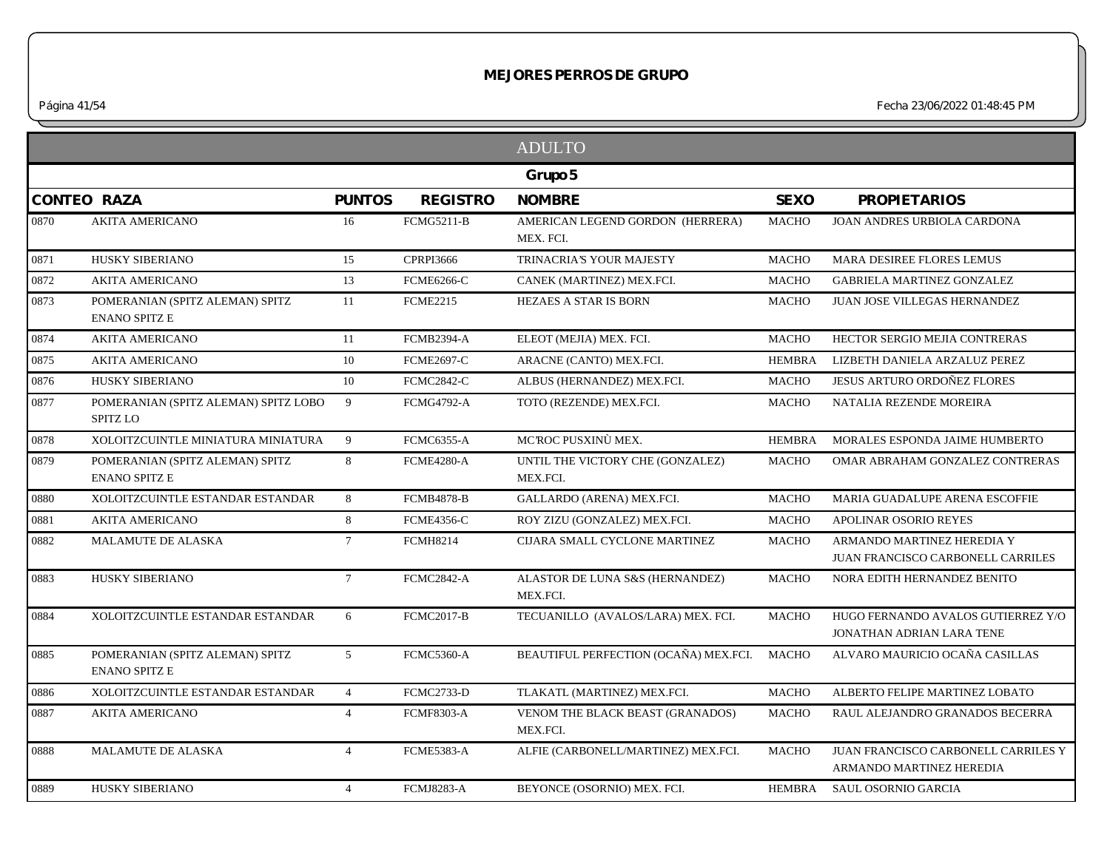*Página 41/54 Fecha 23/06/2022 01:48:45 PM*

|                    |                                                         |                 |                   | <b>ADULTO</b>                                 |               |                                                                        |
|--------------------|---------------------------------------------------------|-----------------|-------------------|-----------------------------------------------|---------------|------------------------------------------------------------------------|
|                    |                                                         |                 |                   | Grupo 5                                       |               |                                                                        |
| <b>CONTEO RAZA</b> |                                                         | <b>PUNTOS</b>   | <b>REGISTRO</b>   | <b>NOMBRE</b>                                 | <b>SEXO</b>   | <b>PROPIETARIOS</b>                                                    |
| 0870               | <b>AKITA AMERICANO</b>                                  | 16              | <b>FCMG5211-B</b> | AMERICAN LEGEND GORDON (HERRERA)<br>MEX. FCI. | <b>MACHO</b>  | <b>JOAN ANDRES URBIOLA CARDONA</b>                                     |
| 0871               | HUSKY SIBERIANO                                         | 15              | <b>CPRPI3666</b>  | TRINACRIA'S YOUR MAJESTY                      | <b>MACHO</b>  | MARA DESIREE FLORES LEMUS                                              |
| 0872               | <b>AKITA AMERICANO</b>                                  | 13              | <b>FCME6266-C</b> | CANEK (MARTINEZ) MEX.FCI.                     | <b>MACHO</b>  | <b>GABRIELA MARTINEZ GONZALEZ</b>                                      |
| 0873               | POMERANIAN (SPITZ ALEMAN) SPITZ<br><b>ENANO SPITZ E</b> | 11              | <b>FCME2215</b>   | HEZAES A STAR IS BORN                         | <b>MACHO</b>  | JUAN JOSE VILLEGAS HERNANDEZ                                           |
| 0874               | <b>AKITA AMERICANO</b>                                  | 11              | FCMB2394-A        | ELEOT (MEJIA) MEX. FCI.                       | <b>MACHO</b>  | HECTOR SERGIO MEJIA CONTRERAS                                          |
| 0875               | <b>AKITA AMERICANO</b>                                  | 10              | <b>FCME2697-C</b> | ARACNE (CANTO) MEX.FCI.                       | <b>HEMBRA</b> | LIZBETH DANIELA ARZALUZ PEREZ                                          |
| 0876               | HUSKY SIBERIANO                                         | 10              | <b>FCMC2842-C</b> | ALBUS (HERNANDEZ) MEX.FCI.                    | <b>MACHO</b>  | <b>JESUS ARTURO ORDONEZ FLORES</b>                                     |
| 0877               | POMERANIAN (SPITZ ALEMAN) SPITZ LOBO<br>SPITZ LO        | 9               | <b>FCMG4792-A</b> | TOTO (REZENDE) MEX.FCI.                       | <b>MACHO</b>  | NATALIA REZENDE MOREIRA                                                |
| 0878               | XOLOITZCUINTLE MINIATURA MINIATURA                      | 9               | <b>FCMC6355-A</b> | MCROC PUSXINÙ MEX.                            | <b>HEMBRA</b> | MORALES ESPONDA JAIME HUMBERTO                                         |
| 0879               | POMERANIAN (SPITZ ALEMAN) SPITZ<br><b>ENANO SPITZ E</b> | 8               | FCME4280-A        | UNTIL THE VICTORY CHE (GONZALEZ)<br>MEX.FCI.  | <b>MACHO</b>  | OMAR ABRAHAM GONZALEZ CONTRERAS                                        |
| 0880               | XOLOITZCUINTLE ESTANDAR ESTANDAR                        | 8               | <b>FCMB4878-B</b> | GALLARDO (ARENA) MEX.FCI.                     | <b>MACHO</b>  | MARIA GUADALUPE ARENA ESCOFFIE                                         |
| 0881               | <b>AKITA AMERICANO</b>                                  | 8               | <b>FCME4356-C</b> | ROY ZIZU (GONZALEZ) MEX.FCI.                  | <b>MACHO</b>  | APOLINAR OSORIO REYES                                                  |
| 0882               | <b>MALAMUTE DE ALASKA</b>                               | $7^{\circ}$     | <b>FCMH8214</b>   | CIJARA SMALL CYCLONE MARTINEZ                 | <b>MACHO</b>  | ARMANDO MARTINEZ HEREDIA Y<br><b>JUAN FRANCISCO CARBONELL CARRILES</b> |
| 0883               | <b>HUSKY SIBERIANO</b>                                  | $7\overline{ }$ | <b>FCMC2842-A</b> | ALASTOR DE LUNA S&S (HERNANDEZ)<br>MEX.FCI.   | <b>MACHO</b>  | NORA EDITH HERNANDEZ BENITO                                            |
| 0884               | XOLOITZCUINTLE ESTANDAR ESTANDAR                        | 6               | <b>FCMC2017-B</b> | TECUANILLO (AVALOS/LARA) MEX. FCI.            | <b>MACHO</b>  | HUGO FERNANDO AVALOS GUTIERREZ Y/O<br>JONATHAN ADRIAN LARA TENE        |
| 0885               | POMERANIAN (SPITZ ALEMAN) SPITZ<br><b>ENANO SPITZ E</b> | 5 <sup>5</sup>  | FCMC5360-A        | BEAUTIFUL PERFECTION (OCAÑA) MEX.FCI.         | <b>MACHO</b>  | ALVARO MAURICIO OCAÑA CASILLAS                                         |
| 0886               | XOLOITZCUINTLE ESTANDAR ESTANDAR                        | $\overline{4}$  | <b>FCMC2733-D</b> | TLAKATL (MARTINEZ) MEX.FCI.                   | <b>MACHO</b>  | ALBERTO FELIPE MARTINEZ LOBATO                                         |
| 0887               | <b>AKITA AMERICANO</b>                                  | $\overline{4}$  | <b>FCMF8303-A</b> | VENOM THE BLACK BEAST (GRANADOS)<br>MEX.FCI.  | <b>MACHO</b>  | RAUL ALEJANDRO GRANADOS BECERRA                                        |
| 0888               | <b>MALAMUTE DE ALASKA</b>                               | $\overline{4}$  | <b>FCME5383-A</b> | ALFIE (CARBONELL/MARTINEZ) MEX.FCI.           | <b>MACHO</b>  | JUAN FRANCISCO CARBONELL CARRILES Y<br>ARMANDO MARTINEZ HEREDIA        |
| 0889               | HUSKY SIBERIANO                                         | $\overline{4}$  | <b>FCMJ8283-A</b> | BEYONCE (OSORNIO) MEX. FCI.                   | HEMBRA        | SAUL OSORNIO GARCIA                                                    |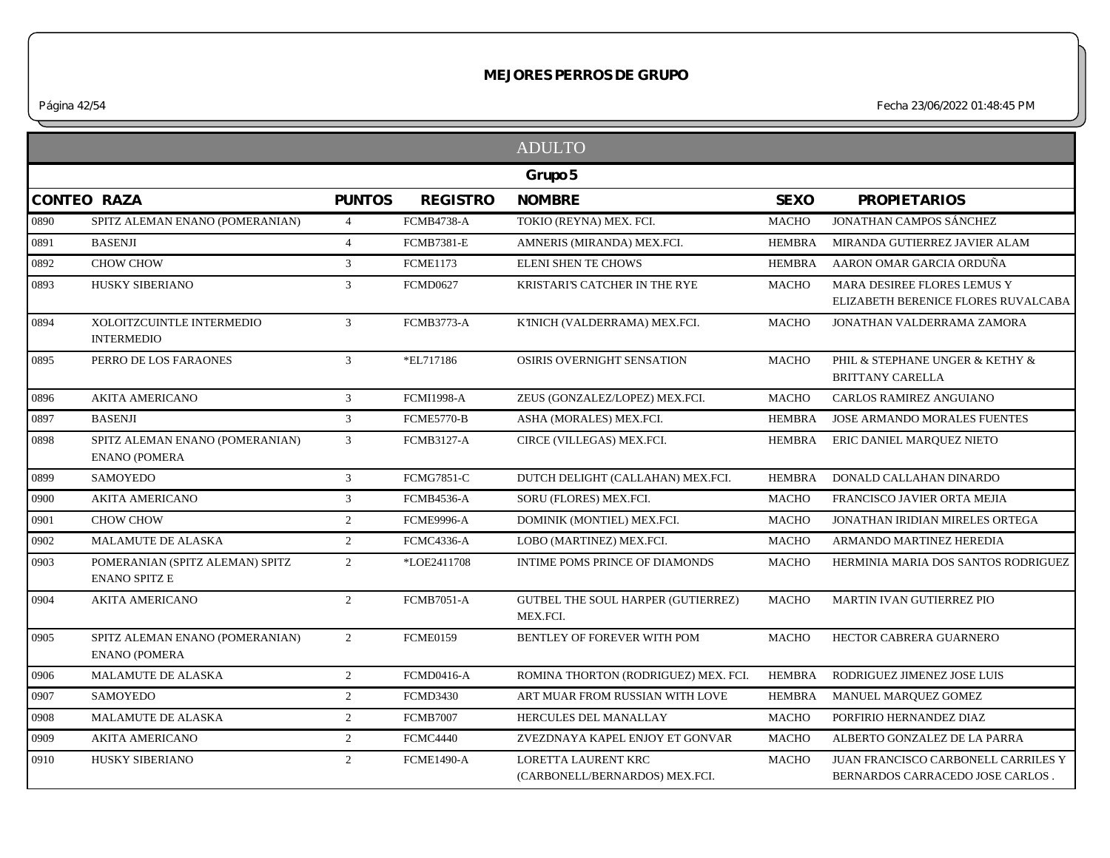*Página 42/54 Fecha 23/06/2022 01:48:45 PM*

|      |                                                         |                |                   | <b>ADULTO</b>                                         |               |                                                                         |
|------|---------------------------------------------------------|----------------|-------------------|-------------------------------------------------------|---------------|-------------------------------------------------------------------------|
|      |                                                         |                |                   | Grupo 5                                               |               |                                                                         |
|      | <b>CONTEO RAZA</b>                                      | <b>PUNTOS</b>  | <b>REGISTRO</b>   | <b>NOMBRE</b>                                         | <b>SEXO</b>   | <b>PROPIETARIOS</b>                                                     |
| 0890 | SPITZ ALEMAN ENANO (POMERANIAN)                         | $\overline{4}$ | <b>FCMB4738-A</b> | TOKIO (REYNA) MEX. FCI.                               | <b>MACHO</b>  | <b>JONATHAN CAMPOS SÁNCHEZ</b>                                          |
| 0891 | <b>BASENJI</b>                                          | $\overline{4}$ | <b>FCMB7381-E</b> | AMNERIS (MIRANDA) MEX.FCI.                            | <b>HEMBRA</b> | MIRANDA GUTIERREZ JAVIER ALAM                                           |
| 0892 | CHOW CHOW                                               | $\mathfrak{Z}$ | <b>FCME1173</b>   | <b>ELENI SHEN TE CHOWS</b>                            | <b>HEMBRA</b> | AARON OMAR GARCIA ORDUÑA                                                |
| 0893 | HUSKY SIBERIANO                                         | $\mathfrak{Z}$ | <b>FCMD0627</b>   | KRISTARI'S CATCHER IN THE RYE                         | <b>MACHO</b>  | MARA DESIREE FLORES LEMUS Y<br>ELIZABETH BERENICE FLORES RUVALCABA      |
| 0894 | XOLOITZCUINTLE INTERMEDIO<br><b>INTERMEDIO</b>          | 3              | <b>FCMB3773-A</b> | K'INICH (VALDERRAMA) MEX.FCI.                         | <b>MACHO</b>  | JONATHAN VALDERRAMA ZAMORA                                              |
| 0895 | PERRO DE LOS FARAONES                                   | $\mathbf{3}$   | *EL717186         | OSIRIS OVERNIGHT SENSATION                            | <b>MACHO</b>  | PHIL & STEPHANE UNGER & KETHY &<br><b>BRITTANY CARELLA</b>              |
| 0896 | <b>AKITA AMERICANO</b>                                  | $\mathfrak{Z}$ | <b>FCMI1998-A</b> | ZEUS (GONZALEZ/LOPEZ) MEX.FCI.                        | <b>MACHO</b>  | CARLOS RAMIREZ ANGUIANO                                                 |
| 0897 | <b>BASENJI</b>                                          | $\overline{3}$ | <b>FCME5770-B</b> | ASHA (MORALES) MEX.FCI.                               | <b>HEMBRA</b> | <b>JOSE ARMANDO MORALES FUENTES</b>                                     |
| 0898 | SPITZ ALEMAN ENANO (POMERANIAN)<br><b>ENANO (POMERA</b> | $\mathbf{3}$   | <b>FCMB3127-A</b> | CIRCE (VILLEGAS) MEX.FCI.                             | <b>HEMBRA</b> | ERIC DANIEL MARQUEZ NIETO                                               |
| 0899 | <b>SAMOYEDO</b>                                         | $\mathfrak{Z}$ | <b>FCMG7851-C</b> | DUTCH DELIGHT (CALLAHAN) MEX.FCI.                     | HEMBRA        | DONALD CALLAHAN DINARDO                                                 |
| 0900 | <b>AKITA AMERICANO</b>                                  | $\mathfrak{Z}$ | <b>FCMB4536-A</b> | SORU (FLORES) MEX.FCI.                                | <b>MACHO</b>  | FRANCISCO JAVIER ORTA MEJIA                                             |
| 0901 | CHOW CHOW                                               | 2              | <b>FCME9996-A</b> | DOMINIK (MONTIEL) MEX.FCI.                            | <b>MACHO</b>  | JONATHAN IRIDIAN MIRELES ORTEGA                                         |
| 0902 | MALAMUTE DE ALASKA                                      | $\overline{2}$ | <b>FCMC4336-A</b> | LOBO (MARTINEZ) MEX.FCI.                              | <b>MACHO</b>  | ARMANDO MARTINEZ HEREDIA                                                |
| 0903 | POMERANIAN (SPITZ ALEMAN) SPITZ<br><b>ENANO SPITZ E</b> | $\overline{2}$ | *LOE2411708       | INTIME POMS PRINCE OF DIAMONDS                        | <b>MACHO</b>  | HERMINIA MARIA DOS SANTOS RODRIGUEZ                                     |
| 0904 | <b>AKITA AMERICANO</b>                                  | 2              | <b>FCMB7051-A</b> | GUTBEL THE SOUL HARPER (GUTIERREZ)<br>MEX.FCI.        | <b>MACHO</b>  | MARTIN IVAN GUTIERREZ PIO                                               |
| 0905 | SPITZ ALEMAN ENANO (POMERANIAN)<br><b>ENANO (POMERA</b> | $\overline{2}$ | <b>FCME0159</b>   | BENTLEY OF FOREVER WITH POM                           | <b>MACHO</b>  | HECTOR CABRERA GUARNERO                                                 |
| 0906 | MALAMUTE DE ALASKA                                      | 2              | <b>FCMD0416-A</b> | ROMINA THORTON (RODRIGUEZ) MEX. FCI.                  | <b>HEMBRA</b> | RODRIGUEZ JIMENEZ JOSE LUIS                                             |
| 0907 | <b>SAMOYEDO</b>                                         | $\overline{2}$ | <b>FCMD3430</b>   | ART MUAR FROM RUSSIAN WITH LOVE                       | <b>HEMBRA</b> | MANUEL MARQUEZ GOMEZ                                                    |
| 0908 | MALAMUTE DE ALASKA                                      | $\overline{2}$ | <b>FCMB7007</b>   | HERCULES DEL MANALLAY                                 | <b>MACHO</b>  | PORFIRIO HERNANDEZ DIAZ                                                 |
| 0909 | <b>AKITA AMERICANO</b>                                  | $\overline{2}$ | <b>FCMC4440</b>   | ZVEZDNAYA KAPEL ENJOY ET GONVAR                       | <b>MACHO</b>  | ALBERTO GONZALEZ DE LA PARRA                                            |
| 0910 | HUSKY SIBERIANO                                         | 2              | <b>FCME1490-A</b> | LORETTA LAURENT KRC<br>(CARBONELL/BERNARDOS) MEX.FCI. | <b>MACHO</b>  | JUAN FRANCISCO CARBONELL CARRILES Y<br>BERNARDOS CARRACEDO JOSE CARLOS. |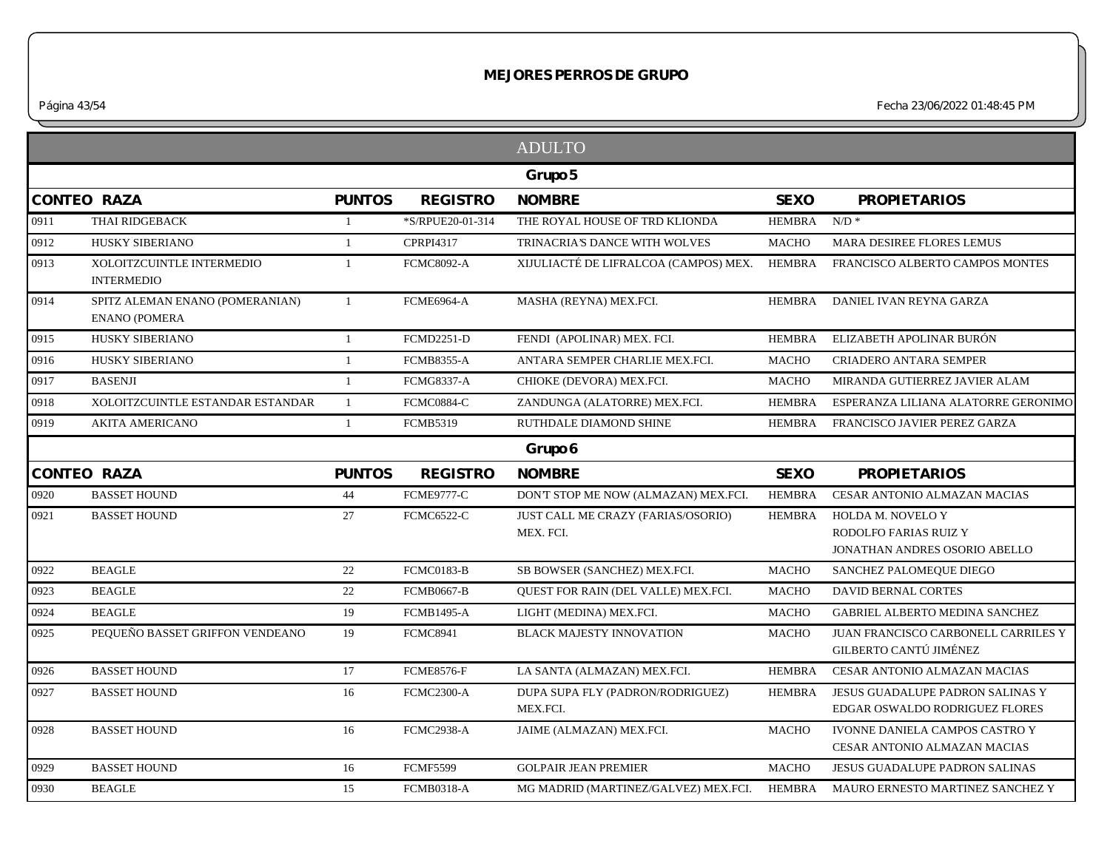*Página 43/54 Fecha 23/06/2022 01:48:45 PM*

|                    |                                                         |                |                   | <b>ADULTO</b>                                   |               |                                                                             |
|--------------------|---------------------------------------------------------|----------------|-------------------|-------------------------------------------------|---------------|-----------------------------------------------------------------------------|
|                    |                                                         |                |                   | Grupo 5                                         |               |                                                                             |
| <b>CONTEO RAZA</b> |                                                         | <b>PUNTOS</b>  | <b>REGISTRO</b>   | <b>NOMBRE</b>                                   | <b>SEXO</b>   | <b>PROPIETARIOS</b>                                                         |
| 0911               | <b>THAI RIDGEBACK</b>                                   | $\overline{1}$ | *S/RPUE20-01-314  | THE ROYAL HOUSE OF TRD KLIONDA                  | HEMBRA        | $N/D$ *                                                                     |
| 0912               | <b>HUSKY SIBERIANO</b>                                  | $\mathbf{1}$   | <b>CPRPI4317</b>  | TRINACRIA'S DANCE WITH WOLVES                   | <b>MACHO</b>  | MARA DESIREE FLORES LEMUS                                                   |
| 0913               | XOLOITZCUINTLE INTERMEDIO<br><b>INTERMEDIO</b>          | $\overline{1}$ | <b>FCMC8092-A</b> | XIJULIACTÉ DE LIFRALCOA (CAMPOS) MEX. HEMBRA    |               | FRANCISCO ALBERTO CAMPOS MONTES                                             |
| 0914               | SPITZ ALEMAN ENANO (POMERANIAN)<br><b>ENANO (POMERA</b> | $\overline{1}$ | <b>FCME6964-A</b> | MASHA (REYNA) MEX.FCI.                          |               | HEMBRA DANIEL IVAN REYNA GARZA                                              |
| 0915               | HUSKY SIBERIANO                                         | $\mathbf{1}$   | <b>FCMD2251-D</b> | FENDI (APOLINAR) MEX. FCI.                      | <b>HEMBRA</b> | ELIZABETH APOLINAR BURÓN                                                    |
| 0916               | HUSKY SIBERIANO                                         | $\mathbf{1}$   | <b>FCMB8355-A</b> | ANTARA SEMPER CHARLIE MEX.FCI.                  | <b>MACHO</b>  | <b>CRIADERO ANTARA SEMPER</b>                                               |
| 0917               | <b>BASENJI</b>                                          | -1             | <b>FCMG8337-A</b> | CHIOKE (DEVORA) MEX.FCI.                        | <b>MACHO</b>  | MIRANDA GUTIERREZ JAVIER ALAM                                               |
| 0918               | XOLOITZCUINTLE ESTANDAR ESTANDAR                        | $\mathbf{1}$   | FCMC0884-C        | ZANDUNGA (ALATORRE) MEX.FCI.                    | <b>HEMBRA</b> | ESPERANZA LILIANA ALATORRE GERONIMO                                         |
| 0919               | <b>AKITA AMERICANO</b>                                  | $\mathbf{1}$   | <b>FCMB5319</b>   | RUTHDALE DIAMOND SHINE                          | HEMBRA        | FRANCISCO JAVIER PEREZ GARZA                                                |
|                    |                                                         |                |                   | Grupo 6                                         |               |                                                                             |
| <b>CONTEO RAZA</b> |                                                         | <b>PUNTOS</b>  | <b>REGISTRO</b>   | <b>NOMBRE</b>                                   | <b>SEXO</b>   | <b>PROPIETARIOS</b>                                                         |
| 0920               | <b>BASSET HOUND</b>                                     | 44             | <b>FCME9777-C</b> | DON'T STOP ME NOW (ALMAZAN) MEX.FCI.            | <b>HEMBRA</b> | CESAR ANTONIO ALMAZAN MACIAS                                                |
| 0921               | <b>BASSET HOUND</b>                                     | 27             | <b>FCMC6522-C</b> | JUST CALL ME CRAZY (FARIAS/OSORIO)<br>MEX. FCI. | HEMBRA        | HOLDA M. NOVELO Y<br>RODOLFO FARIAS RUIZ Y<br>JONATHAN ANDRES OSORIO ABELLO |
| 0922               | <b>BEAGLE</b>                                           | 22             | <b>FCMC0183-B</b> | SB BOWSER (SANCHEZ) MEX.FCI.                    | <b>MACHO</b>  | SANCHEZ PALOMEOUE DIEGO                                                     |
| 0923               | <b>BEAGLE</b>                                           | 22             | <b>FCMB0667-B</b> | QUEST FOR RAIN (DEL VALLE) MEX.FCI.             | <b>MACHO</b>  | <b>DAVID BERNAL CORTES</b>                                                  |
| 0924               | <b>BEAGLE</b>                                           | 19             | <b>FCMB1495-A</b> | LIGHT (MEDINA) MEX.FCI.                         | <b>MACHO</b>  | GABRIEL ALBERTO MEDINA SANCHEZ                                              |
| 0925               | PEQUEÑO BASSET GRIFFON VENDEANO                         | 19             | <b>FCMC8941</b>   | <b>BLACK MAJESTY INNOVATION</b>                 | <b>MACHO</b>  | JUAN FRANCISCO CARBONELL CARRILES Y<br>GILBERTO CANTÚ JIMÉNEZ               |
| 0926               | <b>BASSET HOUND</b>                                     | 17             | <b>FCME8576-F</b> | LA SANTA (ALMAZAN) MEX.FCI.                     | <b>HEMBRA</b> | CESAR ANTONIO ALMAZAN MACIAS                                                |
| 0927               | <b>BASSET HOUND</b>                                     | 16             | <b>FCMC2300-A</b> | DUPA SUPA FLY (PADRON/RODRIGUEZ)<br>MEX.FCI.    | <b>HEMBRA</b> | JESUS GUADALUPE PADRON SALINAS Y<br>EDGAR OSWALDO RODRIGUEZ FLORES          |
| 0928               | <b>BASSET HOUND</b>                                     | 16             | FCMC2938-A        | JAIME (ALMAZAN) MEX.FCI.                        | <b>MACHO</b>  | IVONNE DANIELA CAMPOS CASTRO Y<br>CESAR ANTONIO ALMAZAN MACIAS              |
| 0929               | <b>BASSET HOUND</b>                                     | 16             | <b>FCMF5599</b>   | <b>GOLPAIR JEAN PREMIER</b>                     | <b>MACHO</b>  | <b>JESUS GUADALUPE PADRON SALINAS</b>                                       |
|                    |                                                         |                |                   |                                                 |               |                                                                             |
| 0930               | <b>BEAGLE</b>                                           | 15             | <b>FCMB0318-A</b> | MG MADRID (MARTINEZ/GALVEZ) MEX.FCI.            | HEMBRA        | MAURO ERNESTO MARTINEZ SANCHEZ Y                                            |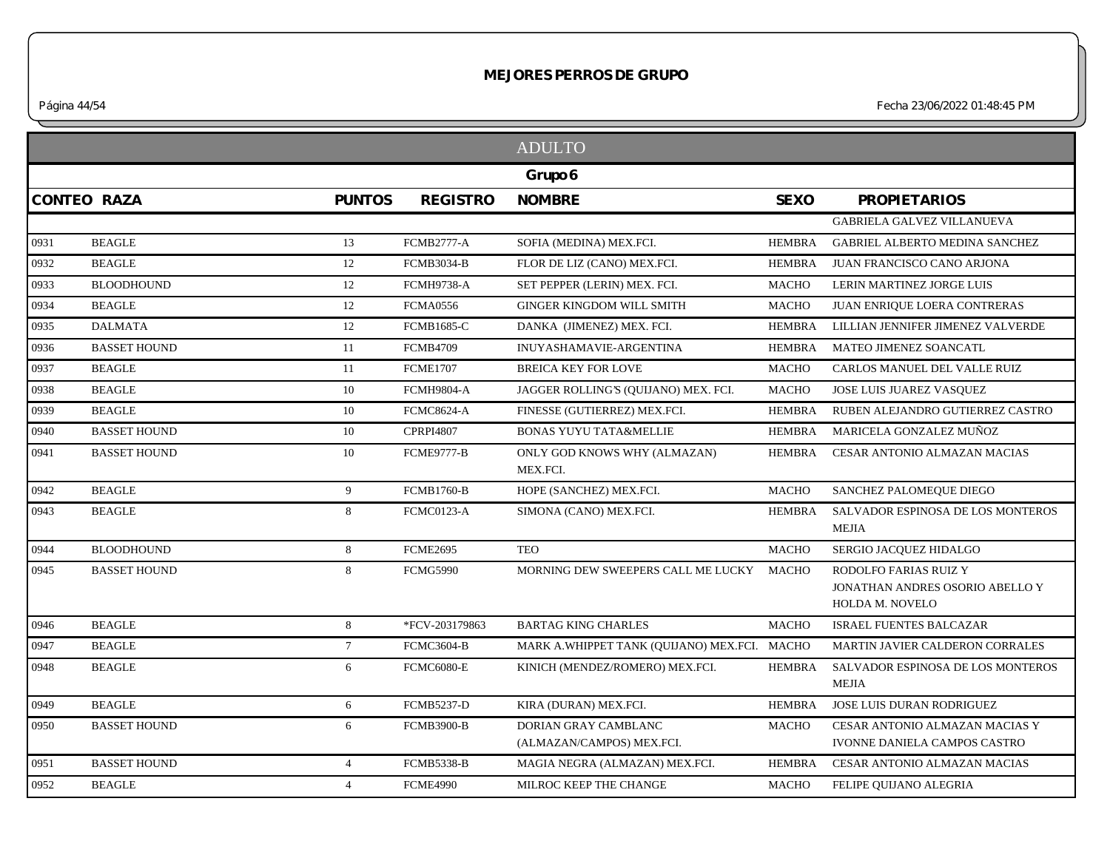*Página 44/54 Fecha 23/06/2022 01:48:45 PM*

|      |                     |                 |                   | <b>ADULTO</b>                                     |               |                                                                                    |
|------|---------------------|-----------------|-------------------|---------------------------------------------------|---------------|------------------------------------------------------------------------------------|
|      |                     |                 |                   | Grupo 6                                           |               |                                                                                    |
|      | <b>CONTEO RAZA</b>  | <b>PUNTOS</b>   | <b>REGISTRO</b>   | <b>NOMBRE</b>                                     | <b>SEXO</b>   | <b>PROPIETARIOS</b>                                                                |
|      |                     |                 |                   |                                                   |               | GABRIELA GALVEZ VILLANUEVA                                                         |
| 0931 | <b>BEAGLE</b>       | 13              | <b>FCMB2777-A</b> | SOFIA (MEDINA) MEX.FCI.                           | HEMBRA        | <b>GABRIEL ALBERTO MEDINA SANCHEZ</b>                                              |
| 0932 | <b>BEAGLE</b>       | 12              | <b>FCMB3034-B</b> | FLOR DE LIZ (CANO) MEX.FCI.                       | HEMBRA        | JUAN FRANCISCO CANO ARJONA                                                         |
| 0933 | <b>BLOODHOUND</b>   | 12              | <b>FCMH9738-A</b> | SET PEPPER (LERIN) MEX. FCI.                      | <b>MACHO</b>  | LERIN MARTINEZ JORGE LUIS                                                          |
| 0934 | <b>BEAGLE</b>       | 12              | <b>FCMA0556</b>   | <b>GINGER KINGDOM WILL SMITH</b>                  | <b>MACHO</b>  | JUAN ENRIQUE LOERA CONTRERAS                                                       |
| 0935 | <b>DALMATA</b>      | $12\,$          | <b>FCMB1685-C</b> | DANKA (JIMENEZ) MEX. FCI.                         | <b>HEMBRA</b> | LILLIAN JENNIFER JIMENEZ VALVERDE                                                  |
| 0936 | <b>BASSET HOUND</b> | 11              | <b>FCMB4709</b>   | <b>INUYASHAMAVIE-ARGENTINA</b>                    | <b>HEMBRA</b> | MATEO JIMENEZ SOANCATL                                                             |
| 0937 | <b>BEAGLE</b>       | 11              | <b>FCME1707</b>   | <b>BREICA KEY FOR LOVE</b>                        | <b>MACHO</b>  | CARLOS MANUEL DEL VALLE RUIZ                                                       |
| 0938 | <b>BEAGLE</b>       | 10              | <b>FCMH9804-A</b> | JAGGER ROLLING'S (QUIJANO) MEX. FCI.              | <b>MACHO</b>  | JOSE LUIS JUAREZ VASQUEZ                                                           |
| 0939 | <b>BEAGLE</b>       | 10              | <b>FCMC8624-A</b> | FINESSE (GUTIERREZ) MEX.FCI.                      | <b>HEMBRA</b> | RUBEN ALEJANDRO GUTIERREZ CASTRO                                                   |
| 0940 | <b>BASSET HOUND</b> | 10              | <b>CPRPI4807</b>  | <b>BONAS YUYU TATA&amp;MELLIE</b>                 | HEMBRA        | MARICELA GONZALEZ MUÑOZ                                                            |
| 0941 | <b>BASSET HOUND</b> | 10              | FCME9777-B        | ONLY GOD KNOWS WHY (ALMAZAN)<br>MEX.FCI.          | HEMBRA        | CESAR ANTONIO ALMAZAN MACIAS                                                       |
| 0942 | <b>BEAGLE</b>       | 9               | <b>FCMB1760-B</b> | HOPE (SANCHEZ) MEX.FCI.                           | <b>MACHO</b>  | SANCHEZ PALOMEQUE DIEGO                                                            |
| 0943 | <b>BEAGLE</b>       | 8               | <b>FCMC0123-A</b> | SIMONA (CANO) MEX.FCI.                            | <b>HEMBRA</b> | SALVADOR ESPINOSA DE LOS MONTEROS<br><b>MEJIA</b>                                  |
| 0944 | <b>BLOODHOUND</b>   | 8               | <b>FCME2695</b>   | <b>TEO</b>                                        | <b>MACHO</b>  | SERGIO JACQUEZ HIDALGO                                                             |
| 0945 | <b>BASSET HOUND</b> | 8               | <b>FCMG5990</b>   | MORNING DEW SWEEPERS CALL ME LUCKY MACHO          |               | RODOLFO FARIAS RUIZ Y<br>JONATHAN ANDRES OSORIO ABELLO Y<br><b>HOLDA M. NOVELO</b> |
| 0946 | <b>BEAGLE</b>       | 8               | *FCV-203179863    | <b>BARTAG KING CHARLES</b>                        | <b>MACHO</b>  | <b>ISRAEL FUENTES BALCAZAR</b>                                                     |
| 0947 | <b>BEAGLE</b>       | $7\overline{ }$ | <b>FCMC3604-B</b> | MARK A.WHIPPET TANK (QUIJANO) MEX.FCI. MACHO      |               | MARTIN JAVIER CALDERON CORRALES                                                    |
| 0948 | <b>BEAGLE</b>       | 6               | <b>FCMC6080-E</b> | KINICH (MENDEZ/ROMERO) MEX.FCI.                   | <b>HEMBRA</b> | SALVADOR ESPINOSA DE LOS MONTEROS<br><b>MEJIA</b>                                  |
| 0949 | <b>BEAGLE</b>       | 6               | <b>FCMB5237-D</b> | KIRA (DURAN) MEX.FCI.                             | <b>HEMBRA</b> | JOSE LUIS DURAN RODRIGUEZ                                                          |
| 0950 | <b>BASSET HOUND</b> | 6               | <b>FCMB3900-B</b> | DORIAN GRAY CAMBLANC<br>(ALMAZAN/CAMPOS) MEX.FCI. | <b>MACHO</b>  | CESAR ANTONIO ALMAZAN MACIAS Y<br>IVONNE DANIELA CAMPOS CASTRO                     |
| 0951 | <b>BASSET HOUND</b> | $\overline{4}$  | FCMB5338-B        | MAGIA NEGRA (ALMAZAN) MEX.FCI.                    | HEMBRA        | CESAR ANTONIO ALMAZAN MACIAS                                                       |
| 0952 | <b>BEAGLE</b>       | $\overline{4}$  | <b>FCME4990</b>   | MILROC KEEP THE CHANGE                            | <b>MACHO</b>  | FELIPE QUIJANO ALEGRIA                                                             |
|      |                     |                 |                   |                                                   |               |                                                                                    |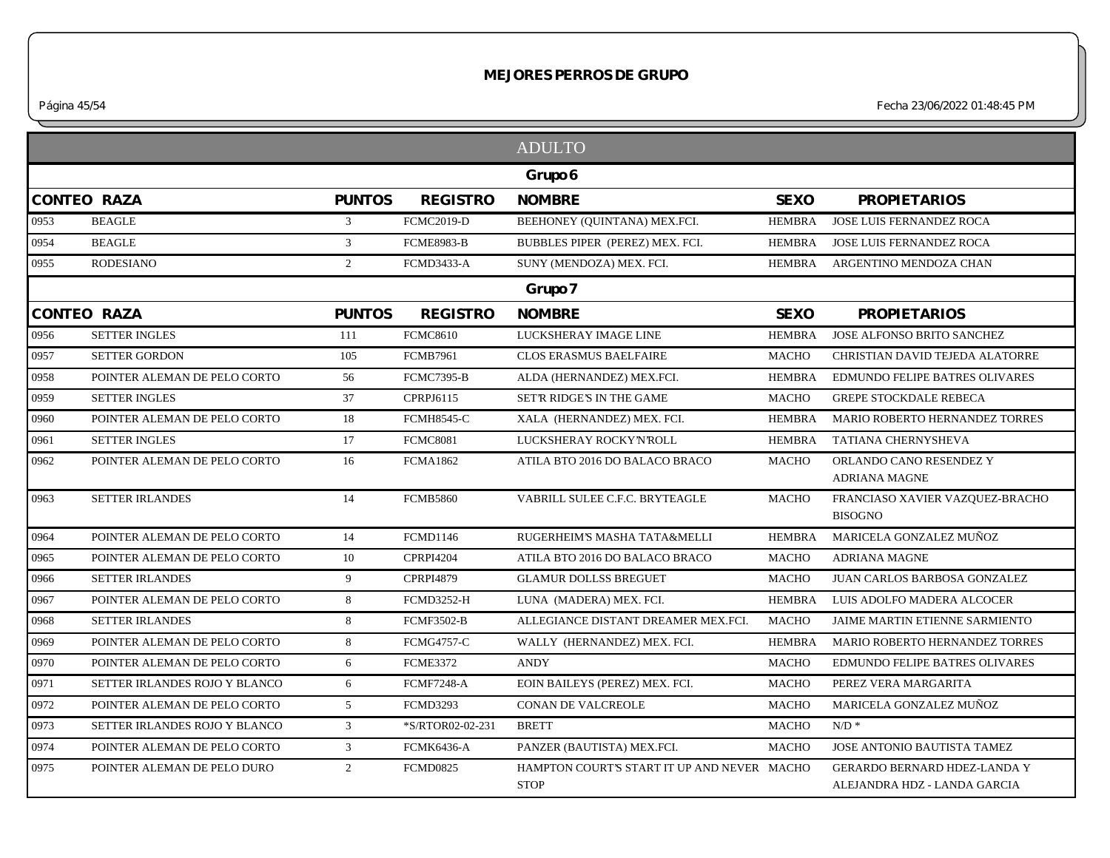*Página 45/54 Fecha 23/06/2022 01:48:45 PM*

|      |                               |                |                   | <b>ADULTO</b>                                              |               |                                                              |
|------|-------------------------------|----------------|-------------------|------------------------------------------------------------|---------------|--------------------------------------------------------------|
|      |                               |                |                   | Grupo 6                                                    |               |                                                              |
|      | <b>CONTEO RAZA</b>            | <b>PUNTOS</b>  | <b>REGISTRO</b>   | <b>NOMBRE</b>                                              | <b>SEXO</b>   | <b>PROPIETARIOS</b>                                          |
| 0953 | <b>BEAGLE</b>                 | 3              | <b>FCMC2019-D</b> | BEEHONEY (QUINTANA) MEX.FCI.                               | <b>HEMBRA</b> | JOSE LUIS FERNANDEZ ROCA                                     |
| 0954 | <b>BEAGLE</b>                 | 3              | <b>FCME8983-B</b> | BUBBLES PIPER (PEREZ) MEX. FCI.                            | <b>HEMBRA</b> | <b>JOSE LUIS FERNANDEZ ROCA</b>                              |
| 0955 | <b>RODESIANO</b>              | $\overline{2}$ | <b>FCMD3433-A</b> | SUNY (MENDOZA) MEX. FCI.                                   | HEMBRA        | ARGENTINO MENDOZA CHAN                                       |
|      |                               |                |                   | Grupo 7                                                    |               |                                                              |
|      | <b>CONTEO RAZA</b>            | <b>PUNTOS</b>  | <b>REGISTRO</b>   | <b>NOMBRE</b>                                              | <b>SEXO</b>   | <b>PROPIETARIOS</b>                                          |
| 0956 | <b>SETTER INGLES</b>          | 111            | <b>FCMC8610</b>   | LUCKSHERAY IMAGE LINE                                      | HEMBRA        | JOSE ALFONSO BRITO SANCHEZ                                   |
| 0957 | <b>SETTER GORDON</b>          | 105            | <b>FCMB7961</b>   | <b>CLOS ERASMUS BAELFAIRE</b>                              | <b>MACHO</b>  | CHRISTIAN DAVID TEJEDA ALATORRE                              |
| 0958 | POINTER ALEMAN DE PELO CORTO  | 56             | <b>FCMC7395-B</b> | ALDA (HERNANDEZ) MEX.FCI.                                  | <b>HEMBRA</b> | EDMUNDO FELIPE BATRES OLIVARES                               |
| 0959 | <b>SETTER INGLES</b>          | 37             | CPRPJ6115         | SET'R RIDGE'S IN THE GAME                                  | <b>MACHO</b>  | <b>GREPE STOCKDALE REBECA</b>                                |
| 0960 | POINTER ALEMAN DE PELO CORTO  | 18             | <b>FCMH8545-C</b> | XALA (HERNANDEZ) MEX. FCI.                                 | <b>HEMBRA</b> | MARIO ROBERTO HERNANDEZ TORRES                               |
| 0961 | <b>SETTER INGLES</b>          | 17             | <b>FCMC8081</b>   | LUCKSHERAY ROCKY'N'ROLL                                    | <b>HEMBRA</b> | TATIANA CHERNYSHEVA                                          |
| 0962 | POINTER ALEMAN DE PELO CORTO  | 16             | <b>FCMA1862</b>   | ATILA BTO 2016 DO BALACO BRACO                             | <b>MACHO</b>  | ORLANDO CANO RESENDEZ Y<br><b>ADRIANA MAGNE</b>              |
| 0963 | <b>SETTER IRLANDES</b>        | 14             | <b>FCMB5860</b>   | VABRILL SULEE C.F.C. BRYTEAGLE                             | <b>MACHO</b>  | FRANCIASO XAVIER VAZQUEZ-BRACHO<br><b>BISOGNO</b>            |
| 0964 | POINTER ALEMAN DE PELO CORTO  | 14             | <b>FCMD1146</b>   | RUGERHEIM'S MASHA TATA&MELLI                               | HEMBRA        | MARICELA GONZALEZ MUÑOZ                                      |
| 0965 | POINTER ALEMAN DE PELO CORTO  | 10             | <b>CPRPI4204</b>  | ATILA BTO 2016 DO BALACO BRACO                             | <b>MACHO</b>  | <b>ADRIANA MAGNE</b>                                         |
| 0966 | <b>SETTER IRLANDES</b>        | 9              | <b>CPRPI4879</b>  | <b>GLAMUR DOLLSS BREGUET</b>                               | MACHO         | JUAN CARLOS BARBOSA GONZALEZ                                 |
| 0967 | POINTER ALEMAN DE PELO CORTO  | 8              | <b>FCMD3252-H</b> | LUNA (MADERA) MEX. FCI.                                    | <b>HEMBRA</b> | LUIS ADOLFO MADERA ALCOCER                                   |
| 0968 | <b>SETTER IRLANDES</b>        | 8              | <b>FCMF3502-B</b> | ALLEGIANCE DISTANT DREAMER MEX.FCI.                        | <b>MACHO</b>  | JAIME MARTIN ETIENNE SARMIENTO                               |
| 0969 | POINTER ALEMAN DE PELO CORTO  | 8              | <b>FCMG4757-C</b> | WALLY (HERNANDEZ) MEX. FCI.                                | <b>HEMBRA</b> | MARIO ROBERTO HERNANDEZ TORRES                               |
| 0970 | POINTER ALEMAN DE PELO CORTO  | 6              | <b>FCME3372</b>   | <b>ANDY</b>                                                | <b>MACHO</b>  | EDMUNDO FELIPE BATRES OLIVARES                               |
| 0971 | SETTER IRLANDES ROJO Y BLANCO | 6              | <b>FCMF7248-A</b> | EOIN BAILEYS (PEREZ) MEX. FCI.                             | <b>MACHO</b>  | PEREZ VERA MARGARITA                                         |
| 0972 | POINTER ALEMAN DE PELO CORTO  | 5              | <b>FCMD3293</b>   | CONAN DE VALCREOLE                                         | <b>MACHO</b>  | MARICELA GONZALEZ MUÑOZ                                      |
| 0973 | SETTER IRLANDES ROJO Y BLANCO | $\mathfrak{Z}$ | *S/RTOR02-02-231  | <b>BRETT</b>                                               | <b>MACHO</b>  | $N/D$ *                                                      |
| 0974 | POINTER ALEMAN DE PELO CORTO  | $\mathfrak{Z}$ | FCMK6436-A        | PANZER (BAUTISTA) MEX.FCI.                                 | <b>MACHO</b>  | JOSE ANTONIO BAUTISTA TAMEZ                                  |
| 0975 | POINTER ALEMAN DE PELO DURO   | $\overline{2}$ | <b>FCMD0825</b>   | HAMPTON COURT'S START IT UP AND NEVER MACHO<br><b>STOP</b> |               | GERARDO BERNARD HDEZ-LANDA Y<br>ALEJANDRA HDZ - LANDA GARCIA |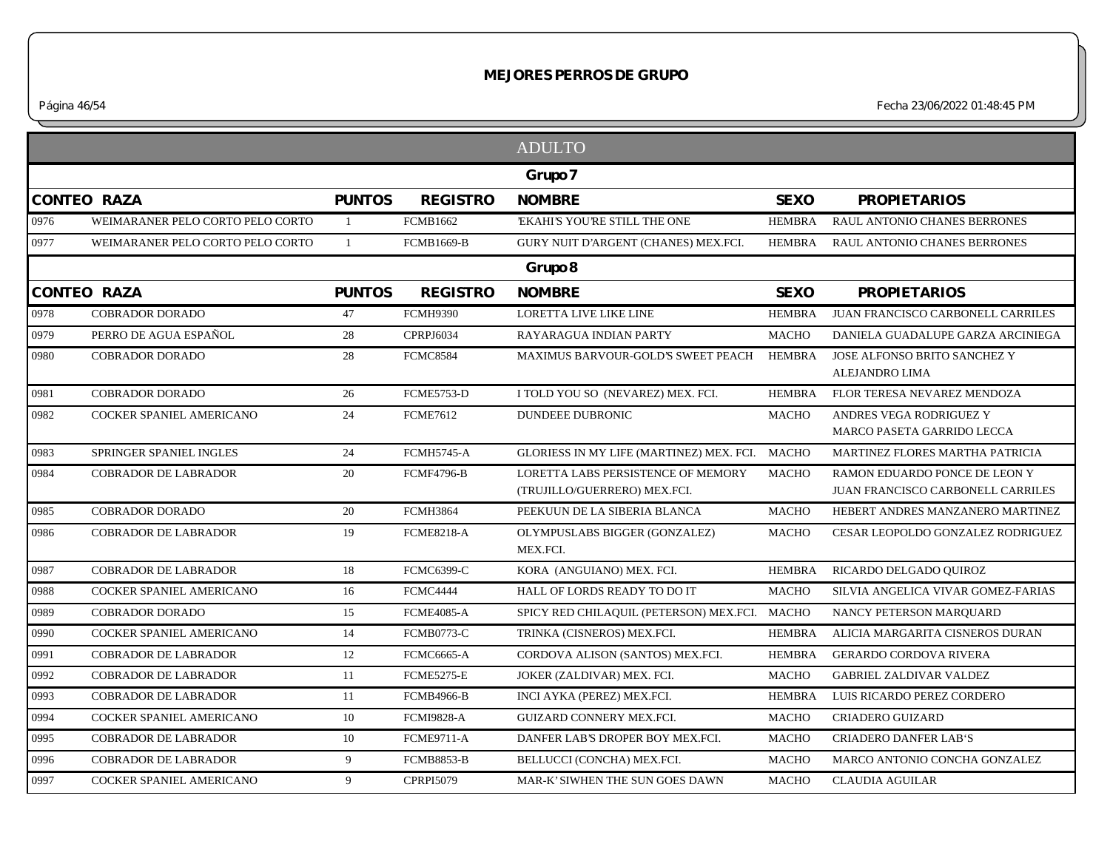*Página 46/54 Fecha 23/06/2022 01:48:45 PM*

|      |                                  |                |                   | <b>ADULTO</b>                                                      |               |                                                                    |
|------|----------------------------------|----------------|-------------------|--------------------------------------------------------------------|---------------|--------------------------------------------------------------------|
|      |                                  |                |                   | Grupo 7                                                            |               |                                                                    |
|      | <b>CONTEO RAZA</b>               | <b>PUNTOS</b>  | <b>REGISTRO</b>   | <b>NOMBRE</b>                                                      | <b>SEXO</b>   | <b>PROPIETARIOS</b>                                                |
| 0976 | WEIMARANER PELO CORTO PELO CORTO | -1             | <b>FCMB1662</b>   | <b>EKAHI'S YOU'RE STILL THE ONE</b>                                | <b>HEMBRA</b> | RAUL ANTONIO CHANES BERRONES                                       |
| 0977 | WEIMARANER PELO CORTO PELO CORTO | $\overline{1}$ | <b>FCMB1669-B</b> | GURY NUIT D'ARGENT (CHANES) MEX.FCI.                               | <b>HEMBRA</b> | RAUL ANTONIO CHANES BERRONES                                       |
|      |                                  |                |                   | Grupo 8                                                            |               |                                                                    |
|      | <b>CONTEO RAZA</b>               | <b>PUNTOS</b>  | <b>REGISTRO</b>   | <b>NOMBRE</b>                                                      | <b>SEXO</b>   | <b>PROPIETARIOS</b>                                                |
| 0978 | <b>COBRADOR DORADO</b>           | 47             | <b>FCMH9390</b>   | <b>LORETTA LIVE LIKE LINE</b>                                      | <b>HEMBRA</b> | JUAN FRANCISCO CARBONELL CARRILES                                  |
| 0979 | PERRO DE AGUA ESPAÑOL            | 28             | CPRPJ6034         | RAYARAGUA INDIAN PARTY                                             | <b>MACHO</b>  | DANIELA GUADALUPE GARZA ARCINIEGA                                  |
| 0980 | <b>COBRADOR DORADO</b>           | 28             | <b>FCMC8584</b>   | <b>MAXIMUS BARVOUR-GOLD'S SWEET PEACH</b>                          | <b>HEMBRA</b> | JOSE ALFONSO BRITO SANCHEZ Y<br>ALEJANDRO LIMA                     |
| 0981 | <b>COBRADOR DORADO</b>           | 26             | <b>FCME5753-D</b> | I TOLD YOU SO (NEVAREZ) MEX. FCI.                                  | <b>HEMBRA</b> | FLOR TERESA NEVAREZ MENDOZA                                        |
| 0982 | COCKER SPANIEL AMERICANO         | 24             | <b>FCME7612</b>   | DUNDEEE DUBRONIC                                                   | <b>MACHO</b>  | ANDRES VEGA RODRIGUEZ Y<br>MARCO PASETA GARRIDO LECCA              |
| 0983 | SPRINGER SPANIEL INGLES          | 24             | <b>FCMH5745-A</b> | GLORIESS IN MY LIFE (MARTINEZ) MEX. FCI. MACHO                     |               | MARTINEZ FLORES MARTHA PATRICIA                                    |
| 0984 | <b>COBRADOR DE LABRADOR</b>      | 20             | <b>FCMF4796-B</b> | LORETTA LABS PERSISTENCE OF MEMORY<br>(TRUJILLO/GUERRERO) MEX.FCI. | <b>MACHO</b>  | RAMON EDUARDO PONCE DE LEON Y<br>JUAN FRANCISCO CARBONELL CARRILES |
| 0985 | <b>COBRADOR DORADO</b>           | 20             | <b>FCMH3864</b>   | PEEKUUN DE LA SIBERIA BLANCA                                       | <b>MACHO</b>  | HEBERT ANDRES MANZANERO MARTINEZ                                   |
| 0986 | <b>COBRADOR DE LABRADOR</b>      | 19             | <b>FCME8218-A</b> | OLYMPUSLABS BIGGER (GONZALEZ)<br>MEX.FCI.                          | <b>MACHO</b>  | CESAR LEOPOLDO GONZALEZ RODRIGUEZ                                  |
| 0987 | <b>COBRADOR DE LABRADOR</b>      | 18             | <b>FCMC6399-C</b> | KORA (ANGUIANO) MEX. FCI.                                          | <b>HEMBRA</b> | RICARDO DELGADO QUIROZ                                             |
| 0988 | COCKER SPANIEL AMERICANO         | 16             | FCMC4444          | HALL OF LORDS READY TO DO IT                                       | <b>MACHO</b>  | SILVIA ANGELICA VIVAR GOMEZ-FARIAS                                 |
| 0989 | <b>COBRADOR DORADO</b>           | 15             | <b>FCME4085-A</b> | SPICY RED CHILAQUIL (PETERSON) MEX.FCI. MACHO                      |               | NANCY PETERSON MARQUARD                                            |
| 0990 | COCKER SPANIEL AMERICANO         | 14             | <b>FCMB0773-C</b> | TRINKA (CISNEROS) MEX.FCI.                                         | <b>HEMBRA</b> | ALICIA MARGARITA CISNEROS DURAN                                    |
| 0991 | <b>COBRADOR DE LABRADOR</b>      | 12             | <b>FCMC6665-A</b> | CORDOVA ALISON (SANTOS) MEX.FCI.                                   | <b>HEMBRA</b> | <b>GERARDO CORDOVA RIVERA</b>                                      |
| 0992 | <b>COBRADOR DE LABRADOR</b>      | 11             | <b>FCME5275-E</b> | JOKER (ZALDIVAR) MEX. FCI.                                         | <b>MACHO</b>  | <b>GABRIEL ZALDIVAR VALDEZ</b>                                     |
| 0993 | COBRADOR DE LABRADOR             | 11             | <b>FCMB4966-B</b> | INCI AYKA (PEREZ) MEX.FCI.                                         | <b>HEMBRA</b> | LUIS RICARDO PEREZ CORDERO                                         |
| 0994 | COCKER SPANIEL AMERICANO         | 10             | <b>FCMI9828-A</b> | <b>GUIZARD CONNERY MEX.FCI.</b>                                    | <b>MACHO</b>  | <b>CRIADERO GUIZARD</b>                                            |
| 0995 | <b>COBRADOR DE LABRADOR</b>      | 10             | <b>FCME9711-A</b> | DANFER LAB'S DROPER BOY MEX.FCI.                                   | <b>MACHO</b>  | <b>CRIADERO DANFER LAB'S</b>                                       |
| 0996 | <b>COBRADOR DE LABRADOR</b>      | 9              | <b>FCMB8853-B</b> | BELLUCCI (CONCHA) MEX.FCI.                                         | <b>MACHO</b>  | MARCO ANTONIO CONCHA GONZALEZ                                      |
| 0997 | COCKER SPANIEL AMERICANO         | 9              | <b>CPRPI5079</b>  | MAR-K' SIWHEN THE SUN GOES DAWN                                    | <b>MACHO</b>  | <b>CLAUDIA AGUILAR</b>                                             |
|      |                                  |                |                   |                                                                    |               |                                                                    |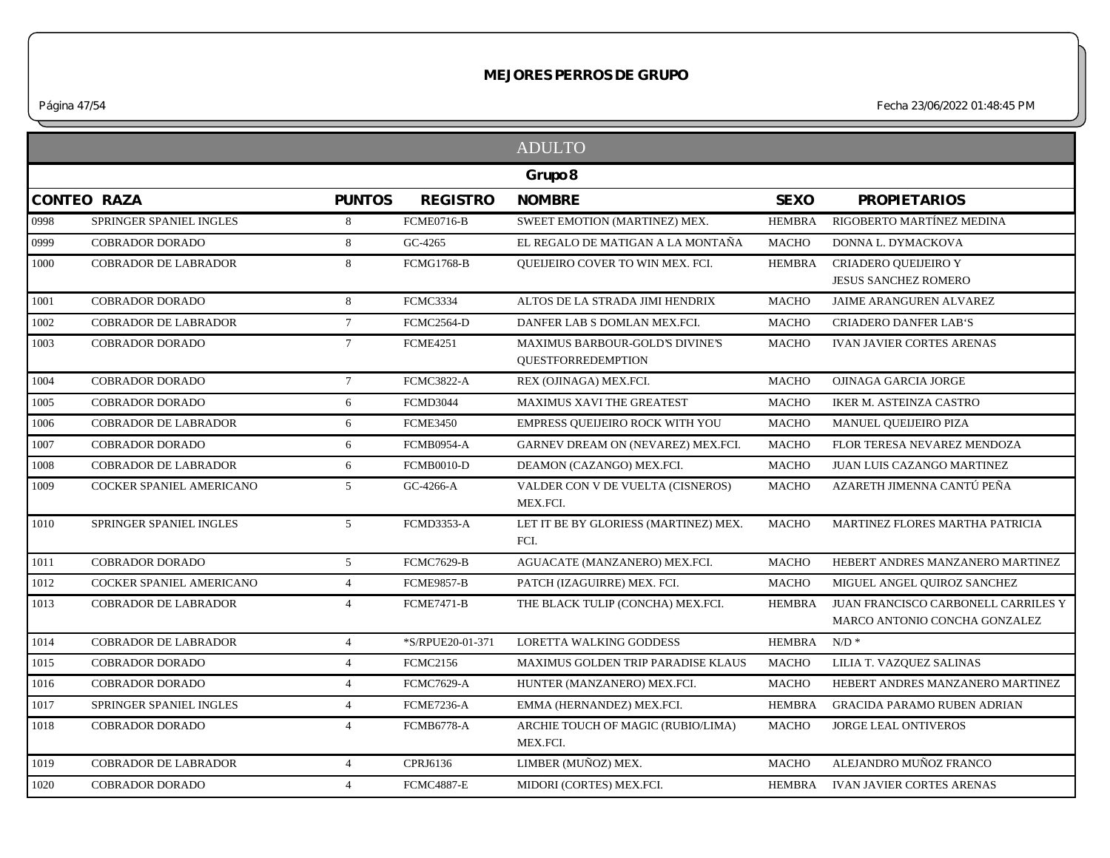*Página 47/54 Fecha 23/06/2022 01:48:45 PM*

|      |                             |                 |                   | <b>ADULTO</b>                                                |               |                                                                      |
|------|-----------------------------|-----------------|-------------------|--------------------------------------------------------------|---------------|----------------------------------------------------------------------|
|      |                             |                 |                   | Grupo 8                                                      |               |                                                                      |
|      | <b>CONTEO RAZA</b>          | <b>PUNTOS</b>   | <b>REGISTRO</b>   | <b>NOMBRE</b>                                                | <b>SEXO</b>   | <b>PROPIETARIOS</b>                                                  |
| 0998 | SPRINGER SPANIEL INGLES     | 8               | <b>FCME0716-B</b> | SWEET EMOTION (MARTINEZ) MEX.                                | <b>HEMBRA</b> | RIGOBERTO MARTÍNEZ MEDINA                                            |
| 0999 | <b>COBRADOR DORADO</b>      | 8               | GC-4265           | EL REGALO DE MATIGAN A LA MONTAÑA                            | <b>MACHO</b>  | DONNA L. DYMACKOVA                                                   |
| 1000 | <b>COBRADOR DE LABRADOR</b> | 8               | <b>FCMG1768-B</b> | <b>OUEIJEIRO COVER TO WIN MEX. FCI.</b>                      | <b>HEMBRA</b> | CRIADERO QUEIJEIRO Y<br><b>JESUS SANCHEZ ROMERO</b>                  |
| 1001 | <b>COBRADOR DORADO</b>      | 8               | <b>FCMC3334</b>   | ALTOS DE LA STRADA JIMI HENDRIX                              | <b>MACHO</b>  | <b>JAIME ARANGUREN ALVAREZ</b>                                       |
| 1002 | <b>COBRADOR DE LABRADOR</b> | $7\overline{ }$ | <b>FCMC2564-D</b> | DANFER LAB S DOMLAN MEX.FCI.                                 | <b>MACHO</b>  | <b>CRIADERO DANFER LAB'S</b>                                         |
| 1003 | <b>COBRADOR DORADO</b>      | $7\overline{ }$ | <b>FCME4251</b>   | MAXIMUS BARBOUR-GOLD'S DIVINE'S<br><b>QUESTFORREDEMPTION</b> | <b>MACHO</b>  | <b>IVAN JAVIER CORTES ARENAS</b>                                     |
| 1004 | <b>COBRADOR DORADO</b>      | $7\overline{ }$ | <b>FCMC3822-A</b> | REX (OJINAGA) MEX.FCI.                                       | <b>MACHO</b>  | OJINAGA GARCIA JORGE                                                 |
| 1005 | <b>COBRADOR DORADO</b>      | 6               | FCMD3044          | <b>MAXIMUS XAVI THE GREATEST</b>                             | <b>MACHO</b>  | IKER M. ASTEINZA CASTRO                                              |
| 1006 | <b>COBRADOR DE LABRADOR</b> | 6               | <b>FCME3450</b>   | EMPRESS OUEIJEIRO ROCK WITH YOU                              | <b>MACHO</b>  | MANUEL QUEIJEIRO PIZA                                                |
| 1007 | <b>COBRADOR DORADO</b>      | 6               | <b>FCMB0954-A</b> | GARNEV DREAM ON (NEVAREZ) MEX.FCI.                           | <b>MACHO</b>  | FLOR TERESA NEVAREZ MENDOZA                                          |
| 1008 | <b>COBRADOR DE LABRADOR</b> | 6               | <b>FCMB0010-D</b> | DEAMON (CAZANGO) MEX.FCI.                                    | <b>MACHO</b>  | JUAN LUIS CAZANGO MARTINEZ                                           |
| 1009 | COCKER SPANIEL AMERICANO    | 5 <sup>5</sup>  | GC-4266-A         | VALDER CON V DE VUELTA (CISNEROS)<br>MEX.FCI.                | <b>MACHO</b>  | AZARETH JIMENNA CANTÚ PEÑA                                           |
| 1010 | SPRINGER SPANIEL INGLES     | 5 <sup>5</sup>  | FCMD3353-A        | LET IT BE BY GLORIESS (MARTINEZ) MEX.<br>FCI.                | <b>MACHO</b>  | MARTINEZ FLORES MARTHA PATRICIA                                      |
| 1011 | <b>COBRADOR DORADO</b>      | 5 <sup>1</sup>  | <b>FCMC7629-B</b> | AGUACATE (MANZANERO) MEX.FCI.                                | <b>MACHO</b>  | HEBERT ANDRES MANZANERO MARTINEZ                                     |
| 1012 | COCKER SPANIEL AMERICANO    | $\overline{4}$  | <b>FCME9857-B</b> | PATCH (IZAGUIRRE) MEX. FCI.                                  | <b>MACHO</b>  | MIGUEL ANGEL QUIROZ SANCHEZ                                          |
| 1013 | <b>COBRADOR DE LABRADOR</b> | $\overline{4}$  | <b>FCME7471-B</b> | THE BLACK TULIP (CONCHA) MEX.FCI.                            | <b>HEMBRA</b> | JUAN FRANCISCO CARBONELL CARRILES Y<br>MARCO ANTONIO CONCHA GONZALEZ |
| 1014 | <b>COBRADOR DE LABRADOR</b> | $\overline{4}$  | *S/RPUE20-01-371  | <b>LORETTA WALKING GODDESS</b>                               | <b>HEMBRA</b> | $N/D$ *                                                              |
| 1015 | <b>COBRADOR DORADO</b>      | $\overline{4}$  | <b>FCMC2156</b>   | MAXIMUS GOLDEN TRIP PARADISE KLAUS                           | <b>MACHO</b>  | LILIA T. VAZQUEZ SALINAS                                             |
| 1016 | COBRADOR DORADO             | $\overline{4}$  | <b>FCMC7629-A</b> | HUNTER (MANZANERO) MEX.FCI.                                  | <b>MACHO</b>  | HEBERT ANDRES MANZANERO MARTINEZ                                     |
| 1017 | SPRINGER SPANIEL INGLES     | $\overline{4}$  | <b>FCME7236-A</b> | EMMA (HERNANDEZ) MEX.FCI.                                    | <b>HEMBRA</b> | <b>GRACIDA PARAMO RUBEN ADRIAN</b>                                   |
| 1018 | <b>COBRADOR DORADO</b>      | $\overline{4}$  | <b>FCMB6778-A</b> | ARCHIE TOUCH OF MAGIC (RUBIO/LIMA)<br>MEX.FCI.               | <b>MACHO</b>  | <b>JORGE LEAL ONTIVEROS</b>                                          |
| 1019 | <b>COBRADOR DE LABRADOR</b> | $\overline{4}$  | CPRJ6136          | LIMBER (MUÑOZ) MEX.                                          | <b>MACHO</b>  | ALEJANDRO MUÑOZ FRANCO                                               |
| 1020 | <b>COBRADOR DORADO</b>      | $\overline{4}$  | <b>FCMC4887-E</b> | MIDORI (CORTES) MEX.FCI.                                     | <b>HEMBRA</b> | <b>IVAN JAVIER CORTES ARENAS</b>                                     |
|      |                             |                 |                   |                                                              |               |                                                                      |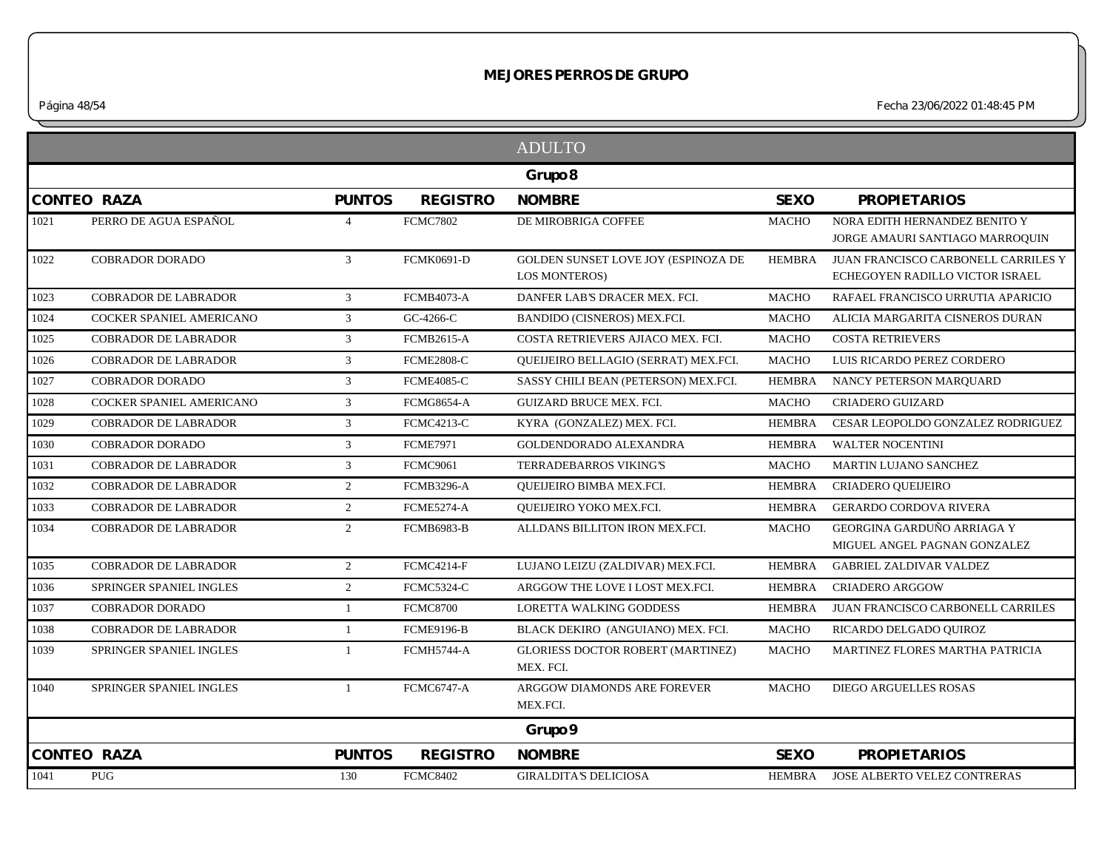*Página 48/54 Fecha 23/06/2022 01:48:45 PM*

|      |                             |                |                   | <b>ADULTO</b>                                               |               |                                                                        |
|------|-----------------------------|----------------|-------------------|-------------------------------------------------------------|---------------|------------------------------------------------------------------------|
|      |                             |                |                   | Grupo 8                                                     |               |                                                                        |
|      | <b>CONTEO RAZA</b>          | <b>PUNTOS</b>  | <b>REGISTRO</b>   | <b>NOMBRE</b>                                               | <b>SEXO</b>   | <b>PROPIETARIOS</b>                                                    |
| 1021 | PERRO DE AGUA ESPAÑOL       | $\overline{4}$ | <b>FCMC7802</b>   | DE MIROBRIGA COFFEE                                         | <b>MACHO</b>  | NORA EDITH HERNANDEZ BENITO Y<br>JORGE AMAURI SANTIAGO MARROQUIN       |
| 1022 | <b>COBRADOR DORADO</b>      | $\mathcal{E}$  | <b>FCMK0691-D</b> | GOLDEN SUNSET LOVE JOY (ESPINOZA DE<br><b>LOS MONTEROS)</b> | <b>HEMBRA</b> | JUAN FRANCISCO CARBONELL CARRILES Y<br>ECHEGOYEN RADILLO VICTOR ISRAEL |
| 1023 | <b>COBRADOR DE LABRADOR</b> | $\mathbf{3}$   | <b>FCMB4073-A</b> | DANFER LAB'S DRACER MEX. FCI.                               | <b>MACHO</b>  | RAFAEL FRANCISCO URRUTIA APARICIO                                      |
| 1024 | COCKER SPANIEL AMERICANO    | $\mathfrak{Z}$ | GC-4266-C         | BANDIDO (CISNEROS) MEX.FCI.                                 | <b>MACHO</b>  | ALICIA MARGARITA CISNEROS DURAN                                        |
| 1025 | <b>COBRADOR DE LABRADOR</b> | $\mathfrak{Z}$ | <b>FCMB2615-A</b> | COSTA RETRIEVERS AJIACO MEX. FCI.                           | <b>MACHO</b>  | <b>COSTA RETRIEVERS</b>                                                |
| 1026 | <b>COBRADOR DE LABRADOR</b> | $\mathfrak{Z}$ | <b>FCME2808-C</b> | QUEIJEIRO BELLAGIO (SERRAT) MEX.FCI.                        | <b>MACHO</b>  | LUIS RICARDO PEREZ CORDERO                                             |
| 1027 | <b>COBRADOR DORADO</b>      | $\mathbf{3}$   | <b>FCME4085-C</b> | SASSY CHILI BEAN (PETERSON) MEX.FCI.                        | <b>HEMBRA</b> | NANCY PETERSON MARQUARD                                                |
| 1028 | COCKER SPANIEL AMERICANO    | 3              | <b>FCMG8654-A</b> | GUIZARD BRUCE MEX. FCI.                                     | <b>MACHO</b>  | <b>CRIADERO GUIZARD</b>                                                |
| 1029 | <b>COBRADOR DE LABRADOR</b> | $\mathfrak{Z}$ | <b>FCMC4213-C</b> | KYRA (GONZALEZ) MEX. FCI.                                   | <b>HEMBRA</b> | CESAR LEOPOLDO GONZALEZ RODRIGUEZ                                      |
| 1030 | <b>COBRADOR DORADO</b>      | $\mathfrak{Z}$ | <b>FCME7971</b>   | GOLDENDORADO ALEXANDRA                                      | <b>HEMBRA</b> | <b>WALTER NOCENTINI</b>                                                |
| 1031 | <b>COBRADOR DE LABRADOR</b> | 3              | <b>FCMC9061</b>   | TERRADEBARROS VIKING'S                                      | <b>MACHO</b>  | MARTIN LUJANO SANCHEZ                                                  |
| 1032 | <b>COBRADOR DE LABRADOR</b> | 2              | <b>FCMB3296-A</b> | QUEIJEIRO BIMBA MEX.FCI.                                    | <b>HEMBRA</b> | <b>CRIADERO QUEIJEIRO</b>                                              |
| 1033 | <b>COBRADOR DE LABRADOR</b> | $\overline{2}$ | FCME5274-A        | QUEIJEIRO YOKO MEX.FCI.                                     | <b>HEMBRA</b> | <b>GERARDO CORDOVA RIVERA</b>                                          |
| 1034 | <b>COBRADOR DE LABRADOR</b> | $\overline{2}$ | <b>FCMB6983-B</b> | ALLDANS BILLITON IRON MEX.FCI.                              | <b>MACHO</b>  | GEORGINA GARDUÑO ARRIAGA Y<br>MIGUEL ANGEL PAGNAN GONZALEZ             |
| 1035 | <b>COBRADOR DE LABRADOR</b> | 2              | <b>FCMC4214-F</b> | LUJANO LEIZU (ZALDIVAR) MEX.FCI.                            | <b>HEMBRA</b> | <b>GABRIEL ZALDIVAR VALDEZ</b>                                         |
| 1036 | SPRINGER SPANIEL INGLES     | $\overline{2}$ | FCMC5324-C        | ARGGOW THE LOVE I LOST MEX.FCI.                             | <b>HEMBRA</b> | <b>CRIADERO ARGGOW</b>                                                 |
| 1037 | <b>COBRADOR DORADO</b>      | $\mathbf{1}$   | <b>FCMC8700</b>   | <b>LORETTA WALKING GODDESS</b>                              | <b>HEMBRA</b> | JUAN FRANCISCO CARBONELL CARRILES                                      |
| 1038 | <b>COBRADOR DE LABRADOR</b> | $\mathbf{1}$   | <b>FCME9196-B</b> | BLACK DEKIRO (ANGUIANO) MEX. FCI.                           | <b>MACHO</b>  | RICARDO DELGADO QUIROZ                                                 |
| 1039 | SPRINGER SPANIEL INGLES     |                | <b>FCMH5744-A</b> | <b>GLORIESS DOCTOR ROBERT (MARTINEZ)</b><br>MEX. FCI.       | <b>MACHO</b>  | MARTINEZ FLORES MARTHA PATRICIA                                        |
| 1040 | SPRINGER SPANIEL INGLES     | $\mathbf{1}$   | <b>FCMC6747-A</b> | ARGGOW DIAMONDS ARE FOREVER<br>MEX.FCI.                     | <b>MACHO</b>  | <b>DIEGO ARGUELLES ROSAS</b>                                           |
|      |                             |                |                   | Grupo 9                                                     |               |                                                                        |
|      | <b>CONTEO RAZA</b>          | <b>PUNTOS</b>  | <b>REGISTRO</b>   | <b>NOMBRE</b>                                               | <b>SEXO</b>   | <b>PROPIETARIOS</b>                                                    |
| 1041 | PUG                         | 130            | <b>FCMC8402</b>   | <b>GIRALDITA'S DELICIOSA</b>                                | HEMBRA        | JOSE ALBERTO VELEZ CONTRERAS                                           |
|      |                             |                |                   |                                                             |               |                                                                        |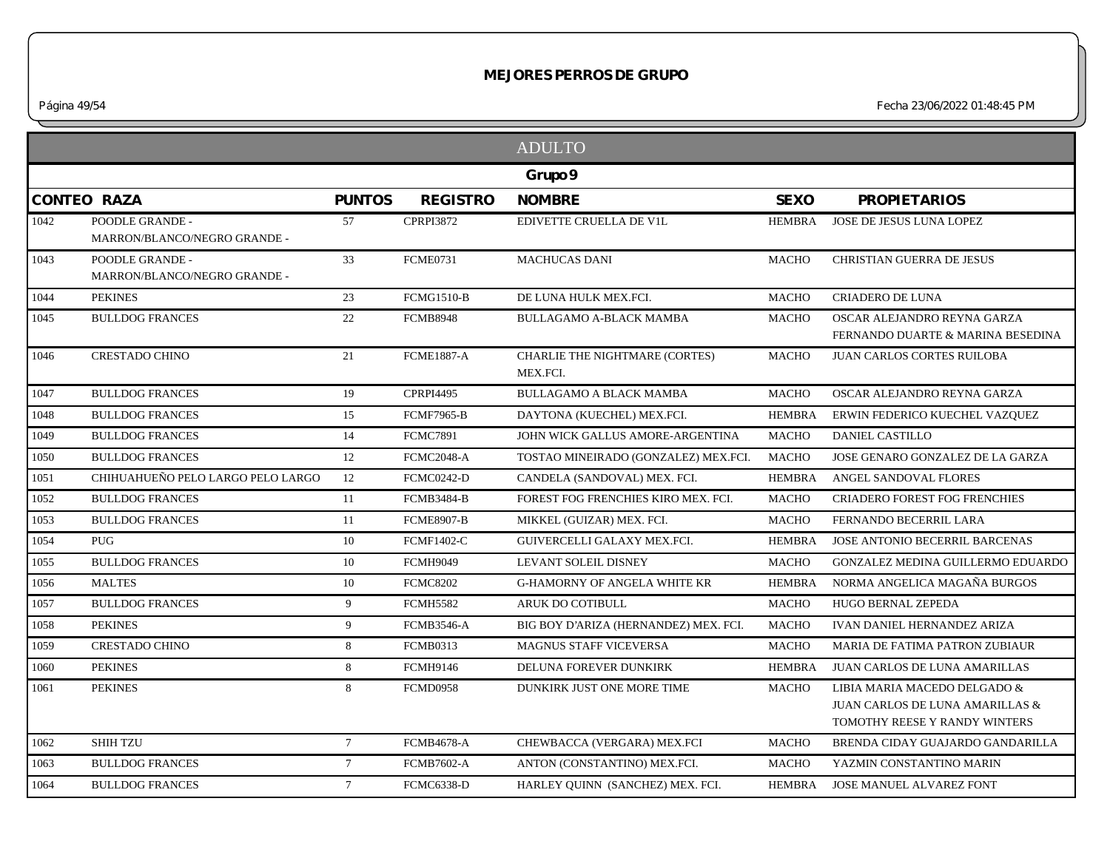*Página 49/54 Fecha 23/06/2022 01:48:45 PM*

|      |                                                 |                 |                   | <b>ADULTO</b>                              |               |                                                                                                  |
|------|-------------------------------------------------|-----------------|-------------------|--------------------------------------------|---------------|--------------------------------------------------------------------------------------------------|
|      |                                                 |                 |                   | Grupo 9                                    |               |                                                                                                  |
|      | <b>CONTEO RAZA</b>                              | <b>PUNTOS</b>   | <b>REGISTRO</b>   | <b>NOMBRE</b>                              | <b>SEXO</b>   | <b>PROPIETARIOS</b>                                                                              |
| 1042 | POODLE GRANDE -<br>MARRON/BLANCO/NEGRO GRANDE - | 57              | <b>CPRPI3872</b>  | EDIVETTE CRUELLA DE VIL                    | <b>HEMBRA</b> | JOSE DE JESUS LUNA LOPEZ                                                                         |
| 1043 | POODLE GRANDE -<br>MARRON/BLANCO/NEGRO GRANDE - | 33              | <b>FCME0731</b>   | <b>MACHUCAS DANI</b>                       | <b>MACHO</b>  | <b>CHRISTIAN GUERRA DE JESUS</b>                                                                 |
| 1044 | <b>PEKINES</b>                                  | 23              | <b>FCMG1510-B</b> | DE LUNA HULK MEX.FCI.                      | <b>MACHO</b>  | <b>CRIADERO DE LUNA</b>                                                                          |
| 1045 | <b>BULLDOG FRANCES</b>                          | 22              | <b>FCMB8948</b>   | <b>BULLAGAMO A-BLACK MAMBA</b>             | <b>MACHO</b>  | OSCAR ALEJANDRO REYNA GARZA<br>FERNANDO DUARTE & MARINA BESEDINA                                 |
| 1046 | <b>CRESTADO CHINO</b>                           | 21              | <b>FCME1887-A</b> | CHARLIE THE NIGHTMARE (CORTES)<br>MEX.FCI. | <b>MACHO</b>  | <b>JUAN CARLOS CORTES RUILOBA</b>                                                                |
| 1047 | <b>BULLDOG FRANCES</b>                          | 19              | <b>CPRPI4495</b>  | <b>BULLAGAMO A BLACK MAMBA</b>             | <b>MACHO</b>  | OSCAR ALEJANDRO REYNA GARZA                                                                      |
| 1048 | <b>BULLDOG FRANCES</b>                          | 15              | <b>FCMF7965-B</b> | DAYTONA (KUECHEL) MEX.FCI.                 | <b>HEMBRA</b> | ERWIN FEDERICO KUECHEL VAZQUEZ                                                                   |
| 1049 | <b>BULLDOG FRANCES</b>                          | 14              | <b>FCMC7891</b>   | JOHN WICK GALLUS AMORE-ARGENTINA           | <b>MACHO</b>  | DANIEL CASTILLO                                                                                  |
| 1050 | <b>BULLDOG FRANCES</b>                          | 12              | FCMC2048-A        | TOSTAO MINEIRADO (GONZALEZ) MEX.FCI.       | <b>MACHO</b>  | JOSE GENARO GONZALEZ DE LA GARZA                                                                 |
| 1051 | CHIHUAHUEÑO PELO LARGO PELO LARGO               | 12              | <b>FCMC0242-D</b> | CANDELA (SANDOVAL) MEX. FCI.               | <b>HEMBRA</b> | ANGEL SANDOVAL FLORES                                                                            |
| 1052 | <b>BULLDOG FRANCES</b>                          | 11              | <b>FCMB3484-B</b> | FOREST FOG FRENCHIES KIRO MEX. FCI.        | <b>MACHO</b>  | <b>CRIADERO FOREST FOG FRENCHIES</b>                                                             |
| 1053 | <b>BULLDOG FRANCES</b>                          | 11              | <b>FCME8907-B</b> | MIKKEL (GUIZAR) MEX. FCI.                  | <b>MACHO</b>  | FERNANDO BECERRIL LARA                                                                           |
| 1054 | <b>PUG</b>                                      | 10              | <b>FCMF1402-C</b> | GUIVERCELLI GALAXY MEX.FCI.                | <b>HEMBRA</b> | JOSE ANTONIO BECERRIL BARCENAS                                                                   |
| 1055 | <b>BULLDOG FRANCES</b>                          | 10              | FCMH9049          | LEVANT SOLEIL DISNEY                       | <b>MACHO</b>  | GONZALEZ MEDINA GUILLERMO EDUARDO                                                                |
| 1056 | <b>MALTES</b>                                   | 10              | <b>FCMC8202</b>   | <b>G-HAMORNY OF ANGELA WHITE KR</b>        | <b>HEMBRA</b> | NORMA ANGELICA MAGAÑA BURGOS                                                                     |
| 1057 | <b>BULLDOG FRANCES</b>                          | 9               | <b>FCMH5582</b>   | <b>ARUK DO COTIBULL</b>                    | <b>MACHO</b>  | <b>HUGO BERNAL ZEPEDA</b>                                                                        |
| 1058 | <b>PEKINES</b>                                  | 9               | <b>FCMB3546-A</b> | BIG BOY D'ARIZA (HERNANDEZ) MEX. FCI.      | <b>MACHO</b>  | <b>IVAN DANIEL HERNANDEZ ARIZA</b>                                                               |
| 1059 | <b>CRESTADO CHINO</b>                           | 8               | <b>FCMB0313</b>   | <b>MAGNUS STAFF VICEVERSA</b>              | <b>MACHO</b>  | <b>MARIA DE FATIMA PATRON ZUBIAUR</b>                                                            |
| 1060 | <b>PEKINES</b>                                  | 8               | <b>FCMH9146</b>   | DELUNA FOREVER DUNKIRK                     | <b>HEMBRA</b> | JUAN CARLOS DE LUNA AMARILLAS                                                                    |
| 1061 | <b>PEKINES</b>                                  | 8               | <b>FCMD0958</b>   | DUNKIRK JUST ONE MORE TIME                 | <b>MACHO</b>  | LIBIA MARIA MACEDO DELGADO &<br>JUAN CARLOS DE LUNA AMARILLAS &<br>TOMOTHY REESE Y RANDY WINTERS |
| 1062 | <b>SHIH TZU</b>                                 | $7\overline{ }$ | <b>FCMB4678-A</b> | CHEWBACCA (VERGARA) MEX.FCI                | <b>MACHO</b>  | BRENDA CIDAY GUAJARDO GANDARILLA                                                                 |
| 1063 | <b>BULLDOG FRANCES</b>                          | $7\overline{ }$ | <b>FCMB7602-A</b> | ANTON (CONSTANTINO) MEX.FCI.               | <b>MACHO</b>  | YAZMIN CONSTANTINO MARIN                                                                         |
| 1064 | <b>BULLDOG FRANCES</b>                          | $7\overline{ }$ | <b>FCMC6338-D</b> | HARLEY OUINN (SANCHEZ) MEX. FCI.           | <b>HEMBRA</b> | JOSE MANUEL ALVAREZ FONT                                                                         |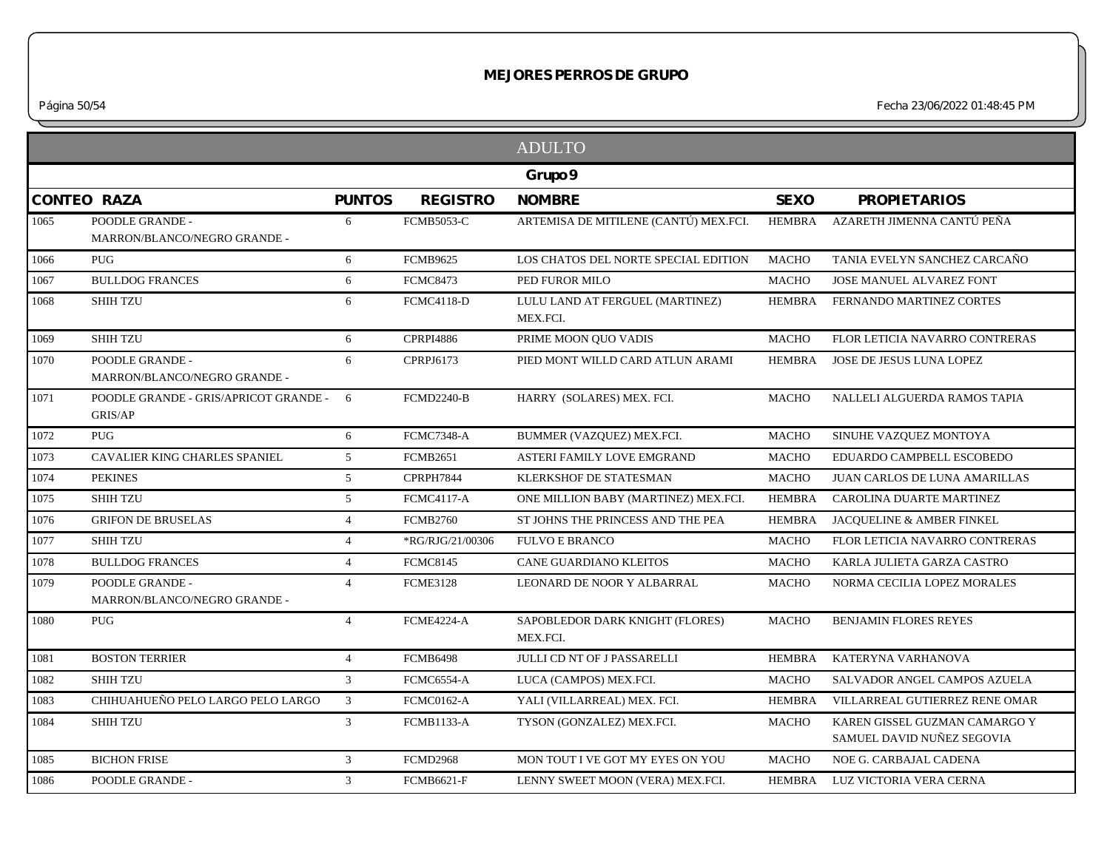*Página 50/54 Fecha 23/06/2022 01:48:45 PM*

|         |                                                  |                |                   | <b>ADULTO</b>                               |               |                                                             |  |
|---------|--------------------------------------------------|----------------|-------------------|---------------------------------------------|---------------|-------------------------------------------------------------|--|
| Grupo 9 |                                                  |                |                   |                                             |               |                                                             |  |
|         | <b>CONTEO RAZA</b>                               | <b>PUNTOS</b>  | <b>REGISTRO</b>   | <b>NOMBRE</b>                               | <b>SEXO</b>   | <b>PROPIETARIOS</b>                                         |  |
| 1065    | POODLE GRANDE -<br>MARRON/BLANCO/NEGRO GRANDE -  | 6              | <b>FCMB5053-C</b> | ARTEMISA DE MITILENE (CANTÚ) MEX.FCI.       | HEMBRA        | AZARETH JIMENNA CANTÚ PEÑA                                  |  |
| 1066    | PUG                                              | 6              | <b>FCMB9625</b>   | LOS CHATOS DEL NORTE SPECIAL EDITION        | <b>MACHO</b>  | TANIA EVELYN SANCHEZ CARCAÑO                                |  |
| 1067    | <b>BULLDOG FRANCES</b>                           | 6              | <b>FCMC8473</b>   | PED FUROR MILO                              | <b>MACHO</b>  | <b>JOSE MANUEL ALVAREZ FONT</b>                             |  |
| 1068    | <b>SHIH TZU</b>                                  | 6              | <b>FCMC4118-D</b> | LULU LAND AT FERGUEL (MARTINEZ)<br>MEX.FCI. | <b>HEMBRA</b> | FERNANDO MARTINEZ CORTES                                    |  |
| 1069    | <b>SHIH TZU</b>                                  | 6              | <b>CPRPI4886</b>  | PRIME MOON QUO VADIS                        | <b>MACHO</b>  | FLOR LETICIA NAVARRO CONTRERAS                              |  |
| 1070    | POODLE GRANDE -<br>MARRON/BLANCO/NEGRO GRANDE -  | 6              | CPRPJ6173         | PIED MONT WILLD CARD ATLUN ARAMI            | HEMBRA        | JOSE DE JESUS LUNA LOPEZ                                    |  |
| 1071    | POODLE GRANDE - GRIS/APRICOT GRANDE -<br>GRIS/AP | 6              | <b>FCMD2240-B</b> | HARRY (SOLARES) MEX. FCI.                   | <b>MACHO</b>  | NALLELI ALGUERDA RAMOS TAPIA                                |  |
| 1072    | <b>PUG</b>                                       | 6              | FCMC7348-A        | BUMMER (VAZQUEZ) MEX.FCI.                   | <b>MACHO</b>  | SINUHE VAZQUEZ MONTOYA                                      |  |
| 1073    | <b>CAVALIER KING CHARLES SPANIEL</b>             | 5              | <b>FCMB2651</b>   | ASTERI FAMILY LOVE EMGRAND                  | <b>MACHO</b>  | EDUARDO CAMPBELL ESCOBEDO                                   |  |
| 1074    | <b>PEKINES</b>                                   | 5              | CPRPH7844         | KLERKSHOF DE STATESMAN                      | <b>MACHO</b>  | <b>JUAN CARLOS DE LUNA AMARILLAS</b>                        |  |
| 1075    | <b>SHIH TZU</b>                                  | 5              | <b>FCMC4117-A</b> | ONE MILLION BABY (MARTINEZ) MEX.FCI.        | <b>HEMBRA</b> | CAROLINA DUARTE MARTINEZ                                    |  |
| 1076    | <b>GRIFON DE BRUSELAS</b>                        | $\overline{4}$ | <b>FCMB2760</b>   | ST JOHNS THE PRINCESS AND THE PEA           | <b>HEMBRA</b> | JACQUELINE & AMBER FINKEL                                   |  |
| 1077    | <b>SHIH TZU</b>                                  | $\overline{4}$ | *RG/RJG/21/00306  | <b>FULVO E BRANCO</b>                       | <b>MACHO</b>  | FLOR LETICIA NAVARRO CONTRERAS                              |  |
| 1078    | <b>BULLDOG FRANCES</b>                           | $\overline{4}$ | <b>FCMC8145</b>   | <b>CANE GUARDIANO KLEITOS</b>               | <b>MACHO</b>  | KARLA JULIETA GARZA CASTRO                                  |  |
| 1079    | POODLE GRANDE -<br>MARRON/BLANCO/NEGRO GRANDE -  | $\overline{4}$ | <b>FCME3128</b>   | LEONARD DE NOOR Y ALBARRAL                  | <b>MACHO</b>  | NORMA CECILIA LOPEZ MORALES                                 |  |
| 1080    | <b>PUG</b>                                       | $\overline{4}$ | FCME4224-A        | SAPOBLEDOR DARK KNIGHT (FLORES)<br>MEX.FCI. | <b>MACHO</b>  | <b>BENJAMIN FLORES REYES</b>                                |  |
| 1081    | <b>BOSTON TERRIER</b>                            | $\overline{4}$ | <b>FCMB6498</b>   | JULLI CD NT OF J PASSARELLI                 | <b>HEMBRA</b> | KATERYNA VARHANOVA                                          |  |
| 1082    | <b>SHIH TZU</b>                                  | 3              | <b>FCMC6554-A</b> | LUCA (CAMPOS) MEX.FCI.                      | <b>MACHO</b>  | SALVADOR ANGEL CAMPOS AZUELA                                |  |
| 1083    | CHIHUAHUEÑO PELO LARGO PELO LARGO                | $\mathfrak{Z}$ | <b>FCMC0162-A</b> | YALI (VILLARREAL) MEX. FCI.                 | <b>HEMBRA</b> | VILLARREAL GUTIERREZ RENE OMAR                              |  |
| 1084    | <b>SHIH TZU</b>                                  | 3              | <b>FCMB1133-A</b> | TYSON (GONZALEZ) MEX.FCI.                   | <b>MACHO</b>  | KAREN GISSEL GUZMAN CAMARGO Y<br>SAMUEL DAVID NUÑEZ SEGOVIA |  |
| 1085    | <b>BICHON FRISE</b>                              | $\overline{3}$ | <b>FCMD2968</b>   | MON TOUT I VE GOT MY EYES ON YOU            | <b>MACHO</b>  | NOE G. CARBAJAL CADENA                                      |  |
| 1086    | POODLE GRANDE -                                  | $\overline{3}$ | <b>FCMB6621-F</b> | LENNY SWEET MOON (VERA) MEX.FCI.            | HEMBRA        | LUZ VICTORIA VERA CERNA                                     |  |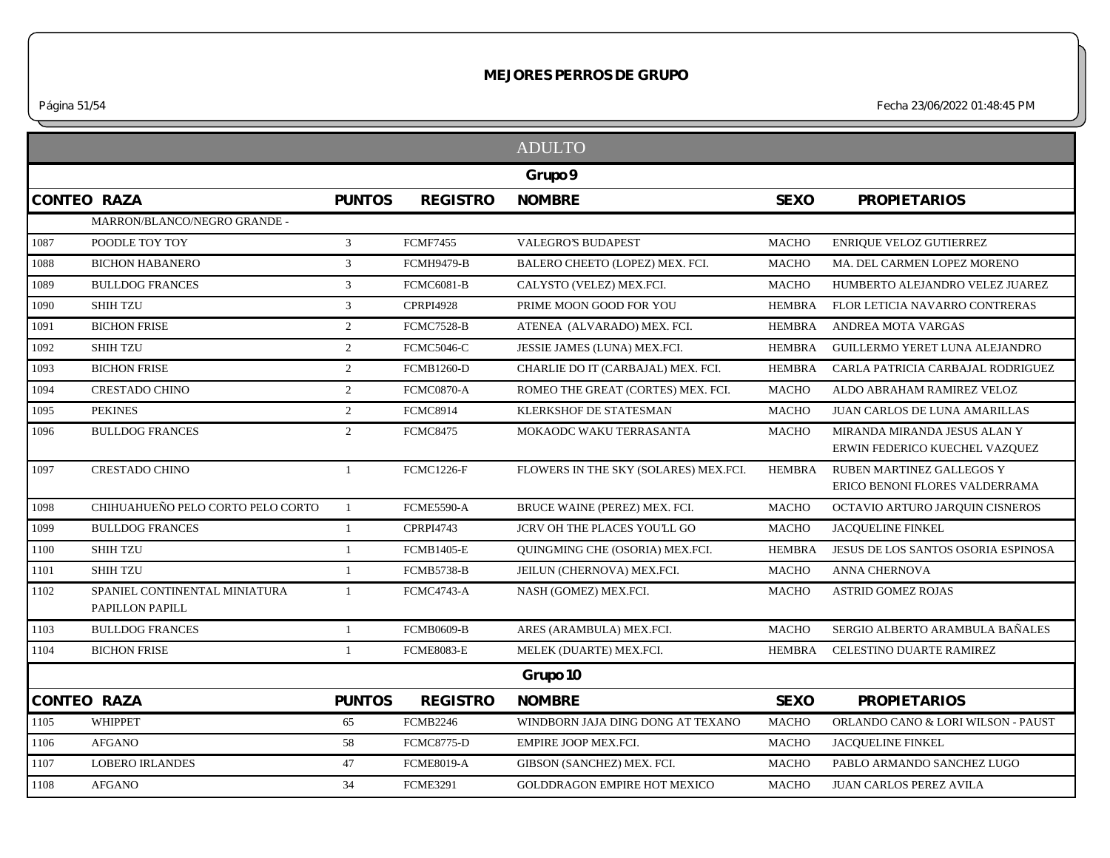*Página 51/54 Fecha 23/06/2022 01:48:45 PM*

|      |                                                  |                |                   | <b>ADULTO</b>                          |               |                                                                    |
|------|--------------------------------------------------|----------------|-------------------|----------------------------------------|---------------|--------------------------------------------------------------------|
|      |                                                  |                |                   | Grupo 9                                |               |                                                                    |
|      | <b>CONTEO RAZA</b>                               | <b>PUNTOS</b>  | <b>REGISTRO</b>   | <b>NOMBRE</b>                          | <b>SEXO</b>   | <b>PROPIETARIOS</b>                                                |
|      | MARRON/BLANCO/NEGRO GRANDE -                     |                |                   |                                        |               |                                                                    |
| 1087 | POODLE TOY TOY                                   | $\overline{3}$ | <b>FCMF7455</b>   | <b>VALEGRO'S BUDAPEST</b>              | <b>MACHO</b>  | <b>ENRIQUE VELOZ GUTIERREZ</b>                                     |
| 1088 | <b>BICHON HABANERO</b>                           | $\mathfrak{Z}$ | <b>FCMH9479-B</b> | BALERO CHEETO (LOPEZ) MEX. FCI.        | <b>MACHO</b>  | MA. DEL CARMEN LOPEZ MORENO                                        |
| 1089 | <b>BULLDOG FRANCES</b>                           | $\mathbf{3}$   | <b>FCMC6081-B</b> | CALYSTO (VELEZ) MEX.FCI.               | <b>MACHO</b>  | HUMBERTO ALEJANDRO VELEZ JUAREZ                                    |
| 1090 | <b>SHIH TZU</b>                                  | 3              | <b>CPRPI4928</b>  | PRIME MOON GOOD FOR YOU                | <b>HEMBRA</b> | FLOR LETICIA NAVARRO CONTRERAS                                     |
| 1091 | <b>BICHON FRISE</b>                              | 2              | <b>FCMC7528-B</b> | ATENEA (ALVARADO) MEX. FCI.            | <b>HEMBRA</b> | ANDREA MOTA VARGAS                                                 |
| 1092 | <b>SHIH TZU</b>                                  | $\overline{2}$ | <b>FCMC5046-C</b> | JESSIE JAMES (LUNA) MEX.FCI.           | <b>HEMBRA</b> | GUILLERMO YERET LUNA ALEJANDRO                                     |
| 1093 | <b>BICHON FRISE</b>                              | 2              | <b>FCMB1260-D</b> | CHARLIE DO IT (CARBAJAL) MEX. FCI.     | <b>HEMBRA</b> | CARLA PATRICIA CARBAJAL RODRIGUEZ                                  |
| 1094 | <b>CRESTADO CHINO</b>                            | 2              | FCMC0870-A        | ROMEO THE GREAT (CORTES) MEX. FCI.     | <b>MACHO</b>  | ALDO ABRAHAM RAMIREZ VELOZ                                         |
| 1095 | <b>PEKINES</b>                                   | 2              | <b>FCMC8914</b>   | KLERKSHOF DE STATESMAN                 | <b>MACHO</b>  | JUAN CARLOS DE LUNA AMARILLAS                                      |
| 1096 | <b>BULLDOG FRANCES</b>                           | 2              | <b>FCMC8475</b>   | MOKAODC WAKU TERRASANTA                | <b>MACHO</b>  | MIRANDA MIRANDA JESUS ALAN Y<br>ERWIN FEDERICO KUECHEL VAZQUEZ     |
| 1097 | <b>CRESTADO CHINO</b>                            | $\overline{1}$ | <b>FCMC1226-F</b> | FLOWERS IN THE SKY (SOLARES) MEX.FCI.  | <b>HEMBRA</b> | <b>RUBEN MARTINEZ GALLEGOS Y</b><br>ERICO BENONI FLORES VALDERRAMA |
| 1098 | CHIHUAHUEÑO PELO CORTO PELO CORTO                | $\mathbf{1}$   | <b>FCME5590-A</b> | BRUCE WAINE (PEREZ) MEX. FCI.          | <b>MACHO</b>  | OCTAVIO ARTURO JARQUIN CISNEROS                                    |
| 1099 | <b>BULLDOG FRANCES</b>                           | $\overline{1}$ | <b>CPRPI4743</b>  | JCRV OH THE PLACES YOU'LL GO           | <b>MACHO</b>  | <b>JACQUELINE FINKEL</b>                                           |
| 1100 | <b>SHIH TZU</b>                                  | -1             | <b>FCMB1405-E</b> | <b>OUINGMING CHE (OSORIA) MEX.FCI.</b> | <b>HEMBRA</b> | JESUS DE LOS SANTOS OSORIA ESPINOSA                                |
| 1101 | <b>SHIH TZU</b>                                  | -1             | <b>FCMB5738-B</b> | JEILUN (CHERNOVA) MEX.FCI.             | <b>MACHO</b>  | ANNA CHERNOVA                                                      |
| 1102 | SPANIEL CONTINENTAL MINIATURA<br>PAPILLON PAPILL | -1             | <b>FCMC4743-A</b> | NASH (GOMEZ) MEX.FCI.                  | <b>MACHO</b>  | <b>ASTRID GOMEZ ROJAS</b>                                          |
| 1103 | <b>BULLDOG FRANCES</b>                           | $\mathbf{1}$   | <b>FCMB0609-B</b> | ARES (ARAMBULA) MEX.FCI.               | <b>MACHO</b>  | SERGIO ALBERTO ARAMBULA BAÑALES                                    |
| 1104 | <b>BICHON FRISE</b>                              | $\overline{1}$ | <b>FCME8083-E</b> | MELEK (DUARTE) MEX.FCI.                | <b>HEMBRA</b> | CELESTINO DUARTE RAMIREZ                                           |
|      |                                                  |                |                   | Grupo 10                               |               |                                                                    |
|      | <b>CONTEO RAZA</b>                               | <b>PUNTOS</b>  | <b>REGISTRO</b>   | <b>NOMBRE</b>                          | <b>SEXO</b>   | <b>PROPIETARIOS</b>                                                |
| 1105 | <b>WHIPPET</b>                                   | 65             | <b>FCMB2246</b>   | WINDBORN JAJA DING DONG AT TEXANO      | <b>MACHO</b>  | ORLANDO CANO & LORI WILSON - PAUST                                 |
| 1106 | <b>AFGANO</b>                                    | 58             | <b>FCMC8775-D</b> | EMPIRE JOOP MEX.FCI.                   | <b>MACHO</b>  | <b>JACQUELINE FINKEL</b>                                           |
| 1107 | <b>LOBERO IRLANDES</b>                           | 47             | <b>FCME8019-A</b> | GIBSON (SANCHEZ) MEX. FCI.             | <b>MACHO</b>  | PABLO ARMANDO SANCHEZ LUGO                                         |
| 1108 | <b>AFGANO</b>                                    | 34             | <b>FCME3291</b>   | <b>GOLDDRAGON EMPIRE HOT MEXICO</b>    | <b>MACHO</b>  | <b>JUAN CARLOS PEREZ AVILA</b>                                     |
|      |                                                  |                |                   |                                        |               |                                                                    |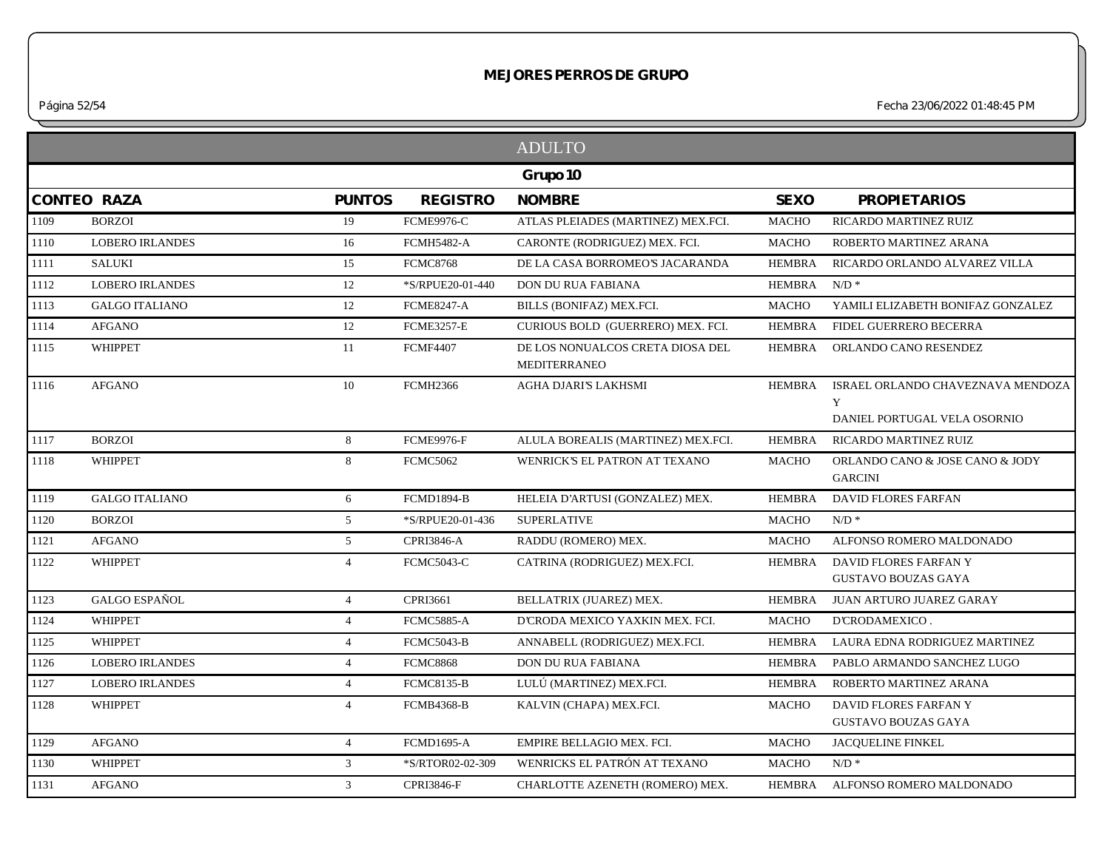*Página 52/54 Fecha 23/06/2022 01:48:45 PM*

|      |                        |                 |                   | <b>ADULTO</b>                                           |               |                                                                        |
|------|------------------------|-----------------|-------------------|---------------------------------------------------------|---------------|------------------------------------------------------------------------|
|      |                        |                 |                   | Grupo 10                                                |               |                                                                        |
|      | <b>CONTEO RAZA</b>     | <b>PUNTOS</b>   | <b>REGISTRO</b>   | <b>NOMBRE</b>                                           | <b>SEXO</b>   | <b>PROPIETARIOS</b>                                                    |
| 1109 | <b>BORZOI</b>          | 19              | <b>FCME9976-C</b> | ATLAS PLEIADES (MARTINEZ) MEX.FCI.                      | <b>MACHO</b>  | RICARDO MARTINEZ RUIZ                                                  |
| 1110 | <b>LOBERO IRLANDES</b> | 16              | <b>FCMH5482-A</b> | CARONTE (RODRIGUEZ) MEX. FCI.                           | <b>MACHO</b>  | ROBERTO MARTINEZ ARANA                                                 |
| 1111 | <b>SALUKI</b>          | 15              | <b>FCMC8768</b>   | DE LA CASA BORROMEO'S JACARANDA                         | HEMBRA        | RICARDO ORLANDO ALVAREZ VILLA                                          |
| 1112 | <b>LOBERO IRLANDES</b> | 12              | *S/RPUE20-01-440  | DON DU RUA FABIANA                                      | HEMBRA        | $N/D$ *                                                                |
| 1113 | <b>GALGO ITALIANO</b>  | 12              | <b>FCME8247-A</b> | BILLS (BONIFAZ) MEX.FCI.                                | <b>MACHO</b>  | YAMILI ELIZABETH BONIFAZ GONZALEZ                                      |
| 1114 | <b>AFGANO</b>          | 12              | <b>FCME3257-E</b> | CURIOUS BOLD (GUERRERO) MEX. FCI.                       | <b>HEMBRA</b> | FIDEL GUERRERO BECERRA                                                 |
| 1115 | <b>WHIPPET</b>         | 11              | <b>FCMF4407</b>   | DE LOS NONUALCOS CRETA DIOSA DEL<br><b>MEDITERRANEO</b> | <b>HEMBRA</b> | ORLANDO CANO RESENDEZ                                                  |
| 1116 | <b>AFGANO</b>          | 10              | <b>FCMH2366</b>   | AGHA DJARI'S LAKHSMI                                    | <b>HEMBRA</b> | ISRAEL ORLANDO CHAVEZNAVA MENDOZA<br>Y<br>DANIEL PORTUGAL VELA OSORNIO |
| 1117 | <b>BORZOI</b>          | 8               | <b>FCME9976-F</b> | ALULA BOREALIS (MARTINEZ) MEX.FCI.                      | <b>HEMBRA</b> | RICARDO MARTINEZ RUIZ                                                  |
| 1118 | <b>WHIPPET</b>         | 8               | <b>FCMC5062</b>   | WENRICK'S EL PATRON AT TEXANO                           | <b>MACHO</b>  | ORLANDO CANO & JOSE CANO & JODY<br><b>GARCINI</b>                      |
| 1119 | <b>GALGO ITALIANO</b>  | 6               | <b>FCMD1894-B</b> | HELEIA D'ARTUSI (GONZALEZ) MEX.                         | <b>HEMBRA</b> | DAVID FLORES FARFAN                                                    |
| 1120 | <b>BORZOI</b>          | $5\overline{)}$ | *S/RPUE20-01-436  | <b>SUPERLATIVE</b>                                      | MACHO         | $N/D$ *                                                                |
| 1121 | <b>AFGANO</b>          | 5 <sup>5</sup>  | CPRI3846-A        | RADDU (ROMERO) MEX.                                     | <b>MACHO</b>  | ALFONSO ROMERO MALDONADO                                               |
| 1122 | <b>WHIPPET</b>         | $\overline{4}$  | <b>FCMC5043-C</b> | CATRINA (RODRIGUEZ) MEX.FCI.                            | <b>HEMBRA</b> | DAVID FLORES FARFAN Y<br>GUSTAVO BOUZAS GAYA                           |
| 1123 | <b>GALGO ESPAÑOL</b>   | $\overline{4}$  | CPRI3661          | BELLATRIX (JUAREZ) MEX.                                 | <b>HEMBRA</b> | JUAN ARTURO JUAREZ GARAY                                               |
| 1124 | <b>WHIPPET</b>         | $\overline{4}$  | <b>FCMC5885-A</b> | D'CRODA MEXICO YAXKIN MEX. FCI.                         | MACHO         | D'CRODAMEXICO.                                                         |
| 1125 | <b>WHIPPET</b>         | $\overline{4}$  | <b>FCMC5043-B</b> | ANNABELL (RODRIGUEZ) MEX.FCI.                           | <b>HEMBRA</b> | LAURA EDNA RODRIGUEZ MARTINEZ                                          |
| 1126 | <b>LOBERO IRLANDES</b> | $\overline{4}$  | <b>FCMC8868</b>   | DON DU RUA FABIANA                                      | <b>HEMBRA</b> | PABLO ARMANDO SANCHEZ LUGO                                             |
| 1127 | <b>LOBERO IRLANDES</b> | $\overline{4}$  | <b>FCMC8135-B</b> | LULÚ (MARTINEZ) MEX.FCI.                                | <b>HEMBRA</b> | ROBERTO MARTINEZ ARANA                                                 |
| 1128 | <b>WHIPPET</b>         | $\overline{4}$  | <b>FCMB4368-B</b> | KALVIN (CHAPA) MEX.FCI.                                 | <b>MACHO</b>  | DAVID FLORES FARFAN Y<br><b>GUSTAVO BOUZAS GAYA</b>                    |
| 1129 | <b>AFGANO</b>          | $\overline{4}$  | <b>FCMD1695-A</b> | EMPIRE BELLAGIO MEX. FCI.                               | <b>MACHO</b>  | <b>JACQUELINE FINKEL</b>                                               |
| 1130 | <b>WHIPPET</b>         | 3               | *S/RTOR02-02-309  | WENRICKS EL PATRÓN AT TEXANO                            | MACHO         | $N/D$ *                                                                |
| 1131 | <b>AFGANO</b>          | $\mathbf{3}$    | <b>CPRI3846-F</b> | CHARLOTTE AZENETH (ROMERO) MEX.                         | HEMBRA        | ALFONSO ROMERO MALDONADO                                               |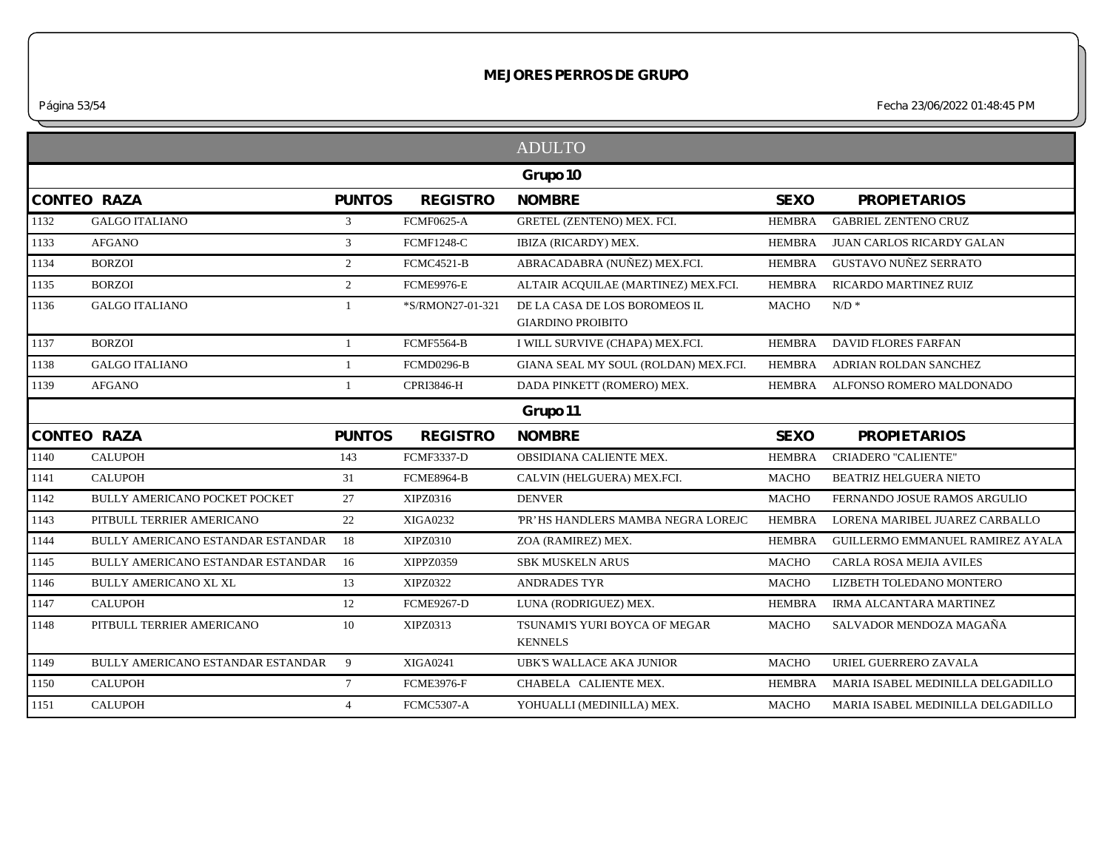*Página 53/54 Fecha 23/06/2022 01:48:45 PM*

|              |                                          |                |                   | <b>ADULTO</b>                                             |               |                                   |
|--------------|------------------------------------------|----------------|-------------------|-----------------------------------------------------------|---------------|-----------------------------------|
|              |                                          |                |                   | Grupo 10                                                  |               |                                   |
|              | <b>CONTEO RAZA</b>                       | <b>PUNTOS</b>  | <b>REGISTRO</b>   | <b>NOMBRE</b>                                             | <b>SEXO</b>   | <b>PROPIETARIOS</b>               |
| 1132         | <b>GALGO ITALIANO</b>                    | $\mathfrak{Z}$ | <b>FCMF0625-A</b> | GRETEL (ZENTENO) MEX. FCI.                                | <b>HEMBRA</b> | <b>GABRIEL ZENTENO CRUZ</b>       |
| 1133         | <b>AFGANO</b>                            | 3              | <b>FCMF1248-C</b> | IBIZA (RICARDY) MEX.                                      | <b>HEMBRA</b> | <b>JUAN CARLOS RICARDY GALAN</b>  |
| 1134         | <b>BORZOI</b>                            | $\overline{2}$ | <b>FCMC4521-B</b> | ABRACADABRA (NUÑEZ) MEX.FCI.                              | <b>HEMBRA</b> | <b>GUSTAVO NUÑEZ SERRATO</b>      |
| 1135         | <b>BORZOI</b>                            | $\overline{2}$ | <b>FCME9976-E</b> | ALTAIR ACQUILAE (MARTINEZ) MEX.FCI.                       | <b>HEMBRA</b> | RICARDO MARTINEZ RUIZ             |
| 1136         | <b>GALGO ITALIANO</b>                    | 1              | *S/RMON27-01-321  | DE LA CASA DE LOS BOROMEOS IL<br><b>GIARDINO PROIBITO</b> | <b>MACHO</b>  | $N/D$ *                           |
| 1137         | <b>BORZOI</b>                            |                | <b>FCMF5564-B</b> | I WILL SURVIVE (CHAPA) MEX.FCI.                           | <b>HEMBRA</b> | <b>DAVID FLORES FARFAN</b>        |
| 1138         | <b>GALGO ITALIANO</b>                    | 1              | FCMD0296-B        | GIANA SEAL MY SOUL (ROLDAN) MEX.FCI.                      | <b>HEMBRA</b> | ADRIAN ROLDAN SANCHEZ             |
| 1139         | <b>AFGANO</b>                            | 1              | <b>CPRI3846-H</b> | DADA PINKETT (ROMERO) MEX.                                | <b>HEMBRA</b> | ALFONSO ROMERO MALDONADO          |
|              |                                          |                |                   | Grupo 11                                                  |               |                                   |
|              | <b>CONTEO RAZA</b>                       | <b>PUNTOS</b>  | <b>REGISTRO</b>   | <b>NOMBRE</b>                                             | <b>SEXO</b>   | <b>PROPIETARIOS</b>               |
| 1140         | <b>CALUPOH</b>                           | 143            | <b>FCMF3337-D</b> | OBSIDIANA CALIENTE MEX.                                   | <b>HEMBRA</b> | <b>CRIADERO "CALIENTE"</b>        |
| 1141         | <b>CALUPOH</b>                           | 31             | <b>FCME8964-B</b> | CALVIN (HELGUERA) MEX.FCI.                                | <b>MACHO</b>  | <b>BEATRIZ HELGUERA NIETO</b>     |
| 1142         | <b>BULLY AMERICANO POCKET POCKET</b>     | 27             | XIPZ0316          | <b>DENVER</b>                                             | <b>MACHO</b>  | FERNANDO JOSUE RAMOS ARGULIO      |
| 1143         | PITBULL TERRIER AMERICANO                | 22             | <b>XIGA0232</b>   | PR'HS HANDLERS MAMBA NEGRA LOREJC                         | <b>HEMBRA</b> | LORENA MARIBEL JUAREZ CARBALLO    |
| 1144         | <b>BULLY AMERICANO ESTANDAR ESTANDAR</b> | 18             | XIPZ0310          | ZOA (RAMIREZ) MEX.                                        | <b>HEMBRA</b> | GUILLERMO EMMANUEL RAMIREZ AYALA  |
| 1145         | BULLY AMERICANO ESTANDAR ESTANDAR        | 16             | XIPPZ0359         | <b>SBK MUSKELN ARUS</b>                                   | <b>MACHO</b>  | CARLA ROSA MEJIA AVILES           |
| 1146         | <b>BULLY AMERICANO XL XL</b>             | 13             | <b>XIPZ0322</b>   | <b>ANDRADES TYR</b>                                       | <b>MACHO</b>  | LIZBETH TOLEDANO MONTERO          |
| 1147         | <b>CALUPOH</b>                           | 12             | <b>FCME9267-D</b> | LUNA (RODRIGUEZ) MEX.                                     | <b>HEMBRA</b> | IRMA ALCANTARA MARTINEZ           |
| 1148         | PITBULL TERRIER AMERICANO                | 10             | XIPZ0313          | TSUNAMI'S YURI BOYCA OF MEGAR<br><b>KENNELS</b>           | <b>MACHO</b>  | SALVADOR MENDOZA MAGAÑA           |
|              | BULLY AMERICANO ESTANDAR ESTANDAR        | 9              | <b>XIGA0241</b>   | UBK'S WALLACE AKA JUNIOR                                  | <b>MACHO</b>  | URIEL GUERRERO ZAVALA             |
|              |                                          |                |                   |                                                           |               |                                   |
| 1149<br>1150 | <b>CALUPOH</b>                           | $7^{\circ}$    | <b>FCME3976-F</b> | CHABELA CALIENTE MEX.                                     | <b>HEMBRA</b> | MARIA ISABEL MEDINILLA DELGADILLO |
| 1151         | <b>CALUPOH</b>                           | $\overline{4}$ | <b>FCMC5307-A</b> | YOHUALLI (MEDINILLA) MEX.                                 | <b>MACHO</b>  | MARIA ISABEL MEDINILLA DELGADILLO |